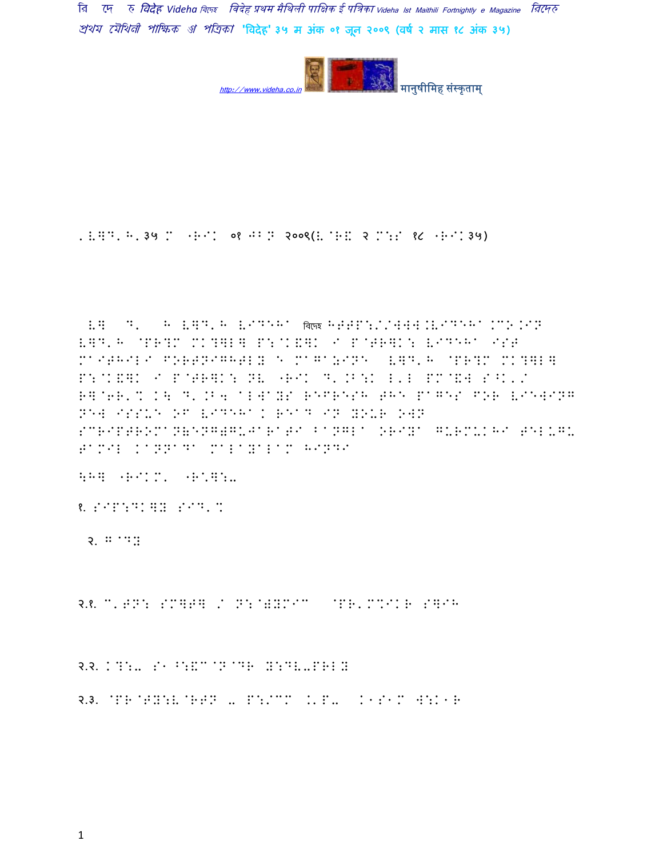

## 'V]D'H'३५ M "RIK ०१ JBN २००९(V@R& २ M:S १८ "RIK३५)

 $V$  DF  $U$   $\sim$  H  $V$   $\sim$  H  $V$   $\sim$  H  $V$   $\sim$  H  $V$   $\sim$  H  $V$  and  $V$  is H  $\sim$  10  $V$  in  $V$  . The  $V$   $\sim$   $V$   $\sim$   $V$   $\sim$   $V$   $\sim$   $V$   $\sim$   $V$   $\sim$   $V$   $\sim$   $V$   $\sim$   $V$   $\sim$   $V$   $\sim$   $V$   $\sim$   $V$   $\sim$   $V$   $\sim$  V]D'H @PR?M MK?]L] P:@K&]K I P@TR]K: VIDEHa IST Maithili Forther Changing Andrew State Company of Magazine Values P:@K&]K I P@TR]K: NV "RIK D'.B:K L'L PM@&W S^K'/ R]@6R'% K\ D'.B4 aLWaYS REFRESH THE PaGES FOR VIEWING NEW YOUR DEALERSHIP ISSUE OF VIOLATION SCRIPTROMaN(ENG)GUJaRaTI BaNGLa ORIYa GURMUKHI TELUGU TaMIL KaNNaDa MaLaYaLaM HINDI

 $H^1$   $\vdots$   $H^1$   $\vdots$   $H^1$   $\vdots$   $H^1$   $\vdots$   $H^1$   $\vdots$   $H^1$ 

8. SHERBIGHT SHERBIGHT

 $2. \div \cdot \cdot \cdot$ 

२.१. C. BIN: SMART / N: MARINA CONTROL SERVE

२.२. KIREA Y: SHEM YEARS HERE IN SHEM YEAR

२.३. MPR MEDHEMPER - LOPHAND - LOPHAND - LOPHAND - END + END + END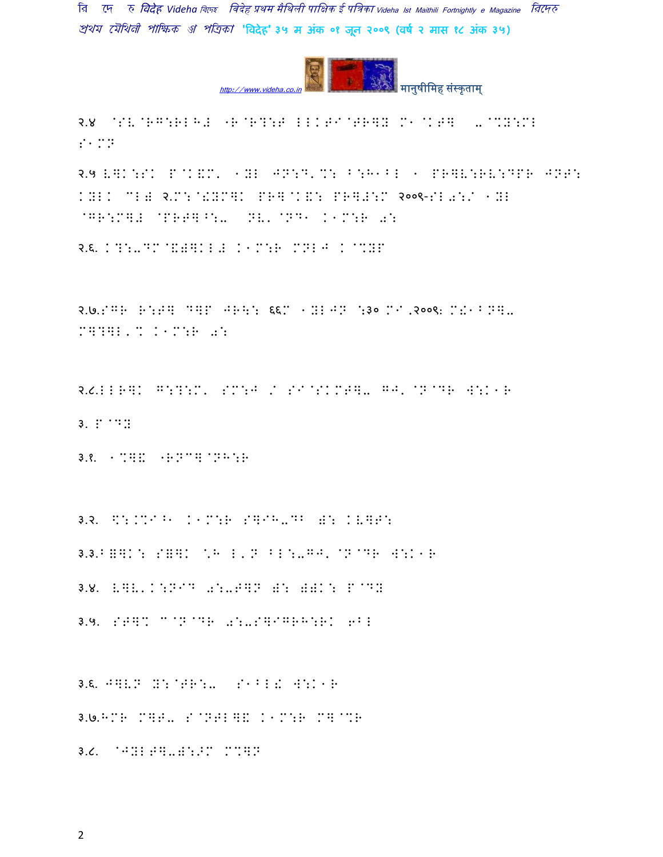

२.४ लेकि: सम्मान से अप्रति संकल के बाद से असमेत के लिए से प्रति के साथ प्रति के साथ प्रति के साथ प्रति के साथ S1MN

२.५ E.स. YET | KIN: 1981 | 1991 | 1992 | 1993 | 1993 | 1993 | 1993 | 1993 | 1993 | 1993 | 1993 | 1993 | 1993 | KWALI CHE RUTE CLOSE PRANCHE PRAINT ROOS-NEWS CON @GR:M]# @PRT]^:- NV'@ND1 K1M:R 0:

२.६. 1 YEARY MEERIES 1997ER (1988) NORTH

२.७.SGR R:T] D]P JR\: ६६M 1YLJN :३० MI,२००९: M!1BN]- MARSHIP CONTROLL

२.८.LLERIN FINISH. STIRE 2012/1001088. FR. 19778-011-1

 $3.$  P $\ddots$  P

 $3.8. + 7.900 + 9.9009 + 1.9009 + 1.000$ 

३.२. \$:.%I^1 K1M:R S]IH-DB ): KV]T: 3.3.FBH: KEH: NR BLP FENDRALIPING WELFE ३.४. EARLING ON 2012-000 BOOK 2010 BOOK 3.9. STREE COMPANY CONSISTENCY OF BLACK 6BL

 $3.6.$   $\div$ HEF HETRI-FRIE W:KIRR W:KIRR ३.७.<del>HMR MR MAR MINITED SONTLINES</del> ३.८. <sup>2</sup>93199189.87.27 2733

2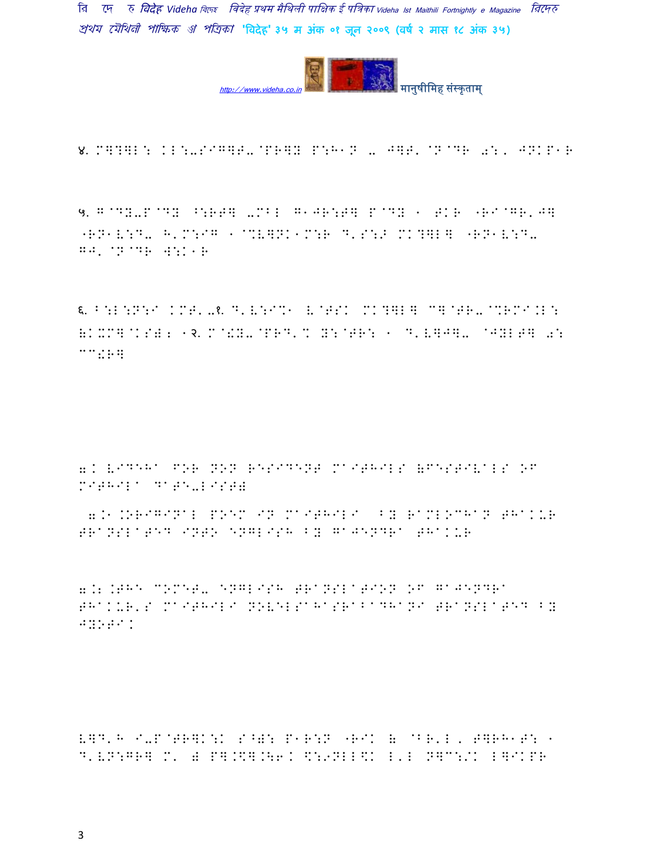

४. M]?]L: KL:-SIG]T-@PR]Y P:H1N - J]T'@N@DR 0:, JNKP1R

५. A TRELETTE CREAR CONFIDENTALE PORCH (RIGHT) - AND THE AR "REPARTEMENT TO THE TOWER TO THE METHOD IS THE REPARTEMENT. GJ'@N@DR W:K1R

६. B:L:N:I KMT'-१. D'V:I%1 V@TSK MK?]L] C]@TR-@%RMI.L: (KXM]@KS); 1२. M@!Y-@PRD'% Y:@TR: 1 D'V]J]- @JYLT] 0:  $\cdots$  gives

7. VIDEHa FOR NON RESIDENT MaITHILS (FESTIVaLS OF  $\cdots$  . The contract of the contract of the contract of the contract of the contract of the contract of the contract of the contract of the contract of the contract of the contract of the contract of the contract of the c

 7.1.ORIGINaL POEM IN MaITHILI BY RaMLOCHaN THaKUR TRaNSLaTED INTO ENGLISH BY GaJENDRa THaKUR

7.2.THE COMET- ENGLISH TRaNSLaTION OF GaJENDRa THAN IT IS MAIT THAN IT IS MADE A RELATION TO A RABADHANI TRANSLATED BY A RABADHANI TRANSLATED BY A RABADHANI **JYOTI** 

V]D'H I-P@TR]K:K S^): P1R:N "RIK ( @BR'L, T]RH1T: 1 D'VN:GR] M' ) P].\$].\6. \$:9NLL\$K L'L N]C:/K L]IKPR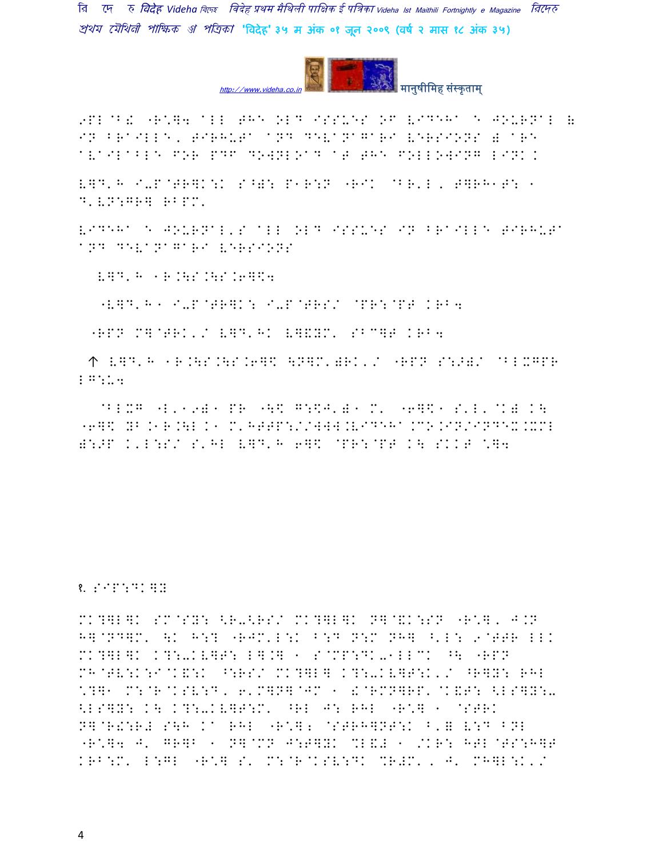

9PL@B! "R\*]4 aLL THE OLD ISSUES OF VIDEHa E JOURNaL ( IN BRaILLE, TIRHUTa aND DEVaNaGaRI VERSIONS ) aRE aVaILaBLE FOR PDF DOWNLOaD aT THE FOLLOWING LINK.

 $\mathbb{E}\{W\mid \mathcal{P}\}$  is the transformal of  $\mathbb{E}\{W\}$  . The same  $\mathbb{E}\{W\}$  is the same  $\mathbb{E}\{W\}$  of  $\mathbb{E}\{W\}$ D' ROMAN (1995) (1996) (1996) (1996) (1996) (1996) (1996) (1996) (1996) (1996) (1996) (1996) (1996) (1996) (1<br>D'Albert (1996) (1996) (1996) (1996) (1996) (1996) (1996) (1996) (1996) (1996) (1996) (1996) (1996) (1996) (19

VIDEHa E JOURNaL'S aLL OLD ISSUES IN BRaILLE TIRHUTa and develops and develops are a

 $\overline{1}, \overline{2}, \overline{3}, \overline{4}, \overline{5}, \overline{4}, \overline{5}, \overline{4}, \overline{5}, \overline{6}, \overline{6}, \overline{6}, \overline{6}, \overline{6}, \overline{6}, \overline{6}, \overline{6}, \overline{6}, \overline{6}, \overline{6}, \overline{6}, \overline{6}, \overline{6}, \overline{6}, \overline{6}, \overline{6}, \overline{6}, \overline{6}, \overline{6}, \overline{6}, \overline{6}, \overline{6}, \overline{6}, \overline{6}, \overline{6}, \overline{6}, \overline{$ 

"V]D'H" I-P@TR]K: I-P@TRS/ @PR:@PT KRB4

"RPN MORTHS" ROUNDER SERVICE

 $\bigwedge$   $\bigwedge$   $\bigwedge$   $\bigwedge$   $\bigwedge$   $\bigwedge$   $\bigwedge$   $\bigwedge$   $\bigwedge$   $\bigwedge$   $\bigwedge$   $\bigwedge$   $\bigwedge$   $\bigwedge$   $\bigwedge$   $\bigwedge$   $\bigwedge$   $\bigwedge$   $\bigwedge$   $\bigwedge$   $\bigwedge$   $\bigwedge$   $\bigwedge$   $\bigwedge$   $\bigwedge$   $\bigwedge$   $\bigwedge$   $\bigwedge$   $\bigwedge$   $\bigwedge$   $\bigwedge$   $\bigw$ LG:U4

 $\mathcal{D}$  (Bilton ) and  $\mathcal{D}$  are the system of the state  $\mathcal{D}$  ,  $\mathcal{D}$  and  $\mathcal{D}$  and  $\mathcal{D}$  and  $\mathcal{D}$  and  $\mathcal{D}$  and  $\mathcal{D}$  and  $\mathcal{D}$  and  $\mathcal{D}$  and  $\mathcal{D}$  and  $\mathcal{D}$  and  $\mathcal{D}$  and  $\mathcal{D}$ "6]\$ YB.1R.\L." M'HTTP://WWW.VIDEHa.CO.IN/INDEX.XML ):>P K'L:S/ S'HL V]D'H 6]\$ @PR:@PT K\ SKKT \*]4

## 8. SIP:DAY: 90

MK?) HERE HERE I SMARTING I SAN ANG ANG MANGANG ING MANGANG ING MANGANG INA ANG KALIma at ang kalimang pangang HE SPRESS AND MY ROUNDED AND MY SERVICE REPORTED A SERVICE BY MK?) In the second control of the second control of the second control of the second control of the second con MHO I REAL ANN AN AIR AN AIR AN 1999 AN AIR AN AIR AN AIR AN AIR AN AIR AN AIR AN AIR AN AIR AN AIR AN AIR AN<br>I Rinn an air an air an air an air an air an air an air an air an air an air an air an air an air an air an ai \*?]1 M:@R@KSV:D, 6'M]N]@JM 1 !@RMN]RP'@K&T: <LS]Y:- REPRINS THO INTERFERT. THE SPEED HER SHIPS IN MEET N]@R!:R# S\H Ka RHL "R\*]; @STRH]NT:K B'= V:D BNL "R\*]4 J' GR]B 1 N]@MN J:T]YK %L&# 1 /KR: HTL@TS:H]T KRB:MONI S'E GREGO (PRESENTO) S' MESO MONITO (PRESENTO) D'ARHEIT (PRESENTO) D'A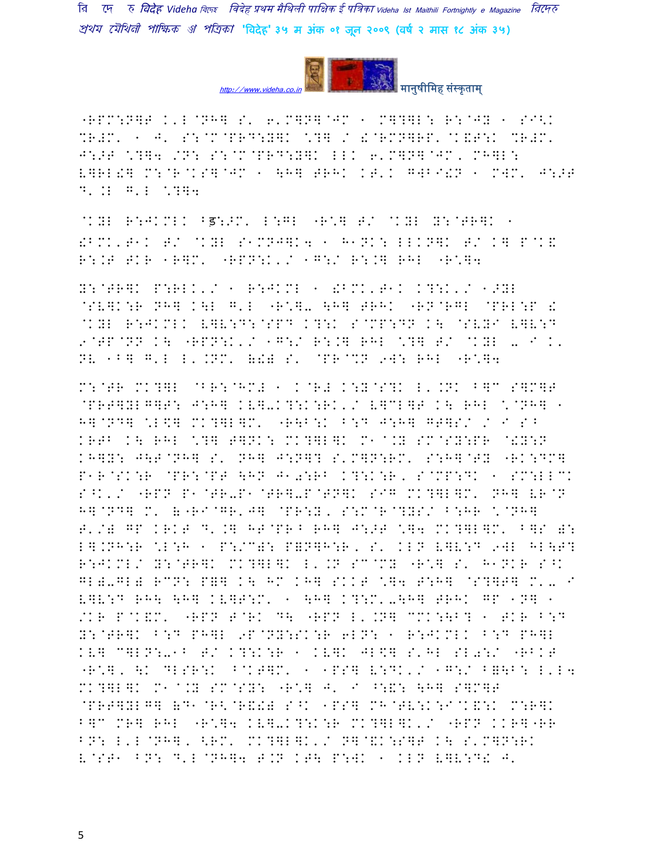

"RPM:N]T K'L@NH] S' 6'M]N]@JM 1 M]?]L: R:@JY 1 SI<K %R#M' 1 J' S:@M@PRD:Y]K \*?] / !@RMN]RP'@K&T:K %R#M' J:>T \*?]4 /N: S:@M@PRD:Y]K LLK 6'M]N]@JM, MH]L: V]RL!] M:@R@KS]@JM 1 \H] TRHK KT'K GWBI!N 1 MWM' J:>T  $B:U:U\to U$ 

@KYL R:JKMLK Bड़:>M' L:GL "R\*] T/ @KYL Y:@TR]K 1 !BMK'T1K T/ @KYL S1MNJ]K4 1 H1NK: LLKN]K T/ K] P@K& R:.T TKR 1899 - PHONE PROVINCE IN THE TANGER OF A RELEASE OF THE UNIVERSITY OF A RELEASE OF THE UNIVERSITY OF

Y:@TR]K P:RLK'/ 1 R:JKML 1 !BMK'T1K K?:K'/ 1>YL MSKER SVE PAR (1963) RUS (1961), ARREIGENT (1962) SPRED TRHK SKILL @KYL R:JKMLK V]V:D:@SPD K?:K S@MP:DN K\ @SVYI V]V:D 9@TP@NN K\ "RPN:K'/ 1G:/ R:.] RHL \*?] T/ @KYL - I K' NN 189 R. P. L. L'AND, SENE RI. (THRITI 1945 AH. 1941 414)

M:@TR MK?]L @BR:@HM# 1 K@R# K:Y@S?K L'.NK B]C S]M]T @PRT]YLG]T: J:H] KV]-K?:K:RK'/ V]CL]T K\ RHL \*@NH] 1 HE NORTH AND REPORT REPORT OF A ROLL HARD PARENT AND REPORT OF SAME REPORT OF SAME REPORT OF SAME REPORT OF SAME REPORT OF SAME REPORT OF SAME REPORT OF SAME REPORT OF SAME REPORT OF SAME REPORT OF SAME REPORT OF SAME REPO KRTB KRTB KART BEKAN DER SOM SYN DE STANDARD SOM AN DER SOM STANDARD SOM STANDARD SOM STANDARD SOM STANDARD SO KH]Y: J\T@NH] S' NH] J:N]? S'M]N:RM' S:H]@TY "RK:DM] P1R@SK:R @PR:@PT \HN J10:RB K?:K:R, S@MP:DK 1 SM:LLCK SOME SOME PIPER PROGRESS SIGNED SIGNED SIGNED SIGNED SIGNED SIGNED SIGNED SIGNED SIGNED SIGNED SIGNED SIGNED S H]@ND] M' ("RI@GR'J] @PR:Y, S:M@R@?YS/ B:HR \*@NH] T'/) GP KRKT D'.] HT@PR^ RH] J:>T \*]4 MK?]L]M' B]S ): LA 1995A (NEGA) - PGITAG (PHOAPSE), P. (119): LALGA (PAE) 91548 R:JKML/ W:@FR]K MK?HIRD (E. N SCM "PIR" SPAR SON HIRD SOK GL)-GL) RCN: P=] K\ HM KH] SKKT \*]4 T:H] @S?]T] M'- I  $\mathbb{R}$ HEAT (HH $\mathbb{R}$  ) is the form  $\mathbb{R}$  transform  $\mathbb{R}$  in the 1N  $\mathbb{R}$  1  $\mathbb{R}$  1  $\mathbb{R}$  1  $\mathbb{R}$  1  $\mathbb{R}$ /KR P@K&M' "RPN T@RK D\ "RPN L'.N] CMK:\B? 1 TKR B:D Y:@TR]K B:D PH]L 9P@NY:SK:R 6LN: 1 R:JKMLK B:D PH]L KVAR TRE DALK FOGEL I CAALABOK (I KRED) (PE KROGN) SEK GALAAL (I KROGN).  $\mathcal{A}$  -ps. Eq. ). The state of the state  $\mathcal{A}$  is a constraint of the state  $\mathcal{A}$  is a constraint of the state  $\mathcal{A}$ MARRING MATHEMATIC MANUFACTURE OF THE STREET @PRT]YLG] (D1@R<@R&!) S^K 1PS] MH@TV:K:I@K&:K M:R]K BAN MAR RHL "BIAN KERLINI RING" RING KAN KARA KE BN: L'ORN, BN: NNHE, MARIE, MARIE, MARIE, MARIE, MARIE, V@ST1 BN: D'L@NH]4 T.N KT\ P:WK 1 KLN V]V:D! J'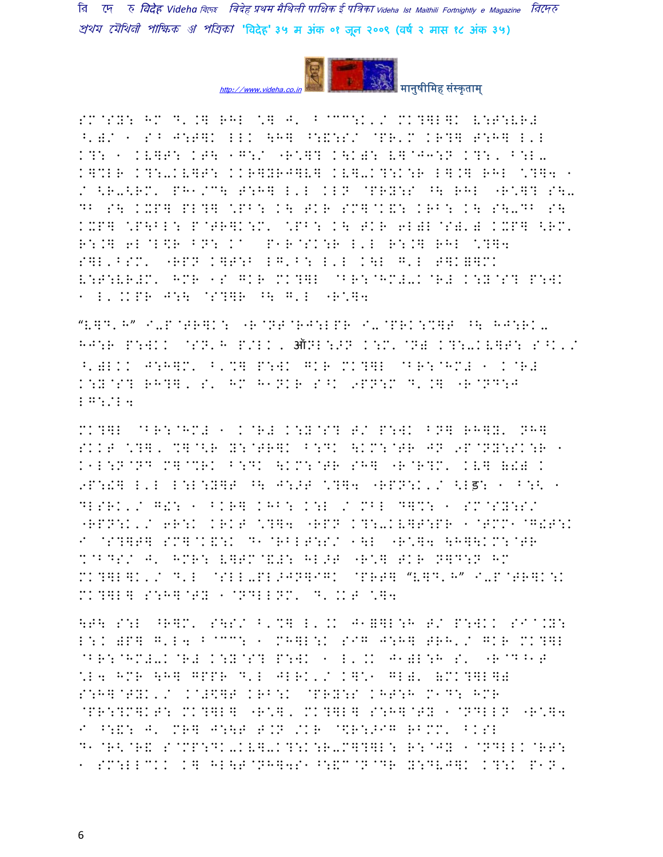

SM@SY: HM D'.] RHL \*] J' B@CC:K'/ MK?]L]K V:T:VR#  $\{1, 2, 3, 5, 6, 7, 7, 8\}$  ,  $\{1, 2, 3, 5, 6, 7, 7\}$  ,  $\{1, 2, 3, 7, 7, 7, 8, 7, 8, 7, 8\}$  ,  $\{1, 2, 3, 6, 7, 7, 8, 7, 8, 7, 8, 7, 7, 8, 7, 8, 7, 7, 8, 7, 8, 7, 8, 7, 8, 7, 8, 7, 8, 7, 8, 7, 8, 7, 8, 7, 8, 7, 8, 7,$ KTR: 1 KONERA KRA (PRZ) (BART IACAR KRAPOR KTR. PAL. KRITER (KITAL) KRATE (KORRAPERR) CHRLOTAT AR (PROR) KREUNITRA (K / <R-<RM' PH1/C\ T:H] L'L KLN @PRY:S ^\ RHL "R\*]? S\- DB S\ KXP] PL?] \*PB: K\ TKR SM]@K&: KRB: K\ S\-DB S\ KOPA (PAPER PORPALAD) (PPR CA) PLACA (PEBER 1000 PAPO) R:.] 6L@L\$R BN: Ka P1R@SK:R L'L R:.] RHL \*?]4 STABILITICI "PIRTO CIALANA" BALI BILI CIABI AL BILGHEROD V:T:VR#M' HMR 1S GKR MK?]L @BR:@HM#-K@R# K:Y@S? P:WK  $\cdot$  . I: I: Provide the state  $\cdot$  as  $\cdot$  and  $\cdot$ 

"EARLA" I-PARTHERS I-ROUR INFIRMED IN THE STAR I-RESERVED HANE PNACO (PROFESIO) ऑPENSPONYO MAGORIAN ERRY PROS ^')LKK J:H]M' B'%] P:WK GKR MK?]L @BR:@HM# 1 K@R# K:Y@S? RH? RH? RHONG: RHONG: S' HONG: PROPINSING SOMETIME SOMETIME POPUL  $E:U:U:U:U$ 

MK?]L @BR:@HM# 1 K@R# K:Y@S? T/ P:WK BN] RH]Y' NH] SKKT \* SKREA SKRIVER TRIVER I FIND AND TRIVER AN INFORMATION A KN B:DK A:DK B:DK B:DK B:DK B:DK SHIP ("B") "RAR" (") KING B:SHIP" (") (") (") KV] (") (") (") (") (") (") (") 9P:!] L'L L:L:Y]T ^\ J:>T \*?]4 "RPN:K'/ <Lड़: 1 B:< 1 DLSRK'/ G!: 1 BKR] KHB: K:L / MBL D]%: 1 SM@SY:S/ "RPICH: Z "BRAI" (BIB) A "NAHA" (BPC) (AALIKABATE" ("TBC)" (AALIKA I & STRING I ROUNDER IN THE SMALL SMALL SOMETIME IN THE SMALL SMALL SOMETIME IN THE SMALL SOMETIME IN THE SMALL %@BDS/ J' HMR: V]TM@&#: HL>T "R\*] TKR N]D:N HM MK?]L]K'/ D'L @SLL-PL>JN]IGK @PRT] "V]D'H" I-P@TR]K:K MATHER STARTER STRIPPER TO ME ARE

 $\overline{\rm H}$ en (stel / Perz F.T. B.M' S.WA Buing Side Side Side Si L:. )P] G'L4 B@CC: 1 MH]L:K SIG J:H] TRH'/ GKR MK?]L @BR:@HM#-K@R# K:Y@S? P:WK 1 L'.K J1)L:H S' "R@D^1T  $M$ a HMR  $\Lambda$ he Prese D.L. Gerec, and that Present and S:H]@TYK'/ .@#\$]T KRB:K @PRY:S KHT:H M1D: HMR @PR:?M]KT: MK?]L] "R\*], MK?]L] S:H]@TY 1@NDLLN "R\*]4 I A: A: JOHN ANNE BOD MOR (TRENGAM BACCO) ACEE D1@R<@R& S@MP:DK-KV]-K?:K:R-M]?]L: R:@JY 1@NDLLK@RT: 1 SM:LLCKK K] HL\T@NH]4S1^:&C@N@DR Y:DVJ]K K?:K P1N,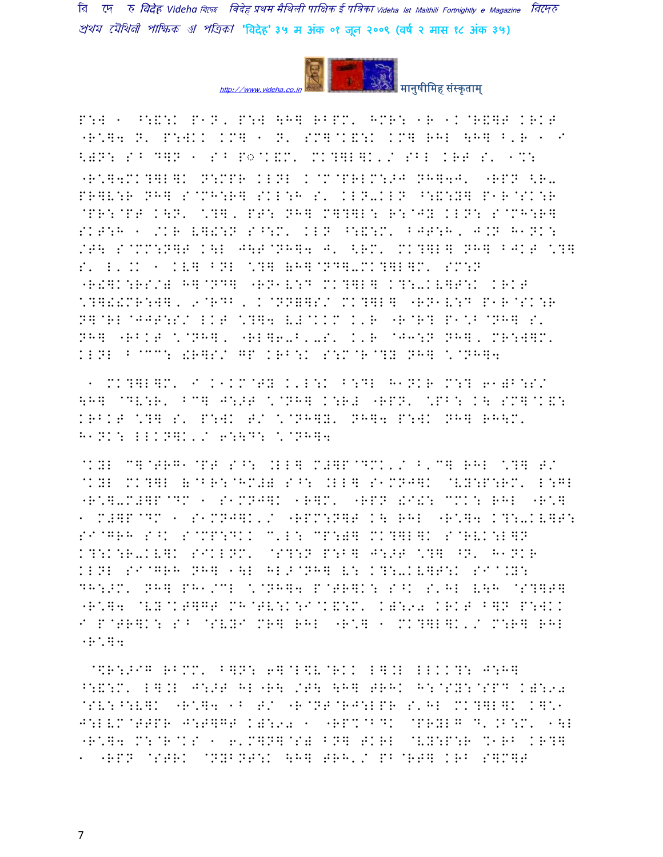http://www.videha.co.in स्ट्रीया स्ट्रेलिया मानुषीमिह संस्कृताम्

P:W 1 CHILL P:P. P:W 489 B:P. 8781 (B 11 1898 181K "R\*]4 N' P:WKK KM] 1 N' SM]@K&:K KM] RHL \H] B'R 1 I NERVICE THE ROOT FOURTH TO THE BILL STEEL CHECK STILL "R\*]4MK?]L]K N:MPR KLNL K@M@PRLM:>J NH]4J' "RPN <R-PR]V:R NH] S@MH:R] SKL:H S' KLN-KLN ^:&:Y] P1R@SK:R @PR:@PT K\N' \*?], PT: NH] M]?]L: R:@JY KLN: S@MH:R] SKT:H 1 / KR VIII / KR VIII / KR VIII / KR VIII / KR VIII / KR VIII / KR VIII / KR VIII / KR VIII / KR VIII / /T\ S@MM:N]T K\L J\T@NH]4 J' <RM' MK?]L] NH] BJKT \*?] S' L'.K 1 KV] BNL \*?] (H]@ND]-MK?]L]M' SM:N "R!]K:RS/) H]@ND] "RN1V:D MK?]L] K?:-KV]T:K KRKT \*?]!!MR:W], 9@RDB, K@NN=]S/ MK?]L] "RN1V:D P1R@SK:R N]@RL@JJT:S/ LKT \*?]4 V#@KKM K'R "R@R? P1\*B@NH] S' NH] "RBKT \*@NH], "RL]6-B'-S' K'R @J3:N NH], MR:W]M' KLANL B@CC: PRODUCE: STANDSHAPS: THE CONTROL

1 MK. I DO MERE FROM I KNOT KOMMER DIN HIS GLAVES HE SAN MINIMUM SERIES DIN HIS GENERAL MENSENTING MINIMUM SE \H] @DV:R' BC] J:>T \*@NH] K:R# "RPN' \*PB: K\ SM]@K&: KRBKT \*?] S' P:WK T/ \*@NH]Y' NH]4 P:WK NH] RH\M' H1NK: LLKN]K'/ 6:\D: \*@NH]4

@KYL C]@TRG1@PT S^: .LL] M#]P@DMK'/ B'C] RHL \*?] T/ @KYL MK?]L (@BR:@HM#) S^: .LL] S1MNJ]K @VY:P:RM' L:GL "RANDLED THE 1 STRAND 1 RHE . THER SCON TECH RHL "RAN 1 M#]P@DM 1 S1MNJ]K'/ "RPM:N]T K\ RHL "R\*]4 K?:-KV]T: SI@GREEN SIGNER SIGNER SIGNER SIGNER SIGNER SIGNER SIGNER SIGNER SIGNER SIGNER SIGNER SIGNER SIGNER SIGNER SIG K:R:K:R-K:R-K:R-K:R-K:R-K:R-K:R-K:R-H-H-A:A:R-K:R-K:R-K:R-K:R-KLRL SYMMER RHE KAL HLPMPH EN CHNILEHEN SYMVON DH:BIL PHE PHI/ME 1/PHE4 P@TREEIS POD PLAE SEN SPIERE "R\*]4 @VY@KT]GT MH@TV:K:I@K&:M' K):90 KRKT B]N P:WKK I P@TR]K: S^ @SVYI MR] RHL "R\*] 1 MK?]L]K'/ M:R] RHL  $H^*$ 

@\$R:: FOR PORTLAND BELONGER LANDSCOPE LIGHT LIGHT CONTRACTS CONTRACTS OF RECONOCIDENTS CONTRACTS OF RECONOCIDE ^:&:M' L].L J:>T HL"R\ /T\ \H] TRHK H:@SY:@SPD K):90 OSK:A PAKATO (1980) HA NI RIJA 1B TORE OP AASTER SYL PR SOOS HARDED OOK HOL. JO:LVM@TPR J:THPR LENG & SPT MAT (TEHP A. PAY, SH "ARICHA" DIN 18 M: ROM (A) DIR DHE NIRB (ADH) BO BE CHORDER DIN BACCO BIRH 1 "PREPOSITERE" (1983-1985) ARA GRAN, ZOEN 1884 (1933-1941) B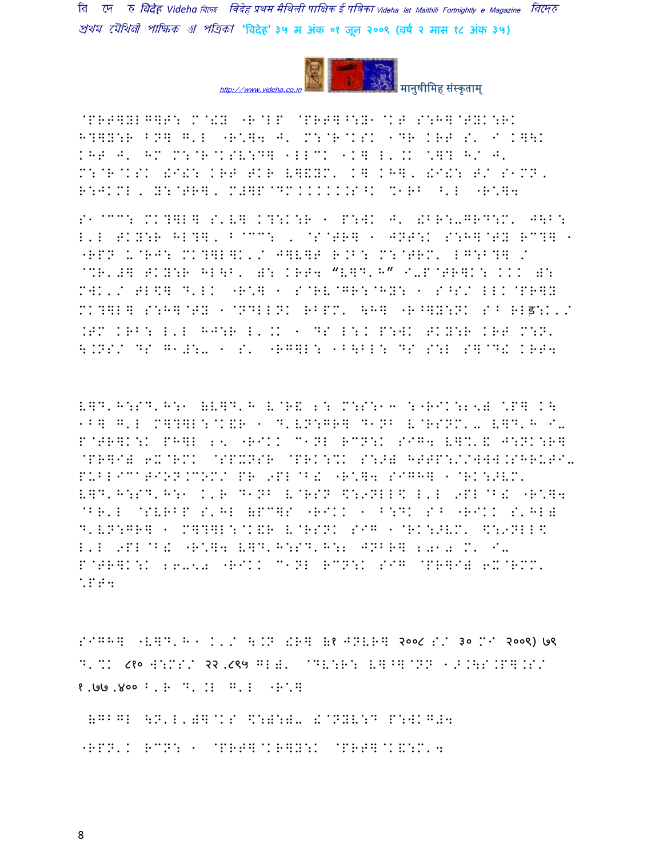

@PRT]YLG]T: M@!Y "R@LP @PRT]^:Y1@KT S:H]@TYK:RK H?]Y:R BN] G'L "R\*]4 J' M:@R@KSK 1DR KRT S' I K]\K KHE JAL AT TEGHALENTA (EETI ) 19 ELIL NAT AZ J. M:@R.K: SKE !I#:#!# LUBUR, !U (PU) SKE #! S/ S1MN, R:JKML, Y:@TR], M#]P@DM......S^K %1RB ^'L "R\*]4

ST COC: MARRIE STREAM IN THE STREAM STREAM PROVIDENT L'E GOSSIE AETRI PONNE I MAGGARA (APANI STARMAS BNTE )  $R$ PRN U@RJ: MARJ: MARJ: MARJ: MARJ: MARJ: MARJ: MARJ: MARJ: MARJ: MARJ: MARJ: MARJ: MARJ: MARJ: MARJ: MARJ: MARJ: M MOBIL BRI THO BERG, THATAIL I: THO HAN INNER "A MACHINE "HARRED IN INC." THE TRIAL MWKY THAT THAT HE SORIES THE THIS ROOM IS THAT IT IN MK RABOR SING REPORT TO THE RIGHT IN SOME THAN A REPORT OF A RESIST. TO .TM KRB: L'L HJ:R L'.K 1 DS L:. P:WK TKY:R KRT M:N' \.NS/ DS G1#:- 1 S' "RG]L: 1B\BL: DS S:L S]@D! KRT4

URET, POST, POST BRET, P. R. DER G. DOSTON HOOGEPATCH (RECORD) THE 18 FOR CONSTRUCTION OF THE LOCAL DISTURBATION OF THE CONSTRUCTION OF THE VALUE OF THE VALUE OF THE VALUE OF TH P@TR]K:K PH]L 25 "RIKK C1NL RCN:K SIG4 V]%'& J:NK:R] @PR]I) 6X@RMK @SPXNSR @PRK:%K S:>) HTTP://WWW.SHRUTI-PUBLICATION.COM/ PUBLICATION PRODUCTS IN THE RESIDENCE OF A STRONG PRODUCTS IN THE RESIDENCE OF A STRONG PRODUCT V]D'H:SD'H:1 K'R D1NB V@RSN \$:9NLL\$ L'L 9PL@B! "R\*]4 @BR'L @SVRBP S'HL (PC]S "RIKK 1 B:DK S^ "RIKK S'HL) D'ISTORIE : THURS IN A MINI-PART IN AN INITIA L'L 9PL@B! "R\*]4 V]D'H:SD'H:2 JNBR] 2010 M' I-P@TR]K:K 26-50 "RIKK C1NL RCN:K SIG @PR]I) 6X@RMM'  $\mathbb{Z}$  :  $\mathbb{Z}$  :  $\mathbb{Z}$ 

SIGH] "V]D'H" K'/ \.N !R] (१ JNVR] २००८ S/ ३० MI २००९) ७९  $D^{\text{max}}_{\text{max}}$  . The constraint  $\mathcal{R}$  and  $\mathcal{R}$  . Also in the constraint  $\mathcal{R}$  ,  $\mathcal{R}$  is a set of  $\mathcal{R}$  . The constraint  $\mathcal{R}$ १,७७,४०० में सिंह में से प्राप्त है। अर्था के प्राप्त है। अर्था के प्राप्त है। स्

 (GBGL \N'L')]@KS \$:):)- !@NYV:D P:WKG#4 "RPN'K RCN: 1 @PRT]@KR]Y:K @PRT]@K&:M'4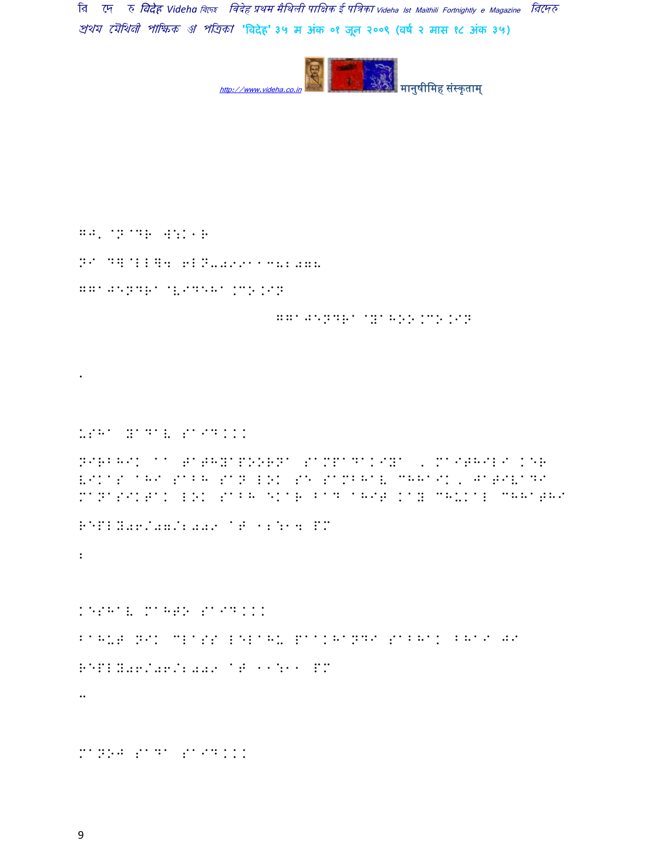9

MaNOJ SaDa SaID...

KESHaV MaHTO SaID... BaHUT NIK CHANDI SABHAK PALIPATEN SABHAK BHAI JIRA JIR RPPLY06/2009 at 11:11 PM 11:11 PM  $\bullet\bullet$ 

 $\ddot{\cdot}$ 

 $\bullet$  100

REPLY06/07/2009 aT 12:14 PM

NIRBHIK aa TaTHYaPOORNa SaMPaDaKIYa , MaITHILI KER VIKaS aHI SaBH SaN LOK SE SaMBHaV CHHaIK, JaTIVaDI MaNaSIKTaK LOK SaBH EKaR BaD aHIT KaY CHUKaL CHHaTHI

USHA YADAVU SAIDARA

GGALENDRAGHENDRAGHENDRAGHENDRAGHENDRAGHENDRAGHENDRAGHENDRAGHENDRAGHENDRAGHENDRAGHENDRAGHENDRAGHENDRAGHENDRAGHE

GGALENDRA GERMANIAN

NI DIA DEPARTMENTANA

GJ'@N@DR W:K1R



िव दिन दि<mark>विदेह Videha</mark> <sub>विफर</sub> विदेह प्रथम मैथिली पाक्षिक ई पत्रिका <sub>Videha</sub> Ist Maithili Fortnightly e Magazine *विC*फ्ट õथम मैिथली पािक्षक ई पिñका **'**िवदेह**'** ३५ म अंक ०१ जून २००९ (वष र् २ मास १८ अंक ३५)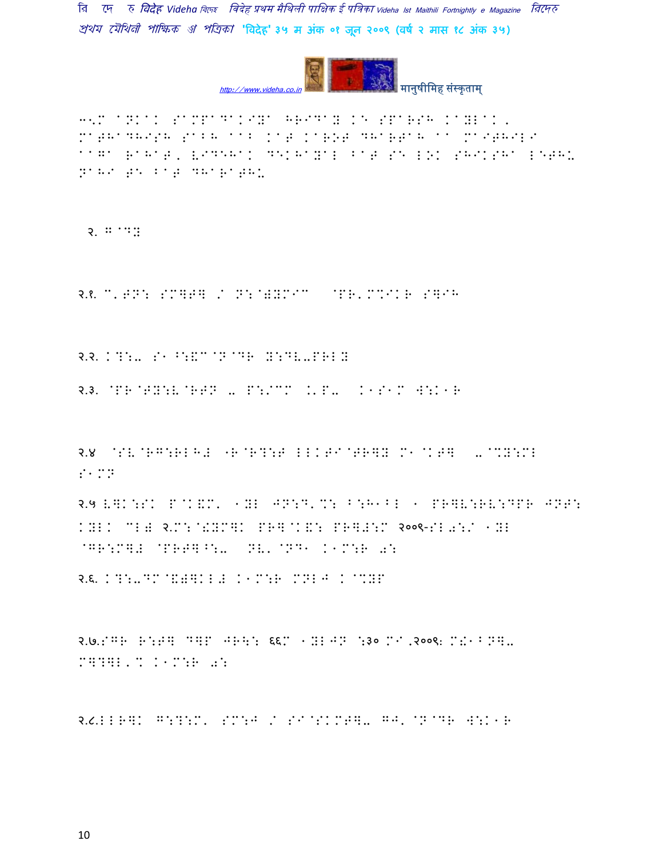

35M aNKaK SaMPaDaKIYa HRIDaY KE SPaRSH KaYLaK, MaTHaDHISH SaBH aaB KaT KaROT DHaRTaH aa MaITHILI aaGa Rahat, Video Rahat, Video RahaT, Video RahaT, Seedaan NaHI TE BaT DHaRaTHU

२.  $\cdots$ :

२.१. 7. 2016 / 2018 | 2019 | 2019 | 2020 | 2020 | 2020 | 2020 | 2020 | 2020 | 2020 | 2020 | 2020 | 2020 | 2020

२.२. KIRE SHARE Y: THE WESTERN STATES

२.३. @PR@TY:RTN - P:/CM .'P:/CM .'P-P:/GHI-P

२.४ लेकि: सम्मान से अप्रति सिंहा के बाद से असमा के लिए से प्रति के बाद से प्रति के साथ प्रति के साथ प्रति के स S1MN

२.५ E.स. YET | FOLET, 1981 | 2953, TYL PARPER | PRHENEL INTER 1999; KWALI CHARK RATI TERING PRANGHINANG POOSE PRINSIPLE POOSE PARA IN THE SUBSIDIATION OF THE SUBSIDIATION OF THE @GR:M]# @PRT]^:- NV'@ND1 K1M:R 0:

२.६. 1 RELATIVE ARE ENDED AT LOCAL CONDUCT AND INVESTIGATION

 $2.0.5449 \pm 0.003$  and  $P_0$  is the probability of  $R$  . The  $R$  satisfy  $R$  is the probability of  $R$ M]?]L'% K1M:R 0:

२.८.LLR91 (PANAM) SMAR / SPAMING WELFR WELFR WITH SALE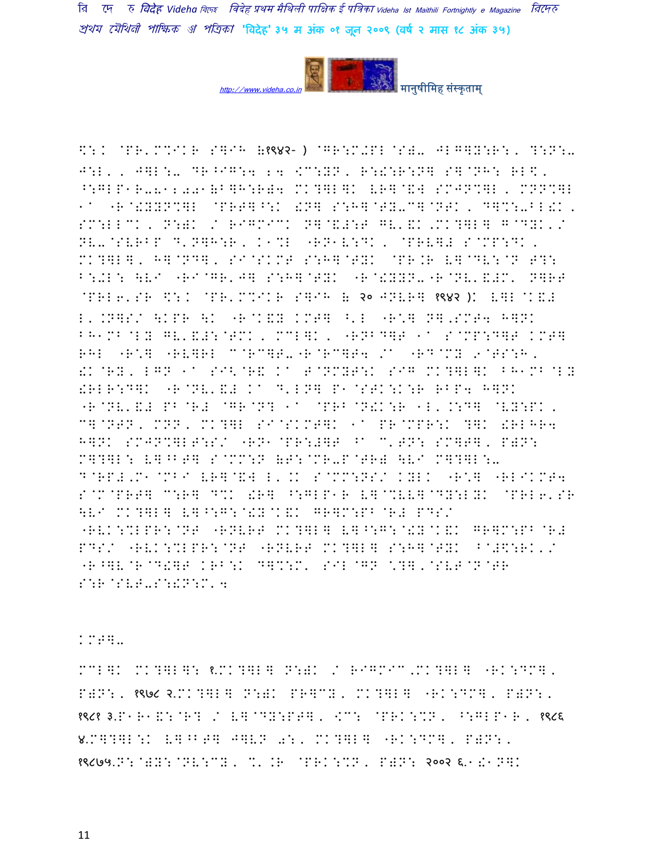

\$:. @PR'M%IKR S]IH (१९४२- ) @GR:M+PL@S)- JLG]Y:R:, ?:N:- J:L', J]L:- DR^IG:4 24 [C:YN, R:!:R:N] S]@NH: RL\$, ^:GLP1R-812001(B]H:R)4 MK?]L]K VR]@&W SMJN%]L, MNN%]L 1a "R@!YYN%]L @PRT]^:K !N] S:H]@TY-C]@NTK, D]%:-BL!K, SM:LLCK, N:DRIGMICK, N:DRIGMICK NIGMICK NIGHT NIGHT NIGHT NIGHT OF THE GOD OF GOD OF GOD OF GOD OF GOD OF GOD NV-@SVRBP D'N]H:R, K1%L "RN1V:DK, @PRV]# S@MP:DK, MK?]L], H]@ND], SI@SKMT S:H]@TYK @PR.R V]@DV:@N T?: B:5L: S: ABS (SHS "PHI RIGHT") RED (SH) S: SHERL RESIDENT (SHERL) OPRESSING \$PRINCE STORES \$PRACH ( 20 JPRESS 8882 )K ( 89H ( Y B.A

L'.N]S/ \KPR \K "R@K&Y KMT] ^'L "R\*] N],SMT4 H]NK BH1MB GOVERNS GVORDER , SEPPRE 11 SOMETHE 1789 RHL "R\*] "RV]RL C@RC]T-"R@RC]T4 /a "RD@MY 9@TS:H, !K@RY, LGN 1a SI<@R& Ka T@NMYT:K SIG MK?]L]K BH1MB@LY RDR:DART "RENDEL EL D'L'AT D'E PROPINSION ABOREN HARDD  $R$  -problems are provided by the problems of  $R$  . The construction  $R$ C]@NTN, MNN, MK?]L SI@SKMT]K 1a PR@MPR:K ?]K !RLHR4 HAN SMARTAE PRINT (PER TERRIAA) PO TO PRE RITAGAL DE BRY MARIN COMMON SOME SOME SERVICE OF THE REPORT OF THE SAME PARTIES. DORP , MORE THAN A LOCAL CONTRACT CONTROL TO A REAL THE S@M@PRT] C:R] D%K !R] ^:GLP1R V]@%VV]@DY:LYK @PRL6'SR  $\overline{u}$  May 10:00  $\overline{u}$  May 10:00  $\overline{u}$  (10:00  $\overline{u}$  )  $\overline{u}$  (10:00  $\overline{u}$  )  $\overline{u}$  (10:00  $\overline{u}$  $R$  (PESS ) ROCERT FOR THE RESONANCE REPORT MAKE  $R$  and  $R$  and  $R$  are  $R$  and  $R$  are  $R$  and  $R$ PDS/ "RVK: "RVK: "RVK: "RVK: "RVK: "RVK: "RVK: "RVK: "RVK: "RVK: "RVK: "RVK: "RVK: "RVK: "RVK: "RVK: "RVK: "RV<br>PDS/ "RVK: "RVK: "RVK: "RVK: "RVK: "RVK: "RVK: "RVK: "RVK: "RVK: "RVK: "RVK: "RVK: "RVK: "RVK: "RVK: "RVK: "RV  $R$ <sup>2</sup>P (R)C P (P  $R$  ) T (R) SVT (R) SILM (P  $R$  ) SUPPORT (P  $R$  ) SVT  $R$  of  $R$  is subset of  $S$  and  $S$ STEP TEENS TERMS TO A

 $\mathcal{L} \mathcal{L}$ 

MCL]K MK?]L]: १.MK?]L] N:)K / RIGMIC,MK?]L] "RK:DM], PAPY:, १९७८ २.MK RHER PYAC, PRRTH, MKRRH HER YRKYR, PAPY:, १९८१ ३.PH RHN RHOT A: RHN RHN RHPH , CHOT ACHREST ROOM (PORTRE REVENUES) | १९८६  $8.7999995$   $1.59999999$   $1.999999$   $1.69999$ १९८७५.N: MENT MENTH. N: N: N: PHITTE, PHIN: २००२ ६.1.2112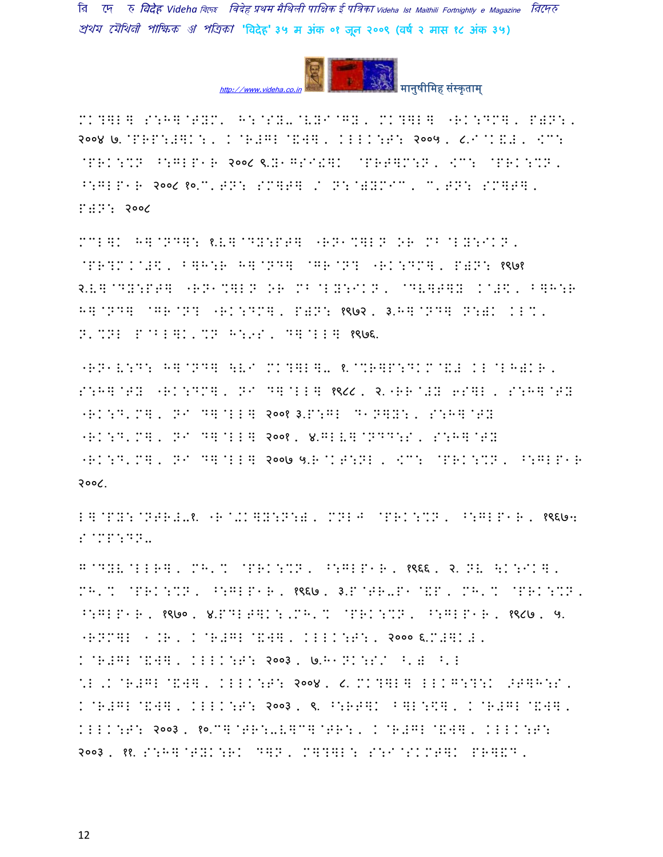

MK?) S: HE: SY-AND MAKE THE SOURCE IS AN INCREASED ON THE STATE OF STATE OF A REAL CONTROL OF DISTANCE IN THE D २००४ ७. TERPISEN YORK: WEBER TERRITORIES IN STREAM COMPANY OF TERRITORIES @PRK:%N ^:GLP1R २००८ ९.Y1GSI!]K @PRT]M:N, [C: @PRK:%N,  $C^1$ : $C^1$ : $C^1$ : $C^1$   $C^1$   $C^1$   $C^1$   $C^1$   $C^1$   $C^1$   $C^1$   $C^1$   $C^1$   $C^1$   $C^1$   $C^1$   $C^1$   $C^1$   $C^1$   $C^1$   $C^1$   $C^1$   $C^1$   $C^1$   $C^1$   $C^1$   $C^1$   $C^1$   $C^1$   $C^1$   $C^1$   $C^1$   $C^1$   $C^1$   $C^1$   $C^1$   $C^1$ P)N: २००८

MCLAR HIGHES (1898) "ROOM HE WISCONSING TO DELIGIOUS ( @PR?M.@#\$, B]H:R H]@ND] @GR@N? "RK:DM], P)N: १९७१ २.V]@DY:PT] "RN1%]LN OR MB@LY:IKN, @DV]T]Y .@#\$, B]H:R HE NOTE OF PHISHING THAT A REAL REAL REAL PROPERTY OF THE CONSTRUCTION OF THE REAL PROPERTY OF THE REAL PROPERTY OF THE REAL PROPERTY OF THE REAL PROPERTY OF THE REAL PROPERTY OF THE REAL PROPERTY OF THE REAL PROPERTY OF T N'%NL P@BL]K'%N H:9S, D]@LL] १९७६.

"RN1V:D: H]@ND] \VI MK?]L]- १.@%R]P:DKM@&# KL@LH)KR, STEPH TRID (RK:DRID), IRC PRITEIN 8866, 2. RRP 18I BRANEL, STEPH 18I "RK:D'M], NI D]@LL] २००१ ३.P:GL D1N]Y:, S:H]@TY "RK:D'M], NI D]@LL] २००१, ४.GLV]@NDD:S, S:H]@TY "RK:D'M], NI D]@LL] २००७ ५.R@KT:NL, [C: @PRK:%N, ^:GLP1R २००८.

LA TENTE TRAFALLS, AR TILLANDER PRESSON AT THE PERSON CONTROL AT THE PARK IS SESSENT S@MP:DN-

GEOVORE GEENE LUDA, DUCTES AND LUSAER PHIN, 1988, 2010. ELAN AND HIS MH'S MERCHIN, PHREE REVORS & PORTRELIN TIP, MH'S MERCHIN,  $\therefore$  $\therefore$  $\therefore$   $\therefore$   $\therefore$   $\aleph$  (see ,  $\aleph$ ,  $\therefore$   $\therefore$   $\therefore$   $\therefore$   $\therefore$   $\therefore$   $\therefore$   $\therefore$   $\therefore$   $\therefore$   $\therefore$   $\therefore$   $\aleph$  (see ,  $\aleph$ ). "RNM]L 1.R, K@R#GL@&W], KLLK:T:, २००० ६.M#]K#,  $K^{\text{R}}$  (Fig.  $K^{\text{R}}$  ),  $K^{\text{R}}$  (Fig.  $K^{\text{R}}$  ),  $K^{\text{R}}$  ,  $K^{\text{R}}$  ),  $K^{\text{R}}$  (Fig.  $K^{\text{R}}$  ),  $K^{\text{R}}$  (Fig. ),  $K^{\text{R}}$  (Fig. ),  $K^{\text{R}}$  (Fig. ),  $K^{\text{R}}$  (Fig. ),  $K^{\text{R}}$  (Fig. ),  $K^{\text{R}}$  (Fig  $M$ ,  $M$  ,  $M$  ,  $M$  ,  $M$  ,  $M$  ,  $M$  ,  $M$  ,  $M$  ,  $M$  ,  $M$  ,  $M$  ,  $M$  ,  $M$  ,  $M$  ,  $M$  ,  $M$  ,  $M$  ,  $M$  ,  $M$  ,  $M$  ,  $M$  ,  $M$  ,  $M$  ,  $M$  ,  $M$  ,  $M$  ,  $M$  ,  $M$  ,  $M$  ,  $M$  ,  $M$  ,  $M$  ,  $M$  ,  $M$  ,  $M$  ,  $M$  , K@R#GR#GR#GL@AWING&WI, YOOS, S. PIPPPI, PARISING, K.P.PHIPE TEARL, KLLK:T: 2003, 10.CHLC:PECHALLHCHC: KEMAGLADH: CHEHE, KLLEK:T:P: २००३, ११. S:HHR DAG, NATHAN, MRIPHEN, SINK SKIMTAN, PARENT,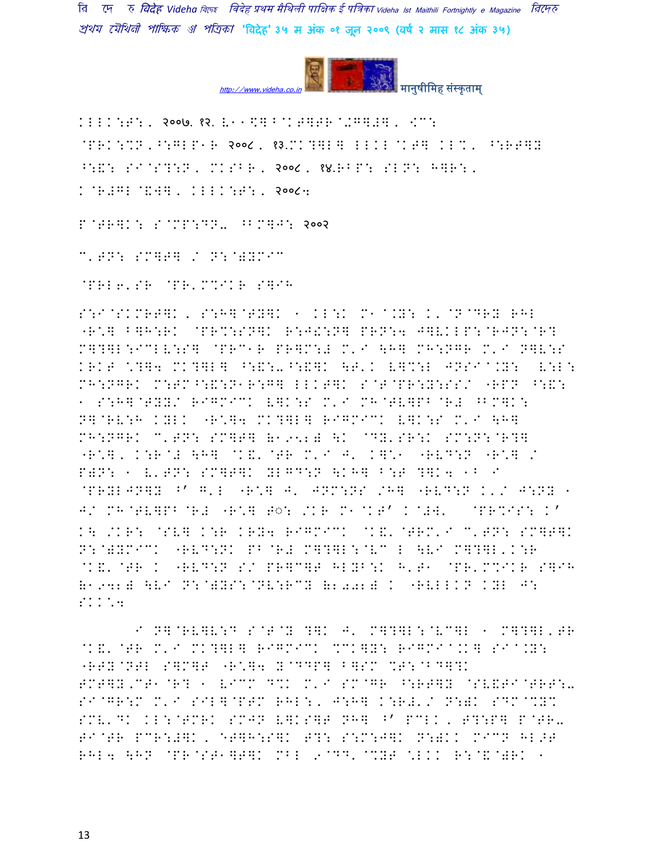

 $K:K:K:K:K\to\mathbb{R}^n$  ,  $K:K:K:K:K:K:K\to\mathbb{R}^n$  ,  $K:K:K:K:K\to\mathbb{R}^n$  ,  $K:K:K:K\to\mathbb{R}^n$  $\overline{C}$  (PRC). The process  $\overline{C}$  ,  $\overline{C}$  ,  $\overline{C}$  and  $\overline{C}$  and  $\overline{C}$  and  $\overline{C}$  and  $\overline{C}$  and  $\overline{C}$  and  $\overline{C}$  and  $\overline{C}$  and  $\overline{C}$  and  $\overline{C}$  and  $\overline{C}$  and  $\overline{C}$  and  $\overline{C}$  and  $\$ ^:&: SI@S?:N, MKSBR, २००८, १४.RBP: SLN: H]R:,  $K: \mathbb{R}^n \to \mathbb{R}^n \to \mathbb{R}^n \to \mathbb{R}^n \to \mathbb{R}^n \to \mathbb{R}^n \to \mathbb{R}^n \to \mathbb{R}^n \to \mathbb{R}^n \to \mathbb{R}^n \to \mathbb{R}^n \to \mathbb{R}^n \to \mathbb{R}^n \to \mathbb{R}^n \to \mathbb{R}^n \to \mathbb{R}^n \to \mathbb{R}^n \to \mathbb{R}^n \to \mathbb{R}^n \to \mathbb{R}^n \to \mathbb{R}^n \to \mathbb{R}^n$ 

PATRES POSSESSES REPORTS

C'TN: SMITH, SMITH, SMITH, SMITH, SMITH, SMITH, SMITH, SMITH, SMITH, SMITH, SMITH, SMITH, SMITH, SMITH, SMITH,

@PRL6'SR @PR'M%IKR S]IH

S:I@SKMRT]K, S:H]@TY]K 1 KL:K M1@.Y: K'@N@DRY RHL  $R$  Book are also be a problem to the source of the section of  $R$ M]?]L:ICLV:S] @PRC1R PR]M:# M'I \H] MH:NGR M'I N]V:S KRKT ARKEN MKREF (PADAL PADEL ARI LI LANGE) (PRESSIDA (LANGA MH:NGR K:NGRK M:NGRK M:NGREK SOMETIME SOMETIME SOMETIME SOMETIME SOMETIME SOMETIME SOMETIME SOMETIME SOMETIME S 1 S:H]@TYY/ RIGMICK V]K:S M'I MH@TV]PB@R# ^BM]K: NAMARA RIGHER SERIE RIGHT "RIGHT" RIGHER "RIGHT" RIGHT" RIGHT "RIGHT" RIGHT" RIGHT "RIGHT" RIGHT "RIGHT" RIGHT MH:NGRA C'TN: SON C'OTAGA C'HINGRE AI C'AN C'AN EINE A' C'ONN O GRA C'HIN "RAND, K:R@ ME ARNE MED MARK MONTH AND HEARD SEAN OF P)N: 1 V'TN: SM]T]K YLGD:N \KH] B:T ?]K4 1B I @PRYLJN]Y ^' G'L "R\*] J' JNM:NS /H] "RVD:N K'/ J:NY 1 J/ MH@TV]PB@R# "R\*] T◌: /KR M1@KT' K@#W' @PR%IS: K' KA: /KR: @SVIR K:R K:R KRY4 RIGMICK @K&'@TRM'I CONS N:@)YMICK "RVD:NK PB@R# M]?]L:@VC L \VI M]?]L'K:R @K&'@TR K "RVD:N S/ PR]C]T HLYB:K H'T1 @PR'M%IKR S]IH (1942) \VI N:@)YS:@NV:RCY (2002) K "RVLLKN KYL J: SKK\*4

I NO D'ACTA LA SENSIONE DE L'ARCO (PER L'ARCO I MICA INCLINE L'ARCO I D'ACTA L'ESPERTATION DE L'ARCO I D'ACTA MEL MAR CLASSING WARE BARDARY SUMPHER BARDARY IN RIGHTAL  $R$  (RTYPE SECTION BODY BODY THIS MUSIC WITH FMTHE STAR THE ROLL CTNT ON STANDARD ON THE CONTACT CONTACT SAMPLE SI@GR:M M'I SIL]@PTM RHL:, J:H] K:R#'/ N:)K SDM@%Y% SMAL: TO AN INCORPORATION OF THE REPORT OF THE SMITH SMITH SMITH SMITH SMITH SMITH SMITH SMITH SMITH SMITH SMITH SMITH SMITH SMITH SMITH SMITH SMITH SMITH SMITH SMITH SMITH SMITH SMITH SMITH SMITH SMITH SMITH SMITH SMITH S TI@TR PCR:#]K, ET]H:S]K T?: S:M:J]K N:)KK MICN HL>T RHL4 \HN @PR@ST1]T]K MBL 9@DD'@%YT \*LKK R:@&@)RK 1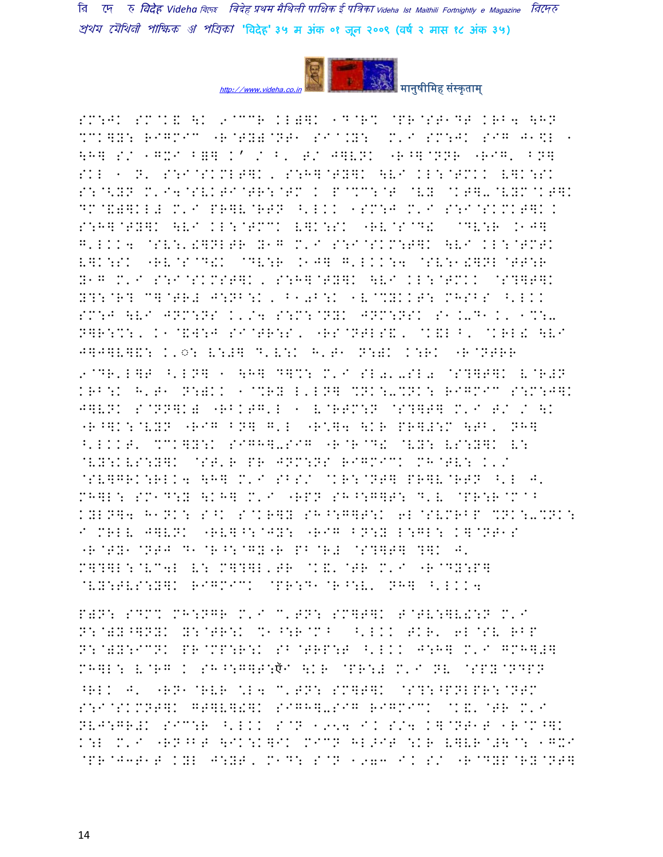http://www.videha.co.in<sup>2</sup> | मानुषीमिह संस्कृताम्

SM:JK SM:JK SM:JK SMM KLOR KRB4 @PR@ST1DT KRAAN %CK]Y: RIGMIC "R@TY)@NT1 SI@.Y: M'I SM:JK SIG J1\$L 1 \H] S/ 1GXI B=] K' / B' T/ J]VNK "R^]@NNR "RIG' BN] SKL 1 N' SKL 1 N' SKL 1 N' SKL 1 N' SKL 1 N' SKL 1 N' SKL 1 N' SKL 1 N' SKL 1 N' SKL 1 N' SKL 1 N' SKL 1 N' SK S:@<YN M'I4@SVKTI@TR:@TM K P@%C:@T @VY @KT]-@VYM@KT]K DO GRANDE A COLA PRANCHAR (PLEO) (1900) A POSA COLA 1SM:J MONTH I C SSAN SHIN: NEW COOLSON CHISES (AND VICE ON THE CHANGE G'LK KAN SOVIET IN DIE GEREIGSE DIE GESTIGS OOK DIE GEBEURE IN DIE GESKIED IN DIE GESKIESE IN DIE GESKIESE DIE V]K:SK "RV@S@D!K @DV:R .1J] G'LKK:4 @SV:1!]NL@TT:R Y1G M'I S:I@SKMST]K, S:H]@TY]K \VI KL:@TMKK @S?]T]K YO: THE THINB: AND MILL BIND ON MINIME THIND ON MILL SM:J \VI JNM:NS K'/4 S:M:@NYK JNM:NSK S1.-D1., 1%:- N]R:%:, K1@&W:J SI@TR:S, "RS@NTLS&, @K&L^, @KRL! \VI JAHAHEN IVO: ENER PLENT RIF, PNEL INE, JRVIPER 9@DR'L]T ^'LN] 1 \H] D]%: M'I SL0'-SL0 @S?]T]K V@R#N KRB:K HYDN:K HET NIGHT SILDE NATHALLIGHT SERVICE SERVICE JARED SON SAN KALENDARI "RANG" "RANG" "RANG" "RANG" "RANG" "RANG" "RANG" "RANG" "RANG" "RANG" "RANG" "RANG" "R "R^]K:@VYN "RIG BN] G'L "R\*]4 \KR PR]#:M \TB' NH] ^'LKKT' %CK]Y:K SIGH]-SIG "R@R@D! @VY: VS:Y]K V: with the state of the state of the state of the state of the state of the state of the state of the state of t<br>The state of the state of the state of the state of the state of the state of the state of the state of the st @SV]GRK:RLK4 \H] M'I SBS/ @KR:@NT] PR]V@RTN ^'L J' MHEL: SM100: SM100: SM100: SHPP SHOPPHER: PLE STEER WORK KOHN BAHA: GAS KORN SHOING SHARIY SHAHARANY SHOING KATIK SHOING SUNDA SHOING WAXAY SHOING WAXAY SHOING WAXAY S I MODEL AN AN ARCHER IN THE SOUND AND THE STATE OF THE STATE OF THE STATE  $\Gamma$  $R$  respectively to the process of the partnership  $R$  and  $R$   $\bar{R}$   $\bar{R}$  and  $\bar{R}$   $\bar{R}$   $\bar{R}$   $\bar{R}$   $\bar{R}$   $\bar{R}$   $\bar{R}$   $\bar{R}$   $\bar{R}$   $\bar{R}$   $\bar{R}$   $\bar{R}$   $\bar{R}$   $\bar{R}$   $\bar{R}$   $\bar{R}$   $\bar{R}$   $\bar$ MARINE MICHIG: MARINE MENDEDIA IN MENDEDIA PERSONAL MENDEDIA PERSONAL MENDEDIA PERSONAL MENDEDIA PERSONAL MENDE

P)N: SDM% MH:NGR M'I C'TN: SM]T]K T@TV:]V!:N M'I N:@)Y^]NYK Y:@TR:K %1^:R@M^ ^'LKK TKR' 6L@SV RBP N:@)Y:ICNK PR@MP:R:K SB@TRP:T ^'LKK J:H] M'I GMH]#] MHEL: BORG K SHONGHER: VAR WERE MY AND MYSSEN ^RLK J' "RN1@RVR \*L4 C'TN: SM]T]K @S?:^PNLPR:@NTM S:I@SKM\NT\_MORE\_MANT\_MORE\_MANT\_MORE\_MANT\_MORE\_MANT\_MORE\_MANT\_MORE\_MANT\_MORE\_MANT\_MORE\_MANT\_MORE\_MANT\_MORE\_MANT NVJ:GR#K SIC:R ^'LKK S@N 1954 I. S/4 K]@NT1T 1R@M^]K K:L M'I "RNOBT RESERVED IN THE ROOM IN THE MICHAEL @PR@J3T1T KYL J:YT, M1D: S@N 1973 I. S/ "R@DYP@RY@NT]

with the control of the control of the control of the control of the control of the control of the control of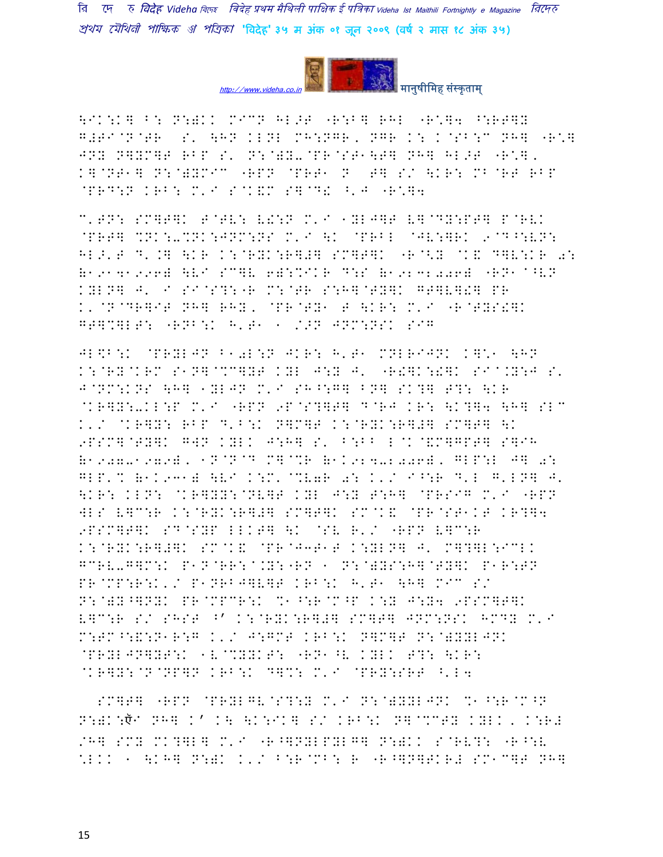

 $\bar{H}$ :  $\bar{H}$ :  $\bar{H}$   $\bar{H}$  :  $\bar{H}$   $\bar{H}$   $\bar{H}$   $\bar{H}$   $\bar{H}$   $\bar{H}$   $\bar{H}$   $\bar{H}$   $\bar{H}$   $\bar{H}$   $\bar{H}$   $\bar{H}$   $\bar{H}$   $\bar{H}$   $\bar{H}$   $\bar{H}$   $\bar{H}$   $\bar{H}$   $\bar{H}$   $\bar{H}$   $\bar{H}$   $\bar{H}$   $\bar{H}$  GHATIC SERVICE CONDITIONS OF THE STREET CONTINUES. THE SERVE CONTINUES OF THE SERVE JNY N]YM]T RBP S' N:@)Y-@PR@ST1\T] NH] HL>T "R\*], KA MPRIN ARTICLE IN THE REPORT OF THE REPORT OF THE RBP. @PRD:N KRB: M'I S@K&M S]@D! ^'J "R\*]4

C. SAY: SMARARI (SMAR) KENYA MUNJUR DA TANGGARA AMARI @PRT] %NK:-%NK:JNM:NS M'I \K @PRBL @JV:]RK 9@D^:VN: HL>'T D'.] \KR K:@RYK:R]#] SM]T]K "R@<Y @K& D]V:KR 0: (19141996) \VI SC]V 6):%IKR D:S (19232006) "RN1@^VN KYLNI JE SI SI SI SIMOJ I SIMOJ I SIMOJ I SIMOJ I SIMOJ I SIMOJ I PRI MARILI PRI USTAVLJA U PRI MARILI PRI UST K'@N@DR]IT NH] RHY, @PR@TY1 T \KR: M'I "R@TYS!]K GT: "RNB: "RNB: "RNB: "RNB: "RNB: "RNB: "RNB: "RNB: "RNB: "RNB: "RNB: "RNB: "RNB: "RNB: "RNB: "RNB: "RNB: "RNB

JRE RIJ NO. JE BOBE RIJE PO GREGU ANDRO DAN JE DAN MENDELIJO DA NA BIDI IN MANDELIJO K:@RY@KRM S1N]@%C]YT KYL J:Y J' "R!]K:!]K SI@.Y:J S' J@NM:KNS \H] 1YLJN M'I SH^:G] BN] SK?] T?: \KR @KR]Y:-KL:P M'I "RPN 9P@S?]T] D@RJ KR: \K?]4 \H] SLC  $K_{\rm{max}}$  and  $K_{\rm{max}}$  are the problem dependent of the dependence of  $\lambda$ 9PSM]@TY]K GWN KYLK J:H] S' B:BB L@K@&M]GPT] S]IH (1907-1979), 1N@N@D M]@%R (1K924-2006), GLP:L J] 0: GLP', "L'ANS AN ANN A' CHAIR ' A' CHAIR ' A' CHAIR ' A' CHAIR ' A' CHAIR ' A' CHAIR ' A' CHAIR ' A' C \KR: KLN: @KR]YY:@NV]T KYL J:Y T:H] @PRSIG M'I "RPN WEEN SURPAN CHORECH HERE ENTRER IN ENCOURT TO A ROUND A CHRONIC 9PSM]T]K SD@SYP LLKT] \K @SV R'/ "RPN V]C:R K:A:PHONERANO (KONSTRONIA) PROJEKTA (ADDIRANO) JE MANGA MANGA AK GCRV-GROUP - GORDON - CONSIGNITION - CONSIGNERS - CONSIGNERS - CONSIGNERS - CONSIGN PROMPTED: N: MORE ANDRE CHINO ALBA AAN DY'T (C N:@)Y^]NYK PR@MPCR:K %1^:R@M^P K:Y J:Y4 9PSM]T]K BUTH VICTOR IN CHILLENE STUDY ARTICLE TO HAT M:TM^:&:N1R:G K'/ J:GMT KRB:K N]M]T N:@)YYLJNK @PRYLJN]YT:K 1V@%YYKT: "RN1^V KYLK T?: \KR: @KR]Y:@N@NP]N KRB:K D]%: M'I @PRY:SRT ^'L4

 SM]T] "RPN @PRYLGV@S?:Y M'I N:@)YYLJNK %1^:R@M^N N:)K:ऍI NH] K' K\ \K:IK] S/ KRB:K N]@%CTY KYLK, K:R# /H] SMY MK?]L] M'I "R^]NYLPYLG] N:)KK S@RV?: "R^:V \*LKK 1 \KH] N:)K K'/ B:R@MB: R "R^]N]TKR# SM1C]T NH]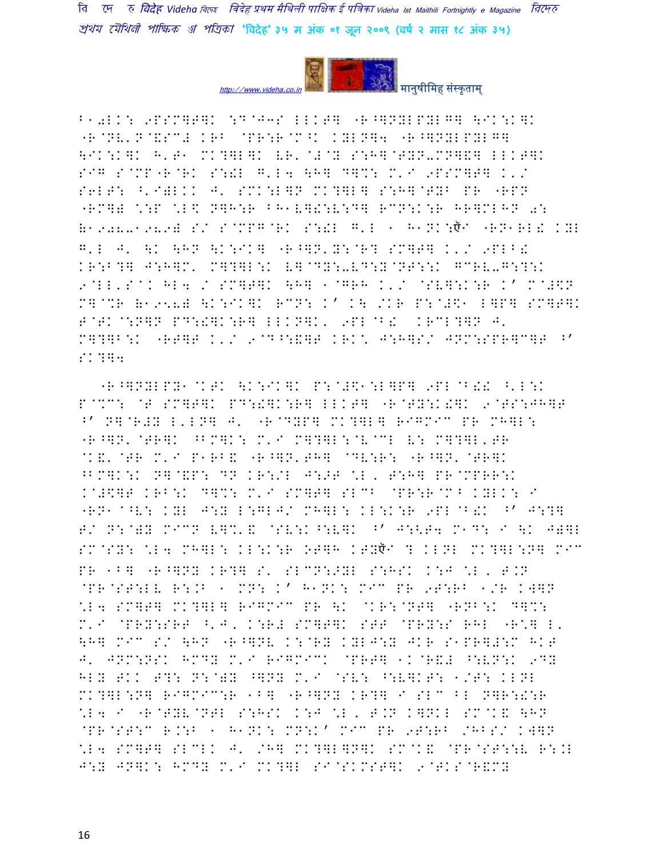

B10LK: 9PSM]TH : 9PSM]TH : 9PSM]TH : 9PSM]TH : 9PSM]TH : 9PSM]TH : 9PSM]TH : 9PM [10]NYLPYLG] (1990) \IK: 9PM "RANC'ALLO D'ALCONIA (CORP. 1979-1980) D'ALCONIA D'ARBIGNE REROIRE REROIRE REROIRE PRE \IK:K]K H'T1 MK?]L]K VR'@#@Y S:H]@TYN-MN]&] LLKT]K SIG S@MP"R@RK S:!L G'L4 \H] D]%: M'I 9PSM]T] K'/ S6LT: ON SHILL: AL STINER TITHER SYMPIONS PR "RPT "RM]) \*:P \*L\$ N]H:R BH1V]!:V:D] RCN:K:R HR]MLHN 0: (1908-1989) S/ S@MPG@RK S:!L G'L 1 H1NK:ऍI "RN1RL! KYL G'L J' A' A' A-P' A' Y' R' A' HER. SY'TH' STARK (1.2 SMIRE) KR:B?] J:H]M' M]?]L:K V]@DY:-VD:Y@NT::K GCRV-G:?:K 9@LL'S@. HL4 / SM]T]K \H] 1@GRH K'/ @SV]:K:R K' M@#\$N M]@%R (1958) \K:IK]K RCN: K' K\ /KR P:@#\$1 L]P] SM]T]K T@TK@:N]N PD:!]K:R] LLKN]K' 9PL@B! KRCL?]N J' M]?]B:K "RT]T K'/ 9@D^:&]T KRK\* J:H]S/ JNM:SPR]C]T ^' SK? HHH

 "R^]NYLPY1@KTK \K:IK]K P:@#\$1:L]P] 9PL@B!! ^'L:K P@%C: @T SM]T]K PD:!]K:R] LLKT] "R@TY:K!]K 9@TS:JH]T  $\mathcal{P}$  ( )  $\mathcal{P}$  ( )  $\mathcal{P}$  ( )  $\mathcal{P}$  ( )  $\mathcal{P}$  ( )  $\mathcal{P}$  ( )  $\mathcal{P}$  ( )  $\mathcal{P}$  ( )  $\mathcal{P}$  ( )  $\mathcal{P}$  ( )  $\mathcal{P}$  ( )  $\mathcal{P}$  ( )  $\mathcal{P}$  ( )  $\mathcal{P}$  ( )  $\mathcal{P}$  ( )  $\mathcal{P}$  ( )  $\mathcal{P}$  ( )  $R$ PORIN' ROBERT (MOTRIC VIENES (ESTE LE VANARIE VER @K&'@TR M'I P1RB& "R^]N'TH] @DV:R: "R^]N'@TR]K ^BM]K:K N]@&P: DN KR:/L J:>T \*L, T:H] PR@MPRR:K . MASHBER 1989 AND SPRING ON A SUMHER SLOW MASH AND MORE IN A SUMMON "RN1@^V: KYL J:Y L:GLJ/ MH]L: KL:K:R 9PL@B!K ^' J:?] T/ N: MICN VII AT LEL K YILI VII AN 'Y JILI TI AN 'Y' J: Y SM SYMPE AS WELL AND STANDARD CHINESE AND HIS MANAGEMENT WAS PR 1898 "PR 200 SET K. KETPANE KARD (194 M.) FUR @PR@ST:LV R:.B 1 MN: K' H1NK: MIC PR 9T:RB 1/R KW]N \*L4 SM]T] MK?]L] RIGMIC PR \K @KR:@NT] "RNB:K D]%: M'I @PRY:SRT ^'J, K:R# SM]T]K STT @PRY:S RHL "R\*] L' \H] MIC S/ \HN "R^]NV K:@RY KYLJ:Y JKR S1PR]#:M HKT J' JOHN:NSK HANDY MYSTER MYSTER WARD HLY TKK T?: N:@)Y ^]NY M'I @SV: ^:V]KT: 1/T: KLNL MK?]H:NIGMIC:R PROPORTING: PROPORTING: RIGMIC:R 1B NO RIGMIC:R NIC BL NIGHT NIC BL NIGHT NEWS ARE N \*L4 I "R@TYV@NTL S:HSK K:J \*L, T.N K]NKL SM@K& \HN @PR@ST:C R.:B 1 H1NK: MN:K' MIC PR 9T:RB /HBS/ KW]N \*L4 SM]T] SLCLK J' /H] MK?]L]N]K SM@K& @PR@ST::V R:.L J:Y JN]K: HMDY M'I MK?]L SI@SKMST]K 9@TKS@R&MY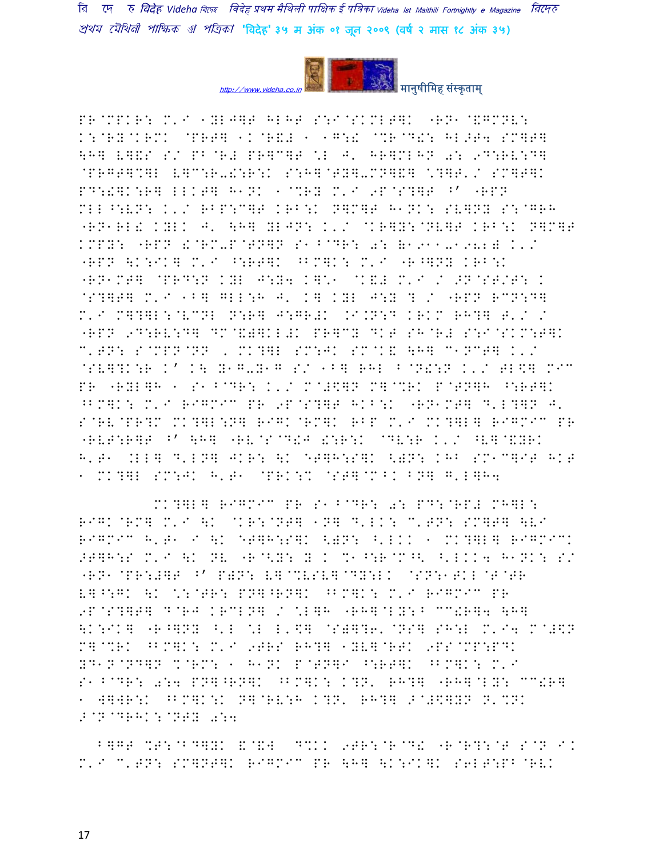http://www.videha.co.in **महिले हे जिल्ह्या होती है।**<br>http://www.videha.co.in

PR@MPKR: MORKER: MINE SINGS SECTIONS ON MUNICIP K:@RY@KRMK @PRT] 1K@R&# 1 1G:! @%R@D!: HL>T4 SM]T] \H] V]&S S/ PB@R# PR]C]T \*L J' HR]MLHN 0: 9D:RV:D] @PRGT]%]L V]C:R-!:R:K S:H]@TY]-MN]&] \*?]T'/ SM]T]K PD:!]K:R] LLKT] H1NK 1@%RY M'I 9P@S?]T ^' "RPN MLLOW: C. MARLEY STATE CONSTRUCTION STATES OF THE STATES OF THE SUBSTITUTION OF THE SUBSTITUTION OF THE SUBSTITUTION OF THE SUBSTITUTION OF THE SUBSTITUTION OF THE SUBSTITUTION OF THE SUBSTITUTION OF THE SUBSTITUTION OF TH "RNIRL KONCHENT" (AVL) (ARALIGE ADALININ'T KONVERGATIONELE (NEAR AN INDEPERD KMPY: "RPN !@RM-P@TN]N S1^@DR: 0: (1911-1982) K'/ "RPN \K:IK] M'I ^:RT]K ^BM]K: M'I "R^]NY KRB:K "RN1MT] @PRD:N KYL J:Y4 K]\*1 @K&# M'I / >N@ST/T: K @S?]T] M'I 1B] GLL:H J' K] KYL J:Y ? / "RPN RCN:D] M'I M]?]L:@VCNL N:R] J:GR#K .I.N:D KRKM RH?] T'/ / "RPN 99181999" PN:RWH:BIN PR978 919 PRIPA PHICY SINGER C'HN: SARAN , SARAHAN , SARAH , SARAH , SARAH , SARAH , SARAH , SARAH , SARAH , SARAH , SARAH , SARAH , SARAH<br>Linggar , Sarah , Sarah , Sarah , Sarah , Sarah , Sarah , Sarah , Sarah , Sarah , Sarah , Sarah , Sarah , Sara @SV]?K:R K' K\ Y1G-Y1G S/ 1B] RHL B@N!:N K'/ TL\$] MIC PR "RYL]H 1 S1^@DR: K'/ M@#\$]N M]@%RK P@TN]H ^:RT]K ^BM]K: M'I RIGMIC PR 9P@S?]T HKB:K "RN1MT] D'L?]N J' S@RX#C#PR?M MK?M MK?M MARX RIGHER REPORT OF THE REPORT OF THE REPORT OF THE REPORT OF THE REPORT OF THE REPORT "REPORTED "PACHER "RECOVING "ROBOL" "PENECOLO" "RECORDE" H'T1 .LL] D'LN] JKR: \K ET]H:S]K <)N: KHB SM1C]IT HKT 1 MK?]L SM:JK H'T1 @PRK:% @ST]@M^. BN] G'L]H4

 MK?]L] RIGMIC PR S1^@DR: 0: PD:@RP# MH]L: RIGK@RM] M'I \K @KR:@NT] 1N] D'LK: C'TN: SM]T] \VI RIGMIC HORI I A ET SPANINK ARMI ALICO I MCHARA RIGMICK >T]H:S M'I \K NV "R@<Y: Y K %1^:R@M^< ^'LKK4 H1NK: S/ "PRITH" TERMINE POST PRINTING AN INCOME TO LATE THE CONTINUES. THE TRIP OF THE TRIP OF THE TRIP OF THE TRIP OF V]^:GK \K \*:@TR: PN]^RN]K ^BM]K: M'I RIGMIC PR 9P@S?]T] D@RJ KRCLN] / \*L]H "RH]@LY:^ CC!R]4 \H]  $\kappa$ :IK)  $\kappa$  -PHPH  $\kappa$ :I (1)  $\kappa$  (2)  $\kappa$  (3)  $\kappa$  (3)  $\kappa$  (3)  $\kappa$  (3)  $\kappa$ MA MORI - PROPORTI INTERNA RHORI 1YANG RHORI 1YO POKAT PO YD1N@ND]N %@RM: 1 H1NK P@TN]I ^:RT]K ^BM]K: M'I SN: POTEN (1:4 PN)R FERRIC (PP)PRINCIPI (1:4 PN) "RHIR (PRINCIPI TOTERR) 1 W]WR:K ^BM]K:K N]@RV:H K?N' RH?] >@#\$]YN N'%NK >@N@DRHK:@NTY 0:4

 B]GT %T:@BD]YK &@&W D%KK 9TR:@R@D! "R@R?:@T S@N I. M. K'I MI SON SMAGARAN DI SAMPINYA MENJARAN ANG NASA SALTING NA NA TIKIK SA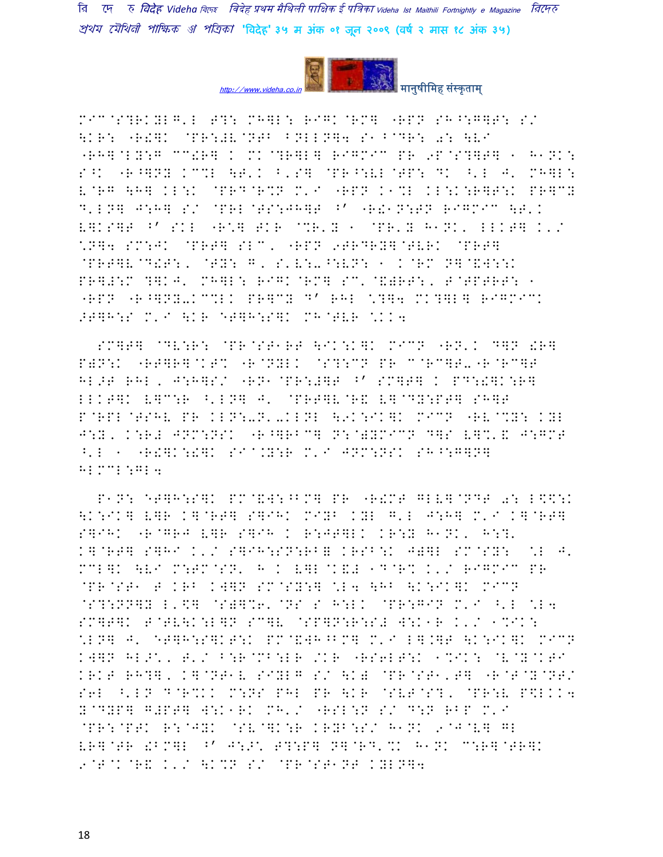

MIC SORRING THE STREET SHOWLGER SHOWLD SHOWLGER  $K$  and  $K$  are contained by  $R$  . In the property in the single state  $\lambda$ "RH]@LY:G CC!R] K MK@?R]L] RIGMIC PR 9P@S?]T] 1 H1NK: S^K "R^K FRIDE" (1991) [REVLOTE DE DIRECTED OF DROUGHEDS ON DESCRIPTION V@RG \H] KL:K @PRD@R%N M'I "RPN K1%L KL:K:R]T:K PR]CY D.198 ANAB S. MBH NAMARA (K. AR. 2NH) RARMAN RA. KADARA SKL ADAR @%R'Y 1 MAG'Y 1 MAG'Y 1 @PRYY 1 @PRYY 1 @PRYY HIS \*N]4 SM:JK @PRT] SLC, "RPN 9TRDRY]@TVRK @PRT] @PRT]V@D!T:, @TY: G, S'V:-^:VN: 1 K@RM N]@&W::K PR]#:M ?]KJ' MH]L: RIGK@RM] SC'@&)RT:, T@TPTRT: 1 "RPN "R^]NY-KC%LK PR]CY D' RHL \*?]4 MK?]L] RIGMICK >T]H:S M'I \KR ET]H:S]K MH@TVR \*KK4

 SM]T] @DV:R: @PR@ST1RT \IK:K]K MICN "RN'K D]N !R] P) A RON THE REPORT OF A ROUND AND RECORD TO PROPER A REPORT OF THE CONTROL TO PROPER A REPORT OF THE CASE OF THE RE HESP RHE, J:HANN, JON:TRIBRE P/ STRAN I BY:KNISHE LLKT ARD CONSTRUCT AN ALL CONSTRUCTIONS OF A CONSTRUCTION OF POINT SHAPE IN A REAL CONSTRUCTION OF THE DISTUR P@PPL@TSHL@TR@CFPL&TLOH@TSHV.NYCHO@ZYMZ@WY#L@TOH&@COH J:Y, K:R# JNM:NSK "R^]RBC] N:@)YMICN D]S V]%'& J:GMT ^'L 1 "R!]K:!]K SI@.Y:R M'I JNM:NSK SH^:G]N] HIMPING

PN: P.S. (N. P. B. P. B. P. P. E. ETAILS) PR "REACTED" PR "R. B. P. C. P. E. E. R. P. R. P. C. R. P. D. P. R.  $K$ i $K$ i $K$   $\overline{\phantom{a}}$  in  $K$  is the sequence of  $K$  if  $\overline{\phantom{a}}$  if  $K$  if  $\overline{\phantom{a}}$  if  $K$  if  $\overline{\phantom{a}}$  if  $K$  if  $\overline{\phantom{a}}$  if  $K$  if  $\overline{\phantom{a}}$  if  $K$  if  $\overline{\phantom{a}}$  if  $K$  if  $\overline{\phantom{a}}$  if  $K$  if  $\overline{\phantom{a}}$ SARSAN "RECAREA" EARE SARSAN (1985-1988) ISBN 1980-1980 HENRI LOGANIE K]@RT] S]HI K'/ S]IH:SN:RB= KRSB:K J)]L SM@SY: \*L J' MCL) AND A REPORT OF THE REPORT OF THE REPORT OF THE REPORT OF THE REPORT OF THE REPORT OF THE REPORT OF THE R @PR@ST1 T KRB KW]N SM@SY:] \*L4 \HB \K:IK]K MICN @S?:NN]Y L'\$] @S)]%6'@NS S H:LK @PR:GIN M'I ^'L \*L4 SM]T]K T@TV\K:L]N SC]V @SP]N:R:S# W:K1R K'/ 1%IK: \*LN] J' ET]H:S]KT:K PM@&WH^BM] M'I L].]T \K:IK]K MICN KWARD HES , THIN HE TRANSPORTED HES REPORTED THE SECTION OF THE UPPER TRANSPORTED THE UPPER TRANSPORTED THE UPPER TRANSPORTED THE UPPER TRANSPORTED THE UPPER TRANSPORTED THE UPPER TRANSPORTED THE UPPER TRANSPORTED THE UPPE KRKT RHORI, KIRKT RHI, KATO SIYLG SIYLG SIYLG SANG SIYLG SIYLG SIYLG SIYLG SIYLG SIYLG SIYLG SIYLG SIYLG SIYLG SSAL (PLECH) PORTICO (DISPERSIONE) PROVINCE (ISOS) MILACINE (ISOS) PRESSON A Y@DYP] G#PT] W:K1RK MH'/ "RSL:N S/ D:N RBP M'I @PR:@PTK R:@JYK @SV@]K:R KRYB:S/ H1NK 9@J@V] GL VR]@TR !BM]L ^' J:>\* T?:P] N]@RD'%K H1NK C:R]@TR]K 9@T@K@R@K@R@K@R@ST1NT KYLN@ST1NT KYLN@ST1NT KYLN@ST1NT KYLN@ST1NT KYLN@ST1NT KYLN]4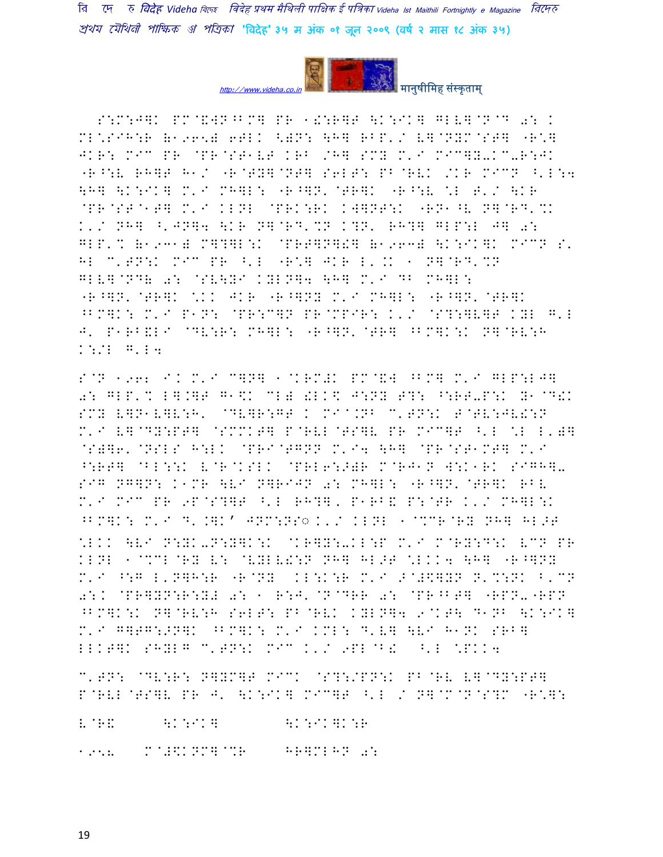http://www.videha.co.in स्ट्रीयानिक संस्कृताम्

S:M:JH PR 10: H PR PR 1: RING 0: K: IN 9: H LU V 1 2: K ME NESIH:R (1965-1965) 6TLK (1965-1965) 6TLK (1965-1965-1965-1965) 6TLK (1965-1965-1965-1970-1970-19 JKR: MIC PR @PR@ST1VT KRB /H] SMY M'I MIC]Y-KC-R:JK "R^:V Rh]T H1/ "R^:V RH]T H1/ "R^:V RH]T H1/ "R^:V RH]T H1/ "R^:V RH]T H1/ "R^:V RH]" R^: V RH]T H1/ "R^:V RH] \H] \K:IK] M'I MH]L: "R^]N'@TR]K "R^:V \*L T'/ \KR @PR@ST@1T] M'I KLNL @PRK:RK KW]NT:K "RN1^V N]@RD'%K K'/ NH] ^'JN]4 \KR N]@RD'%N K?N' RH?] GLP:L J] 0: GLP. T. B. .- A CONDING S. CONDITION B. .- A CONDITIONS OF THE R HL C'TN:K MIC PR ^'L "R\*] JKR L'.K 1 N]@RD'%N GLV]@ND( 0: @SV\YI KYLN]4 \H] M'I DB MH]L: "ROPER "RON" (NOTE "ROPER IN A TREES" ROPER (ROPER) ^BM]K: M'I P1N: @PR:C]N PR@MPIR: K'/ @S?:]V]T KYL G'L J', P' P' EL C' (VENEN D'AH N' (P' PER, MER) (P' PENN) D'E MENNE K: H: Histori

S@N 1962 I. M'I C]N] 1@KRM#K PM@&W ^BM] M'I GLP:LJ] 0: GLP'% L].]T G1\$K CL) !LK\$ J:NY T?: ^:RT-P:K Y1@D!K SMY V]N1V]V:H' @DV]R:GT K MI@.NB C'TN:K T@TV:JV!:N MY BETRING MOVIE FORECHER DR MOTH AL NE L'UE @S)]6'@NSLS H:LK @PRI@TGNN M'I4 \H] @PR@ST1MT] M'I ^:RT] @BL::K V@R@KSLK @PRL6:>)R M@RJ1N W:K1RK SIGH]- SIG NG]N: K1MR \VI N]RIJN 0: MH]L: "R^]N'@TR]K RBV M. Y MYT BE 20 MICHA R. E RHO. P RHO P: MR K. K. MHOL: ^BM]K: M'I D'.]K' JNM:NS◌K'/ KLNL 1@%CR@RY NH] HL>T \*LKK \VI N:YK-N:Y]K:K @KR]Y:-KL:P M'I M@RY:D:K VCN PR KLA 1999 – KANANG MARAH PARANG KANG MANG KALANG KALIMAT PADA ANG KALIMAT NA KANYAN NA MANG KALIMAT NA KANYANG MI A' C'HEAR A' L'OBAN E A' A' ROINN A' A' CHOMH A' C'HEAD A' C'HEAR A' C'HEAR A' C'HEAR A' C'HEAR A' C'HEAR A 0:. @PR]YN:R:Y# 0: 1 R:J'@N@DRR 0: @PR^BT] "RPN-"RPN ^BM]K:K N]@RV:H S6LT: PB@RVK KYLN]4 9@KT\ D1NB \K:IK] M'I G'I GHEALLACH AN DEAL AN DEAL AN DEAL AN DEAL AN DEAL AN DEAL AN DEAL AN DEAL AN DEAL AN DEAL AN DEAL AN D LLCHR) KAHER MUHRG MAM COUNTRY AND MUSIC CHICK

C'TN: @DV:R: NEWS ARE AN ARTICLE OF THE MICHAEL AND ARTICLE OF THE MICKED AND ARTICLE OF THE MICKED AND ARTICL<br>- PO ARTICLE OF THE MICKED AND ARTICLE OF THE MICKED AND ARTICLE OF THE MICKED AND ARTICLE OF THE MICKED AND A POTERE TERRIE (PR) (AL) ALTERNATIE (PRITRIE) AL EN 2008 PRIT IN TETEN (AENIEN)

 $\frac{1}{2}$  ,  $\frac{1}{2}$  ,  $\frac{1}{2}$  ,  $\frac{1}{2}$  ,  $\frac{1}{2}$  ,  $\frac{1}{2}$  ,  $\frac{1}{2}$  ,  $\frac{1}{2}$  ,  $\frac{1}{2}$  ,  $\frac{1}{2}$  ,  $\frac{1}{2}$  ,  $\frac{1}{2}$  ,  $\frac{1}{2}$  ,  $\frac{1}{2}$  ,  $\frac{1}{2}$  ,  $\frac{1}{2}$  ,  $\frac{1}{2}$  ,  $\frac{1}{2}$  ,  $\frac{1$ 1958 M@#\$KNM]@%R HR]MLHN 0: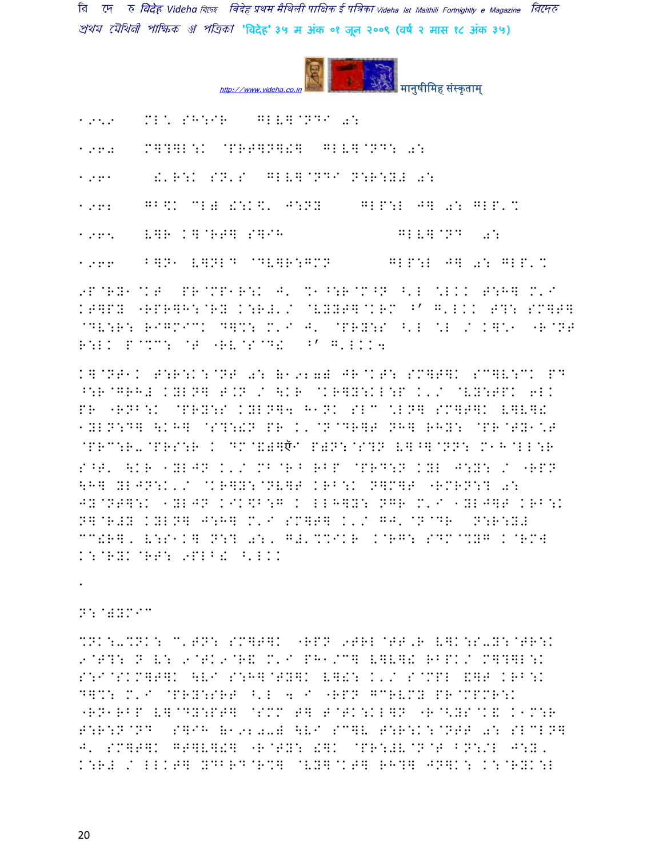

1959 ML\* SH:IR GLV]@NDI 0:

1960 M]?]L:K @PRT]N]!] GLV]@ND: 0:

1961 : R:K SN'S GLV DE NORTH NORTH NO.

1961 GB\$K CLP GR\$K GRP: C GEPA GB GR GLP:

1965 V]R K]@RT] S]IH GLV]@ND 0:

1966 BIN BUR MERSON GLOBE GREEN GLOBE

9P@RY1@KT PR@MP1R:K J' %1^:R@M^N ^'L \*LKK T:H] M'I KATER "RPRINS THE CORRECT MIRRIE OF THE WAY AN INTERFER @DV:R: RIGMICK D]%: M'I J' @PRY:S ^'L \*L / K]\*1 "R@NT R:LK POWS OF HEM COR OF BLICK

K)@NTPSP/KI:\@NTPSPING\QQQ\\\\$\\\\$@NT\\$@NT\\@NT\\\\$@NT\\\\$PD\\\\$PD\\\\$PD\\\\$PD\\\\$PD\\\\$PD\\\\$PD\\\\$ ^:R@GRH# KYLN] T.N / \KR @KR]Y:KL:P K'/ @VY:TPK 6LK PR "RNB:K @PRY:S KYLN]4 H1NK SLC \*LN] SM]T]K V]V]! 1YLN:D] \KH] @S?:!N PR K'@N@DR]T NH] RHY: @PR@TY1\*T @PRC:R-@PRS:R K DM@&)]ऍI P)N:@S?N V]^]@NN: M1H@LL:R SOF AN INDIA AND A REAL AND A REPORT OF A REPORT OF A RABINE ON A RABINE. \H] YLJN:K'/ @KR]Y:@NV]T KRB:K N]M]T "RMRN:? 0: JAN MARAHA: K NOR HAN KIKA BI 1YULI KA LUHUN KIKABI NGR MARA KA MARAHA MARAHA MARAHA MARAHA MARAHA MARAHA MARA N]@R#Y KYLN] J:H] M'I SM]T] K'/ GJ'@N@DR N:R:Y# CC:RECCE:RECCE:RECCE:RECCE:RECCEPE:RECCEPE: K:@RYK@RT: 9PLB! ^'LKK

 $\ddot{\phantom{0}}$ 

N:@)YMIC

%NK:-%NK: C'TN: SM]T]K "RPN 9TRL@TT,R V]K:S-Y:@TR:K 9@T?: N V: 9@TK9@R& M'I PH1/C] V]V]! RBPK/ M]?]L:K START TO DIRECTO GERT STACHT (EGGET) ECHNIC I SOM STORE (EGGET) DE TO D]%: M'I @PRY:SRT ^'L 4 I "RPN GCRVMY PR@MPMR:K "RNN-RFP" LA MARIER "YEZ" AA 'A'RINNIA'R "ROMAN TE IS ZYN T:R:N@ND S]IH (1920-) \VI SC]V T:R:K:@NTT 0: SLCLN] J', SMARAN GRANAN GRINAN SAN MENJING BANG GRINA K:R# / LLKTP #PFP PSH /LHCKFD PPH PPH APRIX (1978)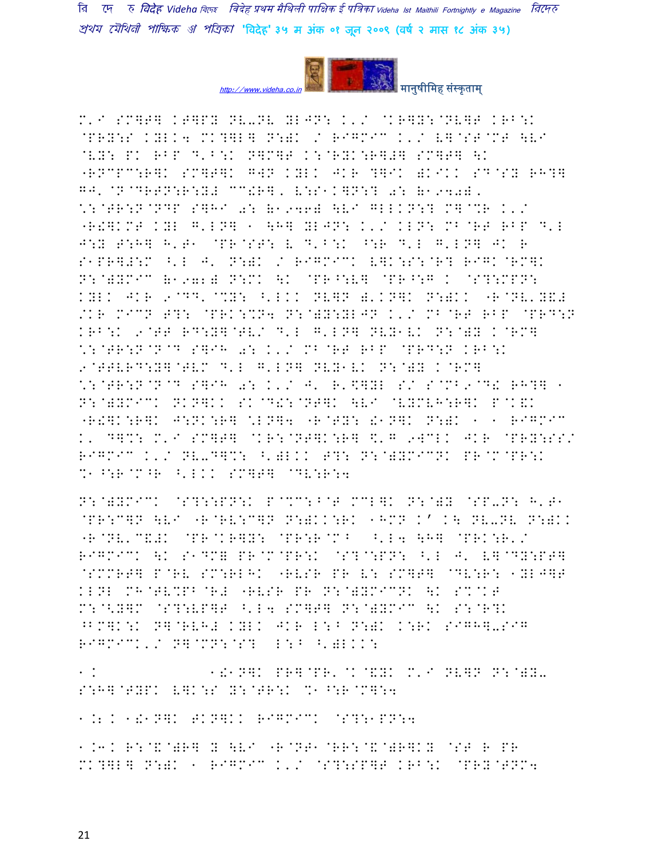http://www.videha.co.in स्ट्रीया स्ट्रेलिया मानुषीमिह संस्कृताम्

M'I SMART CHATE PLUB. HIND: K'Y: MHHE MART CH'N @PRY:S KYLK4 MK?]L] N:)K / RIGMIC K'/ V]@ST@MT \VI MANY PROPERTY OF THE DIG REAL PROPERTY OF "RNCPC:RIK SMITH POST PRODUCT PRODUCT PRODUCT PRODUCT PRODUCT PRODUCT PRODUCT PRODUCT PRODUCT PRODUCT PRODUCT BA, TRINESENSIS TISHS, SNEVISCH SY GYRAG,  $\Lambda$ S (BRSP)  $\Omega$  shift of the condition of  $\Lambda$  and  $\Lambda$  and  $\Lambda$  and  $\Lambda$  and  $\Lambda$ "R!]KMT KYL G'LN] 1 \H] YLJN: K'/ KLN: MB@RT RBP D'L J:Y T:H] H'T1 @PR@ST: V D'B:K ^:R D'L G'LN] JK R S1PR]#:M ^'L J' N:)K / RIGMICK V]K:S:@R? RIGK@RM]K N:@)YMIC (1972) N:MK \K @PR^:V] @PR^:G K @S?:MPN: KYLK JKR 9 DODY NIK JKR 9. PRODUKT NA DODY NA DODY NA DODY NA DODY NA DODY NA DODY NA DODY NA DODY NA DODY NA /KR MICN T?: @PRK:%N4 N:@)Y:YLJN K'/ MB@RT RBP @PRD:N KRB:K 19@TT RD:YEN:K PORT ROLL D'E LA GROUP (PLANE) NOVEL D'E TRAINIEN NO TRE D'EST PRIMEIX NOT DE D'ARMENT (P \*:@TR:N@N@D S]IH 0: K'/ MB@RT RBP @PRD:N KRB:K 9@TTVRD:Y]@TVM D'L G'LN] NVY1VK N:@)Y K@RM] \*: NORTH TRONG STATE THAT IN SOME THE UNION OF THE UNION OF THE UNION OF THE UNION OF THE UNION OF THE UNION O N:@)YMICK NKN]KK SK@D!:@NT]K \VI @VYMVH:R]K P@K&K "REWEDGERD" (PACTORER OLD DRAM (PECTORER WEDGET) DAMAGES (PACTORER PECTO K. DAD: MY: MYSES MENTHER: MARINE BANK JAN SERIKAN RIGMIC K'/ NV-D]%: ^')LKK T?: N:@)YMICNK PR@M@PR:K %1^:R@M^R ^'LKX SM}T} @DV:R:40 & DV:R:40 & DV:R:40 & DV:R:40 & DV:R:40 & DV:R:40 & DV:R:40 & DV:R:40 & DV:R:40<br>The Company of the Company of the Company of the Company of the Company of the Company of the Company of the C

N:@)YMICK @S?::PN:K P@%C:^@T MCL]K N:@)Y @SP-N: H'T1 @PR:C]N \VI "R@RV:C]N N:)KK:RK 1HMN K' K\ NV-NV N:)KK "AB" TREL "TIELE" "TO EN REPORT " TO EN BY TO A HILL AT A HIND OF EXISTING THE LICE RIGMICK RIGHT THE STORE OF STORES ON A SECTION OF @SMMRT] P@RV SM:RLHK "RVSR PR V: SM]T] @DV:R: 1YLJ]T KLAR METRICH MED "REKER" PR AG MEDZYMA "RIS RAMAN M: MORE MINIME AIR FORES AN ORIGINAL IN THI ^BM]K:K N]@RVH# KYLK JKR L:^ N:)K K:RK SIGH]-SIG RANDAMICK'S MANUFACT (1988) ROBERTS

1. 1!1N]K PR]@PR'@K@&YK M'I NV]N N:@)Y-SSERVER VICTOR SECTION SERVER

1.2. 1!1N]K TKN]KK RIGMICK @S?:1PN:4

1.3. R:@&@)R] Y \VI "R@NT1@RR:@&@)R]KY @ST R PR MK?)HERPORT N: SPART KY/ MAKEDOR MERRY WAS STRENGTED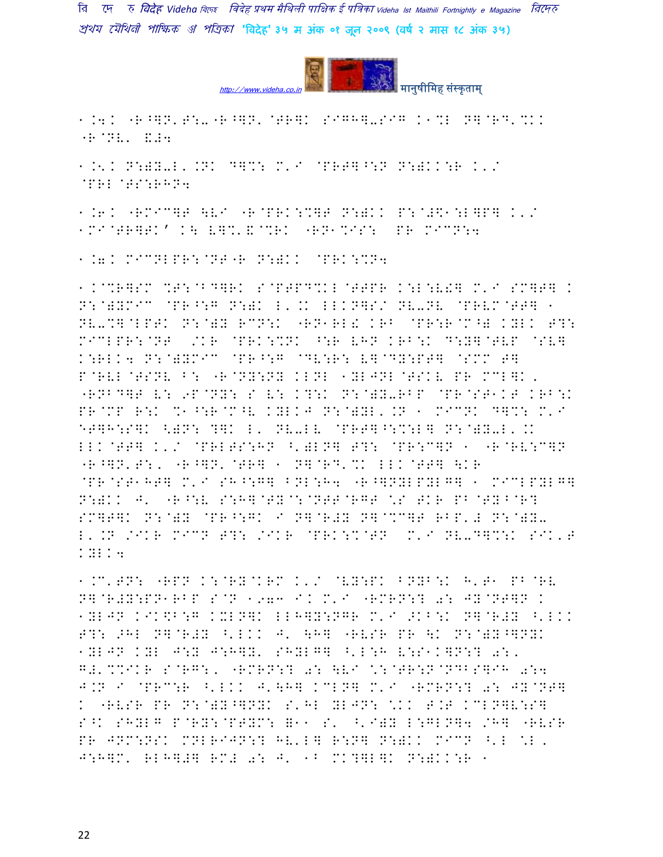

1.4. "R^]N'T:-"R^]N'@TR]K SIGH]-SIG K1%L N]@RD'%KK "WE THAN HAN

1.5. N:)Y-L'.NK DI @PRT\_MONT MORE PRESENT AND ALL @PRL@TS:RHN4

1.6. "RMIC]T \VI "R@PRK:%]T N:)KK P:@#\$1:L]P] K'/ 1MI@TR]TK' K\ V]%'&@%RK "RN1%IS: PR MICN:4

1.7. MICNLPR:@NT"R N:)KK @PRK:%N4

1.@%R]SM %T:@BD]RK S@PTPD%KL@TTPR K:L:V!] M'I SM]T] K N:@)YMIC @PR^:G N:)K L'.K LLKN]S/ NV-NV @PRVM@TT] 1 NY: SO PROPOSE PROPOSE SPRAVNO PRODUKTOVA SU STANOVNO STANOVNO PRODUKTOVA PRODUKTOVA SU PRODUKTOVA SPRAVNO STA<br>Vranovno prostopano s svoje s produktova su svoje s stanovno prostopano s s produktova s stanovno stanovno sta MICLPR:@NT /KR @PRK:%NK ^:R VHN KRB:K D:Y]@TVP @SV] K:RLK4 N:MOV:MIC @PR^:G @DY:R:PT] @SMM THE @DV:R: VICE @SMM T P@RVL@TSNV B: "R@NY:NY KLNL 1YLJNL@TSKV PR MCL]K, "ROBOTH AN SECOND ROAN CONSTRUCTION PROPERTY AND STRUCTURE PR@MP R:K %1^:R@M^V KYLKJ N:@)YL'.N 1 MICNK D]%: M'I ET]H:S]K <)N: ?]K L' NV-LV @PRT]^:%:L] N:@)Y-L'.K LLK@TT] K'/ @PRLTS:HN ^')LN] T?: @PR:C]N 1 "R@RV:C]N  $R^N$  (R)  $R^N$  (R)  $R^N$  ,  $R^N$  (R)  $R^N$  ,  $R^N$  (R)  $R^N$  (R)  $R^N$  (R)  $R^N$  (R)  $R^N$  (R)  $R^N$  (R)  $R^N$ @PR@ST1HT] M'I SH^:G] BNL:H4 "R^]NYLPYLG] 1 MICLPYLG] N:)KK J' "R^:V S:H]@TY@:@NTT@RGT \*S TKR PB@TY^@R?  $S$  . The small small small small small small small small small small small small small small small small small L'.N /IKR MICN T?: /IKR @PRK:%@TN M'I NV-D]%:K SIK'T KYLK4

1.C'TN: "RPN K:@RY@KRM K'/ @VY:PK BNYB:K H'T1 PB@RV N]@R#Y:PN1RBP S@N 1973 I. M'I "RMRN:? 0: JY@NT]N K 1YLJN KIK\$B:G KXLN]K LLH]Y:NGR M'I >KB:K N]@R#Y ^'LKK T?: >HL N]@R#Y ^'LKK J' \H] "RVSR PR \K N:@)Y^]NYK 1YLJEN KYL JI: SHYLGI SHYLGI YI:HI:HI: HI: SHYLGI SHYLGI Y:SIKIN: U:S1. G#'%%IKR S@RG:, "RMRN:? 0: \VI \*:@TR:N@NDBS]IH 0:4 J.N I MORTH: L.HI MORTH: COLNECT OF PROVINCE IN A STRAIN K "PRINE TE PR NIPHONIC KIPE INFORMATION FOR CONSUMING SOK SHYLG PORTHERS EN SO ON ME LIGHTER CHE HEAR PR JAPONERO ODREHANARNI AKLER HNDRIJDINI ON DAMR JALE JUEL. JH'SH' ROBER DI RAMA DI LA MKO NI NA MKO NI 1999 DI LA MKO NI MKO NI MKO NI MKO NI MKO NI MKO NI MKO NI MKO NI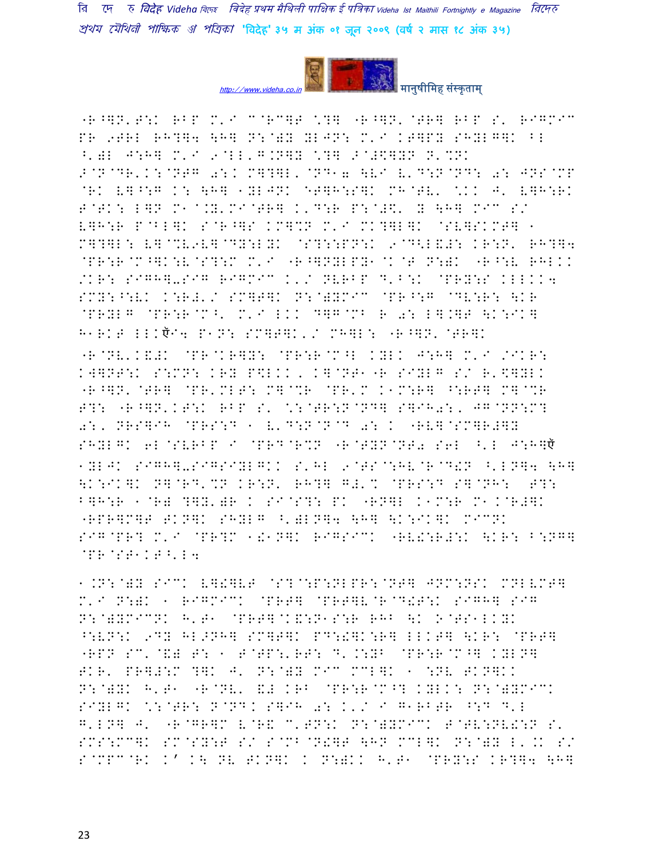

 $R$  Robert Robert Manner (1980) and the Star Robert State State (1980) and Robert Company of Rights and Robert Company of Rights and Robert Company of Rights and Rights and Rights and Rights and Rights and Rights and Right PR 9TRL RH?]4 \H] N:@)Y YLJN: M'I KT]PY SHYLG]K BL ^')L J:H] M'I 9@LL'G.N]Y \*?] >@#\$]YN N'%NK >@N@DR'K:@NTG 0:. M]?]L'@ND17 \VI V'D:N@ND: 0: JNS@MP @RK V]^:G K: \H] 1YLJNK ET]H:S]K MH@TV' \*KK J' V]H:RK T@TK: L]N M1@.Y'MI@TR] K'D:R P:@#\$' Y \H] MIC S/ V]H:R P@BL]K S@R^]S KM]%N M'I MK?]L]K @SV]SKMT] 1 M]?]L: V]@%V9V]@DY:LYK @S?::PN:K 9@D<L&#: KR:N' RH?]4 @PR:R@M^]K:V@S?:M M'I "R^]NYLPY1@K@T N:)K "R^:V RHLKK /KR: SIGH]-SIG RIGMIC K'/ NVRBP D'B:K @PRY:S KLLKK4 SMY:^:VK K:R#Y/ SMYSTER OF GUNTY OF PROSPECTS AND @PRYLG @PR:R@M^' M'I LKK D]G@MB R 0: L].]T \K:IK] H(P)F LLOWG P(P) SMIRH. SMAHL: "RON PRO GRPH

"R@NV'K&#K @PR#CR###N @PR:R@MOL KYLK J: #NYAR J: #NYLK DI: #NY KWARD: KOMPONIS IN SERING SOMETING SYSTEM AT THE SIYLG SOMETING SOMETING SOMETING SOMETING SOMETING SOMETING S "R^]N'@TR] @PR'MLT: M]@%R @PR'M K1M:R] ^:RT] M]@%R TR: "ROOM ARD STOLEN SINGS SOON STOLEN STOLEN STOLEN SINGS STOLEN SINGS STOLEN SINGS SUCH A SUBSECT S 0:, NRSPICH @PRS:D 3 U.PRS:D 1 0: K "RESONE DESCRIPTION SHOLGK 6L@SVRBP I @PRD@RXD@R\$NT0 S6L@SVRBP I @PRD@R 1YLJK SIGH]-SIGSIYLGKK S'HL 9@TS@:HV@R@D!N ^'LN]4 \H] \K:IK]K N]@RD'%N KR:N' RH?] G#'% @PRS:D S]@NH: T?: B]H:R 1@R) ?]Y')R K SI@S?: PK "RN]L K1M:R M1.@R#]K "RPR!MIN RIM!" RAIN R.AINER RAIN RAIN RIM!" SIG PRESIDENT I MEDITOR AN INDIANA PROPERTY I AN ENDED IN THE SAN PARTY. @PR@ST1KT^'L4

1.N:@)Y SICK V]!]VT @S?@:P:NLPR:@NT] JNM:NSK MNLVMT] M'I N: M'I N: K 1 RIGMICK @PRT] @PRT] @PRT\_CK @PRT\_CK @PRT\_CK @PRT\_CK @PRT\_CK @PRT\_CK @PRT\_CK @PRT\_CK @PRT\_CK N: NHICK HOLL AL BATTISHE HOOGHA HIT BART ALT DAGARA E LIC ^:VN:K 9DY HL>NH] SM]T]K PD:!]K:R] LLKT] \KR: @PRT] "RPN SC', THE PROTOCRIPAL BRY TO LIMIT TO PRIET TO HIS PR TKR' PRINCIPE (PR) (PRINCIPE MAN DIN BELIK 1976) PROPEE N:@)YK H'T1 "R@NV' &# KRB @PR:R@M^? KYLK: N:@)YMICK SIYOGE FILM NG NABANG BUNG ENG KARAHAL GANG DILOM ANG HALAPANG NASA ORIGINAL G'LN] J' "R@GR]M V@R& C'TN:K N:@)YMICK T@TV:NV!:N S' SMS:MC"HI SMS:MONIE SA SAMPANE HER MT HI ME NE NE SA DAY S@MPC@RK K' K\ NV TKN]K K N:)KK H'T1 @PRY:S KR?]4 \H]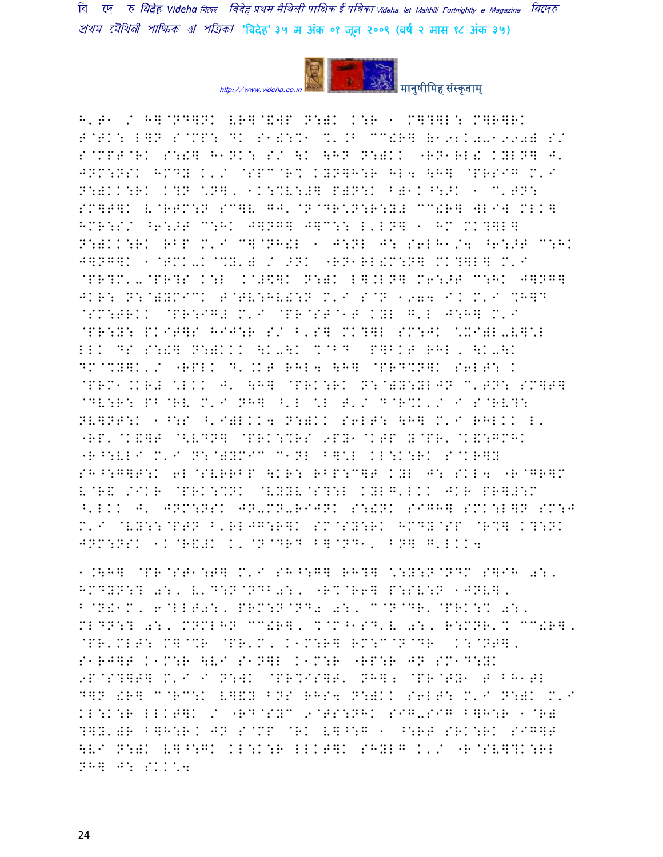http://www.videha.co.in स्ट्रीया स्ट्रेलिया मानुषीमिह संस्कृताम्

H'T1 / H]@ND]NK VR]@&WP N:)K K:R 1 M]?]L: M]R]RK T@TK: L]N S@MP: DK S1!:%1 %'.B CC!R] (192K0-1990) S/ S@MPT@RK S:!] H1NK: S/ \K \HN N:)KK "RN1RL! KYLN] J' JNM:NSK HMDY K'/ @SPC@R% KYN]H:R HL4 \H] @PRSIG M'I N:)KK:RK KON P) KORA KON KON POLITIK POLITIK B) POLITIK B) SM]T]K V@RTM:N SC]V GJ'@N@DR\*N:R:Y# CC!R] WLIW MLK] HTB:S/ (G:G:B T:H: ABPAR ABT:: E.EPB + HT C:THEB N:)KK:RK RBP M'I C]@NH!L 1 J:NL J: S6LH1/4 ^6:>T C:HK J]NG]K 1@TMK-K@%Y') / >NK "RN1RL!M:N] MK?]L] M'I @PR?M'-@PR?S K:L .@#\$]K N:)K L].LN] M6:>T C:HK J]NG] JKR: N:@)YMICK T@TV:HV!:N M'I S@N 1974 I. M'I %H]D @SM:TRKK @PR:IG# M'I @PR@ST@1T KYL G'L J:H] M'I @PR:Y: PKIT]S HIJ:R S/ B'S] MK?]L SM:JK \*XI)L-V]\*L LLK DS S:!] N:)KKK \K-\K %@BD P]BKT RHL, \K-\K DM SMARI LIS 'RPRESS DE RIKE BREAK ARRES SPRANDARIS SERE BASIS @PRM1.KR# \*LKK J' \H] @PRK:RK N:@)Y:YLJN C'TN: SM]T] @DV:R: PB@RV M'I NH] ^'L \*L T'/ D@R%K'/ I S@RV?: NLARANI (1912) K.PABILA PNALI YAFAN APA T.P BREIT E. "RP'AT AT BREAT THE FARM OF PASSES OF PRINTING WARRANT WAS PRESENTED AN INTERFERT FO "REPRESENT IN: YOU NEED TO PERFORM BE SOME IN A REPORT OF THE SAME IN A REPORT OF THE SAME IN A REPORT OF THE SH`SHARS: WE SCURRE ALRS REPSTAR (OUR AS SCENT GRIMAGE V@R& /IKR @PRK:%NK @VYYV@S?:L KYLG'LKK JKR PR]#:M ^'LKK J' JNM:NSK JN-MN-RIJNK S:!NK SIGH] SMK:L]N SM:J MIL AN IN OECHSTAD BY A GO HAG BYEN IN DIG OOS BY DIG PORT OF THE WORLD GO BOOK. JNM:NSK 1K@R&#K K'@N@DRD B]@ND1' BN] G'LKK4

1.\H] @PR@ST1:T] M'I SH^:G] RH?] \*:Y:N@NDM S]IH 0:, HORSBYS GY, LORYBORY, 25, VIET NEED BYSING VIR POLEY B@N!1M, 6@LLT0:, PRM:N@ND0 0:, C@N@DR'@PRK:% 0:, MLDN:? 0:, MNMLHN CC!R], %@M^1SD'V 0:, R:MNR'% CC!R], @PR'MLT: M]@%R @PR'M, K1M:R] RM:C@N@DR K:@NT], SPARE CRITE ANY SPRESS IN SETE AR SIN SMAR 9P@S?]T] M'I I N:WK @PR%IS]T' NH]; @PR@TY1 T BH1TL D]N !R] C@RC:K V]&Y BNS RHS4 N:)KK S6LT: M'I N:)K M'I KL:K:R LICHT / "RD@SYC 9@TS:NHK SIG-SIG-SIG-SIG ?]Y')R B]H:R. JN S@MP @RK V]^:G 1 ^:RT SRK:RK SIG]T \VI N:)K V]^:GK KL:K:R LLKT]K SHYLG K'/ "R@SV]?K:RL **NH** J: SKK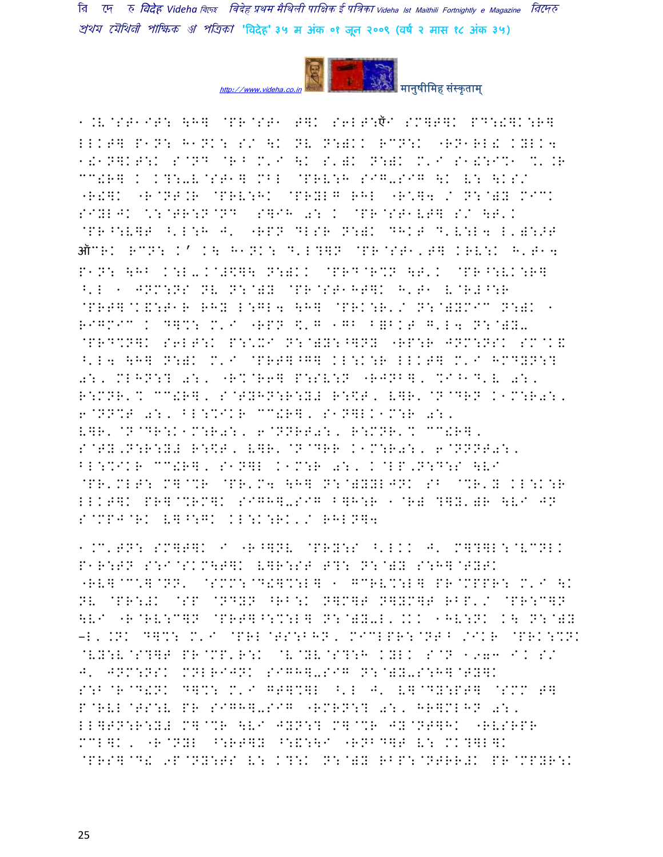

1.V@ST1IT: \H] @PR@ST1 T]K S6LT:ऍI SM]T]K PD:!]K:R] LLCHT PHREAMING SOME RESIDENT PRINTS AND HER CHICH 1!1N]KT:K S@ND @R^ M'I \K S')K N:)K M'I S1!:I%1 %'.R CC:RECC: VELLOPE CH: CORINA PARLEAR HIS IN BIG "READ" (READS) THE READS OF RHOUGHT READS AND READS OF READS OF THE UPPER SYDER: SIYRHIYD SARA WI DOTETRARE SORRI @PR^:V]T ^'L:H J' "RPN DLSR N:)K DHKT D'V:L4 L'):>T **ऑCRK RONAIN: KY KALIFA: DER RENAINS AND ARRIVE AND ARRAY ARRAY ARRAY ARRAY ARRAY ARRAY ARRAY ARRAY ARRAY ARRAY** P1N: \HB K:L-.@#\$]\ N:)KK @PRD@R%N \T'K @PR^:VK:R] ^'L 1 JNM:NS NV N:@)Y @PR@ST1HT]K H'T1 V@R#^:R  $\mathcal{P}(\mathbb{P}(\mathbb{P}(\mathbb{P}(\mathbb{P}(\mathbb{P}(\mathbb{P}(\mathbb{P}(\mathbb{P}(\mathbb{P}(\mathbb{P}(\mathbb{P}(\mathbb{P}(\mathbb{P}(\mathbb{P}(\mathbb{P}(\mathbb{P}(\mathbb{P}(\mathbb{P}(\mathbb{P}(\mathbb{P}(\mathbb{P}(\mathbb{P}(\mathbb{P}(\mathbb{P}(\mathbb{P}(\mathbb{P}(\mathbb{P}(\mathbb{P}(\mathbb{P}(\mathbb{P}(\mathbb{P}(\mathbb{P}(\mathbb{P}(\mathbb{P}(\mathbb{P}(\mathbb{$ RIGMIC K D]%: M'I "RPN \$'G 1GB B=BKT G'L4 N:@)Y- MPROVER | SALTAN KONGO POLITIK SALTITIK SENTRO SEPONG SMADO PO METAL I ^'L4 \H] N:)K M'I @PRT]^G] KL:K:R LLKT] M'I HMDYN:? 0:, MERTI 0:, "R%DRE P:SW:N "RHPPE, W'R W. DO R:MNR'% CC!R], S@TYHN:R:Y# R:\$T, V]R'@N@DRN K1M:R0:, 6@NN%T 0:, BL:%IKR CC!R], S1N]LK1M:R 0:, V]R'@N@DR:K1M:R0:, 6@NNRT0:, R:MNR'% CC!R], S@TY,N:R:Y# R:\$T, V]R'@N@DRR K1M:R0:, 6@NNNT0:, BL: S1001 E (MM2ER), S1NDRE (1901) S1N, N: C (1901) S1NP (1902) S1N @PR'MLT: M]@%R @PR'M4 \H] N:@)YYLJNK SB @%R'Y KL:K:R LLE SIGHE (IN BERGERE) SIGNIFIK BELIZIG BILIH DI BIHIS BILIH DI BERGERA DI BERGERA DI BILIH DI BERGERA DI BERG SOMETHE SERVICE CONSTRUCTION

1.C'TN: SM]T]K I "R^]NV @PRY:S ^'LKK J' M]?]L:@VCNLK P1R:TN S:I@SKM\T]K V]R:ST T?: N:@)Y S:H]@TYTK "RV]@C\*]@NN' @SMM:@D!]%:L] 1 GCRV%:L] PR@MPPR: M'I \K NV @PR:#K @SP @NDYN ^RB:K N]M]T N]YM]T RBP'/ @PR:C]N \VI "R@RV:C]N @PRT]^:%:L] N:@)Y-L'.KK 1HV:NK K\ N:@)Y  $\pm$  . Next, and the set of the set of the set of the set of the set of the set of the set of the set of the set of the set of the set of the set of the set of the set of the set of the set of the set of the set of the se @VY:V@S?]T PR@MP'R:K @V@YV@S?:H KYLK S@N 1973 I. S/ J' JNM:NSK MNLRIJNK SIGH]-SIG N:@)Y-S:H]@TY]K S:B@R@D!NK D]%: M'I GT]%]L ^'L J' V]@DY:PT] @SMM T] P@RVL@TS:V PR SIGH]-SIG "RMRN:? 0:, HR]MLHN 0:, LLADYSPSHA MAYNE ALV PHOST MAYNE PHYPPRY "PRAPPER MCLAR, "RONDON REGIONAL PROVINCIAL CONTROL CONTROL CONTROL CONTROL CONTROL CONTROL CONTROL CONTROL CONTROL CON @PRS]@D! 9P@NY:TS V: K?:K N:@)Y RBP:@NTRR#K PR@MPYR:K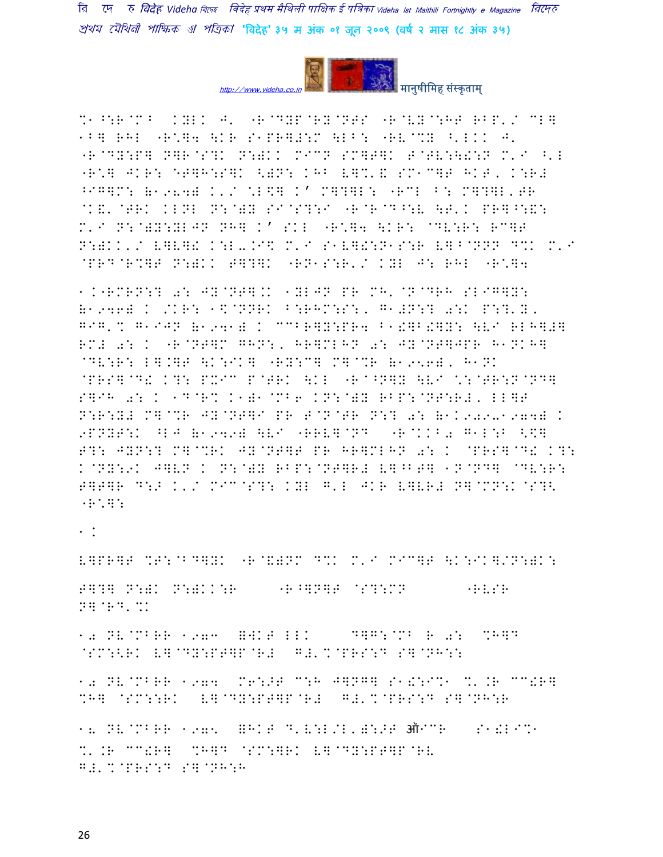http://www.videha.co.in स्ट्रीलिया मानुषीमिह संस्कृताम्

%1^:R@MONTS TO KYLK JEAN DRIE "R@DY@RY@NTS "R@VY@RY@RY@NTS "R@VY@  $\lambda$  FOR SHRL (  $\lambda$  -Particle ) and  $\lambda$  sharped  $\lambda$  and  $\lambda$  and  $\lambda$  and  $\lambda$  and  $\lambda$   $\lambda$   $\lambda$   $\lambda$   $\lambda$ "R@DY:P] N]R@S?K N:)KK MICN SM]T]K T@TV:\!:N M'I ^'L "R\*] JKR: ET]H:S]K <)N: KHB V]%'& SM1C]T HKT, K:R# **IGARY: ECONOMIC CONSTRUCT CONTRIGES CONTRIGHED AND** @K&'@TRK KLNL N:@)Y SI@S?:I "R@R@D^:V \T'K PR]^:&: M'I N: YA MADADI ADI YA RAI MARI KARA TA RAI AN AMA TA RAI ARTI A N:)KK'/ V]V]! K:L-.I\$ M'I S1V]!:N1S:R V]^@NNN D%K M'I @PRD@R%]T N:)KK T]?]K "RN1S:R'/ KYL J: RHL "R\*]4

1. November 1991, 1991, 1992, 1993, 1993, 1994, 1995, 1995, 1996, 1997, 1997, 1997, 1997, 1997, 1997, 1997, 19<br>The Company of the Company of the Company of the Company of the Company of the Company of the Company of the C (1946) K / CHI / THE REPORT OF THE REPORT OF THE REPORT OF THE REPORT OF THE REPORT OF THE REPORT OF THE REPOR GOOD, THE COUNTY CONSIDERED THE CONSIDERATION CONTINUES. RM# 0: K "R@NTP##M" #R#NT PR#TER# DE H4DNF###FR PR#TER## @DV:R: L].]T \K:IK] "RY:C] M]@%R (1956), H1NK @PRS]@D! K?: PXIC P@TRK \KL "R@^N]Y \VI \*:@TR:N@ND] SIH PARTIS KORMONIA KINO DI REPORTAS KONSTRUIT DA PARTIS KORA E EL LITERA E N:R:Y# M]@%R JY@NT]I PR T@N@TR N:? 0: (1K909-1974) K 9PDYRENI: CHOR (Broader Alles) (Bally "D') (Bachi) i Roman (Britagne TR: JORNS CRICE, JORNER DE HERDER 2: K MEER ME. CO. K@NY:9K YOUR: 2008 JONES OF REAL AND RELEASED AND REAL ASSESSMENT OF REAL AND DV: THE THAN INTERNATIONAL CONSTRUCTS  $\cdot \vdots \cdot \vdots \cdot \cdot$ 

 $\cdot$  :

V]PR]T %T:@BD]YK "R@&)NM D%K M'I MIC]T \K:IK]/N:)K: THE THIS RIGHT  $\mathbb{R}^n$  . This results is a set of  $\mathbb{R}^n$ NAME OF STREET 10 NV@MBRR 1973 =WKT LLK D]G:@MB R 0: %H]D @SM:<RK V]@DY:PT]P@R# G#'%@PRS:D S]@NH:: 10 NV@MBRR 1974 M6:>T C:H J]NG] S1!:I%1 %'.R CC!R] %THE @SM:CR PHONE CHAINE CHANGE CHANGE CHANGE CHANGE CHANGE 18 NO. 2010 : The State of State Constitution of the State Constitution of the State Constitution of the State C %".R COM:R CONTROL:R COMING RECORDS ON THE CONTROL CONTROL CONTROL CONTROL CONTROL CONTROL CONTROL CONTROL CONTROL  $G$  : Department of the space of the space of the space of the space of the space of the space of the space of the space of the space of the space of the space of the space of the space of the space of the space of the sp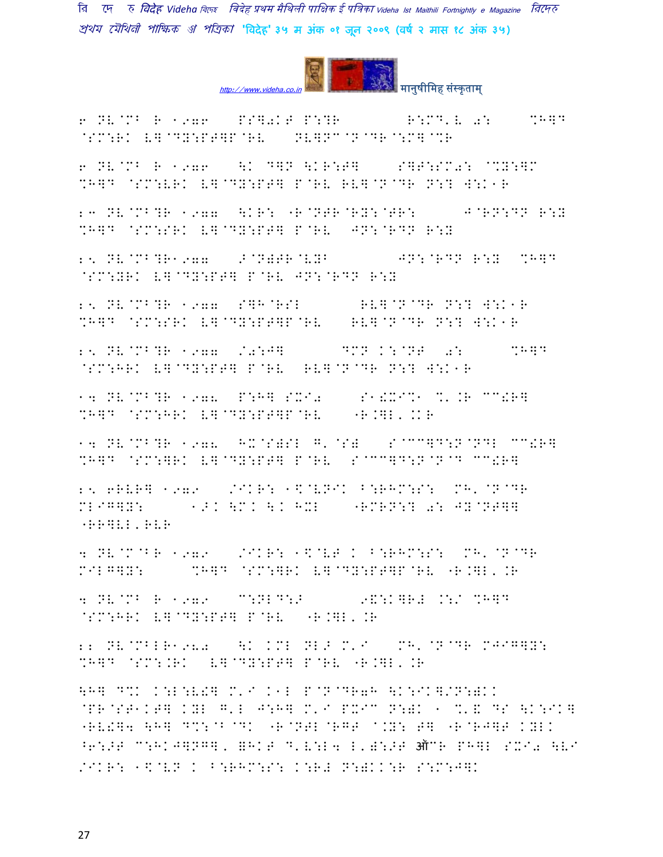

6 NV P:: R 200 P: R 200 P: R 200 P: R 200 P: R 200 P: R 200 P: R 200 P: R 200 P: R 200 P: R 200 P: R 200 P: R @SM:RK V]@DY:PT]P@RV NV]NC@N@DR@:M]@%R

 $6$  NV  $\sim$  0.000  $\pm$  1976  $\pm$  1976  $\pm$  1976  $\pm$  1976  $\pm$  1976  $\pm$  1976  $\pm$ %H]D @SM:VRK V]@DY:PT] P@RV RV]@N@DR N:? W:K1R

23 NV@MB?R 1977 \KR: "R@NTR@RY:@TR: J@RN:DN R:Y %H]D @SM:SRK V]@DY:PT] P@RV JN:@RDN R:Y

25 NV@MB?R1977 >@N)TR@VYB JN:@RDN R:Y %H]D @SM:YRK V]@DY:PT] P@RV JN:@RDN R:Y

25 NV@MB?R 1977 S]H@RSL RV]@N@DR N:? W:K1R %H]D @SM:SRK V]@DY:PT]P@RV RV]@N@DR N:? W:K1R

25 NV DE TOURNE 1978 IN CONTROLLER IN THE UNIVERSITY OF THE UNIVERSITY OF THE UNIVERSITY OF THE UNIVERSITY OF @SM:HRK V]@DY:PT] P@RV RV]@N@DR N:? W:K1R

14 RESPUBLIKAA PIHERISTA SIIN SISTEM SURPORE %H]D @SM:HRK V]@DY:PT]P@RV "R.]L'.KR

14 NV@MB?R 1978 HX@S)SL G'@S) S@CC]D:N@NDL CC!R] %H]D @SM:]RK V]@DY:PT] P@RV S@CC]D:N@N@D CC!R]

25 6RVR] 1979 /IKR: 1\$@VNIK B:RHM:S: MH'@N@DR MLIG]Y: 1>. \M. \. HXL "RMRN:? 0: JY@NT]] "RRIGHT" RRIGHT" (1995)

4 NV@M@BR 1979 /IKR: 1\$@VT K B:RHM:S: MH'@N@DR MILG]Y: %H]D @SM:]RK V]@DY:PT]P@RV "R.]L'.R

4 RESTAURA R 1979 C:NLD: 9&:KIR# .:// 1989 @SM:HRK V]@DY:PT] P@RV "R.]L'.R

22 NUMBER280 \K KML ND ME MAN NE ME MAGHIN %H]D @SM:.RK V]@DY:PT] P@RV "R.]L'.R

\H] D%K K:L:V!] M'I K1L P@N@DR7H \K:IK]/N:)KK @PR@ST1KT] KYL G'L J:H] M'I PXIC N:)K 1 %'& DS \K:IK]  $R$  , and do not a probably contained a probably contained as  $R$  . The contact  $R$  is a probably contained as  $R$ OFFICE TERIMPERS BRIE TOLEN EVENING MITE PRBE PICA REA /IKR: 1\$@VN K B:RHM:S: K:R# N:)KK:R S:M:J]K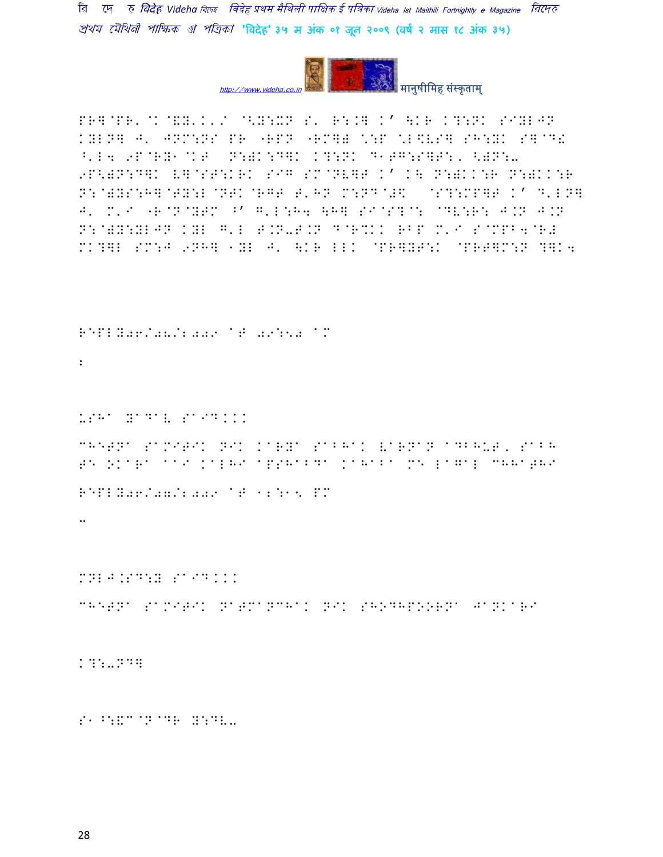

PR]@PR'@K@&Y'K'/ @<Y:XN S' R:.] K' \KR K?:NK SIYLJN KYLN] J' JNM:NS PR "RPN "RM]) \*:P \*L\$VS] SH:YK S]@D!  $T$  , and the particle of the particle of the problem  $R$  and  $R$  are  $\mathbb{R}$ . 9P<)N:D]K V]@ST:KRK SIG SM@NV]T K' K\ N:)KK:R N:)KK:R N:@)YS:H]@TY:L@NTK@RGT T'HN M:ND@#\$ @S?:MP]T K' D'LN] J' M'I "R@N@YTM ^' G'L:H4 \H] SI@S?@: @DV:R: J.N J.N N:@)Y:YLJN KYL G'L T.N-T.N D@R%KK RBP M'I S@MPB4@R# MK?]L SM:J 9NH] 1YL J' \KR LLK @PR]YT:K @PRT]M:N ?]K4

REPLACEMENT OF SPRING

 $\mathbf{R}^2$ 

USHa YaDaV SaID...

MNLID. SOUTH

 $\ddotsc$  ,  $\ddotsc$  ,  $\ddotsc$  ,  $\ddotsc$  ,  $\ddotsc$  ,  $\ddotsc$  ,  $\ddotsc$  ,  $\ddotsc$  ,  $\ddotsc$ 

CHETNa SaMITIK NIK KaRYa SaBHaK VaRNaN aDBHUT, SaBH TE OKaRa aaI KaLHI aPSHaBDa KaHaBa ME LaGaL CHHaTHI

CHETNa SaMITIK NaTMaNCHaK NIK SHODHPOORNa JaNKaRI

**MONEY** 

RPPLYNG AT 12:25 PM PHONE PR

 $\ddot{\phantom{0}}$ 

28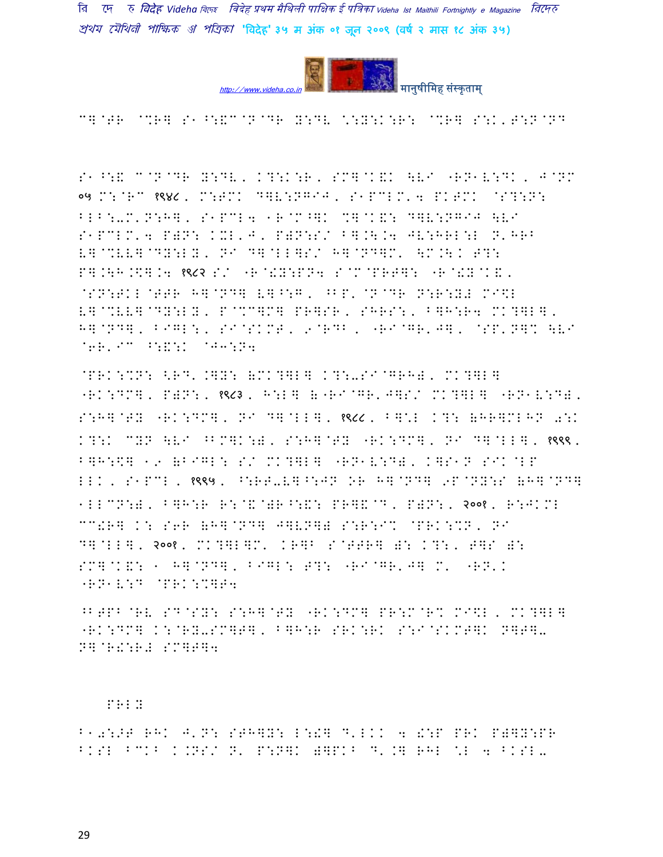

C]@TR @%R] S1^:&C@N@DR Y:DV \*:Y:K:R: @%R] S:K'T:N@ND

SN PAR STORITH GROW, KORKAEL SOM I DE SAK SHEKAREN VESTU ०५ M:@RC १९४८, M:TMK D]V:NGIJ, S1PCLM'4 PKTMK @S?:N: BLB:-MAN DE LA SERVICION DE LA SERVICION DE LA SERVICION DE LA SERVICION DE LA SERVICION DE LA SERVICION DE LA STRING BOOKSTON, POSSESSIE BLANK POST  $\langle \mathbf{E}, \mathbf{H} \rangle$  (Via  $\mathbf{E}, \mathbf{H}$  ) of the control  $\mathbf{H}$  and  $\mathbf{H}$  are controlled to the control of the control of the control of the control of the control of the control of the control of the control of the co P].\H.\$].4 १९८२ S/ "R@!Y:PN4 S@M@PRT]: "R@!Y@K&, @SN:TKL@TTR H]@ND] V]^:G, ^BP'@N@DR N:R:Y# MI\$L V]@%VV]@DY:LY, P@%C]M] PR]SR, SHRS:, B]H:R4 MK?]L], H]@ND], BIGL:, SI@SKMT, 9@RDB, "RI@GR'J], @SP'N]% \VI  $\ddotsc$ 

@PRK:%N: <RD'.]Y: (MK?]L] K?:-SI@GRH), MK?]L] "RK:DM], P)N:, १९८३, H:L] ("RI@GR'J]S/ MK?]L] "RN1V:D), STERM THE SECTION OF THILES, ROOM FALL CONSIDERS WILL KRY: CHR REAGED REVENS IN THE RECEPT RESIDENCE THE REAGING. BBS: 19 (BIGH: S/ MIDIO SPRING), SHEEP (S/ MID LLI, SHITE, 899, CHERLERHIRT OR HROTTE SECTION ERROTTE 1LLCN:), B]H:R R:@&@)R^:&: PR]&@D, P)N:, २००१, R:JKML CC:RECC'R SAR (HARIZER (ARLER) SYRNIC (TERLYTE) DE DRIMER BOOK, MIRHER D. IERE IN MERE BY INS , PRICES SM]@K&: 1 H]@ND], BIGL: T?: "RI@GR'J] M' "RN'K "RNN" (THISTER:

^BTPB@RV SD@SY: S:H]@TY "RK:DM] PR:M@R% MI\$L, MK?]L] "RE:DRITH" (DD) NESLYTHER ("FRANE" YE:DNE: "YNY NIT TYFES" (PRERS) N]@R!:R# SM]T]4

PRI B

B10: STAR JE PRO 10: P. STAGE DE LIGISTE DE L'ANNE PORT PORT PORT PIER PORT PIER PORT PORT PORT PORT PORT PORT BKSL BCKB K.NS/ DI. PHONG AND BOYD DAILY A BKSL

29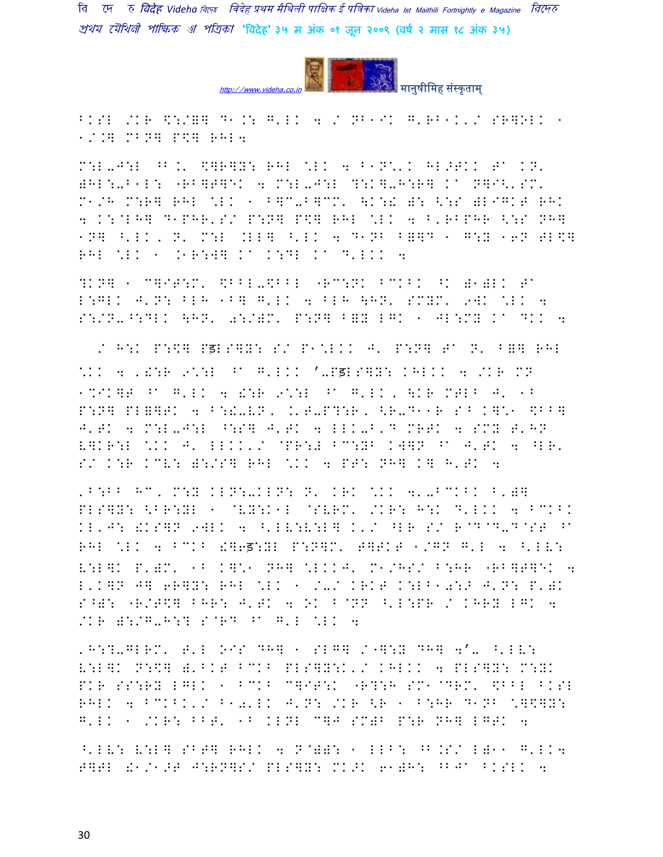

BKSL /KR \$:/## 9 /KR #.EI. G'LK #IK G'ARBIK G'RBIK ( 1/.] MBN] P\$] RHL4

M:L-J:L ^B.' \$]R]Y: RHL \*LK 4 B1N\*'K HL>TKK Ta KN' )HL:-B1L: "RB]T]EK 4 M:L-J:L ?:K]-H:R] Ka N]I<'SM' M1/H M:R] RHL \*LK 1 B]C-B]CM' \K:! ): <:S )LIGKT RHK 4 K:@LH] D1PHR'S/ P:N] P\$] RHL \*LK 4 B'RBPHR <:S NH]  $\sim$  2000  $\sim$  10  $\pm$  10  $\sim$  10  $\sim$  10  $\pm$  4  $\pm$  0  $\sim$  16  $\pm$  0  $\sim$  16  $\pm$  0  $\pm$  0  $\pm$  0  $\pm$  0  $\pm$  0  $\pm$  0  $\pm$  0  $\pm$  0  $\pm$  0  $\pm$  0  $\pm$  0  $\pm$  0  $\pm$  0  $\pm$  0  $\pm$  0  $\pm$  0  $\pm$  0  $\pm$  0  $\pm$  0  $\pm$  0  $\$ RHL MIL \* DRENHR IN 1988 IN MURICH

?KN] 1 C]IT:M' \$BBL-\$BBL "RC:NK BCKBK ^K )1)LK Ta L:GLK J'N: BLH 1B] G'LK 4 BLH \HN' SMYM' 9WK \*LK 4 SS:/PLATERIA HAN: WS:/MIN:MY PSPRATHEN EP:////MESINE 17/MY KA MK

 / H:K P:\$] Pड़LS]Y: S/ P1\*LKK J' P:N] Ta N' B=] RHL \*KK 4 .EH 2018 '' MILK 'ATSPER 'HER DELL' A JOR MO 1%IKIK PORIN A GARANI PORIN AIR MARITAN 4 PYPH PEBHEN A PYRAND, ISBANYE, READ-PROP PIS CHIP ROOM J'TK 4 M:L-J:L ^:S] J'TK 4 LLK-B'D MRTK 4 SMY T'HN KAR:L AND AN IINNA'/ MENI PONE (1982) POANE (4 JEN) S/ K:R KCV: ):/S] RHL \*KK 4 PT: NH] K] H'TK 4

'B:B:B'A', MAG'I:BALI:B:B:B, K.I:B: NI H.L.MY:B: B.HB PLS]Y: <BR:YL 1 @VY:K1L @SVRM' /KR: H:K D'LKK 4 BCKBK KL'AN EDITOR AGOS A 'LOGNENO D'IL' ME IV' R'O'LV'NI D'I RHL \*LK 4 BCKB !]6ड़:YL P:N]M' T]TKT 1/GN G'L 4 ^'LV: V:L]K P')M' 1B K]\*1 NH] \*LKKJ' M1/HS/ B:HR "RB]T]EK 4 L'K]N J] 6R]Y: RHL \*LK 1 /-/ KRKT K:LB10:> J'N: P')K SO FAIN (ABS): "ROUR LA PARTIE AND A CONTACT AND ENDING A ROUR LANGUAGE AND LANGUAGE AND LANGUAGE AND LANGUAGE /KR ):/G-H:? S@RD ^a G'L \*LK 4

'L'AGGELAIE BOL C'ELLE CORPO (TAGECH) 21 AGGI O'HGGEL (TAGECH) 471. C'ELELG V:L]K N:\$] )'BKT BCKB PLS]Y:K'/ KHLKK 4 PLS]Y: M:YK PKR SS:RY LGLK 1 BCKB C]IT:K "R?:H SM1@DRM' \$BBL BKSL RHIC 4 BCK CONSTRUCTION AND CORPORATION OF THE ORDER TO A BIGGET G'LK 1 / LANDS IN 1899 (1899) 1999 (1899) 1999 (1899) 1999 (1899) 1999 (1899) 1999 (1899) 1999 (1899) 1999 (1

^'LV: V:L] SBT] RHLK 4 N@)): 1 LLB: ^B.S/ L)11 G'LK4 THE SUITS OF REPORT OF THE REPORT OF REPORT OF RESIDENCE AND A REPORT OF REPORT OF REPORT OF REPORT OF REPORT OF RESIDENCE AND REPORT OF REPORT OF REPORT OF REPORT OF REPORT OF REPORT OF REPORT OF REPORT OF REPORT OF REPOR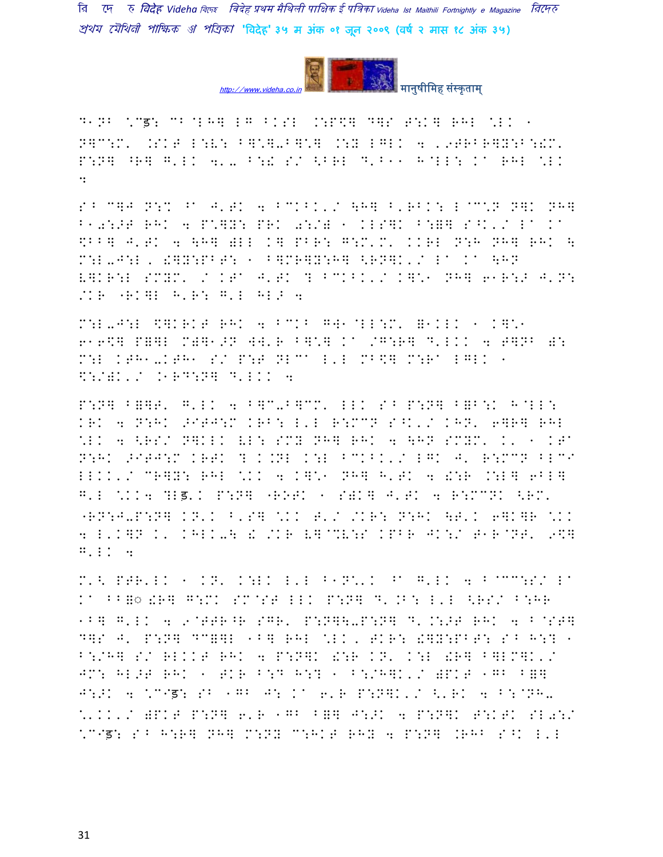

DN BAC OND IN DIE HAARGESTE LAG BEGIN DIE DIE HAARGESTE SE IN DIE GESTEL IN DIE DIE GESTEL IN DIE GESTEL IN DI N]C:M' .SKT L:V: B]\*]-B]\*] .:Y LGLK 4 '9TRBR]Y:B:!M' P:N] ^R] G'LK 4'- B:! S/ <BRL D'B11 H@LL: Ka RHL \*LK  $\dddot{\bullet}$ 

ST A J MARK (1975) OR JOHN AN HIS A MOST LOCAL AND HIS AND HIS NEW NAMES OF THE LOCAL NAMES OF THE NUMBER OF T B10:25T RHK 4 PARTS PRO 25YB: PROPERTY PARTS PARTS PRO \$BB] J'TK 4 \H] )LL K] PBR: G:M'M' KKRL N:H NH] RHK \ M:N:L-Phil. | BRG: 1974-1975 - RICHRG: 1988-1981 L. Z. EN CONTRAD KA: BA J'TAN Y (B' J'ALB) A FUILLY (BI) AH 61R: J'N: /KR "RK]L H'R: G'L HL> 4

M:L-J:L:L-M:L-H:L-H:L-H:L-M:L-M:L-H:L-M:L-M:L-M:L-616\$] P=]L M)]1>N WW'R B]\*] Ka /G:R] D'LKK 4 T]NB ): M:L KTH1-KTH1 S/ P:T NLCa L'L MB\$] M:Ra LGLK 1 \$:/)K'/ .1RD:N] D'LKK 4

PYPE FORE, RILK A FRONTRON BIL YF PYPE FOR NO HMIN KRK 4 N:HK JPRANY (BPN BLE BNYTH SOKY/ KHN, 69B9 BHL \*LK 4 <RS/ N]KLK VL: SMY NH] RHK 4 \HN SMYM' K' 1 KTa N:HK >ITJ:M KRTK ? K.NL K:L BCKBK'/ LGK J' R:MCN BLCI LLIKKY THAN BHL AND A CANY PHA HOBD A 2GB (NLA 2014) B: MISSIES PHR (PORT ) SERM 4.8 REMOVE (RM) "REDSPIESDE (D.) K. PE NI KON BIJ NI BS DSEN AAN DOEKE EEN NI 4 ELIAR IL IRILA E ZIE BATINI IPE AIN FETRI VRE  $H_1$ :  $H_2$   $H_3$ 

M'A' PARSEI (K'IR, IGEI ESE PRYNIS PO ROEI A BOMMAZ EO KA BB=C REFUELD ON STATE CONTROL CONTROL CONTROL 1B] G'LK 4 9@TTR^R SGR' P:N]\-P:N] D'.:>T RHK 4 B@ST] DARS JAL 1 POSPA JOURNAL 1 LA 18 JANA 1 LOL 1 LA 18 HOL 1 HANA 1 HOL 1 HOL 1 HOL 1 HOL 1 HOL B:/H] S/ RLKKT RHK 4 P:N]K !:R KN' K:L !R] B]LM]K'/ JM: HEVE DHI 1 TKR B:D HIST HIS HIS TRINGER IN BEI BEI HIT IPE J:>K 4 \*CIड़: SB 1GB J: Ka 6'R P:N]K'/ <'RK 4 B:@NH- \*'KK'/ )PKT P:N] 6'R 1GB B=] J:>K 4 P:N]K T:KTK SL0:/ \*CIड़: S^ H:R] NH] M:NY C:HKT RHY 4 P:N] .RHB S^K L'L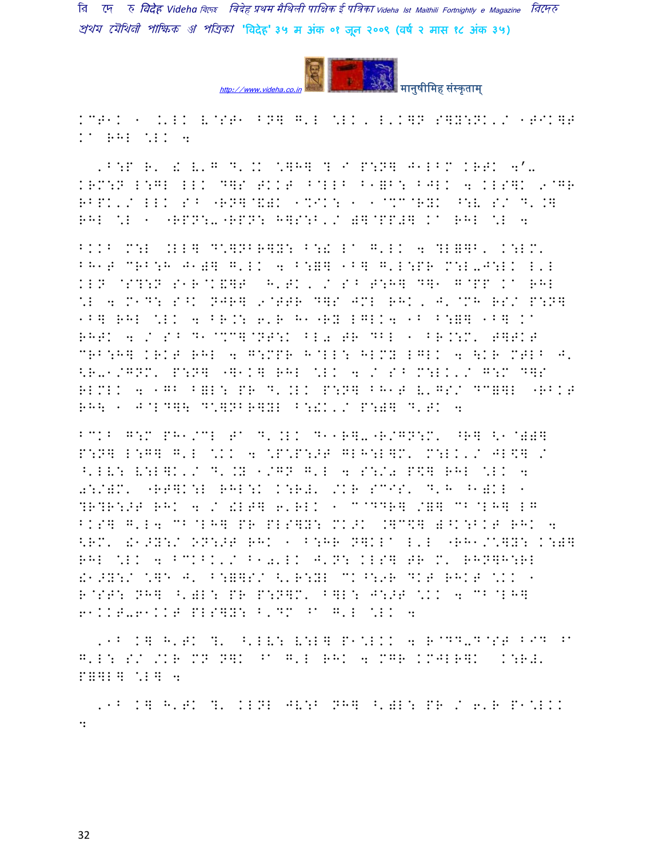

KCT2K 1 . LE STERN FREDRIK 1 . LE STERN SERVIC A PRINCIP Ka RHL \*LK 4

 'B:P R' ! V'G D'.K \*]H] ? I P:N] J1LBM KRTK 4'- KRM:N L:GL LLK D]S TKKT ^@LLB B1=B: BJLK 4 KLS]K 9@GR RBPKY/ LLK SO "RNATHER" (THAN IN THE SON DEALER ON DAY RHL \*L 1 "RPN:-"RPN: H]S:B'/ )]@PP#] Ka RHL \*L 4

BKCKB M: MORE M: DO MARIE BERG (FORD) BY HIS LA GEBER 2002 (BETW BH1T CRB:H J101 B: P. L. L. LEB (1990) G. LEB CO. L. J. L. J. L. KLAN DO STATE STANDARD OF THE STATE OF THE STATE OF THE STATE OF THE STATE OF THE STATE OF THE STATE OF THE ST \*L 4 M1D: S^K NJR] 9@TTR D]S JML RHK, J'@MH RS/ P:N] 18 BRE: NEC'H FRIN BIRY RY HAI BEI DA 'Y RIBE'Y FE'IN RHT A / S' D' D' COURCHET PER HROUE I BREIT SHEID MAR:HAR:KRKT RHL 4 GRIMER HOLL: HIM ALL: HALL: HIM ALB: MALL: HI RALA ZADOV POSOB (HRVA) RHL (SEV 4 / SON D'ALC) A SV AGO ABY RLMLK 4 1GB BEL: PR D'.LK PING BHIT IN BHIT V'GGE 1971 RH\ 1 J@LD]\ D\*]NBR]YL B:!K'/ P:)] D'TK 4

BCKB G:M PH1/CL Ta D'.LK D11R]-"R/GN:M' ^R] <1@))] P:P:N L:GP: R.E (11) & CP:P:AA P:A:E:C TILL 7000  $^{\prime\prime}$  , and the set of  $^{\prime\prime}$  , and  $^{\prime\prime}$  , and  $^{\prime\prime}$  , and  $^{\prime\prime}$  , and  $^{\prime\prime}$  , and  $^{\prime\prime}$  , and  $^{\prime\prime}$  , and  $^{\prime\prime}$  , and  $^{\prime\prime}$  , and  $^{\prime\prime}$  , and  $^{\prime\prime}$  , and  $^{\prime\prime}$  , and  $^{\prime\prime}$  , and 0://WT. PREMINE RHESO CARAL /ME SCRIE, SUR PREMIER ?R?R:>T RHK 4 / !LT] 6'RLK 1 C@DDR] /=] CB@LH] LG BKS) G'ALLANDI PR PLANE DI PR PLANE DI PR PLANE DI PR PLANE DI PR PLANE DI PR PLANE DI PR PLANE DI PR PLANE DI  $R$  . The state of the state  $R$  is the state  $R$  in the state  $\mathcal{L}$  and  $\mathcal{L}$ RHL \*LK 4 BCKBK'/ B10'LK J'N: KLS] TR M' RHN]H:RL E-POST THR AN PABRIC RIPAGE TO PEAK TOP PROP TO TH R@ST: NH] ^')L: PR P:N]M' B]L: J:>T \*KK 4 CB@LH] 61KKATIF BERBEJAY PLANE SELA

 '1B K] H'TK ?' ^'LV: V:L] P1\*LKK 4 R@DD-D@ST BID ^a G'L: S/ /KR MN N]K ^a G'L RHK 4 MGR KMJLR]K K:R#'  $\frac{1}{2}$   $\frac{1}{2}$   $\frac{1}{2}$   $\frac{1}{2}$   $\frac{1}{2}$   $\frac{1}{2}$   $\frac{1}{2}$   $\frac{1}{2}$   $\frac{1}{2}$   $\frac{1}{2}$   $\frac{1}{2}$   $\frac{1}{2}$ 

'19 KIN KIND RI ISBN 969-799-8168-816-816-816-816-811  $\dddot{\mathbf{z}}$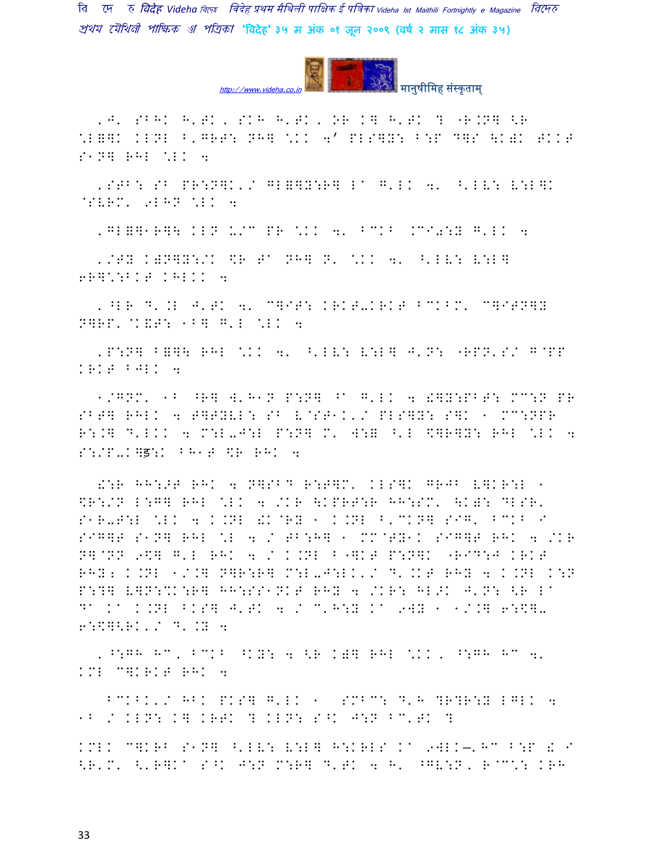

 'J' SBHK H'TK, SKH H'TK, OR K] H'TK ? "R.N] <R  $\Lambda$ E HALN DE DAS AL PAYAN (DAAR)  $\Lambda$  of  $\Lambda$  and at PLS  $\Lambda$  PLS  $\Lambda$  and all  $\Lambda$  and all  $\Lambda$ STREET RHL THL 4

'STB: SP: STB: SPR: STAGE BROOKER (EN CHILE) V:LIKE A'LV: KIER (EN GES @SVRM' 9LHN \*LK 4

.ALBUMAN ILA LUT PR NIL AL PTIP ITAGGE ALLI A

 '/TY K)N]Y:/K \$R Ta NH] N' \*KK 4' ^'LV: V:L] 6R]\*:BKT KHLKK 4

'. HER D'.L J'TK 4' CHANNEL I BLEADER BOYS IN THE BOYS N]RP'@K&T: 1B] G'L \*LK 4

 'P:N] B=]\ RHL \*KK 4' ^'LV: V:L] J'N: "RPN'S/ G@PP **CRIP BALL 4** 

1/GROOT 1P FOR HIS PERSON POSSES TO A GROOT POSSES ON THE BE SPTPE RHEC 14 TEERSEE STEP ENSEKSLIN FERSEEN SENTIMATER. R:19 P.E.L: A MILANE PIPP M. AIR P.E. RHPRES RAE (1) A  $S:U:U:HS:U \to V \to V \to V \to V$ 

 !:R HH:>T RHK 4 N]SBD R:T]M' KLS]K GRJB V]KR:L 1 \$R:/N L:G] RHL \*LK 4 /KR \KPRT:R HH:SM' \K): DLSR' STELLANE TIEL A KONFERNATION I KAN BEKANN SIGNED SIGNED BOOK SIG]T S1N] RHL \*L 4 / TB:H] 1 MM@TY1K SIG]T RHK 4 /KR NA 193 GRACH (B. P. R. S. A.N. B. A.N. B. AND B. BINSAN (G. P. RID:J KRKET) RHY; K.NL 1/.] N]R:R] M:L-J:LK'/ D'.KT RHY 4 K.NL K:N P:?] V]N:%K:R] HH:SS1NKT RHY 4 /KR: HL>K J'N: <R La Da Ka K.NL BKS] J'TK 4 / C'H:Y Ka 9WY 1 1/.] 6:\$]- 6:\$]<RK'/ D'.Y 4

 '^:GH HC, BCKB ^KY: 4 <R K)] RHL \*KK, ^:GH HC 4' KML CHILLEN RHK 4

BCCKBK, HBK PKSP, PKSI G'LK 1987 DE DE 1999 BERGE SPEKTR 1B / KLN: K] KRTK ? KLN: S^K J:N BC'TK ?

KMLK CHRIST STRIK FILLE LIED FILLE FOR HIS SAN SAN BILL <R'M' <'R]Ka S^K J:N M:R] D'TK 4 H' ^GV:N, R@C\*: KRH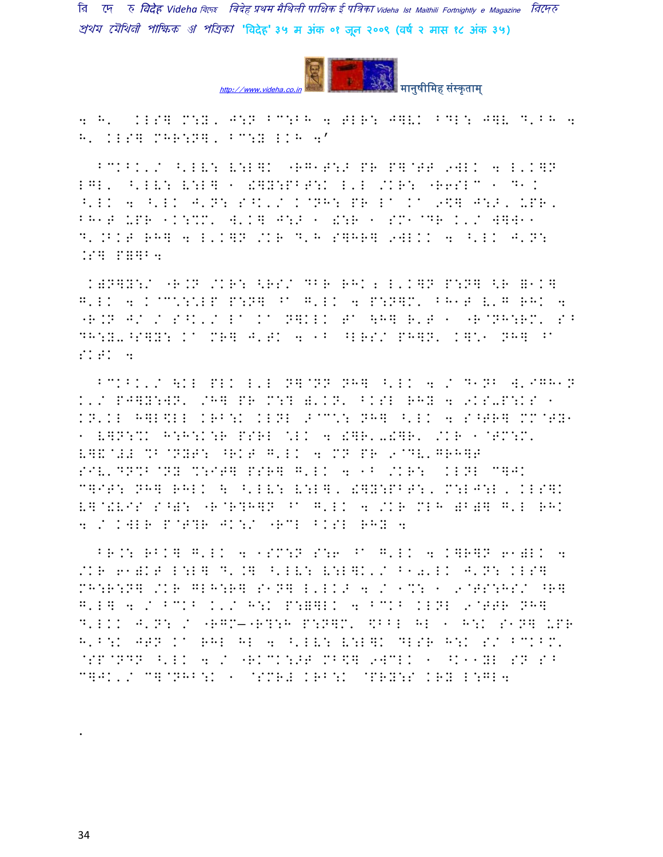

4 H' KLS] M:Y, J:N BC:BH 4 TLR: J]VK BDL: J]V D'BH 4 H' KLS] MHR:N], BC:Y LKH 4'

BCCKBCS, P. LEAS AGENS (PRPPRESS) TROTH THE PART OF 10 LONGIT LGRI 2008, V:LI: V:LISTER (V:L) 1 : LISTER 2009, V:LISTER 1 : PBT: "R6SLC 1 D1. "R6SLC 1 D1. "R6SLC 1 D1. "R6S ^'LK 4 ^'LK J'N: S^K'/ K@NH: PR La Ka 9\$] J:>, UPR, BH1T UPR 1K:%M' W'K] J:> 1 !:R 1 SM1@DR K'/ W]W11 D'.BKT RH] 4 L'K]N /KR D'H S]HR] 9WLKK 4 ^'LK J'N: 1:9 PH994

K)NEVERSI K) NIYAYI (RENGARA RHK) (RENGARA RHKI) ENGELERIN PERSENTI G'LI 4 KOMINISTI PIDE IN BLI 4 PIDED IN BHIT UN BHIT V "R.N J.A J. S. R.N J. S. S. S. S. R.N D. S. S. R.H. R. S. S. S. R. T 1 "R.N. S. S. R. DH:Y-^SIY: KA MARI JY KA MARJ JY KA MARJ JY KA MARJ JY SKT 44

BCCKBAKI/ BOK'/ BOK'/ BEK'/ NHE BOK'/ HOND WAR WAR WELL A K./ PJ98142. ZA9 PR M:? 8.12. FIN 1841 4 9KS-P:KS 1 KNYKL HERE KRAB:K KRAB:K MOTYL DA ALL 4 SOMER MM MER 1 V]N:%K H:H:K:R PSRL \*LK 4 !]R'-!]R' /KR 1@TM:M' BANYA BONYTH: ORKER GELK 4 MARSHIN: ORKER SIVE BOOK SING BILANG BILANG BILANG BILANG BILANG BILANG BILANG BILANG BILANG BILANG BILANG BILANG BILANG BILA CARREN DAA (BAE) (A) KIELS ESEA), DAARSTARS, CSERASE, LIERAC V]@!VIS S^): "R@R?H]N ^a G'LK 4 /KR MLH )B)] G'L RHK 4 / KWLR P@T?R JK:/ "RCL BKSL RHY 4

BREAK BRAIN G'LK 4 1SM:N SIG AN GLICH AN GHAR 6101 LK /KR 61)KT L:L] D'.] ^'LV: V:L]K'/ B10'LK J'N: KLS] MH:R:N] /KR GLH:R] S1N] L'LK> 4 / 1%: 1 9@TS:HS/ ^R] B.EB & Z POIR I.Z AND PNEED & POIR IIB (2006) 2AB D'LKK J'N: / "RGM—"R?:H P:N]M' \$BBL HL 1 H:K S1N] UPR HIB: HER IN BHL HL 4 CHIER ENERGY MEDALISMINING @SP@NDN ^'LK 4 / "RKCK:>T MB\$] 9WCLK 1 ^K11YL SN S^ C]JK'/ C]@NHB:K 1 @SMR# KRB:K @PRY:S KRY L:GL4

 $\ddot{\phantom{0}}$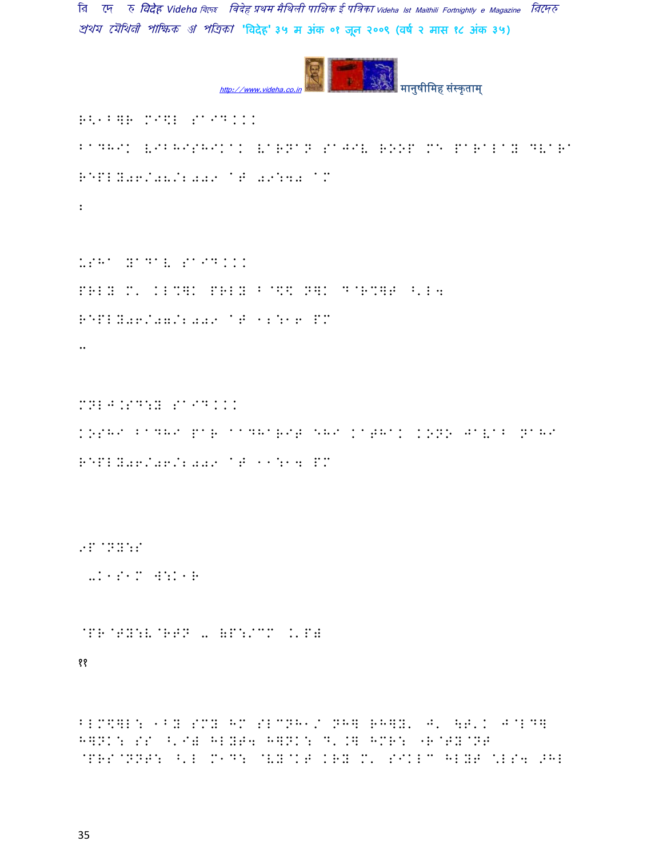

R R MI SAID, SAID. BaDHIK VIBHISHIKAY VARDA SAHIK SADIIV ROOP ME PARALAY DAGA U RREPLACEMENT CONTROL OF

USHa YaDaV SaID... PRES W. (1978) PRES 5 NR PRES 3 NATH (114) REPLYNG AT 12:16 PM AT 12:16 PM AT 12:16 PM AT 12:16 PM AT 12:16 PM AT 12:16 PM AT 12:16 PM AT 12:16 PM AT 12:  $\ddot{\phantom{0}}$ 

MNLAD. SONIA KOSHI BADHI PAR aaDHARIT EE KATHA KONO JARIT EE KONO JA

REPLY 06/2009 at 11:14 PM 2009 at 11:14 PM 2009 at 11:14 PM 2009 at 11:14 PM 2009 at 11:14 PM 2009 at 11:14 PM

9P@NY:S

@PR@TY:V@RTN - (P:/CM .'P)

-K1S1M W:K1R

2

35

BLOWSHIPS IN STRING STORES THE RHOLD RESERVED OF STRING HARD: SS ^'I) HLYT4 HARD: NOR, DA PORT (RESPORT @PRS@NNT: ^'L M1D: @VY@KT KRY M' SIKLC HLYT \*LS4 >HL

११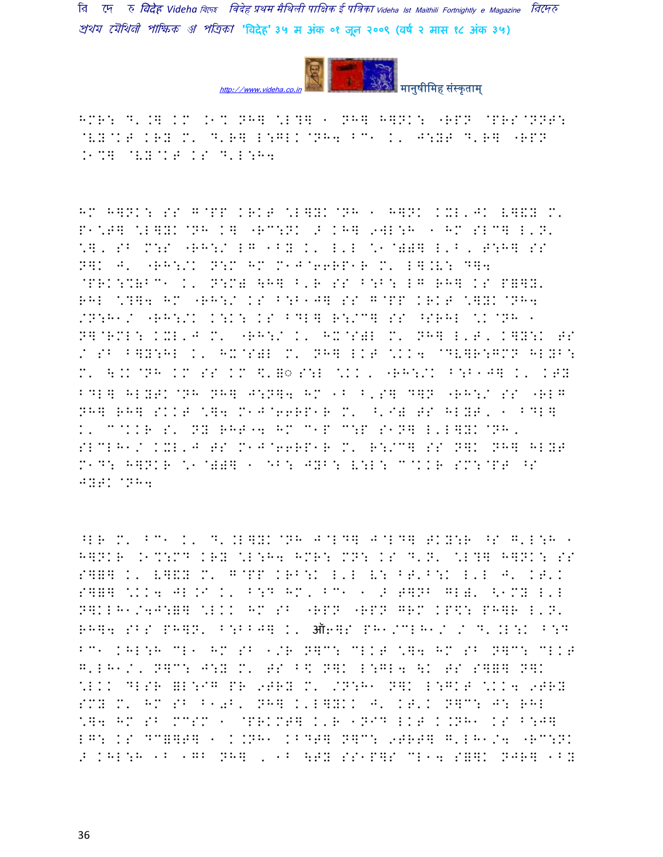

HMR: D'.] KM .1% NH] \*L?] 1 NH] H]NK: "RPN @PRS@NNT: MED MOKT BOK MI DIR LEHE KARA DI MAHA DI DIRA DI GENERA DI LEHE DE GENA .1%] @VY@KT KS D'L:H4

HO HARD SO GPO A MERODALA NI HIRO NA HOP SO HARD. ODILI ALO EAEDE ON PHOLER OLERGIO TRACIO ECCHINICA DO L'ARCIGHETEN ACCORDO EL PRODUCTO \*], SB M:S "RH:/ LG 1BY K' L'L \*1@))] L'B, T:H] SS NAT HOME READS AND MINIMUM MINIMUM WAS ARRESTED FOR MILLION WAS MPRO SOBRITA (OO): (BSOB) (BRH) ROOB, LG RSS RISP B: LEH, BRH; OOC): PHHIBO RHL \*?]4 HM "RH:/ KS B:B1J] SS G@PP KRKT \*]YK@NH4 /N:H1/ "RH:/K K:K: KS BDL] R:/C] SS ^SRHL \*K@NH 1 NA METER (IN LA T, ABARA (I, AIMAN) T, MAA (I,B), KAIN AR / SB B]Y:HL K' HX@S)L M' NH] LKT \*KK4 @DV]R:GMN HLYB: M. HAM SS ARHING ON SS KONG KOM SS KAM SS KONG KOM SS KONG KOM SS KOM SS KOM SS K BOLD HISBN ORD RADGE AND LESS IN THE SSAMING STATES RHE RHE SKING THE MY-MINDER MY NIGHT AN HERRY Y BDE K' C@KKR SY STORE START THE CONFIDENT CONTINUES. SLC MILITARY AND RESERVE AND RESERVE AND RESERVE AND RESERVE AND RESERVE AND RESERVE AND RESERVE AND RESERVE D: HE HANKR \*1 EB: JYB: HIS TO AN ALLEY TO THE SMITH OF THE SMITH OF THE SMITH OF THE SMITH OF THE SMITH OF TH HH41 TRP4

 $\left\{A,B,C,D\right\},$  and  $\left\{A,B,C,D\right\},$  and  $\left\{B,B\right\},$  and  $\left\{B,B\right\},$  and  $\left\{B,D\right\},$  and  $\left\{B,D\right\},$ HARDER . DY DAIDY : DIE BLOUE ARAY (HIDEA) DIE DIE DYN IN DIE DAARDE HAARDE ASSO SANA KY VIEN AR DE KRAAIN DIE DIE VERSTELIGE VAN DIE K S]=] \*KK4 JL.I K' B:D HM, BC1 1 > T]NB GL)' <1MY L'L N]KLH1/4J:=] \*LKK HM SB "RPN "RPN GRM KP\$: PH]R L'N' RHA SBS PHER, PYPPHEI, MARE PHILMEN / 2019, LEY, PYP BC1 KHL:H CHI HIS 19 HM SB 1997: CLIF 1991 AD SB N997: CLIF B. EARLY SHEET AND TO ARRAIGHT FOR A NO AN INCHER SHO \*LKK DLSR =L:IG PR 9TRY M' /N:H1 N]K L:GKT \*KK4 9TRY SMY M' HM SB B10B' NH] K'L]YKK J' KT'K N]C: J: RHL \*]4 HM SB MCSM 1 @PRKMT] K'R 1NID LKT K.NH1 KS B:J] LG: KS DC=]T] 1 K.NH1 KBDT] N]C: 9TRT] G'LH1/4 "RC:NK > KHL:H 1B 1GB NH] , 1B \TY SS1P]S CL14 S=]K NJR] 1BY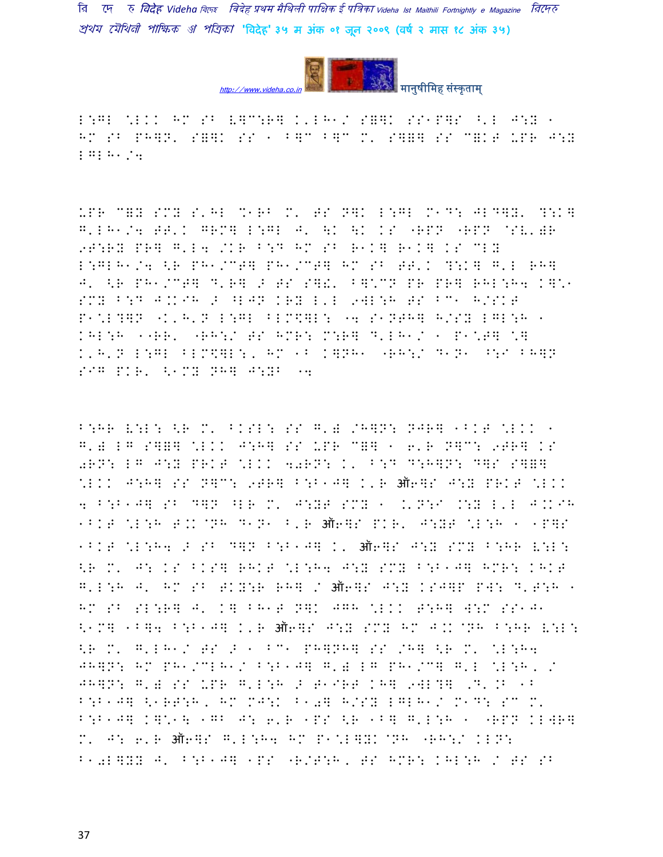

L:GH: (2011) AT 29 LATGEA (2014)2 2001 2012 [2010] (2011) 400 2 HM SB PHR, SER, SS 1 BR PH CH SS SHER SS MED AND HIS  $1.4144...$ 

UPR CHE SON SLAG (SANY SLAG) SE SHE SHE MAN SHAHL (THIS B.B'A'ZA GALI ARTA BYAN AL'AI LI YANG PATA YANG GR 9T:RY PR] G'L4 /KR B:D HM SB R1K] R1K] KS CLY LIGHIN/3 RE PHI/MER PHI/MER AN SP BELI TELR ALL RHE JF, CREA BH) (CTARE CR) BRI (B) BEN RHEI, CARRITH BH CHAR BHA SAN CHRIS SMY B:D P:D J.KIH DO J.KIH BOL: L'UNI AR DE 1 H/SKT BC1 H/SKT P1\*L: "BBP (1911). "HI: BLGB: "13 SNEE (1914). "HI: "SY BEFEL BLGB: "E BEFEL". KHI:H "PHE, "BH:/ BE PTE: TGBB T.ERY " RIVIER TH K'H'N LIGH BLOCHLIG, HO 19 KINH "RHIN D'ALD" (1970) PHE SIG PKRY SIGN PHR 4500 (4)

B:HR B:HR V: N: SS B: SS G. M. B (ANDR: SARD 1980) (SS SEN B.) E-1 A:HER (EII) SSARR SS UPR CHR ("HI") SSARR (EII) C: 0RD: LA J:Y PRKE (ELK JORN) K. PIR PIANOR PHK KNO \*LECO (HISPA) SS DAAMIS DERAAL FIEL SOME COOR MINAGE ASSOCIATION \*LECO 4 B:B1J] SB D]N ^LR M' J:YT SMY 1 .'N:I .:Y L'L J.KIH 19KT #LI:H #I.MPA P2P (1.6 MAR) PIE, PHE NIN BY PPR 1BKT \*L:H4 > SB DA:B1J (SB DA:B1) ( SH DA:B1) AND STORE B:HR R B: MO J: KS BKS B: HAT: HIS SMY B: HAT: HAT: HAT: HAT: HOBS: MADE B. ENH SA, SAM SP SECRITE ENH J. MARRY PNR CEPPER PRISON, BNP S HM SB SENERAL IN BHITTING THE NEITHER SENERAL RASTE APPEL POPA AR SOURCH SMY HOME HOME HOME HOME POPAL POPAL HOME WORLD RE MY WEIGHT AN OUTHER THE STATE OF THE RESIDENCE OF THE REAL METHOD. JH]N: HM PH1/CLH1/ B:B1J] G') LG PH1/C] G'L \*L:H, / JH]N: G') SS UPR G'L:H > T1IRT KH] 9WL?] ,D'.B 1B B:B1J] <1RT:H, HM MJ:K B10] H/SY LGLH1/ M1D: SC M' B:B1J:B1J:B1J: 6'R 1-BS & R 1PS (R 1B) GENERAL BISHI M' J: 6'S G'L: 6' Minster P1: ESPAN "RHI" RHI NE BEL 1986 "PARSA' LI EDIS Biolinis A. Pyring (program: Archivers Inputs In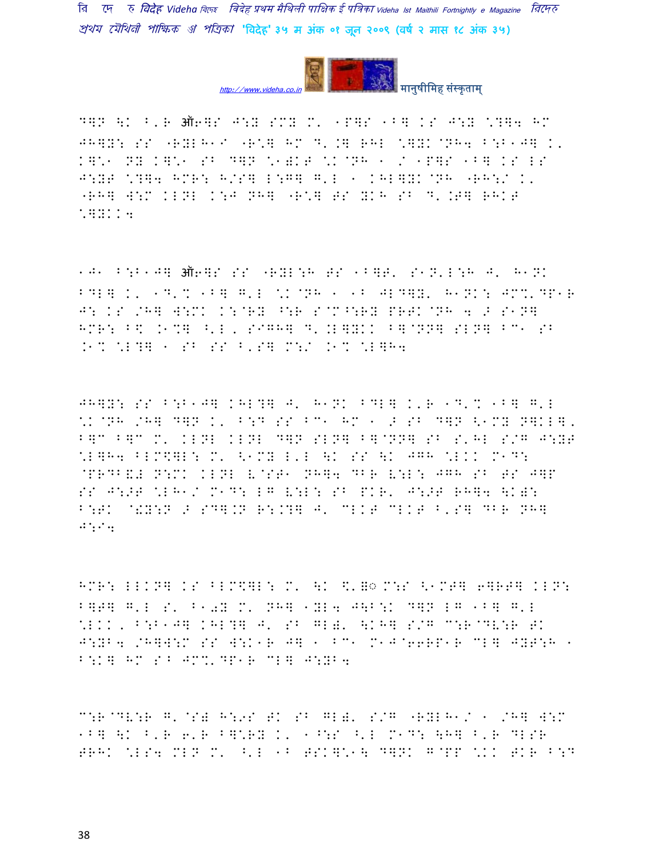

D]N \K B'R ऑ6]S J:Y SMY M' 1P]S 1B] KS J:Y \*?]4 HM JH]Y: SS "RYLH1I "R\*] HM D'.] RHL \*]YK@NH4 B:B1J] K' KALAN KERANG KALANG KERANG KALANG KALANG KALAng KALAng KALAng Kalang Kalang Kalang Kalang Kalang Kalang Kalang J:YT \*?]4 HMR: H/S] L:G] G'L 1 KHL]YK@NH "RH:/ K' "RH] W:M KLNL K:J NH] "R\*] TS YKH SB D'.T] RHKT \*]YKK4

1946 - POBLEME MARINE SS "RYLINE THE SHELL: HER DELETER HER DIS BDL] K' 1D'% 1B] G'L \*K@NH 1 1B JLD]Y' H1NK: JM%'DP1R J: KS /H] W:MK K:@RY ^:R S@M^:RY PRTK@NH 4 > S1N] HMR: B\$ .1%TH, B.E., SPHHH D, ILHBI, SPH TRE SLRH BONN ST  $1.1$   $1.1$   $1.1$   $1.1$   $1.1$   $1.1$   $1.1$   $1.1$   $1.1$   $1.1$   $1.1$   $1.1$   $1.1$   $1.1$   $1.1$   $1.1$ 

JH]Y: SS B:B1J] KHL?] J' H1NK BDL] K'R 1D'% 1B] G'L  $\Lambda$  (1955)  $\mu$  has been as a set of the set of the set of the set of the set of the set of the set of the set of the set of the set of the set of the set of the set of the set of the set of the set of the set of the set B]C B]C M' KLNL KLNL D]N SLN] B]@NN] SB S'HL S/G J:YT \*L]H4 BLM\$]L: M' <1MY L'L \K SS \K JGH \*LKK M1D: @PRDB&# N:MK KLNL V@ST1 NH]4 DBR V:L: JGH SB TS J]P SS J:+T AT A RELEASE ON THE THRISK CONTINUES. THE STATE OF THE SAME ARE SERVED AND A TH B:THE MINIMUM OF STREETS AND THE RIGHT BY CLICKTER BY THE SUBSTITUTION OF SUCH A SUBSTITUTION OF SUCH A SUBSTITUTION  $\{H_1, H_2\}$ 

 $H$  , and the state of the state of the state of the state of the state of the state of the state of the state of the state of the state of the state of the state of the state of the state of the state of the state of the BOOT G'L S' BILLET DE L'ANNES DE L'ANNES DE L'ANNES DE L'ANNES DE L'ANNES DE L'ANNES DE L'ANNES DE L'ANNES DE \*LKK, B:B1J] KHL?] J' SB GL)' \KH] S/G C:R@DV:R TK J:YB4 /H]W:M SS W:K1R J] 1 BC1 M1J@66RP1R CL] JYT:H 1 B:HIM SO JONES CLIPS OF STRING

C:R@DV:R G'@S) H:9S TK SB GL)' S/G "RYLH1/ 1 /H] W:M 1B] \K B'R 6'R B]\*RY K' 1^:S ^'L M1D: \H] B'R DLSR TRHK \*LEVA MED MY ALS AT THING HOME ON THE NIK DISK FAR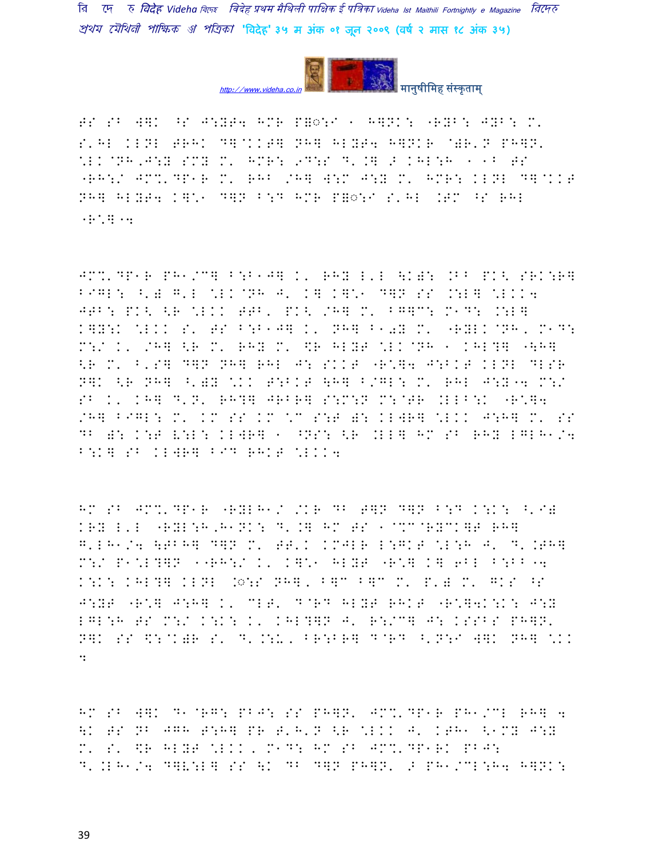

TS SB WARD PE PAGGE POR PHONE P PAGGE WHAT PER A HOUR " S'HL KLNL TRHK D]@KKT] NH] HLYT4 H]NKR @)R'N PH]N' \*LK@NH,J:Y SMY M' HMR: 9D:S D'.] > KHL:H " 1B TS "RH:/ JM%'DP1R M' RHB /H] W:M J:Y M' HMR: KLNL D]@KKT DAR AIGEA (BIN) DAR PER DE BIN BIOGA ELAI (BIN PE) BAI  $R$  and  $R$  and  $R$  and  $R$ 

JM%'DP1R PH1/C] B:B1J] K' RHY L'L \K): .BB PK< SRK:R] BIGH: BIGH: ON THE AN IN SURFACE STANDARD CONTROLL JTB: PK< <R \*LKK TTB' PK< /H] M' BG]C: M1D: .:L] K]Y:K \*LKK S' TS B:B1J] K' NH] B10Y M' "RYLK@NH, M1D: M:/ K. MHP RE M. BHB M. RE HEB NEI MP A KHERP ABHB R BY DIG Y PLYCH, THE RHELM HE WAS STOLEN A HOME HARDER OF DEVICE THE STRI NAL AR NHA A.AN NI HI:BKI BHA A.AN I.Y BHI AN HI-NI DI SB K' KH] D'N' RH?] JRBR] S:M:N M:@TR .LLB:K "R\*]4 /H] BIGL: M' KM SS KM \*C S:T ): KLWR] \*LKK J:H] M' SS DB ): K:T V:L: KLWR] 1 ^NS: <R .LL] HM SB RHY LGLH1/4 B:B:K] SB KRWART RHKT \*LKK

HM SB JM%'DP1R "RYLH1/ /KR DB T]N D]N B:D K:K: ^'I) KRYL:H,HINK:HINK: DO. DY.HINK: DY.HINK: DY.HI B. EARLY AND AN OUR CONSIDERED IN MINOR CONSIDERATION OF THE MILL UP OF THE MILL UP OF THE MILL UP OF THE MILL MY:/ P1\*LEMBR (1989) NON-LOCAL CORPORATION (PLACE CORPORATION) K:K: K: KHL?] KI: S NH (STAR) (SHR) (SHR) P') M' BLOG AT GHI P'S NH (SHR) (SHR) (SHR) (SHR) (SHR) (SH HYDE "RENT PYRT I: MER. TYRT REDR RRIF "RENTHIY!" RYD LGE: SA: GEO D'SON D'SON DONNE ERREIRE (AN IBSOURD) AN INGENE EN BARBEL D'RECORD AG (1988), SS \$1, CGD & PORGER PORT DE PORT (1988), DARD (1988), 100  $\dddot{\phantom{0}}$ 

HM SB W]K D1@RG: PBJ: SS PH]N' JM%'DP1R PH1/CL RH] 4 \K TS NB JGH T:H] PR T'H'N <R \*LKK J' KTH1 <1MY J:Y MY ST REAR MILL THAN AT SPATHURE PRAY D'.LH1/4 D]V:L] SS \K DB D]N PH]N' > PH1/CL:H4 H]NK: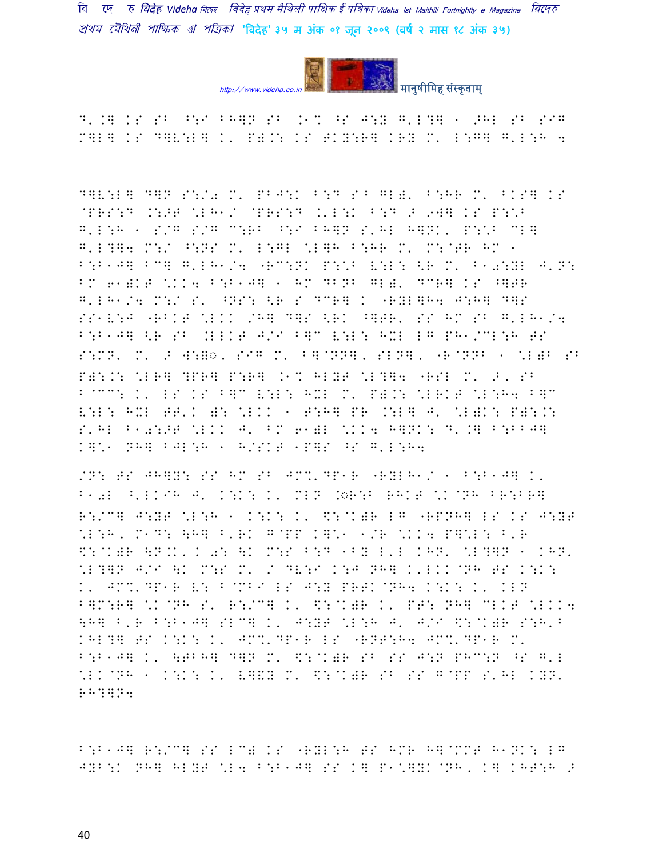

D. IN SE SB .1% IN SBN SB .1% .1% HE SIGN SIGN SIGN SIGN MALA KS DA MALALA KU MU LE MA MA KANG MAARA MINI KARY MINI KARY MINI KARY MINI KA

DULGER DUR SCHLIEL DIAGE FOR SI HER FORM MISSINGER @PRS:D .:>T \*LH1/ @PRS:D .'L:K B:D > 9W] KS P:\*B G'L:H 1 S/G S/G C:RB (B)N FHR SYHL HINK' P:I B B. ENHANCE THE T. CL ENHANCEMENT MANAGEMENT WITH A TANK HAS MY MY ME B:B1J BC BC BC BLOCK THAT RESOURCES TO BE A RCHINE AND THE BM 61818 MIN BY FROM BUILDING GROUPS AND DRIVE B.19 M:/ S' S' RES RE S PTER I: HIRRA PIR PRO SSIV:J "RBKT "RBKT" SSIV:J "RBKT "RBKT" "RBBKT" SSIV:J "B" SSIV:J "B" SSIV:J "B" SSIV: B:B1J1, H2O .LLKT PRODUCED IN THE SB .LLKT SB .LLKT AND LACKED .LLKT .LLKT .LLKT .LLKT .LLKT .LLKT .LLKT .LLKT S:MN' M' > W:=◌, SIG M' B]@NN], SLN], "R@NNB 1 \*L)B SB P):.: \*LR] ?PR] P:R] .1% HLYT \*L?]4 "RSL M' >, SB B@CC: LS ASSESSMENT POINT AND MY POINT TO ALL MY POINT AND REMAINING LINE NO HOLE (PRINT ): WHICH IS A SPIRE TO .: LINE HOLE .: LINE IS THIN IN STAND BILD BILD BILD FOR HIS TILL FUNDS ON THE BILD FOR A HIS K]\*1 NH] BJL:H 1 H/SKT 1P]S ^S G'L:H4

/N: TS JH]Y: SS HM SB JM%'DP1R "RYLH1/ 1 B:B1J] K' B10L A:E:PROBLEM: K:K: K:K: K:BROSPH:BR:BRI R:/CA P:H: MI:H 1 K:H: K: K: K: MI:H 1 M (PERMA LS KS P:H: \*L:H, M1D: \H] B'RK G@PP K]\*1 1/R \*KK4 P]\*L: B'R \$:@K)R \N.K'. 0: \K M:S B:D 1BY L'L KHN' \*L?]N 1 KHN' \*L?]N J/I \K M:S M' / DV:I K:J NH] K'LKK@NH TS K:K: K' JAMMI HERBORI EN FYRK BETYNE EDDE DANN KOMMUNIST BADYARA MINYAR SI RYZMA IL KY MAR IL BAY DRA MEIG MEIGH \H] B'R B:B1J] SLC] K' J:YT \*L:H J' J/I \$:@K)R S:H'B KHL?] TS K:K: K' JM%'DP1R LS "RNT:H4 JM%'DP1R M' B:B1J] K' \TBH] D]N M' \$:@K)R SB SS J:N PHC:N ^S G'L \*LK@NH 1 K:K: K' V]&Y M' \$:@K)R SB SS G@PP S'HL KYN' RH?]N4

B:B1J] R:/C] SS LC) KS "RYL:H TS HMR H]@MMT H1NK: LG JYB:K NH] HLYT \*L4 B:B1J] SS K] P1\*]YK@NH, K] KHT:H >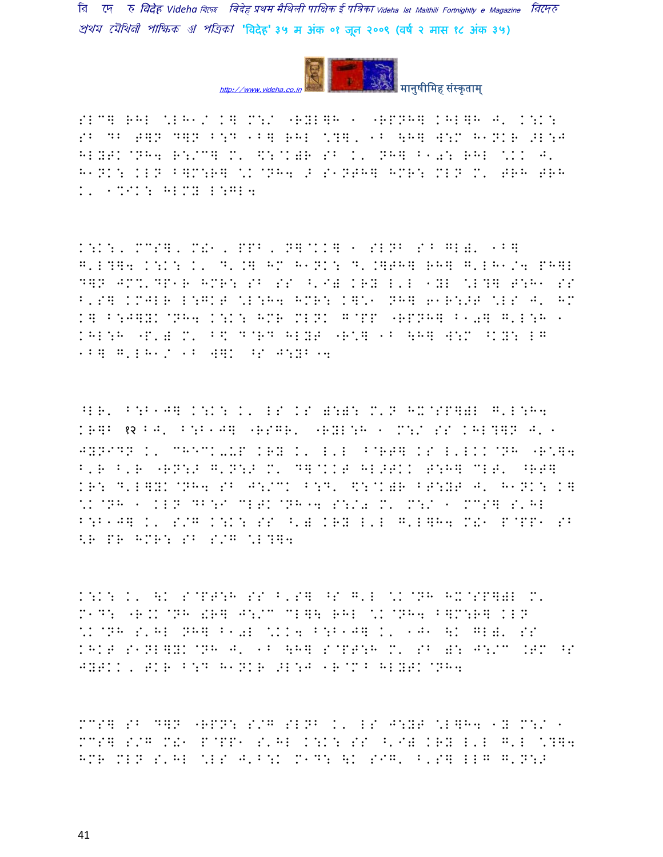

SLTA RHL MERZ IA MIZ MARRA K MEDRA IRRA A. INI SB DB T]N D]N B:D 1B] RHL \*?], 1B \H] W:M H1NKR >L:J HLYTK@NH4 R:/C] M' \$:@K)R SB K' NH] B10: RHL \*KK J' H1NK: KLN B]M:R] \*K@NH4 > S1NTH] HMR: MLN M' TRH TRH K' 15 IK: HISTORY LIGHT

K:K:, MCSA, MES, PPB, NEGULA SOPERE PRED, SP G'L?]4 K:K: K' D'.] HM H1NK: D'.]TH] RH] G'LH1/4 PH]L DAR ADD. DEKE ADEG SP SS OLYG CEG ELE KGB SG MAR GGAK SS B'S KM (1017) HERE IN THE RESIDENCE OF THE LIGHT  $\sim$  The Theory of the Light of The Theory of the T K] B:J]YK@NH4 K:K: HMR MLNK G@PP "RPNH] B10] G'L:H 1 KHINA "POLE TO PROTOKT HENR "HOR "POLE HAR HIN" PONT BY ET 199 G'LH1/ 199 GB1/ 199 GB1/4

^LR' B:B1J] K:K: K' LS KS ):): M'N HX@SP])L G'L:H4 KR]B १२ BJ' B:B1J] "RSGR' "RYL:H 1 M:/ SS KHL?]N J'" JANIDAN KE CHECK-UP KERY KERY KERY KERY KERY KE LILANG KE LAKKA KE LAKKA KE LAKKA KE LAKKA KE LAKKA KE LAKKA M B'R B'R B'R B'R B'R B'R B'R D'AINT AN D'AIRS D'AN D'ANN AN D'AIRS D'AN D'AIRS D'AN D'AIRS D'AN D'AIRS D'AN D'A KR: D. BH: DRA SP J:/CK B:D', B: D. B: BE: BI: A. B. D. BK: \*K@NH 1 KLN DB:I CLTK@NH"4 S:/0 M' M:/ 1 MCS] S'HL B:B1J K' SINJ KOMITAN SE SINJ KE SINJ KE SILA MELAH MINY LE SEKILAH MENJADI SE  $R$  , and  $R$  is strip to the second second second second second second second second second second second second second second second second second second second second second second second second second second second sec

K: SOPT: K' SOPT: K' SOPT: SOPT: K' SOPT: HARD AN HAND AND AN HOLD ON LARGE STATE OF LARGE STATE OF LARGE STATE D: "R.K. H: N.K. RHL #N.C. CLEAR BAR (N.K. CARA BELINA BILI \*KONFER SOME THAN BIND ON BINDER SOME TO A 44 BEN BINDING KHKT SINLIYE SA MARI SINLIYE NA MARI SINLIYE SARA NI SANG SA NGA 2011, ISANG INA MILITARI SA PANGHANG ANG ANG JYTKK, THE BIR B:D HIS IN THE BIR DIRE

MCSB) SB DARK (SPNB) SCH SLANB KONG KARA (SLADA 1999) SB MGC 1 MCS] S/G M!1 P@PP1 S'HL K:K: SS ^'I) KRY L'L G'L \*?]4 HMR MLD SIHL MLK HI MATH HI SYTE FISH LLG GETTE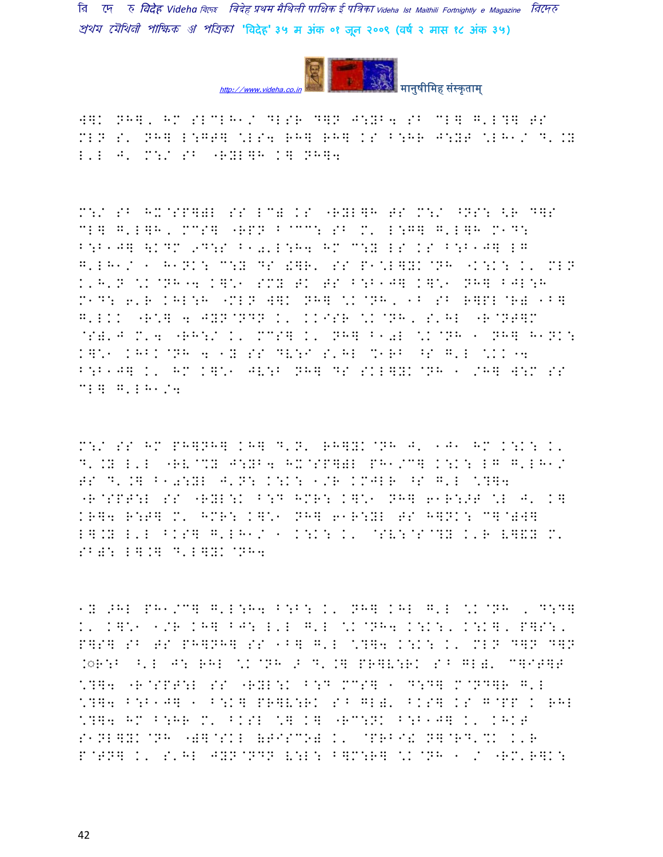

W]K NH], HM SLCLH1/ DLSR D]N J:YB4 SB CL] G'L?] TS MLN S' NH] L:GT] \*LS4 RH] RH] KS B:HR J:YT \*LH1/ D'.Y L'A MINISTRA RESERVED

MS:/ SP HX@SPRHE SS EMH (SS HRIERH) RE MS://PRS RE PRE CLA G'LIAN STEAT (BER BOCC: SB M' L:GAA MIRIN MOTOR B:B1J] \KDM 9D:S B10'L:H4 HM C:Y LS KS B:B1J] LG B. EARLY A HANK: CHINNE BE EARLY IN CONSIDERING THE ACTIVITY OF THE SAME REPORT K'H'N Y MY THAT I BILL THAT BILL THAT I SHILL THE BALLER M1D: 6'R KHL:H "MLN W]K NH] \*K@NH, 1B SB R]PL@R) 1B] G'LKK "R\*DN K"R\*DN KONNER "R\*DN K' KKISR "R\*DN K' KKIS @S)'J M'4 "RH:/ K' MCS] K' NH] B10L \*K@NH 1 NH] H1NK: KAN KHBKONH 4 YO SS DONG KAHA MARA AN ALI MINA B:B1J] KO HM KARA (PES) DA SKRLIG SKLIGE (PES) SKL CLE G. P. P. C.

M:/ SS HM PH]NH] KH] D'N' RH]YK@NH J' 1J1 HM K:K: K' D'.Y L'L "RV@%Y J:YB4 HX@SP])L PH1/C] K:K: LG G'LH1/ TS D'ANNE EN L'ANNE DE L'ANNE DE L'ANNE DE L'ANNE DE L'ANNE DE L'ANNE DE L'ANNE DE L'ANNE DE L'ANNE DE L'ANNE "AB: TETERTE "SSE" (AB:DE TET") (K TETERT) (DIRET) (K HA:D HA:D HA:D DIRET) (K T KRA: RSPA C. PORS KAR, CAA R:PSB (P) HAT HEN S CA SHI L].Y L'L BKS] G'LH1/ 1 K:K: K' @SV:@S@?Y K'R V]&Y M' SB): L].] D'L]YK@NH4

1Y >HL PH1/C] G'L:H4 B:B: K' NH] KHL G'L \*K@NH , D:D] K. KARA BI: KATA BI: LE G'L KITAN KIKI, KIRI, PAMI, P]S] SB TS PH]NH] SS 1B] G'L \*?]4 K:K: K' MLN D]N D]N .CORGE - EL ES APA - BEL 100 108 - D'. DE "ERHEGAE" - EL FUEL - MERBEER \*?]4 "R@SPT:L SS "RYL:K B:D MCS] 1 D:D] M@ND]R G'L \*?]4 B:B1J] 1 B:K] PR]V:RK S^ GL)' BKS] KS G@PP K RHL \*?]4 HM B:HR M' BKSL \*] K] "RC:NK B:B1J] K' KHKT SINL) WAR WARDEN DIE KONINGEN VAN DIE KONINGEN VAN DIE KONINGEN VAN DIE KONINGEN OOR DIE KONINGEN OOR DIE KONI P@TN] K' S'HL JYN@NDN V:L: B]M:R] \*K@NH 1 / "RM'R]K: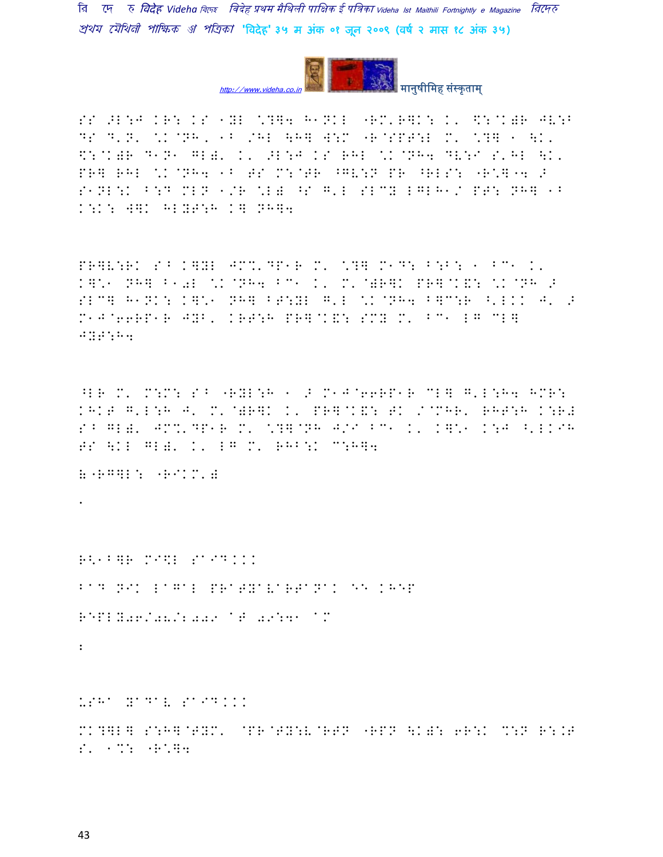

SS ALGA (BG 13' KOL "ATHA "RMYIL" (BT.BHIG 1. SG 11AB ALGA DS D'N' \*K@NH, 1B /HL \H] W:M "R@SPT:L M' \*?] 1 \K' \$:@K)R D1N1 GL)' K' >L:J KS RHL \*K@NH4 DV:I S'HL \K' PR] RHL \*K@NH4 1B TS M:@TR ^GV:N PR ^RLS: "R\*]"4 > S1NL:K B:D MLN 1/R \*L) ^S G'L SLCY LGLH1/ PT: NH] 1B K:K: W]K HLYT:H K] NH]4

PRABLE SO KARE STIMPE M. NAR MEN OR BEN KOOM (1) KAN PRESENT MINISTRY BILL TO MEEN PRESENT WORK & SLC] H1NK: K]\*1 NH] BT:YL G'L \*K@NH4 B]C:R ^'LKK J' > DNA GHHEEN BOARD, CODAREN SER TO BG: SOOBOOT, CRITICAL BCITERS JYT:H4

^LR M' M:M: S^ "RYL:H 1 > M1J@66RP1R CL] G'L:H4 HMR: KHKT G'LINHT G'L'HET IN THE MAN THE MAN PHENH KNE SO GLAN STRING MY THOR SON FOR A SIGNE AND RELEASED TS RIS HINGS IN THE REPORT

("RG) ("RIKM") ("RIKM") ("RIKM") ("RIKM") ("RIKM") ("RIKM") ("RIKM") ("RIKM") ("RIKM") ("RIKM") ("RIKM") ("RI

 $\ddot{\phantom{0}}$ 

 $\mathbf{2}^{\mathbf{2}}$ 

 $R_{\rm H}$  is the mixed set of the mixed set of the mixed set of the mixed set of the mixed set of the mixed set of the mixed set of the mixed set of the mixed set of the mixed set of the mixed set of the mixed set of the m BAD NIK LAGAL PRATHER EE KHEP IS AN IN DIE REPLY 08:41 at 09:41 and 09:41 and 09:41 and 09:41 and 09:41 and 09:41 and 09:41 and 09:41 and 09:41 and 09:41

USHA YADAVIDI MK?)N S: HIS SERVER TO MAKE THE SERVER TO A SHOW THAT IS NOT THE SERVER TO THE TYPE OF THE NEW SERVER OF THE N  $\mathbf{S}$  (  $\mathbf{S}$  )  $\mathbf{S}$   $\mathbf{S}$  (  $\mathbf{S}$  )  $\mathbf{S}$  (  $\mathbf{S}$  )  $\mathbf{S}$  (  $\mathbf{S}$  )  $\mathbf{S}$  (  $\mathbf{S}$  )  $\mathbf{S}$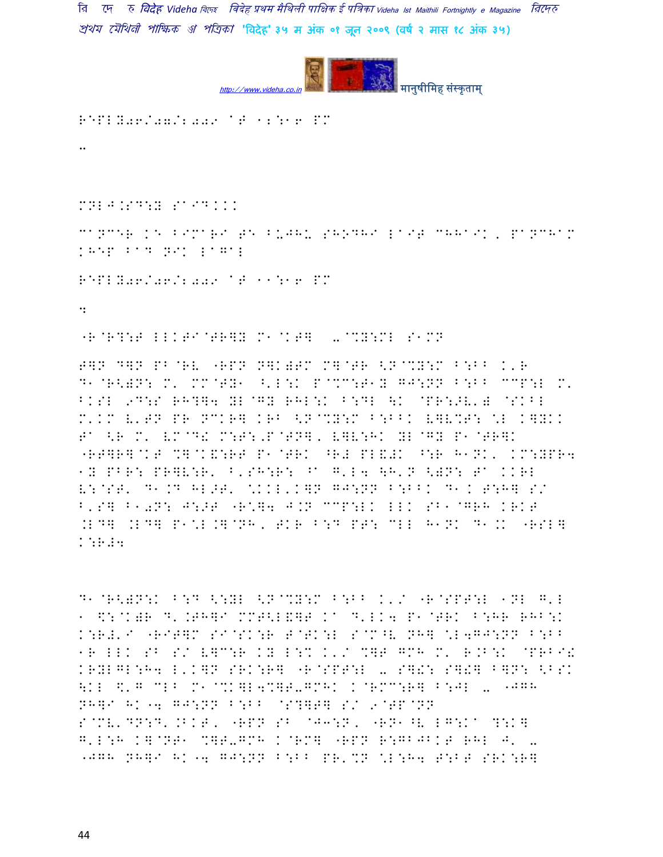

REPLYNCHES AT 12:16 PM PM

 $\ddot{\phantom{1}}$ 

MNLID.SO

CANCER KE BIMARI TE BUJHU SHODHI SHODHI CHHAIK, PANCHAMARI KHEP BAD NIK LAGAR

REPLYNG AT 11:16 PM 2009 AT 11:16 PM 2009 AT 11:16 PM 2009 AT 11:16 PM 2009 AT 11:16 PM 2009 AT 11:16 PM 2009

 $\dddot{\phantom{1}}$ 

"R@R?:T LLKTI@TR]Y M1@KT] -@%Y:ML S1MN

T]N D]N PB@RV "RPN N]K)TM M]@TR <N@%Y:M B:BB K'R D1@R<)N: M' MM@TY1 ^'L:K P@%C:T1Y GJ:NN B:BB CCP:L M' BKSL 9D:S RH?]4 YL@GY RHL:K B:DL \K @PR:>V') @SKBL M'KM V'TN PR NCKR] KRB <N@%Y:M B:BBK V]V%T: \*L K]YKK Ta Mi Viene Mi Viene Maria (1999), Santan Mi Viene Provincia Pi "RT]R]@KT %]@K&:RT P1@TRK ^R# PL&#K ^:R H1NK' KM:YPR4 1Y PBR: PR]V:R' B'SH:R: ^a G'L4 \H'N <)N: Ta KKRL V:@ST' D1.D HL>T' \*KKL'K]N GJ:NN B:BBK D1. T:H] S/ BOSH BOSH HIND CONTROL AND THIN IS A LOCAL CONTROL .LD] .LD] P1\*L.]@NH, TKR B:D PT: CLL H1NK D1.K "RSL] K:R#4

D: NEVERSO (FAR ANDEL KRIMDEN FAFFICILING) ENFRANCIS PLECHIE 1 \$:@K)R D'.TH]I MMT<L&]T Ka D'LK4 P1@TRK B:HR RHB:K K:R#'I "RIT]M SI@SK:R T@TK:L S@M^V NH] \*L4GJ:NN B:BB 1R LLK SP SA RUTH (2 LEVIS ) TURK MY TA RAIN (THING KRYLGR:SRA: LITER:SRIGR: (R) "SPT:L": SRES SPT: SPT: RISP: LIT \KL \$'G CLB M1@%K]L4%]T-GMHK K@RMC:R] B:JL - "JGH NH]I HK"4 GJ:NN B:BB @S?]T] S/ 9@TP@NN SOM: SOM: DI.BKT, "RPN SA @J3:N, "RPN SB \$P1:" THIS B.:GB CBCH CHARM CORN RED AND RHUBBCH RHL J. "JGH NH]I HK"4 GJ:NN B:BB PR'%N \*L:H4 T:BT SRK:R]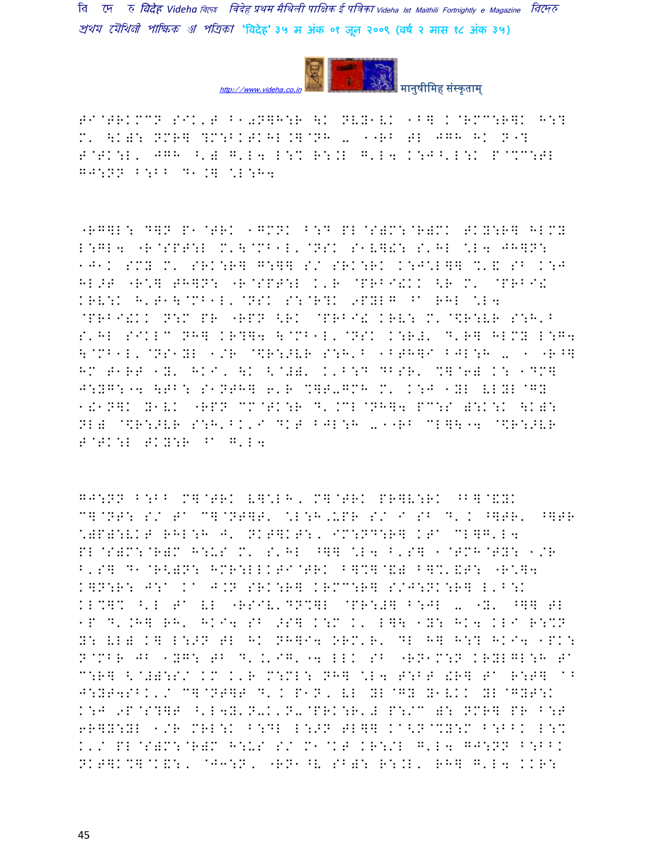

THE SIMILAR BIRGHT BIRGHT BIRGHT BIRGHT BIRGHT BIRGHT M. ADEN VORM MONTERDE DE VAN 2000 FERDER DE SAAR DE VAN T@TK:L' JGH ^') G'L4 L:% R:.L G'L4 K:J^'L:K P@%C:TL GJ:NN B:BB D1.] \*L:H4

"RG]L: D]N P1@TRK 1GMNK B:D PL@S)M:@R)MK TKY:R] HLMY L:GL4 "R@SPT:L M'\@MB1L'@NSK S1V]!: S'HL \*L4 JH]N: 1J1K SMY M' SRK:R] G:]] S/ SRK:RK K:J\*L]] %'& SB K:J HIJA "RYA PRATH" (RYANI) THING ANG PRATHI KRV:K HOT HET IN SK SOME SOME DER SOME DER SOME DER KARE SOM DER KARE SOM DER KLIMATIE @PRBI!KK N:M PR "RPN <RK @PRBI! KRV: M'@\$R:VR S:H'B S'HL SIKLC NH] KR?]4 \@MB1L'@NSK K:R#' D'R] HLMY L:G4  $\,\mathrm{H}$  (2011) 10: VR S: VR  $\,$  (2011) 10: VR S: VR S: VR S:  $\,\mathrm{H}$  (10) 10:  $\,\mathrm{H}$  and  $\,\mathrm{H}$  (2011) 10: VR S: VR S: VR S: VR S: VR S: VR S: VR S: VR S: VR S: VR S: VR S: VR S: VR S: VR S: VR S: VR S: VR S: VR S: HM THIRT IS AN ALSO AN ANGEL ON THE THIRT WE NEED A TIME J:YG:"4 \TB: S1NTH] 6'R %]T-GMH M' K:J 1YL VLYL@GY 1!1N]K Y1VK "RPN CM@TK:R D'.CL@NH]4 PC:S ):K:K \K): NL) @\$R:>VR S:H'BK'I DKT BJL:H -""RB CL]\"4 @\$R:>VR T@TK:L TKY:R ^a G'L4

GRANDER GRAND WEITHER WITH DER VAN DIE BEREIGSE VON HUITEIG. TA CARA SINYATI TA CARABI, NI SA LISA SINYA SINYATRI DI PARA. NPARA \*)P):VKT RHL:H J' NKT]KT:, IM:ND:R] KTa CL]G'L4 PL@S)M:@R)M H:US M' S'HL ^]] \*L4 B'S] 1@TMH@TY: 1/R B'S] 214 | THO THAVEN BY DIRECT EXTORPED AT A RITH THOS, A RITH IN EASY OF HAN RH K]N:R: J:a Ka J.N SRK:R] KRMC:R] S/J:NK:R] L'B:K KLARK (KL) EN LE "HEYL FRYAL (PRYAR FYAL L'YAL "AL" FAR EL 1P D'.H] RH' HKI4 SB >S] K:M K' L]\ 1Y: HK4 KLI R:%N W: LEB CH ENST BE HO THANG ORDER TO HA HIS HONG FEOR N@MBR JB 1YG: TB D'.'IG'"4 LLK SB "RN1M:N KRYLGL:H Ta C:REA): S. MUEREZ, C.C. C.C. E. CACEA (DAR) MEA (BA): RAFE (BR) (BRAFE (MA) J:YT4SBK'/ C]@NT]T D'. P1N, VL YL@GY Y1VKK YL@GYT:K K:J 9P@S?]T ^'L4Y'N-K'N-@PRK:R'# P:/C ): NMR] PR B:T 6R]Y:YL 1/R MRL:K B:DL L:>N TL]] Ka<N@%Y:M B:BBK L:% K'/ PLANE SERIE MINISTER AND HIS SAN HIS SAN HIS SAN HIS SAN HIS SAN HIS SAN HIS SAN HIS SAN HIS SAN HIS SAN H DN BARO NA MORING, "PARTIS AND HIS CONTROLLING BARO AND HIS CONTROL.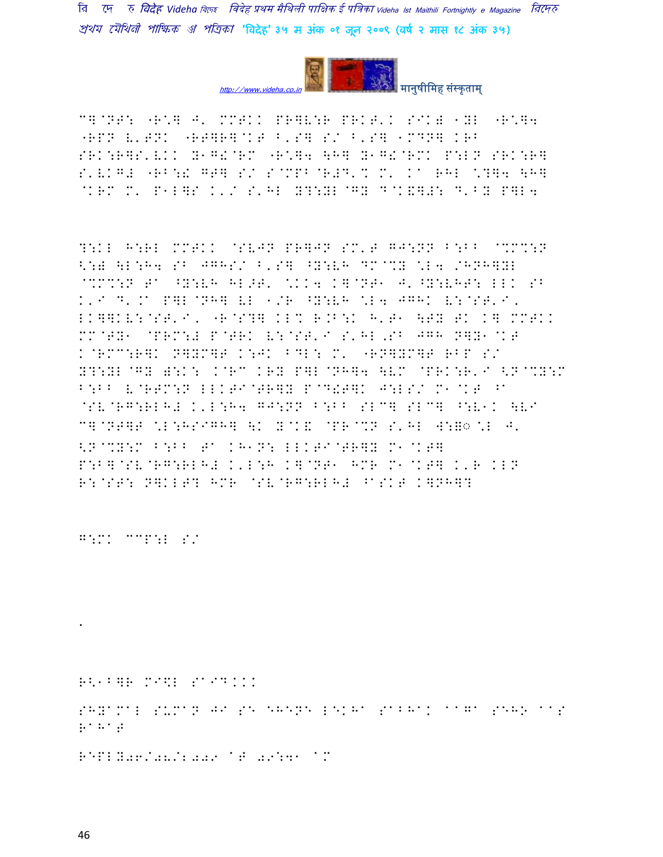

C]@NT: "R\*] J' MMTKK PR]V:R PRKT'K SIK) 1YL "R\*]4  $R$ PNOV'T BY RTHE ROOM IS A SAME ROOM IN THE REAL PROPERTY OF REAL PROPERTY IS A DISCUSSED OF DISCUSSION OF REAL PROPERTY OF REAL PROPERTY OF REAL PROPERTY OF REAL PROPERTY OF REAL PROPERTY OF REAL PROPERTY OF REAL PROPERT SRK:R]S'VKK Y1G!@RM "R\*]4 \H] Y1G!@RMK P:LN SRK:R] STANDAR SHING AND STORE THAN NON-TIME THAT THE STAR ARD @KRM M' P1L]S K'/ S'HL Y?:YL@GY D@K&]#: D'BY P]L4

THI HARR MUSIC MEST PRASH SMIR SMAN SMY MUNIS <:) \L:H4 SB JGHS/ B'S] ^Y:VH DM@%Y \*L4 /HNH]YL MMMM:N TA PENER RESERVANCE CHANNEL PENERBY EEN SP K'I P. D'. PHE VRHH (EE) - ZE (FBHER VI: ST'HHI) (EN YEK) P. LED HAD LA TERLIK LOGINARIA DE DOMERTADO AL PROVABILITA DO DE DOCADO MM THE STRING PORT ENDING STRING VICTORY OF THE STRING K:R:R)K NIYA NG KATILIT KE KATA SA KATA SA KATA SA KATA SA KATA SA KATA SA KATA SA KATA SA KATA SA KATA SA KAT Y?:YL@GY ):K: .@RC KRY P]L@NH]4 \VM @PRK:R'I <N@%Y:M B:BB V: Likted belief and the pair of the pair of a state of the state of the pair <u>MORSH:RLOURSH:RLH</u> BAYDE FYER SLCH SLCH BILL BILE CH CHIEF (LIGH) THE SECOND CONTROL WILL WE CHANGE OF STATES OF STATES OF STATES OF STATES OF STATES OF STATES ROWSHIP B:BB TAN TA B:BB TA KHINI MI MI BE P:B]@SV@RG:RLH# K'L:H K]@NT1 HMR M1@KT] K'R KLN R:@ST: N]KLT? HMR @SV@RG:RLH# ^aSKT K]NH]?

G:MK CCP:L S/

 $R_{\rm max}$  is the same state of the same state  $R_{\rm max}$ 

SHAMAL SUMAN JI SE EHENE LEKHA SABHAK AAGA SEHO AAGA SEHO AAGA SEHO AAGA SEHO AAGA SEHO AAGA SEHO AAGA SEHO AA RaHaT

REPLYNG AT 09:41 aT 09:41 aT 09:41 aT 09:41 aT 09:41 aT 09:41 aT 09:41 aT 09:41 aT 09:41 aT 09:41 aT 09:41 aT 0

 $\ddot{\phantom{0}}$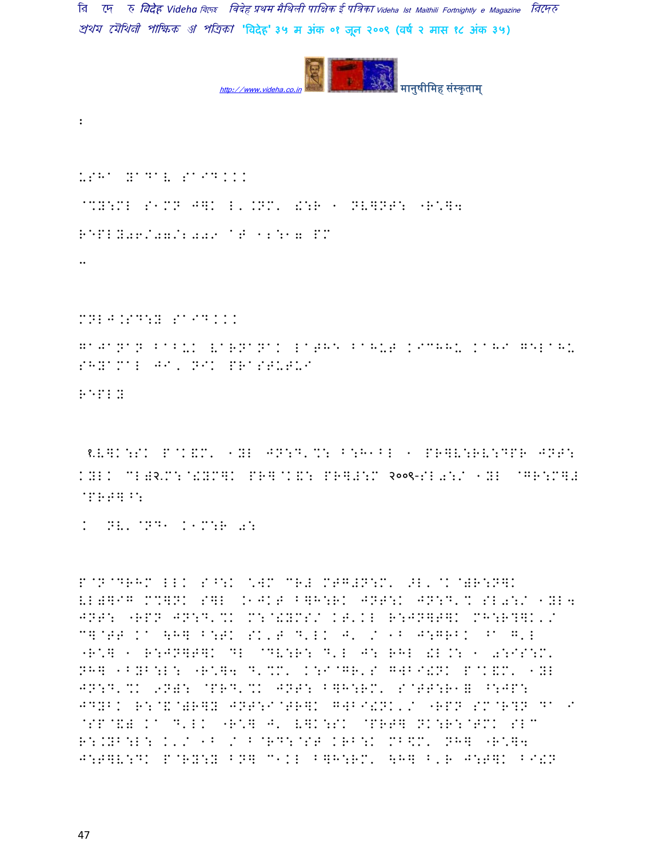

USHa YaDaV SaID... @%Y:ML S1MN J]K L'.NM' !:R 1 NV]NT: "R\*]4 REPLYN 2009 aT 12:17 PM 2009 aT 12:17 PM 2009 aT 12:17 PM 2009 aT 12:17 PM 2009 aT 12:17 PM 2009 aT 12:17 PM 2  $\ddotsc$ 

MNLJ.SD:Y SaID...

GaJaNaN BaBUK VaRNaNaK LaTHE BaHUT KICHHU KaHI GELaHU SHITTE AN, NY PROPERTY

**RAPE II** 

 $\ddot{\cdot}$ 

१.V]K:SK P@K&M' 1YL JN:D'%: B:H1BL 1 PR]V:RV:DPR JNT: KWALI CHIBAZYA YAWIMA PRANYIKAN PRAJAYA ROOS-NA ANYI 1YUL MARYYA.A @PRT]^:

. NO. 1999. NO. 1999.

P@N@DRHM LLK S^:K \*WM CR# MTG#N:M' >L'@K@)R:N]K VL)]IG M%]NK S]L .1JKT B]H:RK JNT:K JN:D'% SL0:/ 1YL4 JNT: "RPN JNT: "M: MIN: "ATH: FRIHE "PRIETE!!! C]@TT Ka \H] B:TK SK'T D'LK J' / 1B J:GRBK ^a G'L "RENN "ROVERBERG" THE "THINES" TO LOCATE BABY RIS ON "ROVERBOOK". NH] 1BYB:L: "R\*]4 D'%M' K:I@GR'S GWBI!NK P@K&M' 1YL JAPYRIN: 2001: OPRDINI BURY FURNENI SOMARAR (SAPY JDYBK R:@&@)R]Y JNT:I@TR]K GWBI!NK'/ "RPN SM@R?N Da I @SP@&) Ka D'LK "R\*] J' V]K:SK @PRT] NK:R:@TMK SLC R:.YB:L: K'/ 1B / B@RD:@ST KRB:K MB\$M' NH] "R\*]4 J:T]V:DK P@RY:Y BN] C1KL B]H:RM' \H] B'R J:T]K BI!N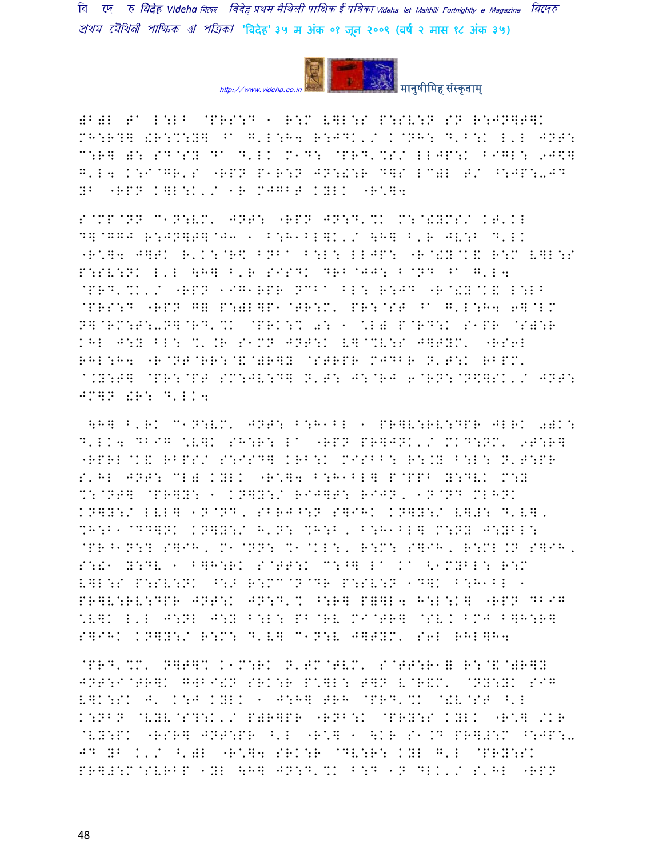

)B)L Ta L:LB @PRS:D 1 R:M V]L:S P:SV:N SN R:JN]T]K MH:R?] !R:%:Y] ^a G'L:H4 R:JDK'/ K@NH: D'B:K L'L JNT: C:R] ): SD@SY Da D'LK M1D: @PRD'%S/ LLJP:K BIGL: 9J\$] G'L4 K:I@GR'S "RPN P1R:N JN:!:R D]S LC)L T/ ^:JP:-JD B "RPN KALSKY "RPN" KYLK "RYD

SMOTOR SARAT, ARE GREATED AND MINIMAL CHI DA TAARA SENGARAAN HIJA NI BERASA ENGILIS INI BERASA DALAM DINA ES "R# NARA BY REAL DO BY REAL PORT OF PAINT AN ARTICLE CALLINE BY REAL BY REAL BY REAL BY REAL BY REAL BY REAL B P:SV:NSP:NEL EN B'R SISDA DRAGIN: BERNDARIS DRIVING DRIVER BE @PRD'%K'/ "RPN 1IG1RPR NCBa BL: R:JD "R@!Y@K& L:LB @PRS:D "RPN G= P:)L]P1@TR:M' PR:@ST ^a G'L:H4 6]@LM N]@RM:T:-N]@RD'%K @PRK:% 0: 1 \*L) P@RD:K S1PR @S):R KHL J:Y BL: %'.R S1MN JNT: %'.R S1MN JNT: %Y:S J RHL:H4 "R@NT@RR:@&@)R]Y @STRPR MJDBR N'T:K RBPM' @.Y:T] @PR:@PT SM:JV:D] N'T: J:@RJ 6@RN:@N\$]SK'/ JNT: JM]N !R: D'LK4

 $\{H,B,B,C,D\}$  and  $\{H,B,C,C\}$  and  $\{H,B,C,D\}$  in  $\{H,B,C,D\}$  and  $\{H,B,C,D\}$ D'LK4 DBIG \*V]K SH:R: La "RPN PR]JNK'/ MKD:NM' 9T:R] "RPRL@K& RBPS/ S:ISD] KRB:K MISBB: R:.Y B:L: N'T:PR SL PE CAPAN (ME BOILBEI) CAPANY PANY PENE POMPE CHANEL (MNH) %:@NT] @PR]Y: 1 KN]Y:/ RIJ]T: RIJN, 1N@ND MLHNK KORBINI ELEB (KOVOR), SPARJNI SBRJA: KOVBINI, LBIJ, M, LBI) %H:B1@DD]NK KN]Y:/ H'N: %H:B, B:H1BL] M:NY J:YBL: @PR^1N:? S]IH, M1@NN: %1@KL:, R:M: S]IH, R:ML.N S]IH, STARK SENTER KOMMUNIST TERNIS ON MUSIC CONSTRUCTS REPORT LAIN: PHILIP CHI BYO COOP PHILIP (AAL) (1964) PRALIESTE ANDIVATIC PHA PEAR ANIN'A APP DRAW \*V]K L'L J:NL J:Y B:L: PB@RV MI@TR] @SV. BMJ B]H:R] S]IHK KN]Y:/ R:M: D'V] C1N:V J]TYM' S6L RHL]H4

@PRD'%M' N]T]% K1M:RK N'TM@TVM' S@TT:R1= R:@&@)R]Y JNT:I@TRIK: PHPYER SRIGE PVALG (FAR) E GREEV (VRIGE) SYM V]K:SK J' K:J KYLK 1 J:H] TRH @PRD'%K @!V@ST ^'L K:NBN @VYV@S?:K'/ P)R]PR "RNB:K @PRY:S KYLK "R\*] /KR MY:PART: PRESPECTREMENT ROLL PRESENT AT RELEASE TO PRESENT A SHEPS. JD YB K'/ ^')L "R\*]4 SRK:R @DV:R: KYL G'L @PRY:SK PR]#:M@SVRBP 1YL \H] JN:D'%K B:D 1N DLK'/ S'HL "RPN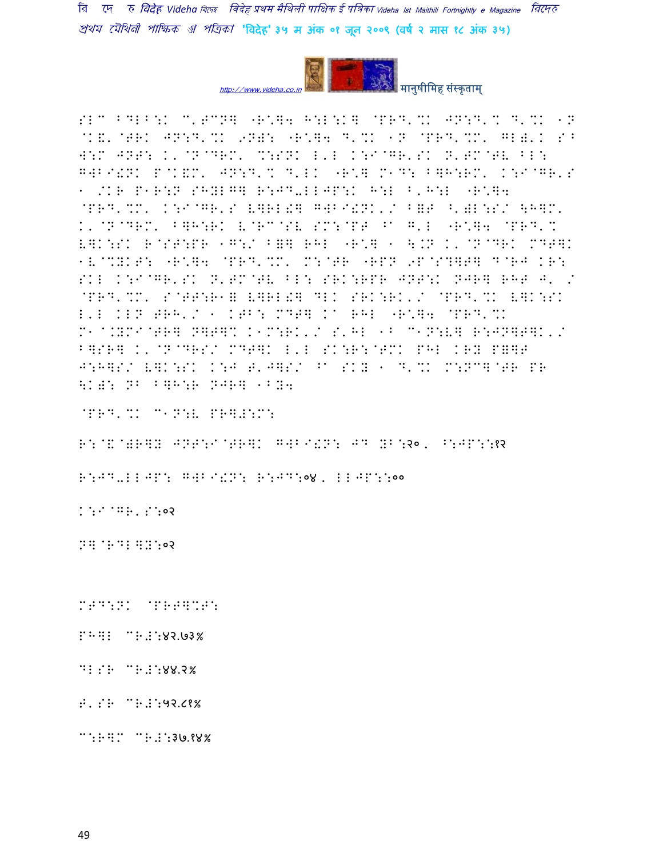

SLC BDLB:K C'TCN] "R\*]4 H:L:K] @PRD'%K JN:D'% D'%K 1N @K&'@TRK JN:D'%K 9N): "R\*]4 D'%K 1N @PRD'%M' GL)'K S^ W:M JNT: K'@N@DRM' %:SNK L'L K:I@GR'SK N'TM@TV BL: BHIRK PORT HIS REPORT OF BILL AND INTO PROPER INTO THE  $\sim$  1000 probably construct to the second second construction of  $\sim$  1000 probably. @PRD'%M' K:I@GR'S V]RL!] GWBI!NK'/ B=T ^')L:S/ \H]M' K'@N@DRM' B]H:RK V@RC@SV SM:@PT ^a G'L "R\*]4 @PRD'% V]K:SK R@ST:PR 1G:/ B=] RHL "R\*] 1 \.N K'@N@DRK MDT]K 1V@%YKT: "R\*]4 @PRD'%M' M:@TR "RPN 9P@S?]T] D@RJ KR: SKL K:I@GR'SKL K:I@GR'SK N'TM@TV BL: SRK:RPR JANUARY SRK:RPR JANUARY SRK:RPR JANUARY SRK:RPR JANUARY SRK:RPR J @PRD'%M' S@TT:R1= V]RL!] DLK SRK:RK'/ @PRD'%K V]K:SK L'L KLN TRH'/ 1 KTB: MDT] Ka RHL "R\*]4 @PRD'%K MA 100.YMI@TREFT (AMIEL 2 SLAE 1B C1N:VELE E1979.PH.C BARD KYMPAR MORD KI RIGHTEN PHL KRY PHP JOHN SKY KAID SOM SKY SKY SKY SKY TO SKY TO SKY THAT THE THE  $\mathcal{H}:\mathbb{R}^n\to\mathbb{R}^n\to\mathbb{R}^n$  is the property of  $\mathcal{H}$ 

@PRD'%K C1N:V PR]#:M:

R: TRITERRI (PRESTIERR) PER TRIPS (PP) IP: 100, ^:THP:100

R:JD-LLJP: GWBI!N: R:JD:०४, LLJP::००

 $K:U\to U$ 

 $19.9$   $19.9$ :  $19.3$ 

MTD:NK @PRT]%T:

PH]L CR#:४२.७३%

 $\therefore$  :  $\therefore$  :  $\therefore$  : : : : : 88.3%

 $\vdots$   $\vdots$   $\vdots$   $\vdots$   $\vdots$   $\vdots$   $\vdots$   $\vdots$   $\vdots$   $\vdots$   $\vdots$   $\vdots$   $\vdots$   $\vdots$   $\vdots$   $\vdots$   $\vdots$   $\vdots$   $\vdots$   $\vdots$   $\vdots$   $\vdots$   $\vdots$   $\vdots$   $\vdots$   $\vdots$   $\vdots$   $\vdots$   $\vdots$   $\vdots$   $\vdots$   $\vdots$   $\vdots$   $\vdots$   $\vdots$   $\vdots$   $\vdots$ 

 $\ldots$ :  $\ldots$   $\ldots$   $\ldots$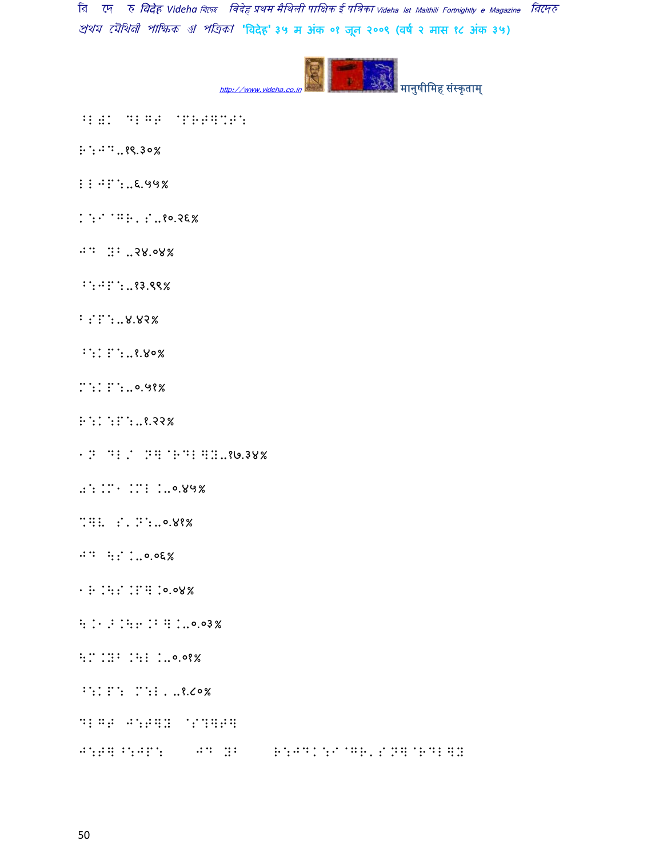

HAL THE TERRIES

 $::\cdots$ . ?९.३०%

 $: : : : : ...$ 

K:I@GR'S-१०.२६%

 $\therefore$   $\therefore$   $\therefore$  38.08%

 $::\cdot::\cdot:...83.89\%$ 

 $\cdot : \cdot : \cdot \cdot \cdot \cdot \cdot \cdot \cdot \cdot$ 

 $::\;:\;:\;:\;.\;$ 

 $\cdots$ ::::...

 $E: E: E: B.22%$ 

 $1.38$   $1.39$   $1.39$   $1.39$   $1.39$   $1.39$   $1.39$   $1.39$   $1.39$   $1.39$   $1.39$   $1.39$   $1.39$   $1.39$   $1.39$   $1.39$   $1.39$   $1.39$   $1.39$   $1.39$   $1.39$   $1.39$   $1.39$   $1.39$   $1.39$   $1.39$   $1.39$   $1.39$   $1.39$   $1.39$   $1.39$   $1.3$ 

 $0:2:2:2:2:2:3:3:4$ 

%]V S'N:-०.४१%

 $\cdots$   $\cdots$   $\cdots$ 

1R.\S.P].०.०४%

\.1>.\6.B].-०.०३%

 $\frac{1}{2}$  :  $\frac{1}{2}$  :  $\frac{1}{2}$  :  $\frac{1}{2}$  :  $\frac{1}{2}$  :  $\frac{1}{2}$  .  $\frac{1}{2}$  .  $\frac{1}{2}$  .  $\frac{1}{2}$  .  $\frac{1}{2}$  .  $\frac{1}{2}$  .  $\frac{1}{2}$  .  $\frac{1}{2}$  .  $\frac{1}{2}$  .  $\frac{1}{2}$  .  $\frac{1}{2}$  .  $\frac{1}{2}$  .  $\frac{1}{2}$  .  $\frac{1$ 

 $:Y:Y: Y: Y:Y: A.8.60%$ 

DLGT J:THE

J:T] ^:JP: JD YB R:JD K:I@GR'S N]@RDL]Y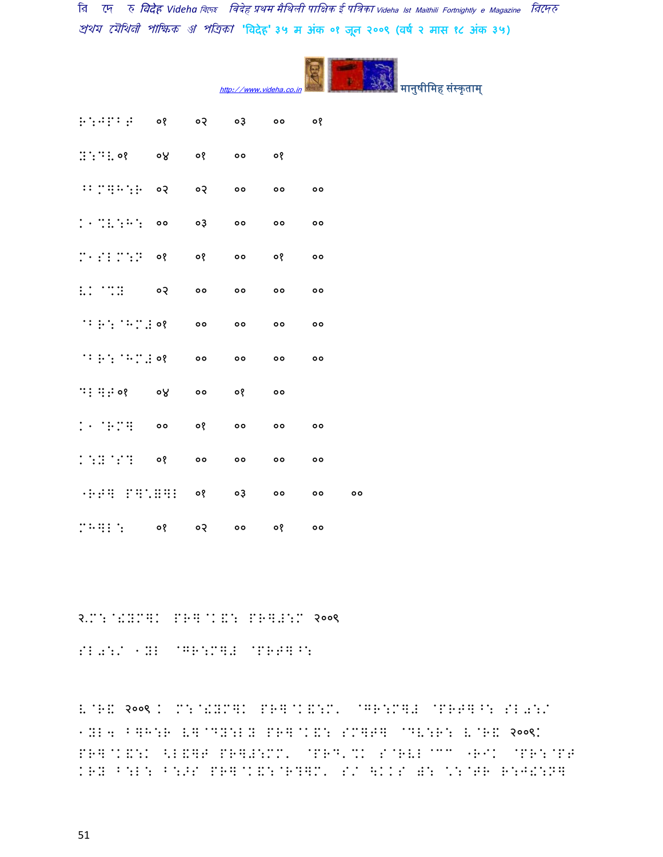|                                                                                                                                                                                                                                                                                                                                                                             |                            |               | http://www.videha.co.in |               |               |         | <mark>ः भानुषीमिह संस्कृताम्</mark> |  |
|-----------------------------------------------------------------------------------------------------------------------------------------------------------------------------------------------------------------------------------------------------------------------------------------------------------------------------------------------------------------------------|----------------------------|---------------|-------------------------|---------------|---------------|---------|-------------------------------------|--|
| enser e                                                                                                                                                                                                                                                                                                                                                                     | $\circ$ ?                  |               |                         | $\circ$       | ०१            |         |                                     |  |
|                                                                                                                                                                                                                                                                                                                                                                             |                            | $\circ$ ?     | $\circ\circ$            | οę            |               |         |                                     |  |
| $\frac{1}{2}$ : $\frac{1}{2}$ : $\frac{1}{2}$ : $\frac{1}{2}$ : $\frac{1}{2}$ : $\frac{1}{2}$ : $\frac{1}{2}$                                                                                                                                                                                                                                                               |                            | ०२            | $\circ$                 | $\circ$       | $\circ\circ$  |         |                                     |  |
| $+11.544$                                                                                                                                                                                                                                                                                                                                                                   | $^{\circ}$                 | $\circ$ 3     | $\circ \circ$           | $\circ \circ$ | $\circ \circ$ |         |                                     |  |
| $\dddot{C}$ $\dddot{C}$ $\dddot{C}$ $\dddot{C}$ $\dddot{C}$ $\dddot{C}$ $\ddot{C}$ $\ddot{C}$                                                                                                                                                                                                                                                                               |                            | $\circ$ ?     | $\circ\circ$            | $\circ$ ?     | $\circ \circ$ |         |                                     |  |
| $\mathbb{R}^n \times \mathbb{R}^n$                                                                                                                                                                                                                                                                                                                                          | ०२                         | $^{\circ}$    | $\circ \circ$           | $\circ \circ$ | $\circ$       |         |                                     |  |
| $\begin{picture}(20,20) \put(0,0){\dashbox{0.5}(5,0){ }} \put(15,0){\dashbox{0.5}(5,0){ }} \put(25,0){\dashbox{0.5}(5,0){ }} \put(35,0){\dashbox{0.5}(5,0){ }} \put(45,0){\dashbox{0.5}(5,0){ }} \put(55,0){\dashbox{0.5}(5,0){ }} \put(65,0){\dashbox{0.5}(5,0){ }} \put(65,0){\dashbox{0.5}(5,0){ }} \put(65,0){\dashbox{0.5}(5,0){ }} \put(65,0){\dashbox{0.5}(5,0){ }}$ |                            | $\circ$       | $\circ \circ$           | $\circ \circ$ | $\circ \circ$ |         |                                     |  |
| $\cdots$ $\cdots$ $\cdots$ $\cdots$                                                                                                                                                                                                                                                                                                                                         |                            | $^{\circ}$    | $\circ \circ$           | $\circ \circ$ | $\circ \circ$ |         |                                     |  |
| $\mathbb{S}^{\mathsf{c}}: \mathbb{S}^{\mathsf{c}}: \mathbb{S}^{\mathsf{c}}$                                                                                                                                                                                                                                                                                                 | ୦୪                         | $\circ \circ$ | ०१                      | $\circ \circ$ |               |         |                                     |  |
| $\mathbb{I} \leftarrow \mathbb{I}$ is $\mathbb{I} \leftarrow \mathbb{I}$                                                                                                                                                                                                                                                                                                    | $\circ$                    | $\circ$ ?     | $\circ \circ$           | $\circ \circ$ | $\circ$       |         |                                     |  |
| : 48 13 1                                                                                                                                                                                                                                                                                                                                                                   | $\mathsf{O} \, \mathsf{S}$ | $\circ$       | $\circ$                 | $\circ$       | $\circ$       |         |                                     |  |
| .                                                                                                                                                                                                                                                                                                                                                                           |                            | $\circ$ ?     | $\circ$ 3               | $\circ$       | $\circ \circ$ | $\circ$ |                                     |  |
|                                                                                                                                                                                                                                                                                                                                                                             | $\circ$ ?                  | ०२            | $\circ \circ$           | ०१            | $\circ \circ$ |         |                                     |  |

२.M:@!YM]K PR]@K&: PR]#:M २००९

SL0:/ 1WL @GR:MIN @GR:MIN

K THE ROOS IN THE TERM PRHITE MENTHEM TERRITH PROVIDING 1YL4 B]H:R V]@DY:LY PR]@K&: SM]T] @DV:R: V@R& २००९K PRACING AFIRE PRAINT, CRRS. TO PORT OUT GRY @PRYCRE KRY B:L: B:>S PR]@K&:@R?]M' S/ \KKS ): \*:@TR R:J!:N]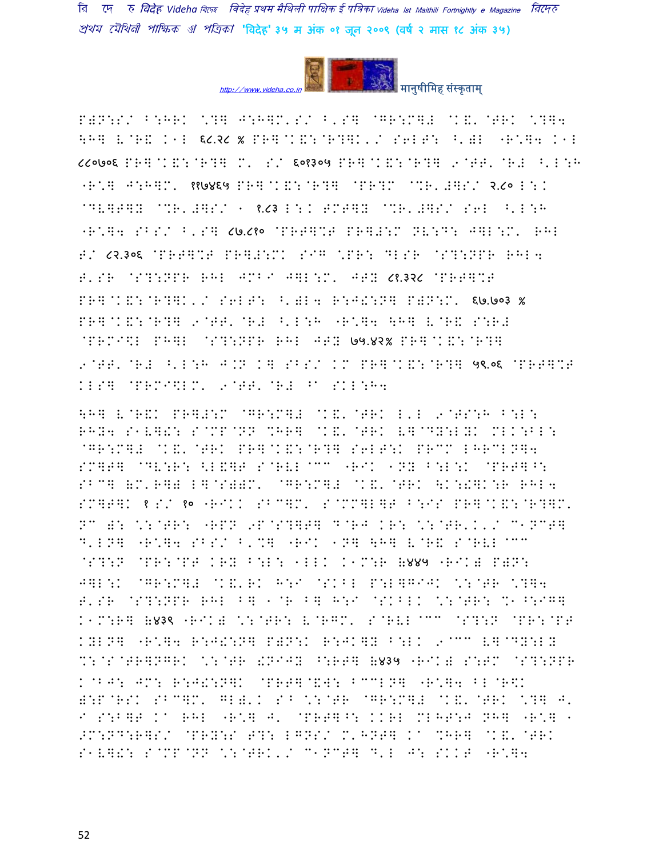

P)N:S/ B:HRK \*?] J:H]M'S/ B'S] @GR:M]# @K&'@TRK \*?]4  $\mathcal{H}(\mathcal{H})$  is the control of  $\mathcal{H}(\mathcal{H})$  and  $\mathcal{H}(\mathcal{H})$  is the proposition of  $\mathcal{H}(\mathcal{H})$  and  $\mathcal{H}(\mathcal{H})$  and  $\mathcal{H}(\mathcal{H})$  $CC$ ०७०६ PREP NERTH WE SAND RORROW PREP NERTH SPREE PREP FOR THE  $R$ "R\*] J:H]M' ११७४६५ PR]@K&:@R?] @PR?M @%R'#]S/ २.८० L:. @DV]T]Y @%R'#]S/ 1 १.८३ L:. TMT]Y @%R'#]S/ S6L ^'L:H "R\*]4 SBS/ B'S] ८७.८१० @PRT]%T PR]#:M NV:D: J]L:M' RHL T/ ८२.३०६ @PRT]%T PR]#:MK SIG \*PR: DLSR @S?:NPR RHL4 TER MEDITION RHL JULY JURISING JURIS (8,326 MERPHY) PR]@K&:@R?]K'/ S6LT: ^')L4 R:J!:N] P)N:M' ६७.७०३ % PR]@K&:@R?] 9@TT'@R# ^'L:H "R\*]4 \H] V@R& S:R# @PRMI\$L PH]L @S?:NPR RHL JTY ७५.४२% PR]@K&:@R?] 9@TT'@R# ^'L:H J.N K] SBS/ KM PR]@K&:@R?] ५९.०६ @PRT]%T KLS) @PRMI\$LM' 9@TT' 9@TT' 9@TT' 9@TT' 9@TT' 9@TT' 9@TT' 9@TT' 9@TT' 9@TT' 9@TT' 9@TT' 9@TT' 9@TT' 9@TT' 9@TT'

 $\#$ PRIME (PRIME PRIME DI PRIME PRIME DI STAR L'AUGUST L'AUGUST L'AUGUST L'AUGUST L'AUGUST L'AUGUST L'AUGUST L RHY4 S1V]!: S@MP@NN %HR] @K&'@TRK V]@DY:LYK MLK:BL: @GR:M]# @K&'@TRK PR]@K&:@R?] S6LT:K PRCM LHRCLN]4 SMARR (MRINEN RIKOR SCHRIMM) (B)N (PRT) 1NY KINY (MPRANJN SBC] (M'R]) L]@S))M' @GR:M]# @K&'@TRK \K:!]K:R RHL4 SOMERT 8 SV 80 GRAIN SPONER, SOMERE HA PORTS PRHONEN TRING NC ): \*:@TR: "RPN 9P@S?]T] D@RJ KR: \*:@TR'K'/ C1NCT] D'LN] "R\*]4 SBS/ B'%] "RIK 1N] \H] V@R& S@RVL@CC @S?:N @PR:@PT KRY B:L: 1LLK K1M:R (४४५ "RIK) P)N: JUL: MAGRIE MED B: WHO MED PHONE NIGH NUR The State Rhell basic the second theory of the state of the state K1M:R:R] (1839) (RIK) #: TR: VARYL S@RVRL@CC @S. VARYL@CC @S?:N @PR: VER: VER: KYLNI "RANGA" BYAKYLNI PEDYSK "BYAKINI PYSK" DOMOTOK PYSKE D W: COMPRESSION TO THE CONSTRUCTION OF SINGLE STRAIN CONTROL ( K@BJ: JM: R:J!:N]K @PRT]@&W: BCCLN] "R\*]4 BL@R\$K ):P@RSK SBC]M' GL)'K S^ \*:@TR @GR:M]# @K&'@TRK \*?] J' I K: BIT KA RHL "RENT PARTIES" (PER PARTIES IN DIE PARTIES PARTIES IN DIE PARTIES IN DIE PARTIES IN DIE PARTIE >M:ND:R]S/ @PRY:S T?: LGNS/ M'HNT] Ka %HR] @K&'@TRK SALARI SUMPURP NA MBILI TARTEA PLE AN SILE ABNAH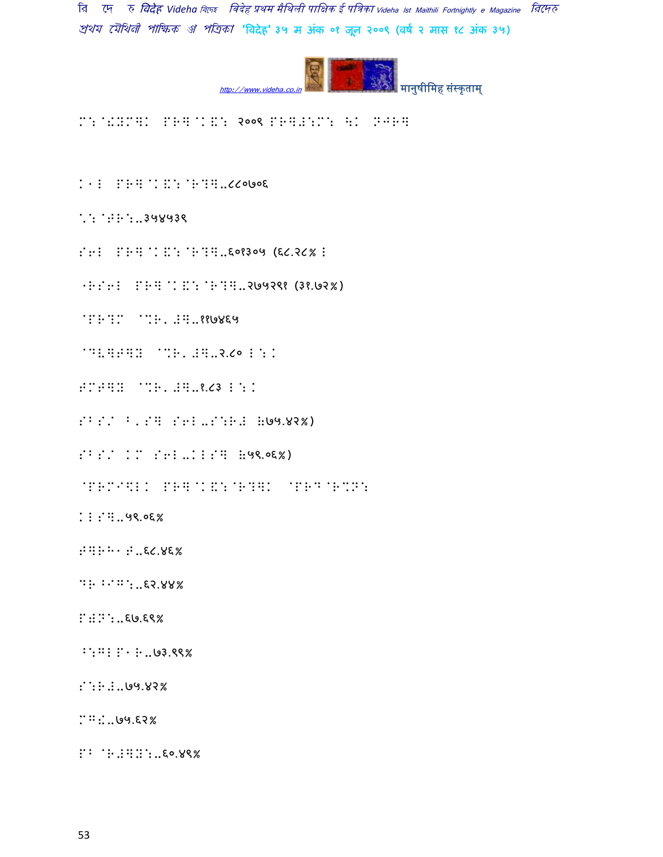

M: MEDEL PRENCES R008 PREESING RI PRPE

 $K: E \to E$   $E \to E$   $E \to E$ :  $E \to E$ :  $E \to E$ :  $E \to E$ :  $E \to E$ 

 $\therefore$ : $\therefore$ : $\therefore$ : $\therefore$ 348439

S6L PR]@K&:@R?]-६०१३०५ (६८.२८%\_

"RS6L PR]@K&:@R?]-२७५२९१ (३१.७२%)

 $T: H: H: H: H: H: H: H: H$ 

 $191.9993 - 1191.9942.$ 

 $F: F: H: H \to T: H: H: H: R: G3 \to T: L$ 

SBS/ B'S] S6L-S:R# (७५.४२%)

 $S^{\sharp}$  ( $S^{\sharp}$ )  $S^{\sharp}$  ( $S^{\sharp}$ )  $S^{\sharp}$  ( $S^{\sharp}$ ) ( $S^{\sharp}$ ) ( $S^{\sharp}$ ) ( $S^{\sharp}$ ) ( $S^{\sharp}$ ) ( $S^{\sharp}$ ) ( $S^{\sharp}$ ) ( $S^{\sharp}$ ) ( $S^{\sharp}$ ) ( $S^{\sharp}$ ) ( $S^{\sharp}$ ) ( $S^{\sharp}$ ) ( $S^{\sharp}$ ) ( $S^{\sharp}$ ) ( $S^{\sharp}$ ) ( $S^{\sharp}$ ) ( $S^{\sharp}$ ) ( $S^{\sharp}$ 

@PRMI\$LK PR]@K&:@R?]K @PRD@R%N:

 $: : : : ...$ 99.08%

 $: \mathbb{R}^n \to \mathbb{R}^n$  .  $\mathbb{R}^n \to \mathbb{R}^n$ 

 $\ldots$ :.: : : : : : : : : : : : : : : : : 38%

 $P: P: S \cup S$ ९%

 $::\;:\;:\;:\cdots$ 93.९९%

 $::\dots$ 9.8२%

 $\because$   $\because$   $\because$   $\vdots$   $\therefore$   $\forall$   $s$ 

 $P: Y: B: B: B: B \cup B$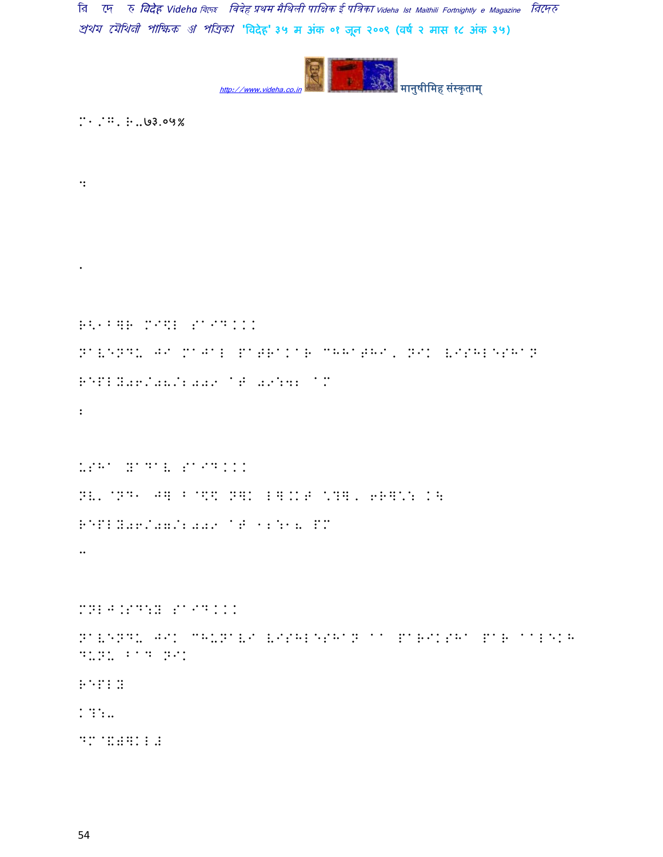

 $\therefore$   $\therefore$   $\therefore$   $\therefore$   $\therefore$   $\therefore$   $\therefore$   $\therefore$   $\therefore$   $\therefore$   $\therefore$   $\therefore$   $\therefore$   $\therefore$   $\therefore$   $\therefore$   $\therefore$   $\therefore$   $\therefore$   $\therefore$   $\therefore$   $\therefore$   $\therefore$   $\therefore$   $\therefore$   $\therefore$   $\therefore$   $\therefore$   $\therefore$   $\therefore$   $\therefore$   $\therefore$   $\therefore$   $\therefore$   $\therefore$   $\therefore$   $\therefore$ 

 $\dddot{\phantom{1}}$ 

RR MISL SAID. NaVENDU JI MaJaL PaTRaKaR CHHaTHI, NIK VISHLESHaN REPLYNCHING AT 09:42 aT

 $\ddot{\cdot}$ 

 $\sim 10^{11}$ 

USHa YaDaV SaID... NV'@ND1 J] B@\$\$ N]K L].KT \*?], 6R]\*: K\ REPRESENTATIVE AT 12:2009 AT 12:2009 AT 12:2009 AT 12:2009 AT 12:2009 AT 12:2009 AT 12:2009 AT 12:20

 $\ddot{\phantom{0}}$ 

THE SOUND STREET

NAVENDU JIK CHUNAVI VISHLESHAN AALEKSHA AALEKEHAN AALEKSHA PARTIKSHA PARTIKSHA PARTIKSHA PARTIKSHA PARTIKSHA P BED BAD NIK

**RAPPER** 

 $\mathbb{C}$  Theorem

DOM: THE SECTION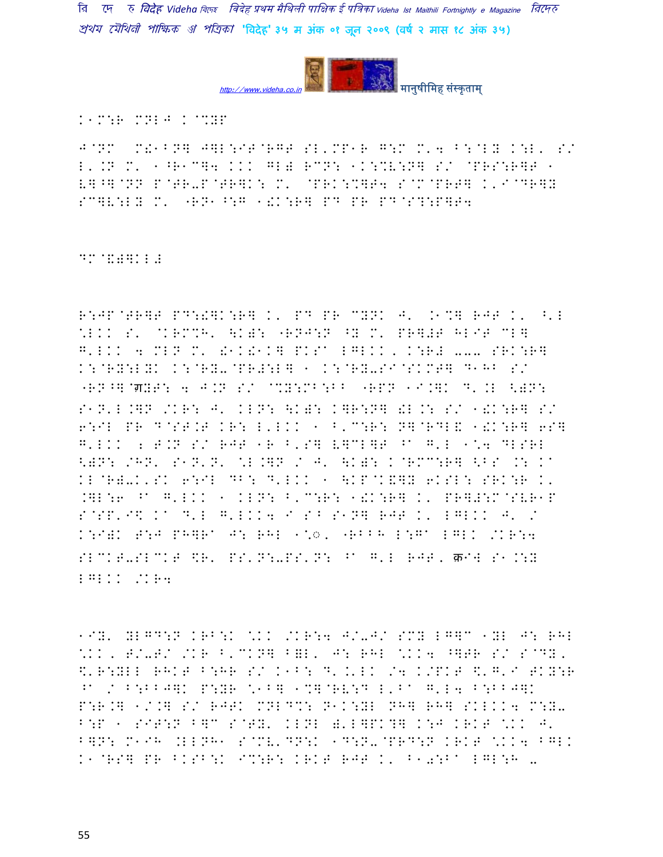

K1M:R MNLJ KONG

J@NM M!1BN] J]L:IT@RGT SL'MP1R G:M M'4 B:@LY K:L' S/ L'.N M' 1^R1C]4 KKK GL) RCN: 1K:%V:N] S/ @PRS:R]T 1 V]^]@NN P@TR-P@TR]K: M' @PRK:%]T4 S@M@PRT] K'I@DR]Y SCHEEN SCHEEN SCHEEN SCHEEN SCHEEN SCHEEN SCHEEN SCHEEN SCHEEN SCHEEN SCHEEN SCHEEN SCHEEN SCHEEN SCHEEN SCHEEN

DOM: THE SECTION

R:JP@TR]T PD:!]K:R] K' PD PR CYNK J' .1%] RJT K' ^'L  $\mathcal{L}(\mathcal{L})$  . The state of  $\mathcal{L}(\mathcal{L})$  is the state of  $\mathcal{L}(\mathcal{L})$  and  $\mathcal{L}(\mathcal{L})$  and  $\mathcal{L}(\mathcal{L})$ G'LKK 4 MLD MY GYLGYR PKYN 1911. I NAD 1911 SA YRKYR K:@RY:LYK K:@RY-@PR#:LIVESCONDER:NE  $R$  , and the proposition of the system of the system  $R$  and  $R$  and  $R$  and  $R$  and  $R$  and  $R$  of the  $R$  of the  $R$  of the  $R$  of the  $R$  of the  $R$  of the  $R$  of the  $R$  of the  $R$  of the  $R$  of the  $R$  of the  $R$  of

SN'D.] I (80 - J) RN (41 - 190 - NI BN 196 - 198 NORTH SI ING SA ING NATITIVE 6:IL PR D@ST.T KR: L'LKK 1 B'C:R: N]@RDL& 1!K:R] 6S] G'LKK ; T.N S/ RJT 1R B'S] V]CL]T ^a G'L 1\*4 DLSRL NERVICES, PORCH, NEIMEN / H. BIEVICHTVER ART IV IV KL@BAND-KD: 6:IK 9:1 DE: D'ALK 1 BET 1 BUR 61:IL D'AR(16) .]L:6 ^a G'LKK 1 KLN: B'C:R: 1!K:R] K' PR]#:M@SVR1P SESPECTAR DI DI GRUE DEL ESDE LA LEGLA I STADER (EFFECT) ALL'INCIDENTI CONTINUES DEL CONTINUES DEL CONTINUES D K:N T:J PHA J: RHE 15 PHE LIND CONTROL (1988) 2001 12: RESIDENT RESERVE SLC ROLES TO BILL BE SERVICE SINCE A GILE A GHANIC WARRANT AND ERECT CORA

1 YOU A CONFIDENT IN A SAN AND AN AIR AGAINST AN AIR AND LOCAL IN A SAN A SHAIR LANGUARY AND LANGUARY AND LANG \*KK, T/-T/ /KR B'CKN] B=L' J: RHL \*KK4 ^]TR S/ S@DY, \$'R:YLL RHKT B:HR S/ K1B: D'.'LK /4 K/PKT \$'G'I TKY:R ^a / B:BBJ]K P:YR \*1B] 1%]@RV:D L'Ba G'L4 B:BBJ]K P:R.] 1/.] S/ RJTK MNLD%: N1K:YL NH] RH] SKLKK4 M:Y-B:R 1 SIT:N BERTH IN BERTHER (BERTH) IN A SITE OF A SITE OF A SITE OF A SITE OF A SITE OF A SITE OF A SITE OF A B]N: M1IH .LLNH1 S@MV'DN:K 1D:N-@PRD:N KRKT \*KK4 BGLK K1@RSP PR BKSB:K IS KREAT RD AND A LGL:H - AND A LGL:H B10:Ba LGL: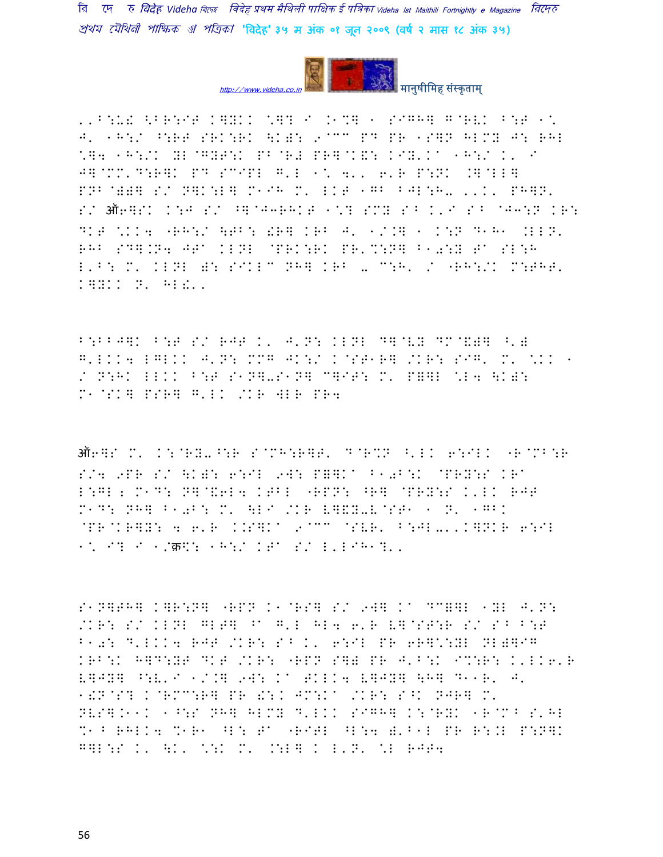

<u>..:a:U: B:B:P: I : B:I: I .199 . I .199 . I .10009 0 101 . I .10</u> J' 1H:/ ^:RT SRK:RK \K): 9@CC PD PR 1S]N HLMY J: RHL \*]4 1H:/K YL@GYT:K PB@R# PR]@K&: KIY'Ka 1H:/ K' I J]@MM'D:R]K PD SCIPL G'L 1\* 4'' 6'R P:NK .]@LL] PNB@))] S/ N]K:L] M1IH M' LKT 1GB BJL:H- ''K' PH]N' SA: MARHET (1989 SA: PHINAPAIR PAIR STROIP I FAIL POINT I SANY I BY DKT \*KK4 "RH:/ \TB: !R] KRB J' 1/.] 1 K:N D1H1 .LLN' RHB SD].N4 JTa KLNL @PRK:RK PR'%:N] B10:Y Ta SL:H L'B: M' KLNL ): SIKLC NH] KRB - C:H' / "RH:/K M:THT' K]YKK N' HL!''

B:BBJ]K B:T S/ RJT K' J'N: KLNL D]@VY DM@&)] ^') G'LKK4 LGLKK J'N: MMG JK:/ K@ST1R] /KR: SIG' M' \*KK 1 / N:HK LLKK B:T S1N]-S1N] C]IT: M' P=]L \*L4 \K): M1@SK] PSR] G'LK /KR WLR PR4

ऑ693 C. CA'REL PAR YORNBRE, FRECK RICK BYRIC (RECK 18: S/4 9PR S/ ACBS PS/E 945 PHONE FRANCY TROUGH CRN L:GR: E-C-PS PRIBEER CERE (RPD) RPN: PRIORESE CLED BRA D: TE DHE B10B: NOVER IS A LEDGED MARKET AN INCHES @PR@KR]Y: 4 6'R ..S]Ka 9@CC @SVR' B:JL-''K]NKR 6:IL 1\* I? I 1/क़\$: 1H:/ KTa S/ L'LIH1?''

S1N]TH] K]R:N] "RPN K1@RS] S/ 9W] Ka DC=]L 1YL J'N: /KR: S/ KLNL GLT] ^a G'L HL4 6'R V]@ST:R S/ S^ B:T B10: D'Alkard (D'Alkard (D'Alkard 19: IL PR 68, IL PR 68, IL PR 68, IL NU) KRB:K H]D:YT DKT /KR: "RPN S]) PR J'B:K I%:R: K'LK6'R BAANA VIRSI YOON IN ADIISA BAANA AHA MILIS YOO 1. New York 1988, The State of the State of the State of the State of the State of the State of the State of t<br>1. Jan 1988, The State of the State of the State of the State of the State of the State of the State of the St NVSHIS (11K 1982). PANG PADIWALA 11 SEPANA ING NAMA 18 NUSA KIGHA %1^ RHIC4 %1R1 HS PROPRESSING BILKE BROKER BSBB GRIMA AND STATISTICS OF THE RIGHTS OF THE RIGHTS OF THE RIGHTS OF THE RIGHTS OF THE RIGHTS OF THE RIGHTS OF TH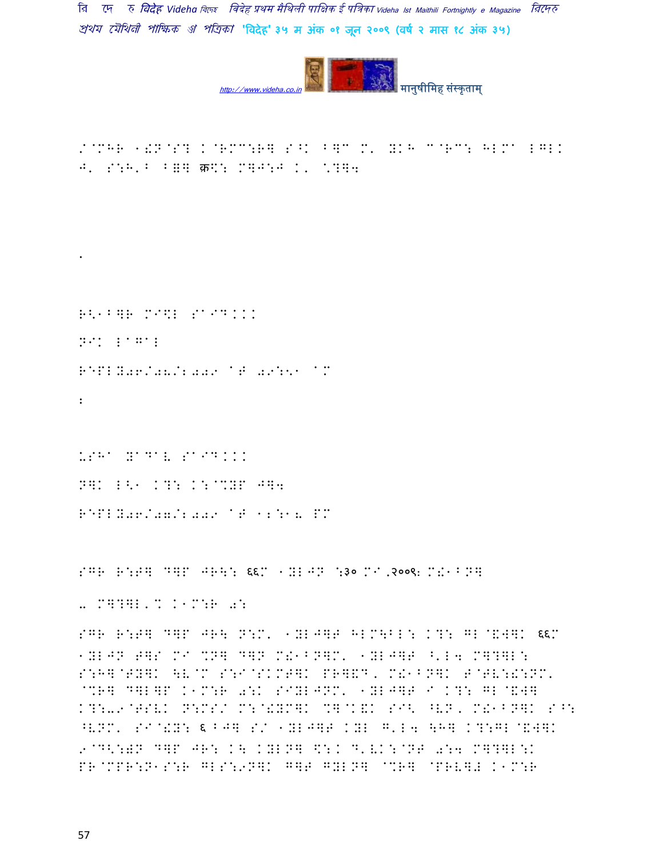SCR R:THE SGR RECORDS OF THE RESERVED ON THE SECTION CONTINUES. 1YLJN THE MI WAS MADE TO MAKE THE MINUTES OF THE MINUTES OF THE MINUTES OF THE MINUTES OF THE MINUTES OF THE M STER THIRD AN TO STEAM SIMPLE PERRY, MINISTRY FOR HIGHEST. @%R] D]L]P K1M:R 0:K SIYLJNM' 1YLJ]T I K?: GL@&W] KTRESTAVAN STORI MITER TA NEMA SIK STORI MASSIMUM VA ^VNM' SI@!Y: ६ BJ] S/ 1YLJ]T KYL G'L4 \H] K?:GL@&W]K 9@D<:)N D]P JR: K\ KYLN] \$:. D'VK:@NT 0:4 M]?]L:K PR@MPR:N1S:R GLS:9N]K G]T GYLN] @%R] @PRV]# K1M:R

- M]?]L'% K1M:R 0:

USHA YADAV SAID.

SHE RIFF RET PERIODE IN THE RET PROPERTY IN A POSSIBLE PRO

RAPPERSON AT 12:18 PM 12:18 PM 12:18 PM 12:18 PM 12:18 PM 12:18 PM 12:18 PM 12:18 PM 12:18 PM 12:18 PM 12:18 PM

NATIONAL CONTRACT CONTRACT AND ALL

 $\ddot{\cdot}$ 

REPLYNG AT 09:51 and 09:51 and 09:51 and 09:51 and 09:51 and 09:51 among and 0.01

NIK LAGAR LAGAR

 $R_{\rm H}$  is the mixed set of the mixed set of the mixed set of the mixed set of the mixed set of the mixed set of the mixed set of the mixed set of the mixed set of the mixed set of the mixed set of the mixed set of the m

 $\ddot{\phantom{0}}$ 

/@MHR 1!N@S? K@RMC:R] S^K B]C M' YKH C@RC: HLMa LGLK  $J = \frac{1}{2}$  ,  $\frac{1}{2}$  ,  $\frac{1}{2}$  ,  $\frac{1}{2}$  ,  $\frac{1}{2}$  and  $\frac{1}{2}$  and  $\frac{1}{2}$  and  $\frac{1}{2}$  and  $\frac{1}{2}$  and  $\frac{1}{2}$  and  $\frac{1}{2}$  and  $\frac{1}{2}$  and  $\frac{1}{2}$  and  $\frac{1}{2}$  and  $\frac{1}{2}$  and  $\frac{1}{2}$  and  $\frac$ 

िव दिन दि<mark>विदेह Videha</mark> <sub>विफर</sub> विदेह प्रथम मैथिली पाक्षिक ई पत्रिका Videha Ist Maithili Fortnightly e Magazine *वि*दिन्द

õथम मैिथली पािक्षक ई पिñका **'**िवदेह**'** ३५ म अंक ०१ जून २००९ (वष र् २ मास १८ अंक ३५)

 $\begin{bmatrix} 1 & 0 \ 0 & 0 \end{bmatrix}$ मानुषीमिह संस्कृताम्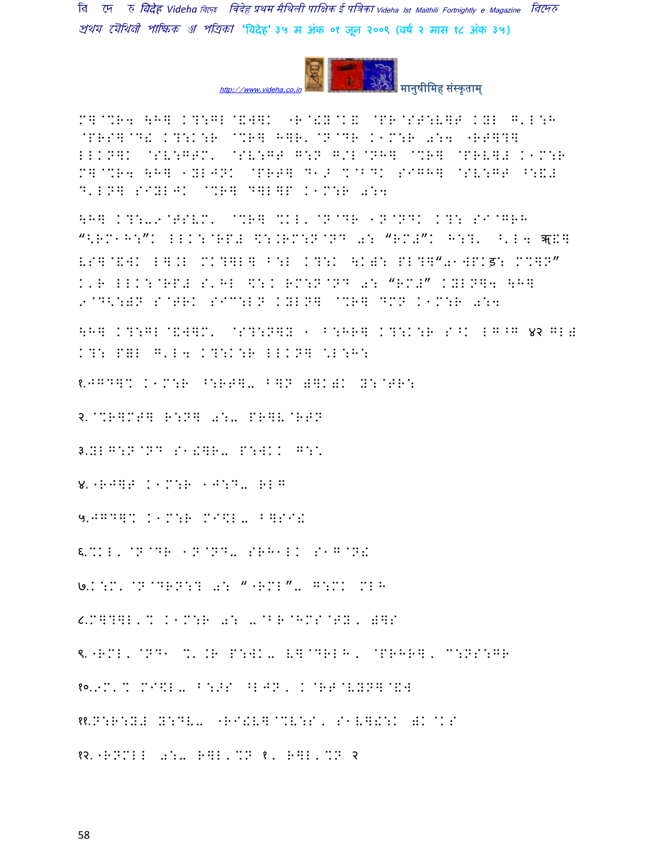

MAR MARK WARE CONSIDERED AND RECORDS TO RECORD AND RECORDS TO RELEASE THE RECORD OF A RELEASE OF THE MARKED OF THE MARKED OF THE MARKED OF THE MARKED OF THE MARKED OF THE MARKED OF THE MARKED OF THE MARKED OF THE MARKED OF @PRS]@D! K?:K:R @%R] H]R'@N@DR K1M:R 0:4 "RT]?] LLCAND MENTHER, MENTH THAN GO GAN CORN GEREARD CONF M]@%R4 \H] 1YLJNK @PRT] D1> %@BDK SIGH] @SV:GT ^:&# B. EVER RICH WHERE IN THE 200

 $\#$ HI (1982) MESLY, MYER WER 1NDK KRYEN (1991) SIGNED "WEBSTY "WELLER THE SECIES OF THE SECIES "RETURNED "PETER IN A SERVED PRESSED FOR THE RESERVED OF THE PRESSED OF THE PRESSED OF THE PRESSED OF THE PRESSED OF THE PRESSED OF THE PRESSED OF THE PRESSED OF THE PRESSED OF THE LAN MENT LIL MANING HILL AND HILL MENT HILSY MUNIT K'R LLK:@RP# S'HL \$:. RM:N@ND 0: "RM#" KYLN]4 \H] 9@D<:)N S@TRK SIC:LN KYLN] @%R] DMN K1M:R 0:4

\H] K?:GL@&W]M' @S?:N]Y 1 B:HR] K?:K:R S^K LG^G ४२ GL) K?: P=L G'L4 K?:K:R LLKN] \*L:H:

१.JGD]% K1M:R ^:RT]- B]N )]K)K Y:@TR:

२. WHETHE RYSE WAL FREE REP

3.HEAD OF THE SHEET CAPACITY AND STUDIES

४. सम्मयः १९१५: २०१५ <sub>स</sub>म्म १९

**9.JHMHT (FIGH- MISL) FHEFT** 

६.%KL'@N@DR 1N@ND- SRH1LK S1G@N!

७.K:M'W'MERSH an "HETE". #521 TER

८.M]?]L'% K1M:R 0: -@BR@HMS@TY, )]S

S. (BTEV. TO THE PERSON WHO RECORDED A COMPARED, CONSIGNER

१०.9M'% MI\$L- B:>S ^LJN, K@RT@VYN]@&W

११.N:R:Y# Y:DV- "RI!V]@%V:S, S1V]!:K )K@KS

 $(32.14777741)$   $(2.1411)$   $(2.1411)$   $(2.1411)$   $(2.1411)$   $(2.1411)$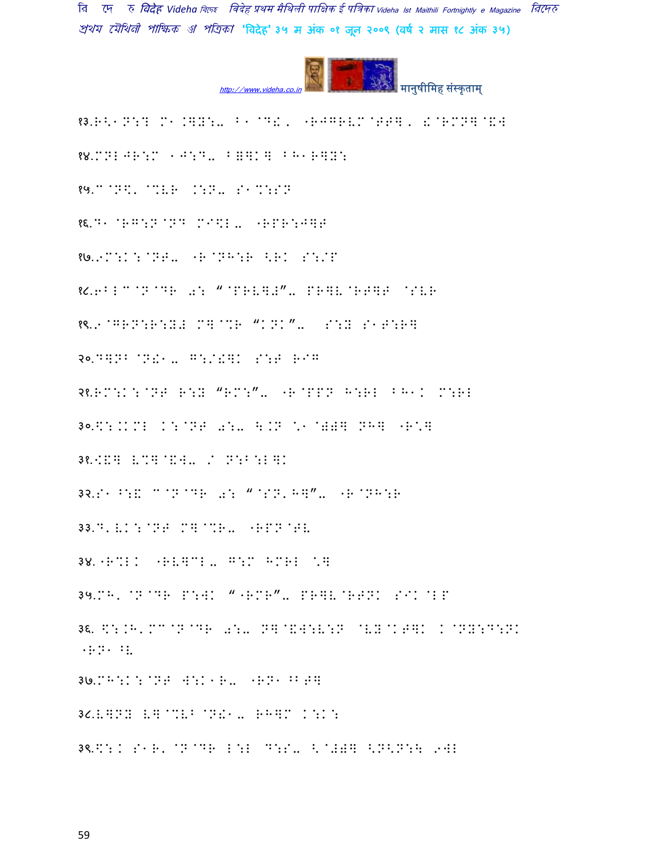

१३.RX: RXH (P) (HBY, RX (REV) (RHHRLP (RRH), 2018/29 (EH) १४.MNLJR:M 1J:D- B=]K] BH1R]Y: 19.COMMERCIAL STREET १६.D1@RG:N@ND MI\$L- "RPR:J]T १७.9M:K: NT- "Rent Stephane" A:P. The Stephane १८.6BLC@N@DR 0: "@PRV]#"- PR]V@RT]T @SVR १९.9@GRN:R:Y# M]@%R "KNK"- S:Y S1T:R] २०.पम्मस (ए.स. मध्यप्रमा अधिक स्थम २१.RM:K:@NT R:Y "RM:"- "R@PPN H:RL BH1K M:RL 30.5: NOTE CONTRACTS ROLL ROLL NOT CAUSER THE SPORT 38.HHB ENBOHEL / FRENER  $32.51.$  Shift of the theory is the NHT-R  $6.01.$  FM  $\mu$  ,  $\mu$  and  $\mu$  is the SN-H  $\mu$ 33.T.LINT MP MANTH MANAGEMENT 38. HRND THE RWY WARD TO RELEASE THE RELEASE OF 39.TH, TRITH PERI "HIPP", PHRETHER PHIL SIX TEP ३६. \$:.H'MC@N@DR 0:- N]@&W:V:N @VY@KT]K K@NY:D:NK  $\cdot$  Representation  $\mathbb{R}^N$ ३७.MH:K: NT WE WE WE WE WE WE WE WE WE WE WE WE ३८.ENY BON VIET (PER 2008) PHAT (PER 3 ३९.२:: S1R'B: TR'OR LEE OREL A MEER ARAPER SHE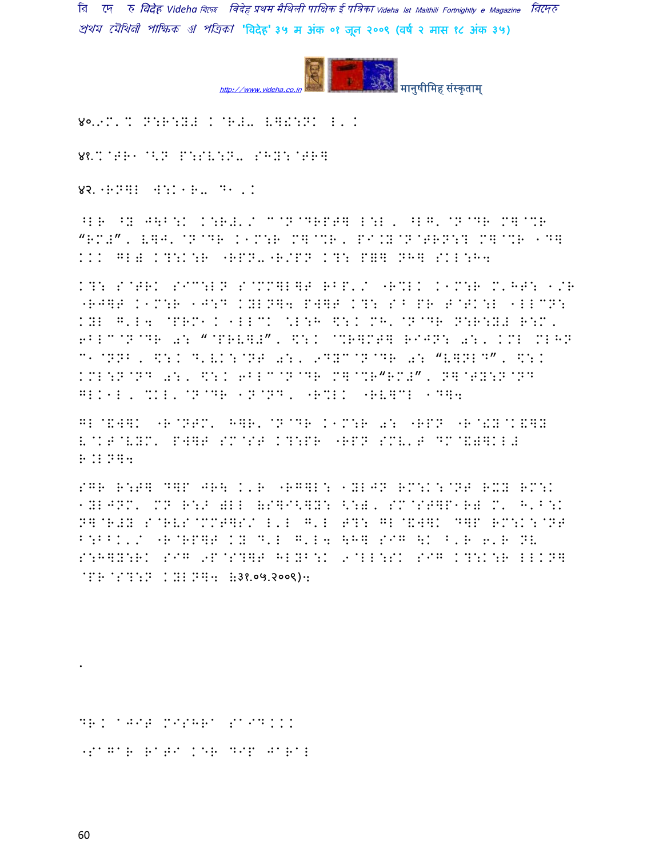

४०.9M'% N:R:Y# K@R#- V]!:NK L'.

४१.%@TR1@<N P:SV:N- SHY:@TR]

४२."RN]L W:K1R- D1,.

^LR ^Y J\B:K K:R#'/ C@N@DRPT] L:L, ^LG'@N@DR M]@%R "RM#", V]J'@N@DR K1M:R M]@%R, PI.Y@N@TRN:? M]@%R 1D] KKK GR) KRAK GEORGE GEDEEN KRYWER DIE GEROOP DIE DIE DIE GEWONE GESKLIK IN DIE DIE DIE DIE DIE DIE DIE DIE DIE

K?: S@TRK SIC:LN S@MM]L]T RBP'/ "R%LK K1M:R M'HT: 1/R  $R$  . The particle of the state of the state of the problem  $R$  is the state of the term  $R$ KYL G'L4 @PRM1. 1. NEW MARKET AND AN ARRANGEMENT AND A STRONG MARKET AND A STRONG MARKET AND A STRONG MARKET A 6BLC@N@DR 0: "@PRV]#", \$:. @%R]MT] RIJN: 0:, KML MLHN CN DISPONENTIAL CONTRACTOR CONTRACTOR CONTRACTOR CONTRACTOR CONTRACTOR CONTRACTOR CONTRACTOR CONTRACTOR CONTRA KOND 0:, THE ORDER MANDED ON THE SEED OF THE SEED OF THE SEED OF THE SEED OF THE SEED OF THE SEED OF THE SEED O GLICH, WILCOMER 2000 LORDING PERMIT 2000

GREARD THE MARY WARE CONTROLLED WAS CHARGED FOR THE RESIDENCE RECEIVED BY REAL PROPERTY. V@KT@VYM' PW]T SM@ST K?:PR "RPN SMV'T DM@&)]KL# R.LN]4

SGR R:T] D]P JR\ K'R "RG]L: 1YLJN RM:K:@NT RXY RM:K 1YOH ADDIY MOOR (SHAR) SHEEK (SHARIBING) MIN ADDIY MARE IN DIINA MISSION MIYOH MIDIY MAGAALAD MIDIY MIDIY MAGA NA Y SARC'S Y SARC'S CONSTRUCTION OF THE YEAR OF THE SARCTED OF THE SARCTED OF THE RELATIONS OF THE RELATIONS O B:BBK'/ "R@RP\$P#F#" (B) "R&R H& BF#" SIG #1 H1 (B) H2 NV B'R NV S:NA ROBA EN SIG 9P. SE NEGRE 1999 DE SEN SIG KOMISIGNE 1999 DE SIG KRIG KRIG KRIG KR @PR@S?:N KYLN]4 (३१.०५.२००९)4

**BRITAN SAIDER SAID.** "SaGaR RaTI KER DIP JaRaL

 $\ddot{\phantom{0}}$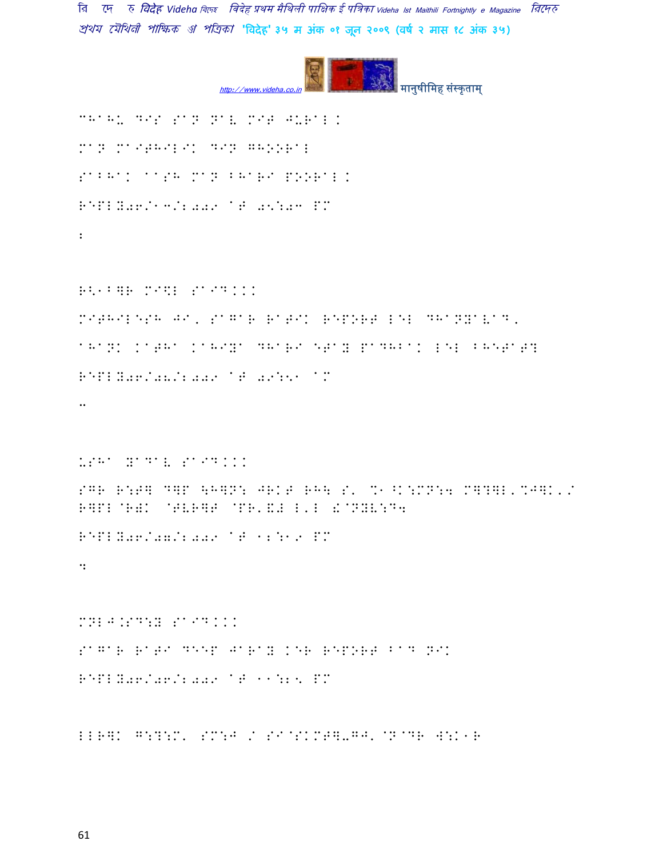LLRAD ANTHOL SONG C SKINDORELAN, ORITE AND R

MNL SOUTH SAID. SAGAR RATING DEEP DEEP DEEP DEEP JARA REPRESENTATIVE AT 11:25 PM

 $\dddot{\bullet}$ 

 $\ddot{\phantom{0}}$ 

 $\ddot{\cdot}$ 

REPRESENTATION AT 12:19 PM PM

USHA YADAVI SAIDAY

 $S$ GR R:THIS RESOURCE RESOURCES RESOURCES TO A MINIMUM AND  $S$ RAPE MAR) MARRAH MPRIBI BI BI KUMARAMA

REPRESENTATIVE AT 09:51 aT 09:51

aHaNK KaTHa KaHIYa DHaRI ETaY PaDHBaK LEL BHETaT?

RPPE Baron world at 050 and amount

R MI\$L SAID... MITHILESH JI, SaGaR RaTIK REPORT LEL DHaNYaVaD,

MAN MAN MAN MAN MAN MAN SaBHaK aaSH MaN BHaRI POORaL.

http://www.videha.co.in + 2009 मानुषीमिह संस्कृताम् TAIRS THE STRUCTURE ALBORS

िव दिन दि <mark>विदेह Videha</mark> <sub>विफर</sub> विदेह प्रथम मैथिली पाक्षिक ई पत्रिका Videha Ist Maithili Fortnightly e Magazine *वि*दिन्द õथम मैिथली पािक्षक ई पिñका **'**िवदेह**'** ३५ म अंक ०१ जून २००९ (वष र् २ मास १८ अंक ३५)

61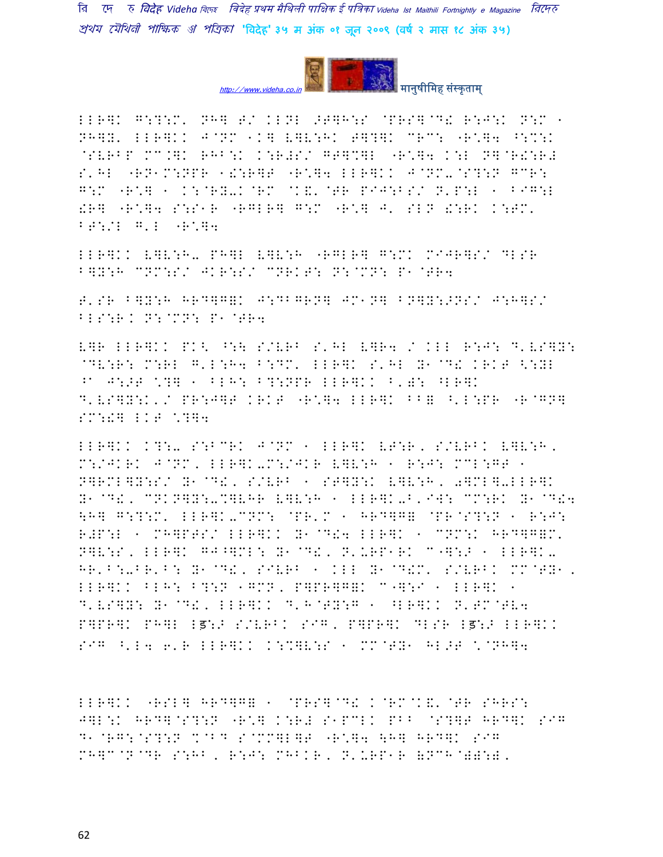

LLR]K G:?:M' NH] T/ KLNL >T]H:S @PRS]@D! R:J:K N:M 1 DARBI, EERRIC, ANDRO KIR EREGAI, ARTRIC MAMA (AKIRA) PENGI @SVRBP MC.]K RHB:K K:R#S/ GT]%]L "R\*]4 K:L N]@R!:R# S'HL "RN1M:NPR 1!:R]T "R\*]4 LLR]KK J@NM-@S?:N GCR: G:M "R\*] 1 K:@RY-K@RM @K&'@TR PIJ:BS/ N'P:L 1 BIG:L !R] "R\*]4 S:S1R "RGLR] G:M "R\*] J' SLN !:RK K:TM' BT://L GT://L GT://

LLERICO EREGAL PARE EREGA GARIER PATO TYPHRICO TEST FABRE TRINGIN ALBREA TREDER IN CIRR EN NABA

TOR BUILD HRTHER JOINER JONES FRUIDING JOHN BLS:R. N:@MN: P1@TR4

RH IIRU NIV PH RIBH CAR RHA SHE SIH PART SEH @DV:R: M:RL G'L:H4 B:DM' LLR]K S'HL Y1@D! KRKT <:YL ^a J:>T \*?] 1 BLH: B?:NPR LLR]KK B'): ^LR]K D'VS) RECENT "D'S PRINCEPE "D'S D'ALLES "D'ANNE "D'A ROGNE" "PRINCE "PRINCE" "ROGNE" "ROGNE" "ROGNE" "ROGNE" " SM: 2001 - 1002 - 1003 - 1004 - 1004 - 1004 - 1004 - 1004 - 1004 - 1004 - 1004 - 1004 - 1004 - 1004 - 1004 - 1

LLR]KK K?:- S:BCRK J@NM 1 LLR]K VT:R, S/VRBK V]V:H, M:/JKRK J@NM, LLREN.M:/JKR LELAR J PAJ MMINER ( N]RML]Y:S/ Y1@D!, S/VRB 1 ST]Y:K V]V:H, 0]ML]-LLR]K YEAR YOU WAN ARE TO MAKE HE HERE TO A CONFIDENT WAS CONSIDERED AND TO A LOCAL TO A LOCAL TO A LOCAL TO A LOCAL  $\,$  He: He: He:  $\,$  ,  $\,$  ,  $\,$  ,  $\,$  ,  $\,$  ,  $\,$  ,  $\,$  ,  $\,$  ,  $\,$  ,  $\,$  ,  $\,$  ,  $\,$  ,  $\,$  ,  $\,$  ,  $\,$  ,  $\,$  ,  $\,$  ,  $\,$  ,  $\,$  ,  $\,$  ,  $\,$  ,  $\,$  ,  $\,$  ,  $\,$  ,  $\,$  ,  $\,$  ,  $\,$  ,  $\,$  ,  $\,$  , R#P:L 1 MH]PTS/ LLR]KK Y1@D!4 LLR]K 1 CNM:K HRD]G=M' NALAY (1988) PROPER SOR CALCO DI LENGE CONTRACTO E EPRIC HR, PALPE, PACH (PRI), SYREP (POIRE), SPAIN, SYREP MOTYCHES, I LLABO BLH: B?:N 1GMN, PRIARRE C"1GM1, LLABO K D'VSPER E MAL LIPED COLPGERE (1999) HE DI DIEVES PAPPAL PHALL LSW COLORED SIGHT SIGNESS SIGHT SIG AND A LEADER IN THE RELEASE OF THE RELEASE OF THE RELEASE OF THE RELEASE OF THE RELEASE OF THE RELEASE OF

LLR]KK "RSL] HRD]G= 1 @PRS]@D! K@RM@K&'@TR SHRS: JAR: NO. 1998 P. NORDO DAN DI SIGNI PASTE DI TERRITO E PRESENTE DI SIGNA DI SIGNA DI SIGNA DI SIGNA A DI "ROMANIA" DI SERMANIA DI SERMANIA DI SERMANIA DI SERMA DI SERMA DI SERMA DI SERMA DI SERMA DI SERMA DI SERM MH]C@N@DR S:HB, R:J: MHBKR, N'URP1R (NCH@)):),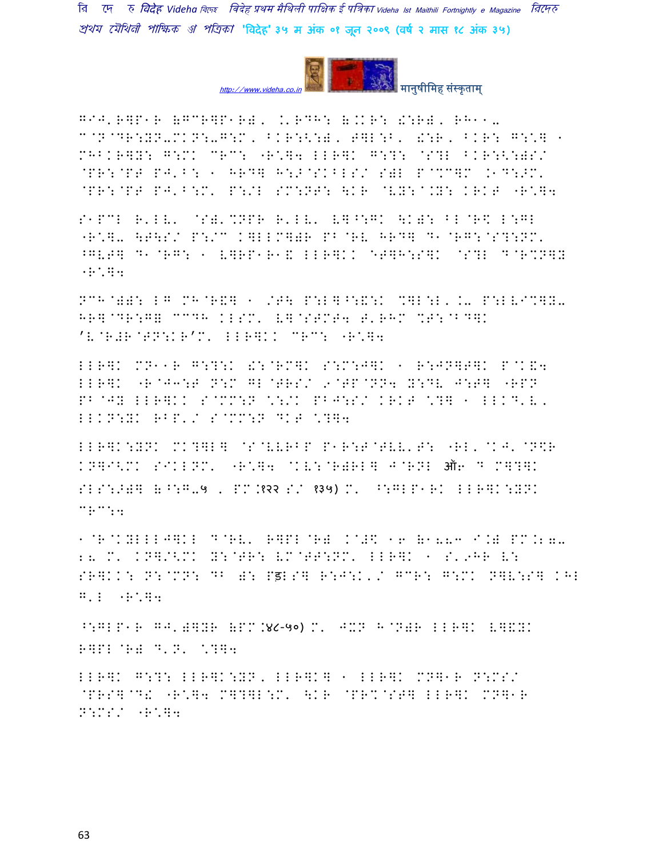

GOV, PHR (B (GCR), SERVICE, (.KR), RODER (.KR), RH11, RH11, RH11-C@N@DR:YN-MKN:-G:M, BKR:<:), T]L:B' !:R, BKR: G:\*] 1 MHBKR]Y: G:MK CRC: "R\*]4 LLR]K G:?: @S?L BKR:<:)S/ @PR:@PT PJ'B: 1 HRD] H:>@SKBLS/ S)L P@%C]M .1D:>M' @PR:@PT PJ'B:M' P:/L SM:NT: \KR @VY:@.Y: KRKT "R\*]4

S1PCL R'LV' @S)'%NPR R'LV' V]^:GK \K): BL@R\$ L:GL  $R: \mathbb{R}^n \to \mathbb{R}^n$  . The contribution of  $\mathbb{R}^n$  is the contribution of  $\mathbb{R}^n$  and  $\mathbb{R}^n$  . The contribution of  $\mathbb{R}^n$  and  $\mathbb{R}^n$  and  $\mathbb{R}^n$  and  $\mathbb{R}^n$  and  $\mathbb{R}^n$  and  $\mathbb{R}^n$  and  $\mathbb{$ ^GVT] D1@RG: 1 V]RP1R1& LLR]KK ET]H:S]K @S?L D@R%N]Y  $\cdot$  P  $\cdot$  H  $\cdot$ 

NCH (1991): LG MACHAEL 1 / THE RISE ROSES (1991): LC RISE LANGER. HRIMEGHE MMHA KLSM, BHOSSHER BLEAM WHICH 'V@R#R@TN:KR'M' LLR]KK CRC: "R\*]4

LLRAK MANN R G::K MINIR G:MINIR S: R GAARAN S MILL LLRAD "AR JANGE "PAT" AL JERZ" & JED JPPA "BATA "AGEA" (APT) PB@JY LLR]KK S@MM:N \*:/K PBJ:S/ KRKT \*?] 1 LLKD'V, LLITH: BILL PITTE THE THE

LLE BARD (NEST) DO TO THE ARTICLE BARD PARTIES POR ASSOCIATED AT A LITERATURE POR RESERVE PARTIES OF THE RESER KONAINI SIKLIST, SIKLA MIKIKANI AMERI MARA DA MARI SLESS: (^:G-5)] (^:G-5) (^:G-5) (^:G-5) M' ^:GLP1RK LLR]K: SLS  $\alpha$  is a control of  $\alpha$ 

1@R@KYLLLJ]KL D@RV' R]PL@R) .@#\$ 16 (1883 I.) PM.27- 28 M' KN]/<MK Y:@TR: VM@TT:NM' LLR]K 1 S'9HR V:  $S$  , and  $S$  is the state of the position of the position  $S$  and  $S$  and  $S$  and  $S$  and  $S$  and  $S$  and  $S$  and  $S$  and  $S$  and  $S$  and  $S$  and  $S$  and  $S$  and  $S$  and  $S$  and  $S$  and  $S$  and  $S$  and  $S$  and  $S$  and  $S$  $H_1$   $\vdots$   $H_2$   $\vdots$   $H_3$ 

^:GRIP\B A4.893B &PT(86-90) M. ANP A TABR EIB91 &9E31 R) D'ARDIEN DE MONTEN (1999)

LLR]K G:?: LLR]K:YN, LLR]K] 1 LLR]K MN]1R N:MS/ @PRS]@D! "R\*]4 M]?]L:M' \KR @PR%@ST] LLR]K MN]1R N:MS/ "R\*]4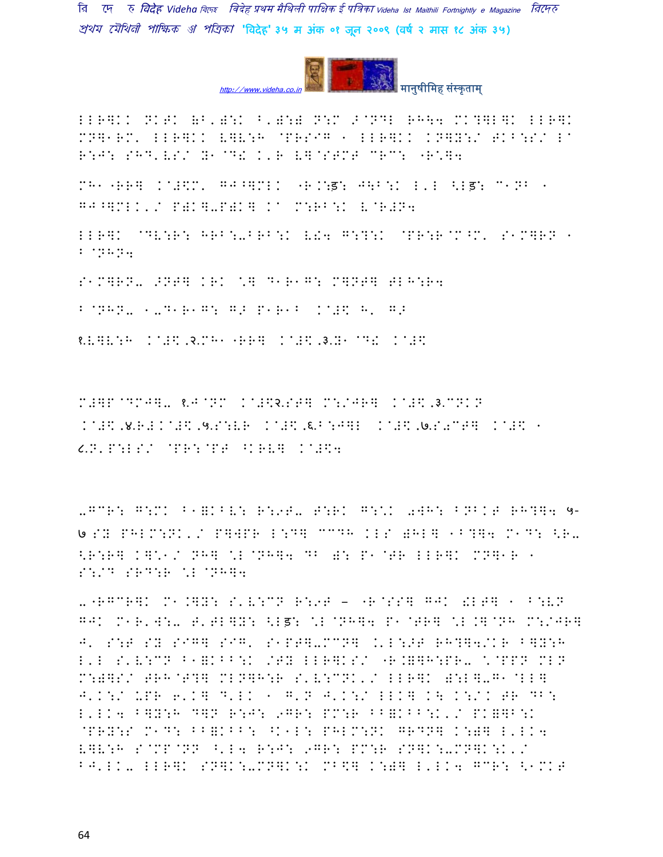

LLR]KK NKTK (B'):K B'):) N:M >@NDL RH\4 MK?]L]K LLR]K MARSHAM, LERBARI LERRIKAN SAMA KANG ERAHI INI DARANG 1 KIRING 1 S R:J: SHD'VS/ Y1@D! K'R V]@STMT CRC: "R\*]4

MH1 GHAN (MERI) AA HINE (GANGS) AA GO ELE GEST "PRICE WA MUNICIP PADA HAI KA MILANG KA MASA KA MARAYA

LLR]K @DV:R: HRB:-BRB:K V!4 G:?:K @PR:R@M^M' S1M]RN 1 B@NHN4

S1M10RN- - NT2010RN- - NT2010RN- - NT2010RN- - NT2010RN- - NT2010RN- - NT2010RN- - NT2010RN- - NT2010RN- - NT20

B@NHN- 1-D1R1G: G> P1R1B .@#\$ H' G>

१.V]V:H .@#\$,२.MH1"RR] .@#\$,३.Y1@D! .@#\$

MARE MERRA & ORD INGRAME MAYARE IN MARIAMENT .@#\$,४.R#.@#\$,५.S:VR .@#\$,६.B:J]L .@#\$,७.S0CT] .@#\$ 1 ८.N'P:LS/ @PR:@PT ^KRV] .@#\$4

-GCR: G:MK B1=KBV: R:9T- T:RK G:\*K 0WH: BNBKT RH?]4 ५- ७ SY PHLM:NK'/ P]WPR L:D] CCDH KLS )HL] 1B?]4 M1D: <R- RESERVING THE SECTION OF 20 BY SECTION CONFIDENT S:/D SRD:R \*L@NH]4

-"L"RGCRIK MI. STORIK MI. EGTO "BGLAD" – "RB" SSON RAI "REGIA" (P. 1960) BAI T'ELAN, BIBER MESI TEMPA P' MBR MITR'MEN MIZABR J' S:T ST SY BE SY BOOK SIGNED TO SHARP BE BE SHOW: THE BIG L'L S'V:CN B1=KBB:K /TY LLR]KS/ "R.=]H:PR- \*@PPN MLN M:)]S/ TRH@T?] MLN]H:R S'V:CNK'/ LLR]K ):L]-G1@LL] J'K:/ UPR 6'K] D'LK 1 G'N J'K:/ LLK] K\ K:/. TR DB: L'LK4 B]Y:H D]N R:J: 9GR: PM:R BB=KBB:K'/ PK=]B:K @PRY:S M1D: BB=KBB: ^K1L: PHLM:NK GRDN] K:)] L'LK4 V]V:H S@MP@NN ^'L4 R:J: 9GR: PM:R SN]K:-MN]K:K'/ BALICA ILBU) SVUTAVU V MBU CABE LICA GMBA SVOJE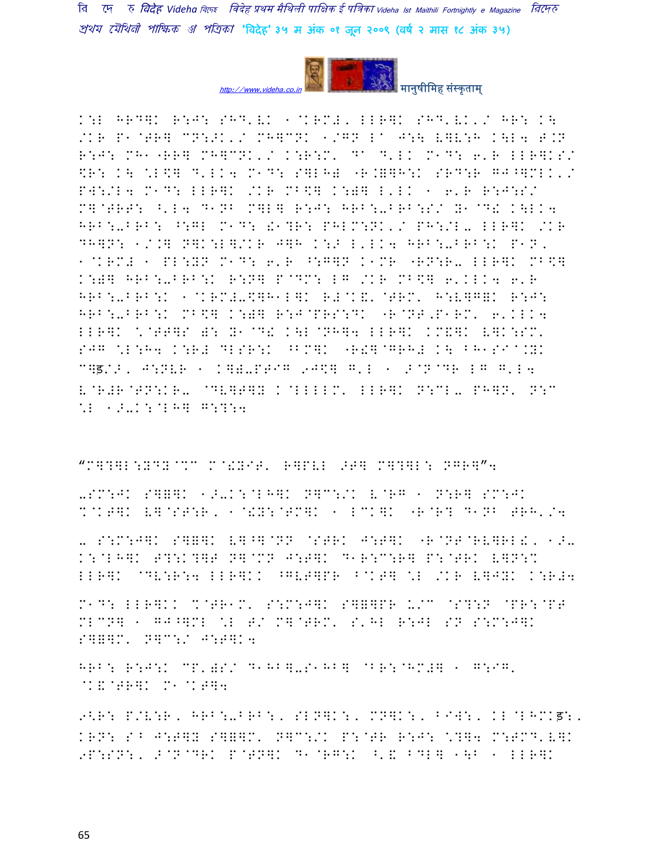

K:L HANN: B:H: SHN.LL (TIPOL. EEHD SHN.LL.C HA: CH /KR P1@TR] CN:>K'/ MH]CNK 1/GN La J:\ V]V:H K\L4 T.N R:J: MH1"RR] MH]CNK'/ K:R:M' Da D'LK M1D: 6'R LLR]KS/ \$R: K\ \*L\$] D'LK4 M1D: S]LH) "R.=]H:K SRD:R GJ^]MLK'/ PW:/L4 M1D: LLR]K /KR MB\$] K:)] L'LK 1 6'R R:J:S/ M]@TRT: ^'L4 D1NB M]L] R:J: HRB:-BRB:S/ Y1@D! K\LK4 HRB:-BLA:-BRI: PHPLO DVIRE (2019) PHEDIADOLO (PHELM: LOS PHRIO (2019) DHQR: 1/10 DQ:1011016 HQH (10 O.010 HRB:1000010101 1@KRM# 1 PL:YN M1D: 6'R ^:G]N K1MR "RN:R- LLR]K MB\$] K:)] HRB:-BRB: R:N] PODS (FRI) PODS (FRI) PODS (FRI) HRB:ALB:PRIC K 10 BOLLSHE-\$]H1L\_BHC:BL\_1BBOL\_@TRMH#B\_@BTAT HRB:-BRB:K MB\$] K:)] R:J@PRS:DK "R@NT,P1RM' 6'KLK4 LLRAD (NOMARA AD IR ORD (ALOPHA LLRAD (DIRA) LADDED. STAR: NE SAN CONSEL PRESENT CORPORED ABSOLUTE PRAID ON CONSENTING. MAS/J: ANDER - CABLERYA VARA ALE - JOD MA LA ALE G'L4 V@R#R@TN:KR- @DV]T]Y K@LLLLM' LLR]K N:CL- PH]N' N:C  $\mathcal{L} \mathbf{H} \rightarrow \mathcal{L} \mathbf{H} \mathbf{H} \mathbf{H} \mathbf{H} \mathbf{H} \mathbf{H} \mathbf{H} \mathbf{H} \mathbf{H} \mathbf{H}$ 

"WINDS NOT THE WALL BEEN BOOK OF THE WALL AND THE RESIDENCE IN THE WALL AND THE MILITARY OF THE RESIDENCE IN THE RESIDENCE IN THE RESIDENCE IN THE RESIDENCE IN THE RESIDENCE IN THE RESIDENCE IN THE RESIDENCE IN THE RESIDEN

-SM:JK S]=]K 1>-K:@LH]K N]C:/K V@RG 1 N:R] SM:JK %@KT]K V]@ST:R, 1@!Y:@TM]K 1 LCK]K "R@R? D1NB TRH'/4

 $\mu$  - Singuranted - Strainted Directors (STRS ). The strainer is the strainer of  $\mu$  in  $\mu$ K:@LH]K T?:K?]T N]@MN J:T]K D1R:C:R] P:@TRK V]N:% LLR]K @DV:R:4 LLR]KK ^GVT]PR ^@KT] \*L /KR V]JYK K:R#4

M100: LERCO S: SERVIC SENDERE SERBER WOM STEEP STEEP TRE MLCN] 1 GJ^]ML \*L T/ M]@TRM' S'HL R:JL SN S:M:J]K S]=]M' N]C:/ J:T]K4

HRB: R:J:K CP')S/ D1HB]-S1HB] @BR:@HM#] 1 G:IG' MINIMUM MARK

9<R: P/V:R, HRB:-BRB:, SLN]K:, MN]K:, BIW:, KL@LHMKड़:, KRN: S^ J:TANDER SANARY, SANARY SANARY SANARY SANARY KAN 9P:SN:, >@N@DRK P@TN]K D1@RG:K ^'& BDL] 1\B 1 LLR]K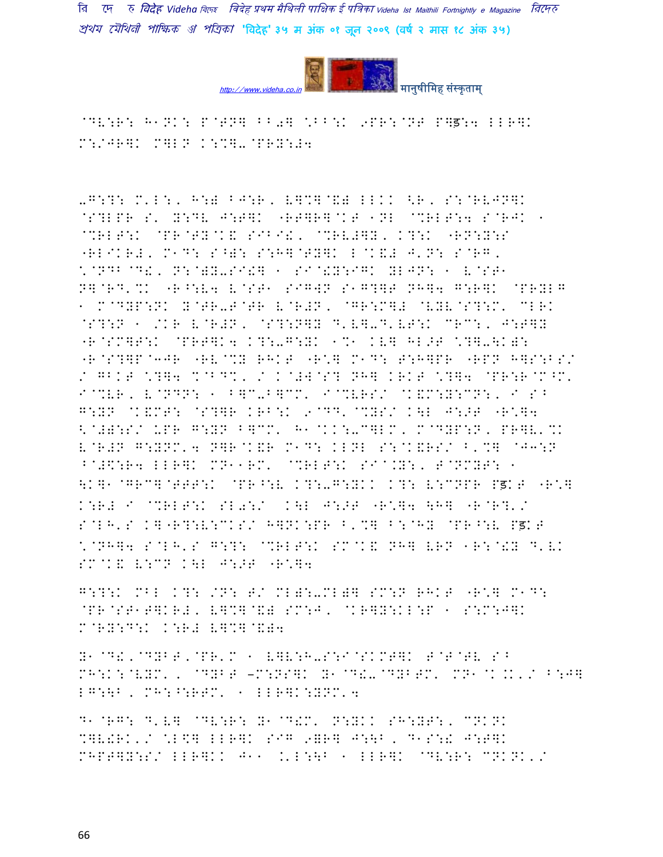

@DV:R: H1NK: P@TN] BB0] \*BB:K 9PR:@NT P]ड़:4 LLR]K M:/JR]K M]LN K:%]-@PRY:#4

-G:?: M'L:, H:) BJ:R, V]%]@&) LLKK <R, S:@RVJN]K OSTER SO J: DY TELL ANDRES CARDER TO BUY THE COTTREBANCY OR TRADUCK @%RLT:K @PR@TY@K& SIBI!, @%RV#]Y, K?:K "RN:Y:S "RE PO BUILT OF THE STARK SPARE GROUP OF TO BUILT ALONG, STARK I \*@NDB@D!, N:@)Y-SI!] 1 SI@!Y:IGK YLJN: 1 V@ST1 NA TERUTI "PERTEN SIGMAR" SYARAK SIGARA KARA SARA AGERICO TEEDER 1 M@DYP:NK Y@TR-T@TR V@R#N, @GR:M]# @VYV@S?:M' CLRK @S?:N 1 /KR V@R#N, @S?:N]Y D'V]-D'VT:K CRC:, J:T]Y "RESMITHEN IS STREET AND THOUGHT A THOUGHT AT PERFORMANCES.  $R$  . The state  $R$  rate  $R$  and  $R$  are the  $R$  masses of  $R$  and  $R$  are the  $R$  masses of  $R$ / GBKT \*?]4 %@BD%, / K@#W@S? NH] KRKT \*?]4 @PR:R@M^M' I@%VR, V@NDN: 1 B]C-B]CM' I@%VRS/ @K&M:Y:CN:, I S^ G:YOK #KAMT: @S. ART: @S. ART: @S. ART: #C. T "RELEASE" ART: #C. T "RELEASE" ADDITIONAL <@#):S/ UPR G:YN B]CM' H1@KK:-C]LM, M@DYP:N, PR]V'%K V@R#N G:YNM'4 N]R@K&R M1D: KLNL S:@K&RS/ B'%] @J3:N ^@#\$:R4 LLR]K MN11RM' @%RLT:K SI@.Y:, T@NMYT: 1  $\kappa$ 10 Grach  $\kappa$  . The contribution of  $\kappa$  is the contribution of  $\kappa$  and  $\kappa$ K:R# I @ RLT:K I @ RLT:K I @ RLT:K I @ RLT:K I @ RLT:K I @ RLT:K I @ RLT:K I @ RLT:K I @ RLT:K I @ RLT:K I @ R<br>A RADIO RESULT: THE RESULT OF RESULTS ON A RADIO RESULT OF RESULTS OF RESULTS OF RESULTS OF RESULTS OF RESULTS S@LH'S K]"R?:V:CKS/ H]NK:PR B'%] B:@HY @PR^:V Pड़KT \*@NH]4 S@LH'S G:?: @%RLT:K SM@K& NH] VRN 1R:@!Y D'VK  $\frac{1}{2}$  ,  $\frac{1}{2}$  ,  $\frac{1}{2}$  ,  $\frac{1}{2}$  ,  $\frac{1}{2}$  ,  $\frac{1}{2}$  ,  $\frac{1}{2}$  ,  $\frac{1}{2}$  ,  $\frac{1}{2}$  ,  $\frac{1}{2}$  ,  $\frac{1}{2}$  ,  $\frac{1}{2}$  ,  $\frac{1}{2}$  ,  $\frac{1}{2}$  ,  $\frac{1}{2}$  ,  $\frac{1}{2}$  ,  $\frac{1}{2}$  ,  $\frac{1}{2}$  ,  $\frac{1$ 

G::K MBL KRONING MENGENGKAN DI SANG MENGENGKAN MENGENGKAN MENGENGKAN MENGENGKAN MENGENGKAN MENGENGKAN MENGENG @PR@ST1T]KR#, V]%]@&) SM:J, @KR]Y:KL:P 1 S:M:J]K Mary 1988, 1989, 1989, 1989, 1989, 1989, 1989, 1989, 1989, 1989, 1989, 1989, 1989, 1989, 1989, 1989, 1989, 19<br>4 Mary 1988, 1989, 1989, 1989, 1989, 1989, 1989, 1989, 1989, 1989, 1989, 1989, 1989, 1989, 1989, 1989, 1989, 1

Y1@D!,@DYBT,@PR'M 1 V]V:H-S:I@SKMT]K T@T@TV S^ MH:K:@VEGIN, 2007 BEGH – MYSEERI (GROOPSLING) BEGIN (MIKO) MANINGIN BEGH  $E:=\Bbb{C}\setminus\Bbb{C}$  . This field  $\Bbb{C}\setminus\Bbb{C}$  is a left  $\Bbb{C}$  in  $\Bbb{C}\setminus\Bbb{C}$ 

D: DHI: D.RE CORDE B: CORD. DIB: SHIRI, CORDE  $N$  REGISTED on the RPL of ECRIPT DEPATH of the PLS  $N$  -star dependence of  $N$  . Discrete  $N$ MHPTPEGEN LEDHIN (1913) .DEGHA J11 . LEDHIN 1 MEGHA MANANINI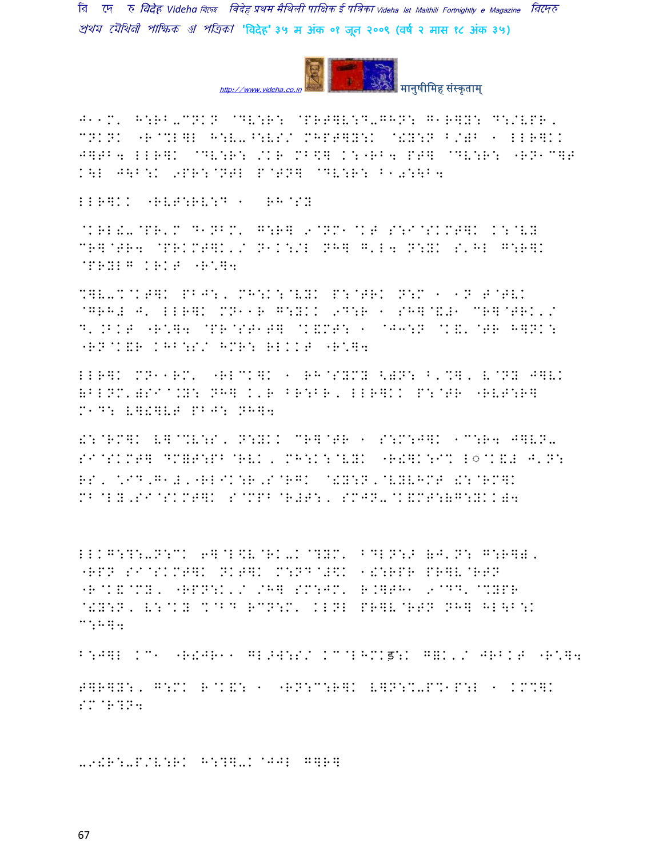

J11M' H:RB-CNKN @DV:R: @PRT]V:D-GHN: G1R]Y: D:/VPR, CONCORS "PROVIDED" PARL PARENT CHEFFERD "CONCRET FOREST" FOR DEREST JABA LERIK MARAKA MENGELIKAN PARA TANG MENGERA K\L J\B:K 9PR:@NTL P@TN] @DV:R: B10:\B4

LLRING "RUTH:RVT:RV":

@KRL!-@PR'M D1NBM' G:R] 9@NM1@KT S:I@SKMT]K K:@VY TR4 MARA (MERCOVA4), ZMONO GOLFA ALEA DAGO (K.A) AI (ANEA) WHERE IN SECTION

%]V-%@KT]K PBJ:, MH:K:@VYK P:@TRK N:M 1 1N T@TVK @GRH# J' LLR]K MN11R G:YKK 9D:R 1 SH]@&#1 CR]@TRK'/ D'.BKT "R\*]4 @PR@ST1T] @K&MT: 1 @J3:N @K&'@TR H]NK:  $R$  . RN  $R$  and  $R$  is the state of  $R$  and  $R$  and  $R$  and  $R$  and  $R$  and  $R$  and  $R$  and  $R$  and  $R$  and  $R$  . Rn  $R$  and  $R$  and  $R$  and  $R$  and  $R$  and  $R$  and  $R$  and  $R$  and  $R$  and  $R$  and  $R$  and  $R$  and  $R$  and

LLERING MANNER () (PEEMICHI) () (BRONDING ALARY (), VANY LINGAS (PAEL) (BLNM')SI@.Y: NH] K'R BR:BR, LLR]KK P:@TR "RVT:R] **T: VI REMAN PRODUCT PRODUCT** 

ES SETA: LA VIESE, PSIL: VEA VEE VE SISTEAR (VIEW PARPL)  $\sim$  SIMPLE DECIMBER 2003 (2003) DM: T:PB@RVK, MH:K:@VYK "RIGHT" DM: T:PB@RVK, MH: T:PB@RVK, MH: T:PB@RVK, MH: RS, \*ID,G1#, RLIK:R,S@RGK @ PRO \$PORT !: NORTH !: \$PORT # CHORD MB@LY,SI@SKMT\_PROMOVIALE@R#T:, SMJN-@K&MT:, SMJN-@K&MT:, SMJN-@K&MT:(G:YKK)40000000000000000000000000000000000

LLKG:?:-N:CK 6]@L\$V@RK-K@?YM' BDLN:> (J'N: G:R]),  $R$ "R@K&@MY, "RPN:K'/ /H] SM:JM' R.]TH1 9@DD'@%YPR @!Y:N, V:@KY %@BD RCN:M' KLNL PR]V@RTN NH] HL\B:K  $\cdots$ 

B:JAB: MARIA GEORGE "REGION" (STRINGS) "REGION "REGION"

TRIRGIN I "PNOT" IR O EN 19 19 PACHNER ET "ESPACIED" ENE 19 1 CONSET SM@R?N4

-9!R:-P/V:RK H:?]-K@JJL G]R]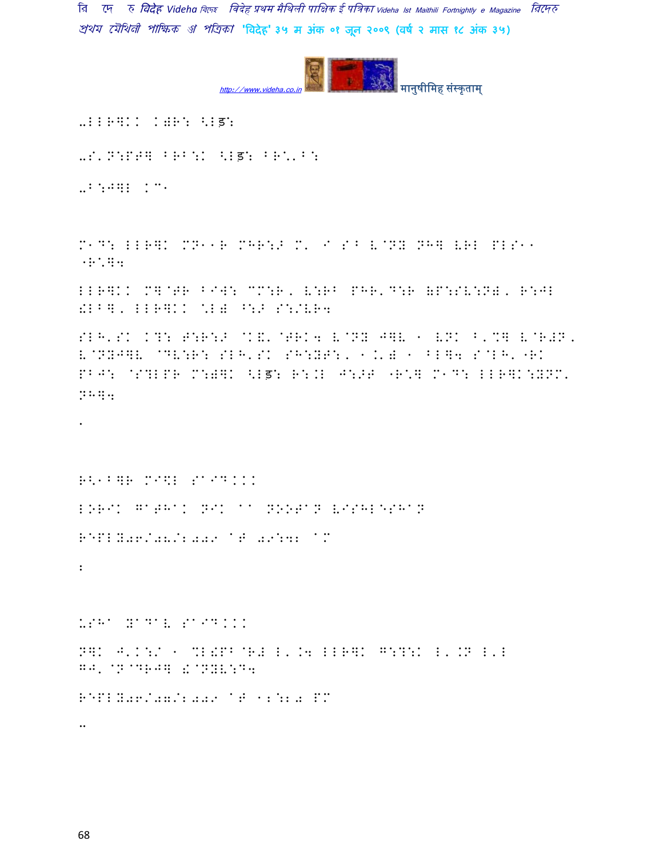

LIBRIC CERT KIST

-S'N:PT] BRB:K <Lड़: BR\*'B:

 $L$ P:J $H$ H: (2018)

MANN LERE MANN MHR: M. K. PA E WA AH ERL PLYN  $\cdot \vdots \cdot \vdots \cdot \cdot$ 

LLR]KK M]@TR BIW: CM:R, V:RB PHR'D:R (P:SV:N), R:JL !LB], LLR]KK \*L) ^:> S:/VR4

SLHYSK KRYGHYSK KYEMING BYGG HAR Y BGK FYNG BYWYN V@NYJ]V @DV:R: SLH'SK SH:YT:, 1.') 1 BL]4 S@LH'"RK PBJ: @S?LPR M:)]K <Lड़: R:.L J:>T "R\*] M1D: LLR]K:YNM'  $19.44$ 

 $\bullet$ 

RR MISL SAID. LORIK GaTHaK NIK aa NOOTaN VISHLESHaN

REPLACEMENT OF SPRING

2

USHa YaDaV SaID...

N]K J'K:/ 1 %L!PB@R# L'.4 LLR]K G:?:K L'.N L'L GJ', WARDER STRIKE

REPLYNG AT 12:20 PM AT 12:20 PM

 $\ddot{\phantom{0}}$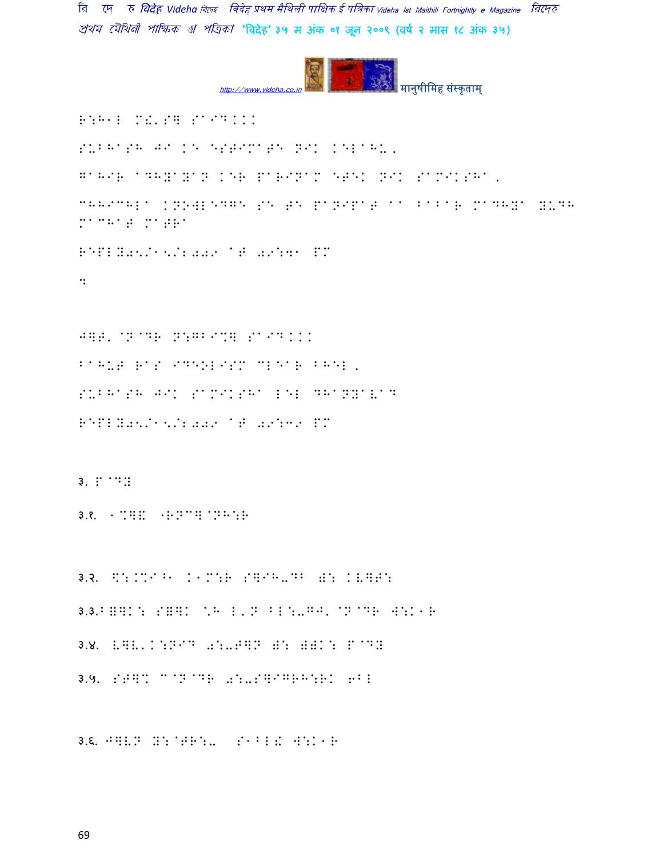

R:H1L MELIN SAID. SUBHaSH JI KE ESTIMaTE NIK KELaHU, GaHIR aDHYaYaN KER PaRINaM ETEK NIK SaMIKSHa, CHHICHLa KNOWLEDGE SE TE PaNIPaT aa BaBaR MaDHYa YUDH MaCHaT MaTRa REPLY CONSTRUCTS AT 09:59:00  $\dddot{\bullet}$ 

JED OR NE REAR SOME STYPE IN BaHUT RaS IDEOLISM CLEaR BHEL, SUBHASH JIK SAMIKSHA LEL DHANYAVAD REPLY OF 2009 AT 2010 PM

 $3.$   $P^{\text{new}}$ 

 $3.8.$   $+7.900$   $+8.9000$   $+7.9000$ 

.२. \$:.%I^1 K1M:R S]IH-DB ): KV]T: .३.B=]K: S=]K \*H L'N BL:-GJ'@N@DR W:K1R ३.४. E.RE. IN 2007 AND 200 REPORT (ESSEED) ENTRE .५. ST]% C@N@DR 0:-S]IGRH:RK 6BL

**3.6. JHEST HIS SHEET SINGLE WITH WELL STATE** 

69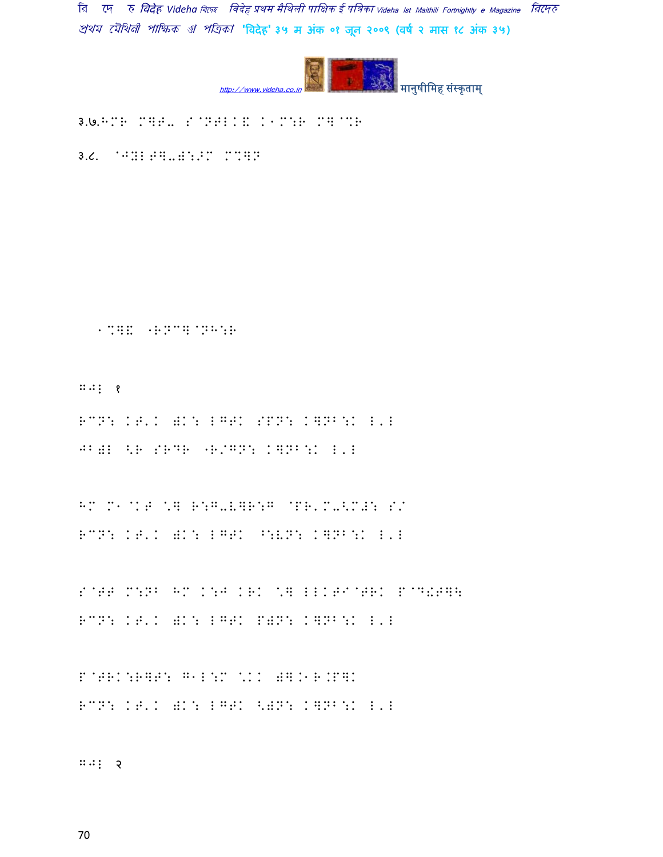

३.७.HMR MHR. ROMANICH CHOCK

३.८. @JYLT]-):>M M%]N

1%]& "RNC]@NH:R

 $\ldots$   $\qquad \qquad$ 

RCN: KELL BIG EMPI KEN: KAN DE SI ELE JB)L R SRDR "ROGNE" (ROGNE "ROGNE"

HM M1 M1 R:G-VELLENG MELTILETING RCN: KAT'K AN'Y ANG ANG KALIMANG ANG KATI

POWER TRANSPORTED TO A SERVICE OF THE

RCN: KELL BIG 1981 KBN: LANGIC 1.1

SMT M:NB HM K:T K:T KING TRANSPORT PORTUGAL RCN: KT'K )K: LGTK P)N: K]NB:K L'L

70

 $\ldots$ ;  $\sqrt{2}$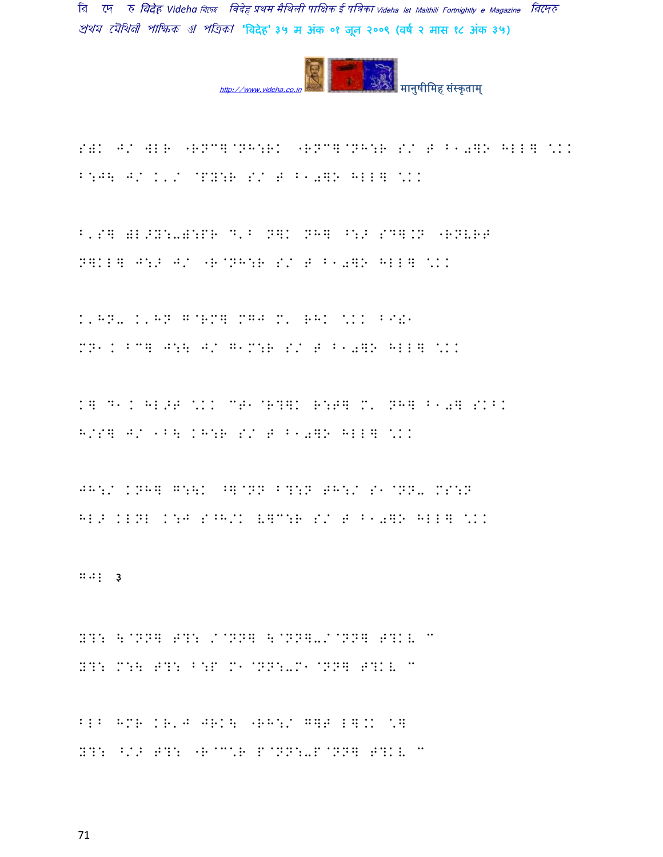

S) K JAN SI JAN SI JAN SI JAN SI RANCI RANCI RANCI DA KUNA DI RANCI DA KUNA DI RANCI DA KUNA DI RANCI DA KUNA B:JOHN OF THE SAME OF SAME REPORTS

B'S] )L>Y:-):PR D'B N]K NH] ^:> SD].N "RNVRT NALEA HER HI HENHE SI B BILAN HELA SI

K'HN- K'HN- GORD MAN GAN MAN SAR MNI. BC BC J: JOHN SO HE SO HE SAN SAN SI BILI

KE PRIN HIJE NIK MEN BURG ENERGY PRESS AR KITK H/SH: H/ 1BQ CHEE S/ B F10BE HEEB NID

JH:/ KNH] G:\K ^]@NN B?:N TH:/ S1@NN- MS:N HLP CIPE COMP RIMAGE RINGE ROOM AND MEER ON C

 $\cdots$ ;  $\sqrt{3}$ 

Y?: \@NN] T?: /@NN] \@NN]-/@NN] T?KV C Y?: M:\ T?: B:P M1@NN:-M1@NN] T?KV C

BLB HMR KRYG GRIR GANZ AND BALL NA YO: TO RETEASE TO RECOVER THE PAIR

71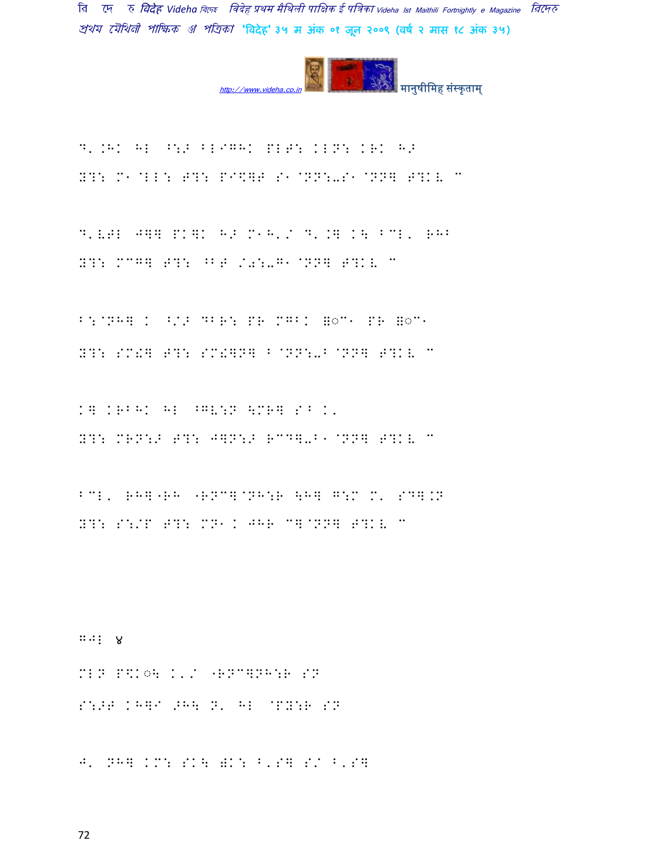

B. DE. HE HE HEAMAN PLTE CIPS CIN AR WIS TO MIS FIN POUR POSTERO OUT FILE T

D'ALLE D'ARRIEN RESTAULT DU L'AUTE DE PORT EMP WIT: MUSIC TO A CONSIDER THE CONNECTION OF A SAME CONNECTION OF THE CONNECTION OF THE CONNECTION OF THE CONNECTION OF THE CONNECTION OF THE CONNECTION OF THE CONNECTION OF THE CONNECTION OF THE CONNECTION OF THE CONNECTION

B: DER B: DER HE: PR MAGES = BRIDGE Y: SM!}<br>Y: SM!}N B@NN:-B@NN:-B@NN:-B@NN:-B@NN:-B@NN:-B@NN:-B@NN:-B@NN:-B@NN:-B@NN:-B@NN:-B@NN:-B@NN:-B@NN:-B@NN:-B@NN:<br>SM:-B@NN:-B@NN:-B@NN:-B@NN:-B@NN:-B@NN:-B@NN:-B@NN:-B@NN:-B@NN:-B@NN:-B@NN:-B@NN:-B@NN:-B@NN:-B@NN:-B@N

KARBHK HR HAR SON SA KY Y: T: MARN: MARN: MARN: MARN: MARN: MARN: MARN: MARN: MARN: MARN: MARN: MARN: MARN: MARN: MARN: MARN: MARN: MA

BCL' RHEARS ARDEN CHAR HAE MAN ON SOME CO WIT: SINT SURFACE AND CUPUR SURFACE

 $::::$   $&$ MLN P\$K◌\ K'/ "RNC]NH:R SN STEED IN HE WAS STILLED AT

J' NHE KONSING BIS BOARD BOARD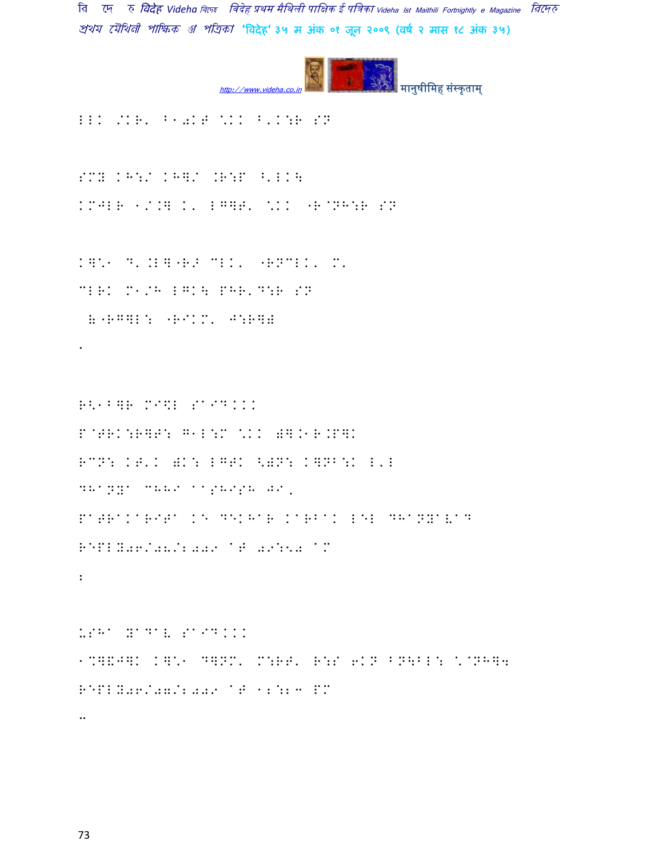$\ddot{\cdot}$ USHa YaDaV SaID... 1%]&J]K K]\*1 D]NM' M:RT' R:S 6KN BN\BL: \*@NH]4 REPLYNG AT 12:23 PM AT 12:23 PM AT 12:23 PM AT 12:23 PM AT 12:23 PM AT 12:23 PM AT 12:23 PM AT 12:23 PM AT 12:  $\ddot{\phantom{2}}$ 

RR MI\$R MI\$L SAID. PORRIGHER WALLET COOL HER POPE RCN: KAT'K AN'K AN'K AN'K AN'K LANG ANG KATALOG ANG KATALOG ANG KATALOG ANG KATALOG ANG KATALOG ANG KATAlog An dhanya Chungara Chenya Chenya PaTRaKaRITa KE DEKHaR KaRBaK LEL DHaNYaVaD REPLY 08:50 and 09:50 and 09:50 and 09:50 and 09:50 and 09:50 and 09:50 and 09:50 and 09:50 and 09:50 and 09:5

KAN DER GRAMMEN SERTEN SIN CLRK M1/H LGK\ PHR'D:R SN ("RG)" REPORT ("RICH" POST ("RICH" )

SMY KH:/ CHE/ .R:P / LECH KOMIN 1/10 KOMIN 1/1 KOMIN 1/1 KR 1994 E SON

HID /KR' BANDE MID BLIDE FR



िव दिन दि**विदेह Videha** बिलर विदेह प्रथम मैथिली पाक्षिक ई पत्रिका Videha Ist Maithili Fortnightly e Magazine विCFE õथम मैिथली पािक्षक ई पिñका **'**िवदेह**'** ३५ म अंक ०१ जून २००९ (वष र् २ मास १८ अंक ३५)

 $\ddot{\phantom{1}}$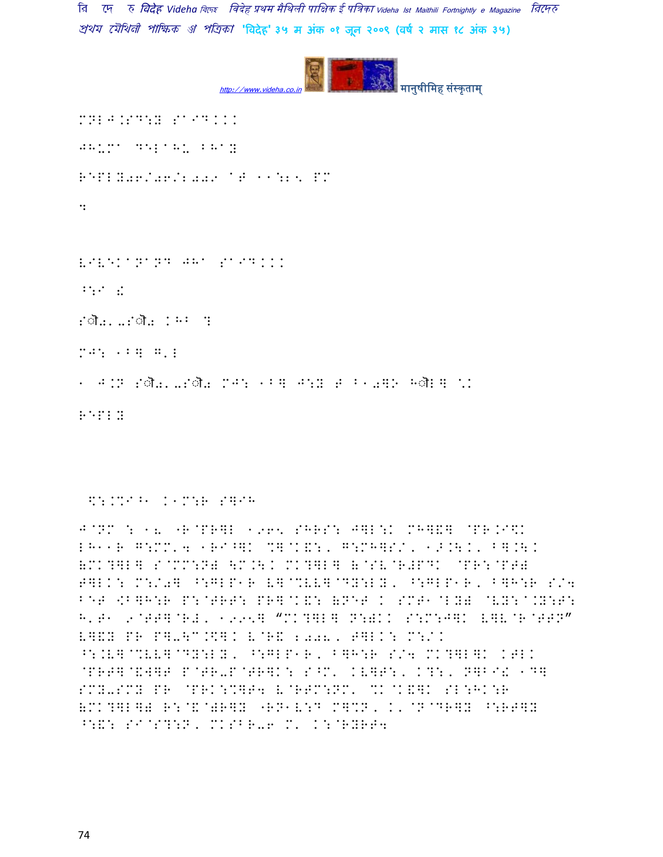

MNLJ.SD:Y SaID... JHUMA DELAHU BHAYA RREPLACEMENT OF STREET

 $\dddot{\bullet}$ 

VIVEKaNaND JHa SaID...

 $\langle T_1, T_2, T_3 \rangle$ 

 $\mathbb{R}^3$ din Khab  $\mathbb{R}^3$  (see Fig. ).

MJ: 1B] G'L

ে নেয়ে র**ৌ..**..রৌ.. 2নে: ১৭৪ নেয়ে ৪ ৭১৫৪১ দ**ৌ**: ৪ %

**RAPE II** 

\$:.%I^1 K1M:R S]IH

J@NM : 18 "R@PR]L 1965 SHRS: J]L:K MH]&] @PR.I\$K  $\pm$  Recent R  $\pm$  1R  $\pm$  and  $\pm$  and  $\pm$  and  $\pm$  and  $\pm$  and  $\pm$  and  $\pm$  and  $\pm$ (MK?) THE HEROTH CONSTRUCTED IN A MARKET (POSSIBLE GAME) IN MARKET (PTP) (PTP) (PTP) FULLS: MS.LAU (SHER) ROMAN MEER MOSH O. (SHER) R. (UURSR) S.L. BET IN THE RESEARCH IN THE REPORT OF THE RESEARCH IN THE RESEARCH IN THE REPORT OF THE RESEARCH IN THE REPORT OF THE RESEARCH IN THE REPORT OF THE REPORT OF THE REPORT OF THE REPORT OF THE REPORT OF THE REPORT OF THE REPOR HOTE CONSTRUCT DO THE STOLE OF STATE REPORT OF THE RELEASE OF THE STATE OF THE SERVE V]&Y PR P]-\C.\$]. V@R& 2008, T]LK: M:/. ^:.V]@%VV]@DY:LY, ^:GLP1R, B]H:R S/4 MK?]L]K KTLK @PRT]@&W]T P@TR-P@TR]K: S^M' KV]T:, K?:, N]BI! 1D] SMY-SMY PR @PRK:%]T4 V@RTM:NM' %K@K&]K SL:HK:R (MK?]L]) R:@&@)R]Y "RN1V:D M]%N, K'@N@DR]Y ^:RT]Y \*\*: N, MKSBR-6 MYSS P. SIGNER MYSS PARTIES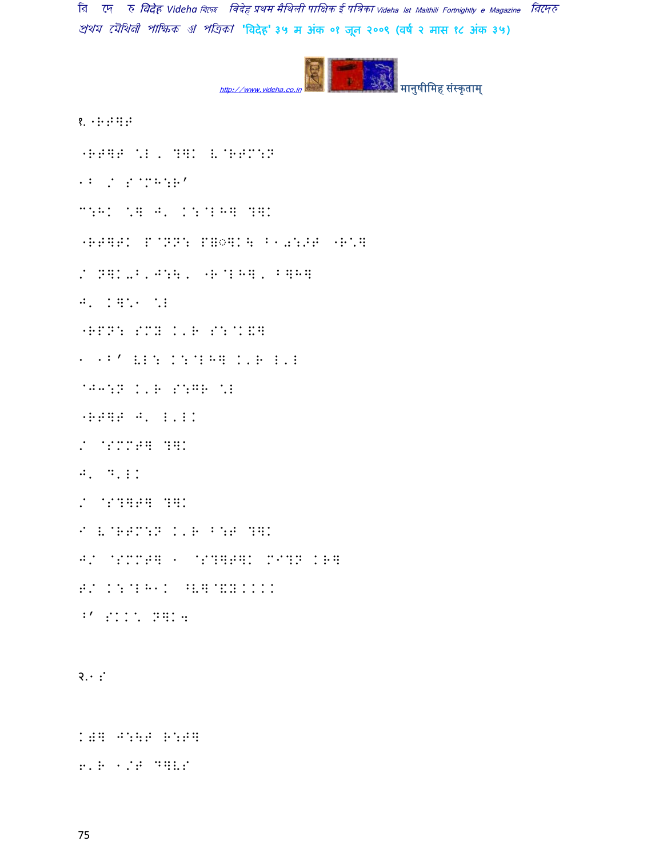

 $\ell$ .  $\cdots$   $\cdots$   $\cdots$ 

"RT; ?) \*L, ?) \*L, ?) \*L, ?) \*L, ?) \*L, ?) \*L, ?) \*L, ?) \*L, ?) \*L, ?) \*L, ? 1B / S@MH:R' C:HK \* K: W: H: # ? "REPRESSENT POPIS PERMIT REPORT PROPERTY / N]K-B'J:\, "R@LH], B]H] J' K]\*1 \*L "RPN: SMY KYR SYNCHR 1 1B' VL: K:@LH] K'R L'L @J3:N K'R S:GR \*L "RTH" H. 1.11 / @SMMT] ?]K  $\mathcal{H}_1$  ,  $\mathcal{H}_2$  ; ; ; / @S?]T] ?]K I V@RTM:N K'R B:T ?]K J/ MONTH 1 MARSHALL MATHEMATIC F/ Chief Willer Constants  $\mathcal{F}'$  SKK  $\mathcal{F}$  NH  $\mathcal{F}$ 

२. $\cdot$  :

K)] J:\T R:T] 6. B (1/F) 796.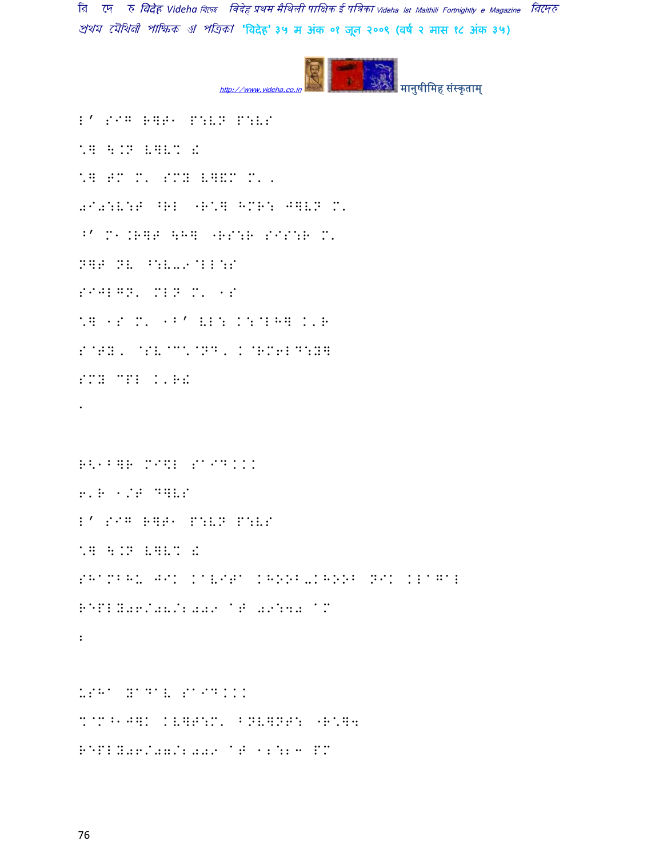

L' POR PHP TILL PILE \*] \.N V]V% ! \*] TM M' SMY V]&M M', OPGARDE PRI PROB ATEN ABLE T.  $V$  T. RHE AND (RING SIS)  $T$ . **THE TE TELLS TITHE** SIMPLE MINE MODEL \*] 1S M' 1B' VL: K:@LH] K'R S@TY, @SV@C\*@ND, K@RM6LD:Y] SMY CHARLES CONTROL  $\ddot{\phantom{1}}$ 

## $R = 1$  ,  $R = 1$  ,  $R = 1$  ,  $R = 1$  ,  $R = 1$  ,  $R = 1$  ,  $R = 1$ **6. B**  $\cdot$  DE THE D L' SIG REE TILE PILE \*] \.N V]V% ! SHAMBHU JIK KABU JIHA KU KARA NI KALI KATIFITA REPLYNCHAN STREET  $\ddot{\cdot}$

USHA YADAVI SAIDAY When the control of the control of the control of the control of the control of the control of the control of the control of the control of the control of the control of the control of the control of the control of the con REPLY 08:23 PM 2009 aT 12:23 PM 2009 aT 12:23 PM 2009 aT 12:23 PM 2009 aT 12:23 PM 2009 aT 12:23 PM 2009 aT 12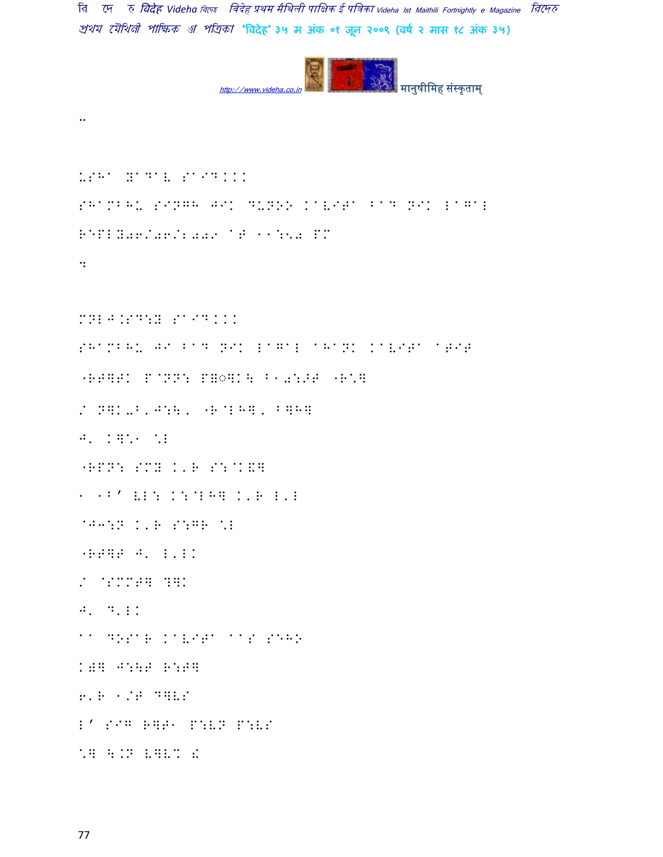

```
USHa YaDaV SaID... 
SHAMBHU SINGH JIK DUNOO KAWITA BAD NIK LAGAL
RPPE Barolards and CoP 11:50 PM
\dddot{\phantom{1}}THE SOUND STREET
SHAMBHU JI BAD NIK LAGAL AHANK KAWITA ATITU AHANK KAWITA AHANK KAWITA ATITU ATITU ATITU ATITU ATITU ATITU ATI
"REFUEL POSSES PHOUR PHILE "ROB
/ N]K-B'J:\, "R@LH], B]H] 
J' KATHA MAR
"RPN: SMY KIR SYSTER
1 189 KEER 1599 KEER ELE
@J3:N K'R S:GR *L 
"REPORT HAT IS LIST
/ @SMMT] ?]K 
\sigma_{\rm s} , \sigma_{\rm s} ; ; ;
aa DOSaR KaVITa aaS SEHO 
\ddotsc \ddotsc \ddotsc \ddotsc \ddotsc \ddotsc \ddotsc \ddotsc6'R 1/T D]VS 
L' SIG REPORTED RILE
*] \.N V]V% !
```
 $\ddot{\phantom{0}}$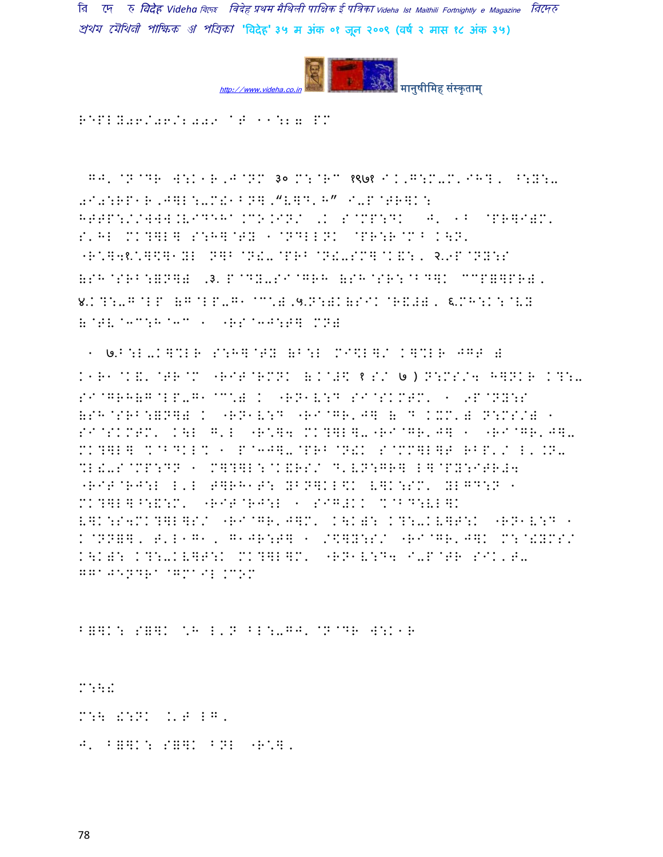

REPLY 06/2009 at 11:27 PM at 11:27 PM at 11:27 PM at 12:27 PM at 11:27 PM at 12:27 PM at 12:27 PM at 12:27 PM

GRAN TROTH GENER WAS TRIM 30 MN 1977 8808 POLARYMINI PAR LO FERENC 0I0:RP1R,J]L:-M!1BN],"V]D'H" I-P@TR]K: HEFTP://WEBELLARRAMICTS.CO.P.CO.IN/ ENTRYPY: UNA. USE @PREPERD.  $S$  . The contribution of the contribution of the contribution of the contribution of the contribution of the contribution of the contribution of the contribution of the contribution of the contribution of the contribution  $R$  . For the state of the small state of the second second second second second second second second second second second second second second second second second second second second second second second second second s (SH@SRB:=N]) ,३. P@DY-SI@GRH (SH@SR:@BD]K CCP=]PR), ४.K?:-G@LP (G@LP-G1@C\*),५.N:)K(SIK@R&#), ६.MH:K:@VY (@TV@3C:H@3C 1 "RS@3J:T] MN)

 1 ७.B:L-K]%LR S:H]@TY (B:L MI\$L]/ K]%LR JGT ) K1R1@K&'@TR@M "RIT@RMNK (.@#\$ १ S/ ७ ) N:MS/4 H]NKR K?:- SIA TREPRER TE BURK TOOL BOOK HERK EN NY SIA TEO DIRO, OK "SIBO TRONER" (SH@SRB:NIV:D ) (SH@SRB:N) (B) "PRI@H" N:MS/ID N:MS/20 ( SIA NEO DADU MORE MALE MARINHAMO DO HAL HAMMARIAHA, AH ANG AHAN AHAU AHU. MK?]L] %@BDKL% 1 P@3J]-@PRB@N!K S@MM]L]T RBP'/ L'.N- %L!-S@MP:DN 1 M]?]L:@K&RS/ D'VN:GR] L]@PY:ITR#4 "RITAGE I.E PARATE BIRDIK LAINIT. BIRDI ( MK?]L]^:&:M' "RIT@RJ:L 1 SIG#KK %@BD:VL]K V]K:S4MK?]L]S/ "RI@GR'J]M' K\K): K?:-KV]T:K "RN1V:D 1 K@NN=], T'L1G1, G1JR:T] 1 /\$]Y:S/ "RI@GR'J]K M:@!YMS/ KA: KEY (KOMINI): KARANG ON TAHA ANG SIKA-PANG PANG-ANG SIKOL BEL GGALENDRA GEORGIA

B=]K: S=]K \*H L'N BL:-GJ'@N@DR W:K1R

 $T:\mathbb{R}^n$ 

 $\ldots$  .  $\ldots$  .  $\ldots$  .  $\ldots$  .

J' BE REPORT OF BUILDING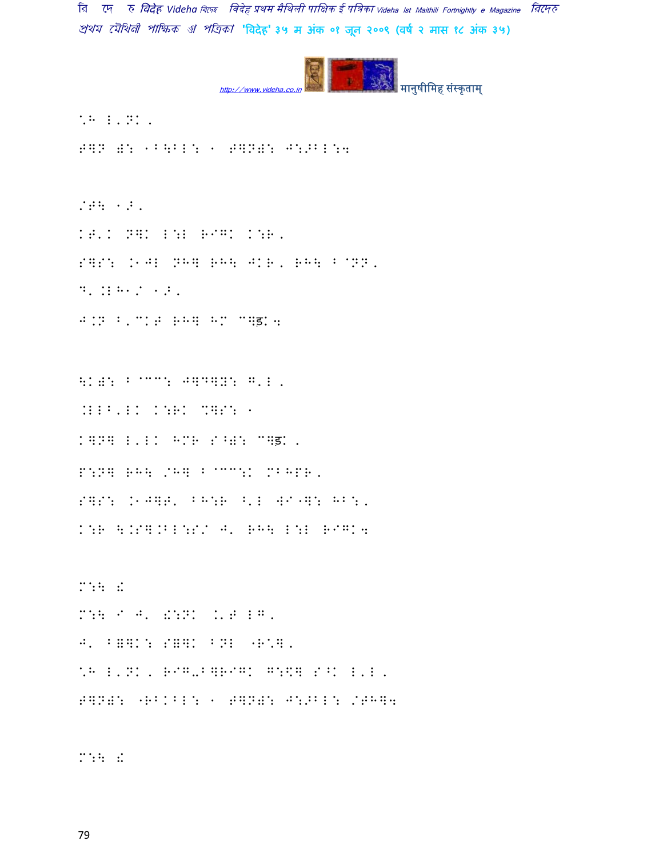

\*H L'NK, THE SERVES IS NOT THE SERVES IN

 $\mathcal{L}\oplus\mathcal{H}\rightarrow\mathcal{F}$  , KELI PAD ENE BYPI INB. SHIS SHI PHE BHA RIB, BHA FIRE, D'.LH1/ 1>, J.N B'CKT RH] HM C]ड़K4

 $\kappa$ : B $\kappa$  B $\kappa$  B $\kappa$  B $\kappa$  B $\kappa$  B $\kappa$  B $\kappa$  B $\kappa$ .LLB'LK K:RK %]S: 1  $k$  HPR  $k$  and  $k$  and  $k$  and  $k$  and  $k$  and  $k$ P:N] RH\ /H] B@CC:K MBHPR, SHIS: .1998, CRIE BE: 42-42-41 WIL K:R \.S].BL:S/ J' RH\ L:L RIGK4

 $T^*H^*H$ THE POWER ENDING LEADER J' B=]K: S=]K BNL "R\*], \*H L'NK, RIG-B]RIGK G:\$] S^K L'L, THE RESERVE IS TO A REPORT OF RESIDENT AND RESERVE IN THE RESERVE IS A REPORT OF RESIDENT AND RESERVE IN THE R

 $T:$  :  $\mathbb{C}$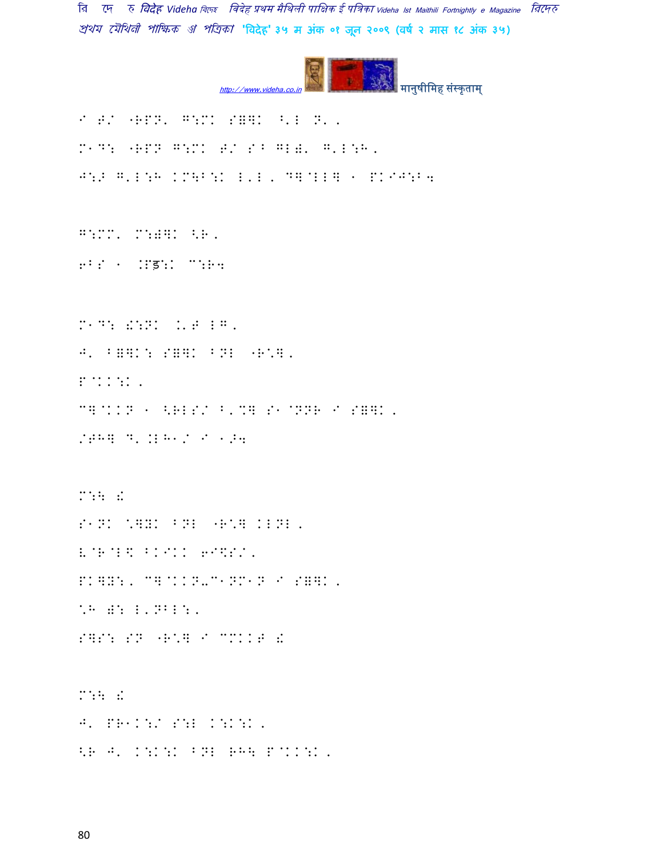

I THAT HE REAL SHOPS OF REAL SECTIONS OF REAL SECTIONS OF REAL SECTIONS OF REAL SECTIONS OF REAL SECTIONS OF R M1D: "RPN G:MK T/ S^ GL)' G'L:H, J:> G'L:H KM\B:K L'L, D]@LL] 1 PKIJ:B4

SHIT, THE SA  $p \cdot f \cdot f = \text{Hg}$ : C:R4

M1D: !:NK .'T LG, J' B=]K: S=]K BNL "R\*], P@KK:K, CAN I SHE SIDE STORES STORES STORES STORES /TH] D'.LH1/ I 1>4

 $T^*H^*H$ STREET TRANSPORTED TO A REPORT OF THE STREET ES BKIKK BAKK 6 BKIKK PK]Y:, C]@KKN-C1NM1N I S=]K, \*H ): L'NBL:, SASSES TO THE SASSES I CONTROL IN THE SASSES I CONTROL IN THE SASSES I CONTROL IN THE UPPER IN THE UPPER IN THE

 $T:\mathbb{R} \to \mathbb{R}$ J' PR1K:/ S:L K:K:K, R H H K:K:K:K:K:K:K:K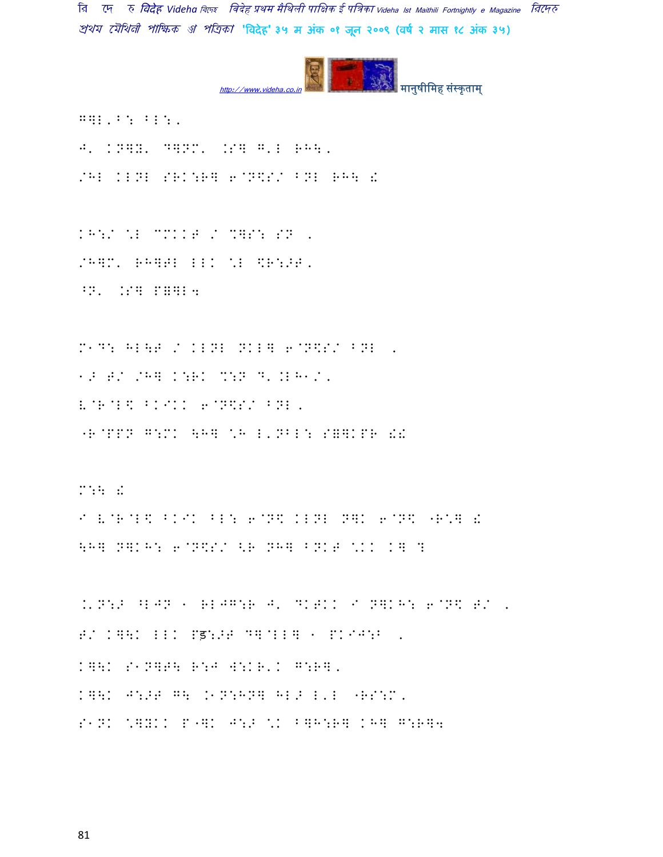

BH: BL: BL: J. (2001) 9827. (2009) 8.1 BRA. /HL KLNL SRK:R] 6@N\$S/ BNL RH\ !

KH:/ \*L CONVERT / \$PA /H]M' RH]TL LLK \*L \$R:>T,  $\ddotsc$  . See . This . .

D: TE HEAR VOILBE DIE BODDEN FORL , 1> T/ /H] K:RK %:N D'.LH1/,  $\ddot{v}$  ,  $\ddot{v}$  and  $\ddot{v}$  and  $\ddot{v}$  and  $\ddot{v}$  and  $\ddot{v}$  and  $\ddot{v}$  and  $\ddot{v}$  and  $\ddot{v}$  and  $\ddot{v}$  and  $\ddot{v}$  and  $\ddot{v}$  and  $\ddot{v}$  and  $\ddot{v}$  and  $\ddot{v}$  and  $\ddot{v}$  and  $\ddot{v}$  and  $\$  $R$  and the problem of the second second second second second second second second second second second second second second second second second second second second second second second second second second second second

 $T:\mathbb{R} \to \mathbb{R}$ I ROBERT BEFORE BEIT BLOKEN BLOKEN BLOKEN BLOKEN ART AND RELATIONSHIP IN A RELATIONSHIP IN A RELATIONSHIP IN A \H] N]KH: 6@N\$S/ <R NH] BNKT \*KK K] ?

.'N:> ^LJN 1 RLJG:R J' DKTKK I N]KH: 6@N\$ T/ , T/ K]\K LLK Pड़:>T D]@LL] 1 PKIJ:B ,  $K$   $\mathbb{R}$  ,  $K$   $\mathbb{R}$  ,  $K$   $\mathbb{R}$  ,  $K$   $\mathbb{R}$  ,  $K$   $\mathbb{R}$  ,  $K$   $\mathbb{R}$  ,  $K$   $\mathbb{R}$  ,  $K$   $\mathbb{R}$  ,  $K$   $\mathbb{R}$  ,  $K$   $\mathbb{R}$  ,  $K$   $\mathbb{R}$  ,  $K$   $\mathbb{R}$  ,  $K$   $\mathbb{R}$  ,  $K$   $\mathbb{R}$  ,  $K$   $\mathbb{R}$ KARL GRAP HE SERVER HIS ELE (BETIC STRING TO THE RIGHT REFERENCE REFER

81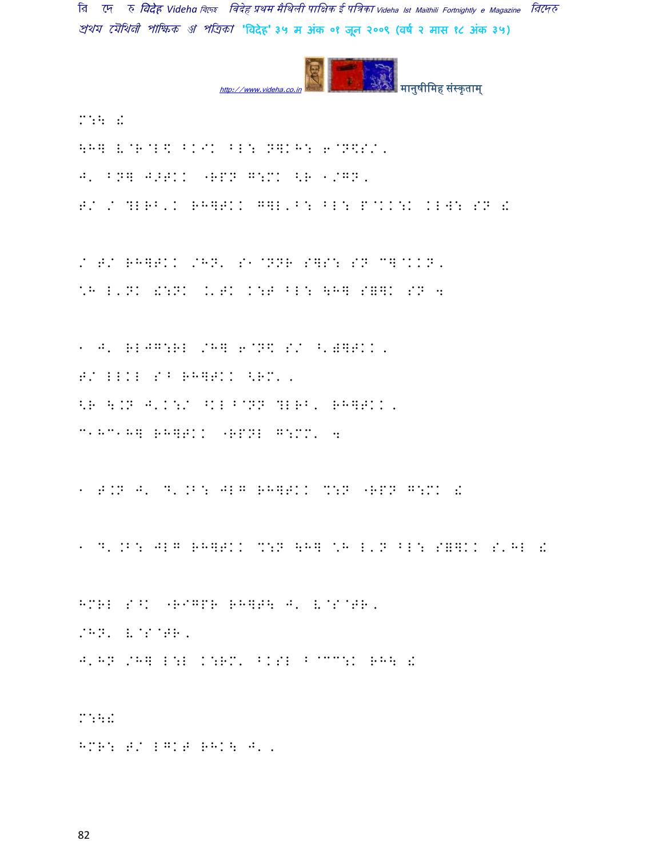

 $T:$   $\vdots$   $\vdots$ 

\H] V@R@L\$ BKIK BL: N]KH: 6@N\$S/,

J', BND HARI (HPN GYN) AR 1/GR.

T/ / ?LRB'K RH]TKK G]L'B: BL: P@KK:K KLW: SN !

/ T/ RH]TKK /HN' S1@NNR S]S: SN C]@KKN, \*H L'NK !:NK .'TK K:T BL: \H] S=]K SN 4

1 J' RLJG:RL /H] 6@N\$ S/ ^')]TKK, F/ LLCE ST RHATCHET, . R HIT AN IN AN INTERFERING TANTANG BAGAIL (BPD) MITTL G

1 T.N J' D'.B: JLG RH]TKK %:N "RPN G:MK !

1 D'.B: JLG RHE RHE SE D'E SON BLI SE SE SE SE DE SON BLE E

HTHE SON SHOWER RHWAR H. LOCATER, /HN' V@S@TR, JA:AS /AB L:L K:RM' BKSL B COOK: RAH E

 $T:\mathbb{R}^n$ 

HTP: F/ LAGE RHINGS,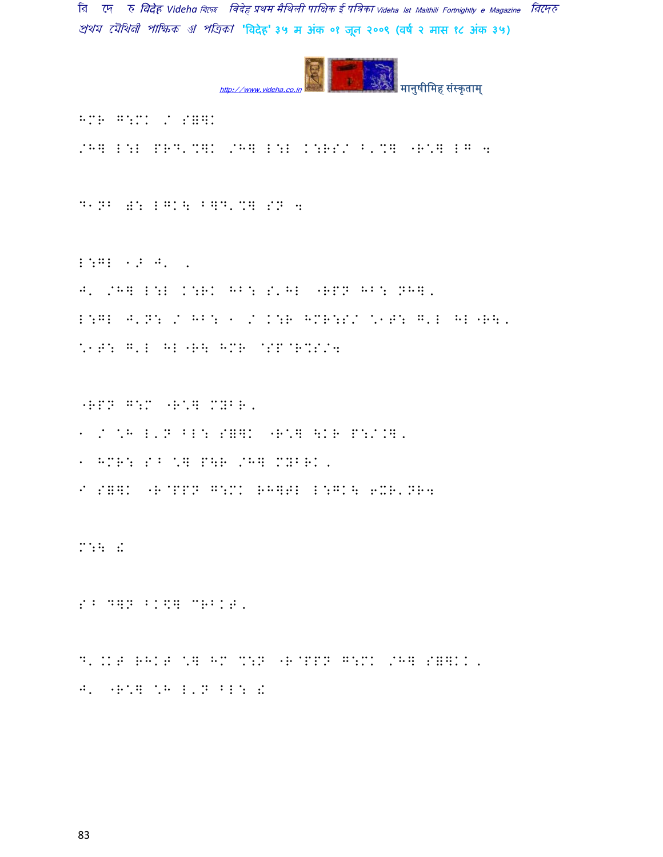

HMR G:MAR SERI /H] L:L PRD'%]K /H] L:L K:RS/ B'%] "R\*] LG 4

D1NB ): LGK\ B]D'%] SN 4

 $\vdots$   $\vdots$   $\vdots$   $\vdots$   $\vdots$   $\vdots$ J' /H] L:L K:RK HB: S'HL "RPN HB: NH], LAME WORK ZOHEN FOOTABLANDENS TERNIEL HERBY. \*1T: G'L HL"R\ HMR @SP@R%S/4

"RPN G:M "RPN G:M "RPN G:M "RPN G:M "RPN G:M "RPN G:M "RPN G:M "RPN G:M "RPN G:M "RPN G:M "RPN G:M "RPN G:M "R<br>"RPN G:M "RPN G:M "RPN G:M "RPN G:M "RPN G:M "RPN G:M "RPN G:M "RPN G:M "RPN G:M "RPN G:M "RPN G:M "RPN G:M "R

- $1 / (1 + 1.7 + 1.7)$  and  $1.7 + 1.7$  and  $1.7 + 1.7$ .
- 1 HMR: S\* (H FAR /HB MYBR),

I S=]K "R@PPN G:MK RH]TL L:GK\ 6XR'NR4

 $T:\mathbb{R}\to\mathbb{R}$ 

So DHI BK\$1, 200

D'.KT RHKT \*I HM %:N \*RTH #10. NH SEEK, J', "HIT IN BLI FER E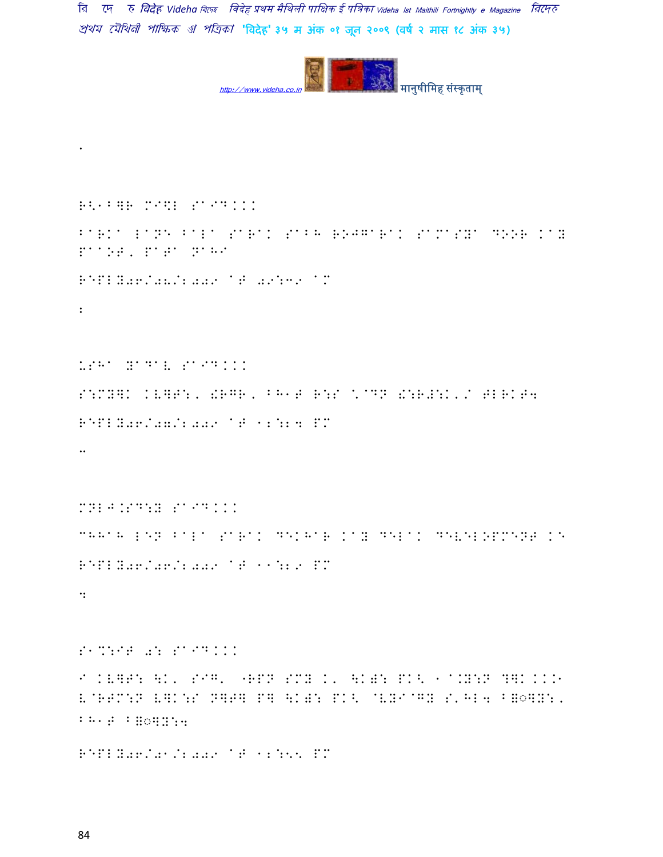

```
RR MISL SAID.
BaRKa Lane BaLa Sarak Sarak Sarak Sarak Sarak Sarak Sarak Sa
PaaOT, PaTa NaHI 
REPRESENTATION AT 09:39 aM
\ddot{\cdot}USHa YaDaV SaID... 
S:MY]K KV]T:, !RGR, BH1T R:S *@DN !:R#:K'/ TLRKT4 
REPLY 08:24 PM 2009 AT 12:24 PM 2009 AT 12:24 PM 2009 AT 12:24 PM 2009 AT 12:24 PM 2009
\ddotscMANUSCRIPTS
CHHaH LEN BaLa SaRaK DEKHaR KaY DELaK DEVELOPMENT KE 
REPLY06/06/2009 aT 11:29 PM 
\dddot{\bullet}SNIME STATISTICS.
```
I KV]T: \K' SIG' "RPN SMY K' \K): PK< 1@.Y:N ?]K...1  $E$  (FRTM: NORTH STRING STRING STRING STRING STRING STRING STRING STRING STRING STRING STRING STRING STRING STRING STRING STRING STRING STRING STRING STRING STRING STRING STRING STRING STRING STRING STRING STRING STRING ST BH1T BENJER

REPRESENTATION OF THE PROPERTY

 $\bullet$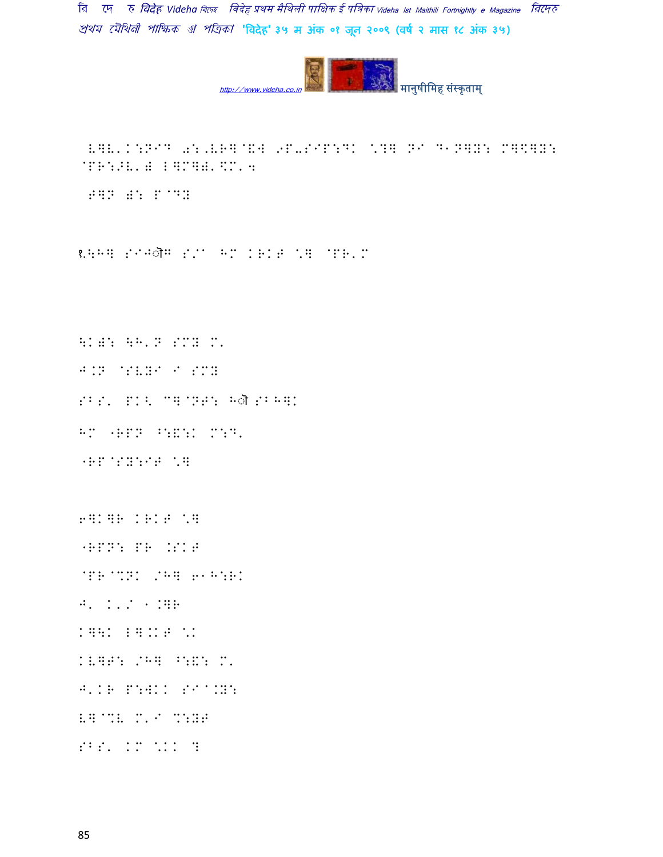

V: A REPORT OF A REPORT OF A STRAIGHT AND A REPORT OF A REPORT OF A REPORT OF A REPORT OF A REPORT OF A REPORT<br>And a report of a report of a report of a report of a report of a report of a report of a report of a report o @PR:>V') L]M])'\$M'4

THE SECTION

१.\H] SIJ◌ॊG S/a HM KRKT \*] @PR'M

 $\text{R}$ :  $\text{R}$  SMY  $\text{R}$  and  $\text{R}$ 

J.N MY MARK STORES

SBS' PK CHOPPY HO SBHD

HT "RPN "RENE TIRE

"RP@SY:IT \*]

 $\mathbf{H}$ "RPN: PR .SKT @PR@%NK /H] 61H:RK  $\mathcal{A}_1$  (1.1  $\mathcal{A}_2$  1.11) KARD BERGE TO  $T: \mathbb{R}^n \times \mathbb{R}^n \times \mathbb{R}^n \times \mathbb{R}^n \times \mathbb{R}^n \times \mathbb{R}^n$ J'KR P:WKK SI@.Y: RH VI W W WHIP SBS' KM \*KK ?K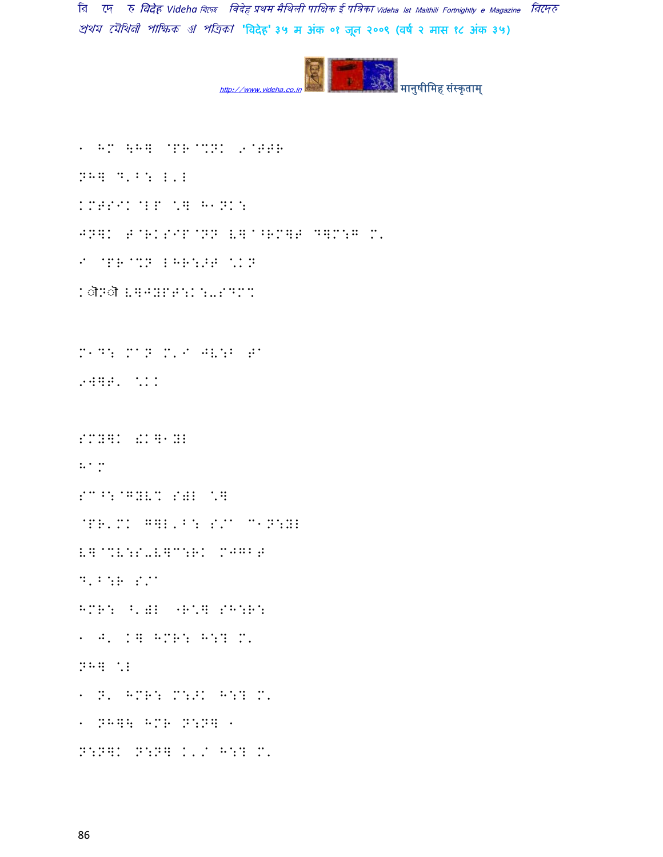

 $1.97$  HM  $\mathrm{NPE}$   $\mathrm{NPE}$   $\mathrm{NPE}$ NH] D'B: L'L KONSING TERRITORY JANAR TARKSIP TAN VALITY DISTANCES I MORE THAN THE SERVICE K◌ॊN◌ॊ V]JYPT:K:-SDM% M1D: MaN M'I JV:B Ta 99W. T. SMYSH ENGIN  $H^{\bullet}$  in the set of  $H^{\bullet}$  $\mathcal{S}^{\mathcal{S}}$  Scott Section Section Section MPRINT GULFA CAN WEBSI V]@%V:S-V]C:RK MJGBT D'B:R S/a HTB: C.AI (BICH) SH:R: 1 J' K] HMR: H:? M' NH] \*L 1 N' HMR: M:>K H:? M' 1 NH<sub>1</sub> NH<sub>1</sub> NH<sub>1</sub> NH<sub>1</sub> NH<sub>1</sub> NH<sub>1</sub> N:N]K N:N] K'/ H:? M'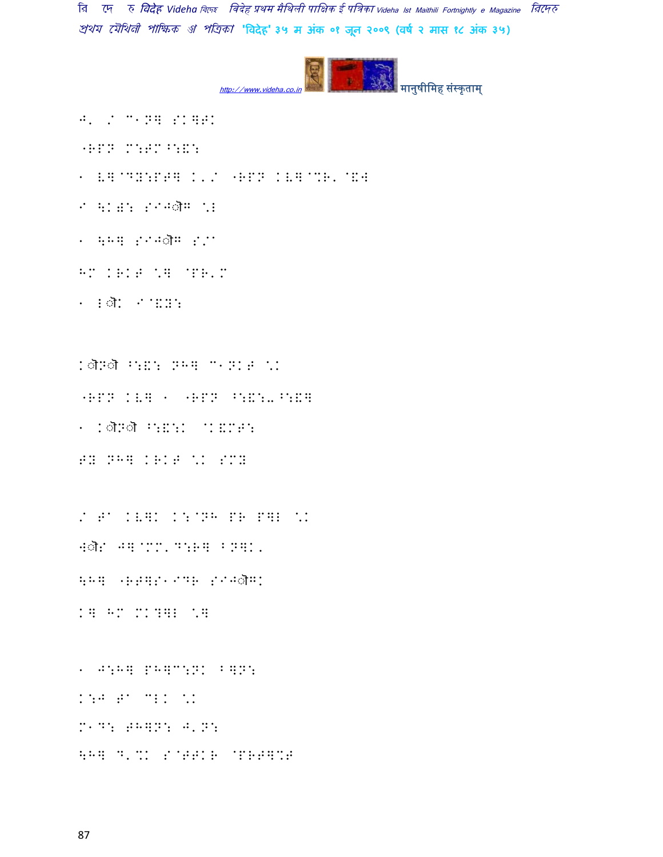

J' / T-38 (198)

"RPN M: 000 MONTHS

1 V]@DY:PT] K'/ "RPN KV]@%R'@&W

 $\mathcal{F}$  (a):  $\mathcal{F}$  and  $\mathcal{F}$  and  $\mathcal{F}$  . Since

1 \H] SIJ◌ॊG S/a

HM KRKT \* MR KRKT

 $1 \cdot 1$  i division  $1 \cdot 1 \cdot 1$  in the  $1 \cdot 1 \cdot 1$ 

 $K:$  of  $H$   $\mathbb{R}$   $\mathbb{R}$  . Then  $K:$   $H$   $\mathbb{R}$   $\mathbb{R}$   $\mathbb{R}$   $\mathbb{R}$   $\mathbb{R}$   $\mathbb{R}$   $\mathbb{R}$   $\mathbb{R}$   $\mathbb{R}$   $\mathbb{R}$   $\mathbb{R}$   $\mathbb{R}$   $\mathbb{R}$   $\mathbb{R}$   $\mathbb{R}$   $\mathbb{R}$   $\mathbb{R}$   $\mathbb{R}$   $\mathbb{R}$   $\mathbb$ "RPN KVALL" | RPN FRN KVALL  $1$  Konstant of Bunder

FR NHE KRIS AN SIN

/ Ta KV]K K:@NH PR P]L \*K  $H$ @M:  $H$ H (FIT, F1PH) BNH].  $H_1 H_2 H_3 + H_2 H_3 H_4 H_5 + H_3 H_5 H_6 + H_5 H_7 H_8$  $\frac{1}{1}$   $\frac{1}{1}$   $\frac{1}{1}$   $\frac{1}{1}$   $\frac{1}{1}$   $\frac{1}{1}$   $\frac{1}{1}$   $\frac{1}{1}$   $\frac{1}{1}$   $\frac{1}{1}$   $\frac{1}{1}$   $\frac{1}{1}$   $\frac{1}{1}$   $\frac{1}{1}$   $\frac{1}{1}$   $\frac{1}{1}$   $\frac{1}{1}$   $\frac{1}{1}$   $\frac{1}{1}$   $\frac{1}{1}$   $\frac{1}{1}$   $\frac{1}{1}$ 

1 J:H] PH]C:NK B]N: K:H: F TR C M100: THE STREET STREET \H] D'%K S@TTKR @PRT]%T

87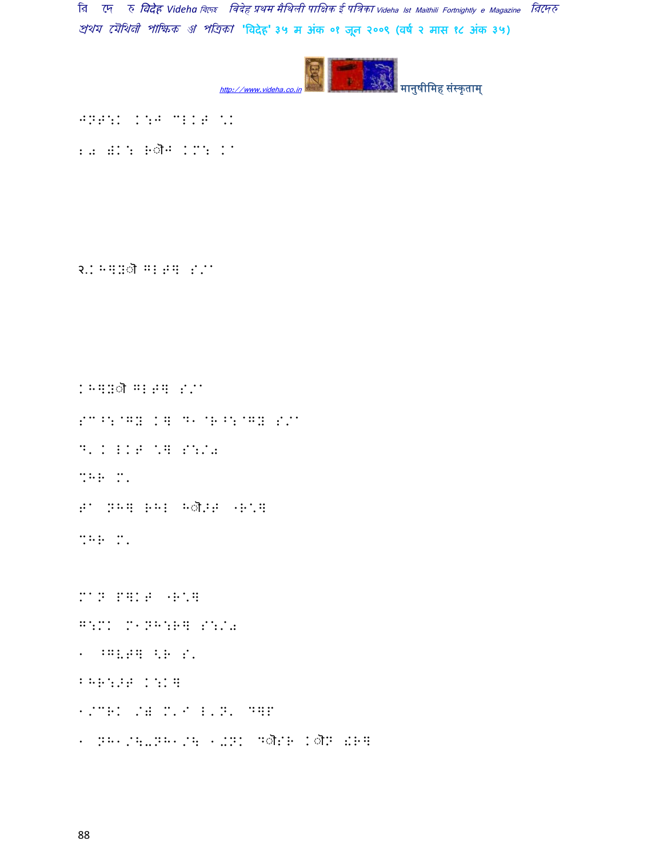

APAN: CAR MILA NI 20 )K: R◌ॊJ KM: Ka

२.1 ममाओ माजमा जा?"

 $k=0.05$  GLT  $\pm 0.05$ 

SCONDITION OF THIS CAN SCOT

D'. LATERATUR

%HR M'

The NHL HOLP SEAR

%HR M'

MAN PELESSINA

1 <sup>18</sup>529 SF S

**BHR:B:C K:K** 

SHI: THURSH RISK

1/CRK /) M'I L'N' D]P

1 NH1/H1/H1/H (201) PORP COR ERR

88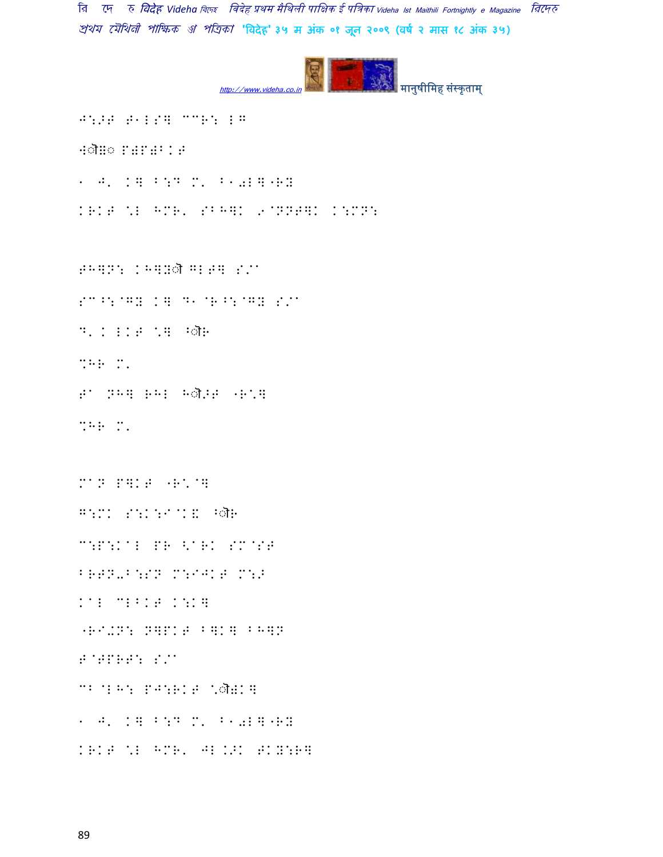

J:>T T1LS] CCR: LG H∂H⊙ P⊞P⊞F1 P 1 J' K] B:D M' B10L] B:D M H10L KRKT \*L HMR' SBHER' SBHER' SBHER'

THERS CHEEN SITE SON SCONSING CONSINGERATION णः । LH  $\mathbb{R} \mathbb{R} \to \mathbb{R}$ %HR M' The NHL Hotel Section %HR M' MAN PERSONAL PROPERTY BATI PALASTIC FOR

THEN PR STRINGTON BRTN-B:SN MY-ULE MAR KAL CHECK KING "RI+N: N]PKT B]K] BH]N T@TPRT: S/a CB@LH: PHYELF (@HIH 1 J' K] B:D M' B10L]"RY KRKT \*L HMR' JOHN \*L HARRY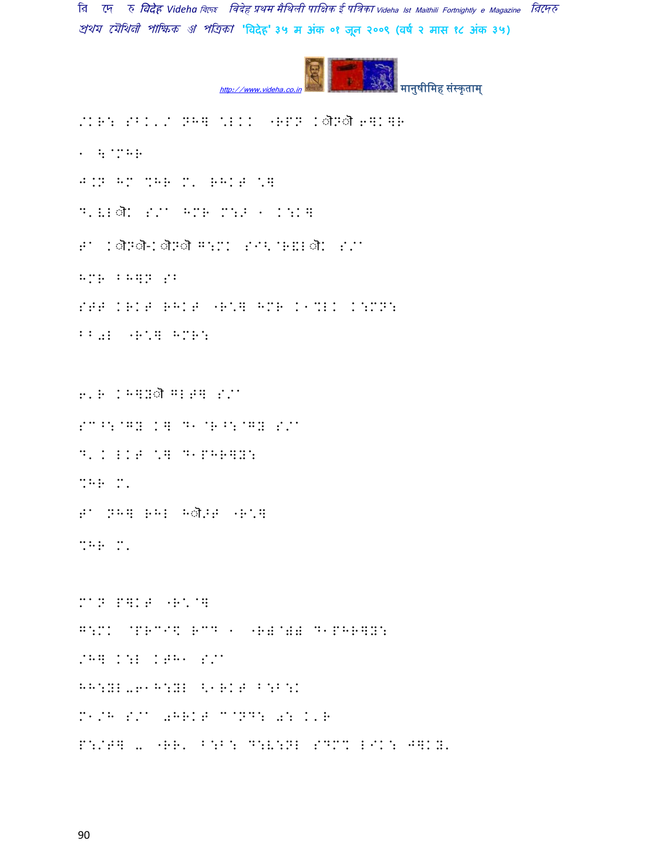

/KR: SBK'/ NH] \*LKK "RPN K◌ॊN◌ॊ 6]K]R

 $1 \leq n \leq n$ 

HAM HM WHR MY RHKT WH

D'VL◌ॊK S/a HMR M:> 1 K:K]

া কাৰ্য কৰিব বিজ্ঞান বিজয় বিজয় কৰি সিদি সমূহ বিজয় সমূহ বিজয় সমূহ বিজয় সমূহ বিজয় সমূহ বিজয় সমূহ বিজয় সমূহ

HMR BH<sub>R</sub>

STAR IS KREAT "REAL" HOR KING KEING KEING

BB0L "R\*D" HMR:

 $\mu$ ,  $\mu$  (1993) and  $\mu$  and  $\mu$ 

SCONDING CONSIDERATION

D. LATH ON PHERIC

%HR M'

The NHL Hotel Section

%HR M'

MAN PHILE (1971) G:MK @PRCI\$ RCD 1 "R)@)) D1PHR]Y: /H] K:L KTH1 S/a HH:HL-64H: B:B:B:P:H:K M1/H S/a 0HRKT C@ND: 0: K'R P:/T] - "RR' B:B: D:V:NL SDM% LIK: J]KY'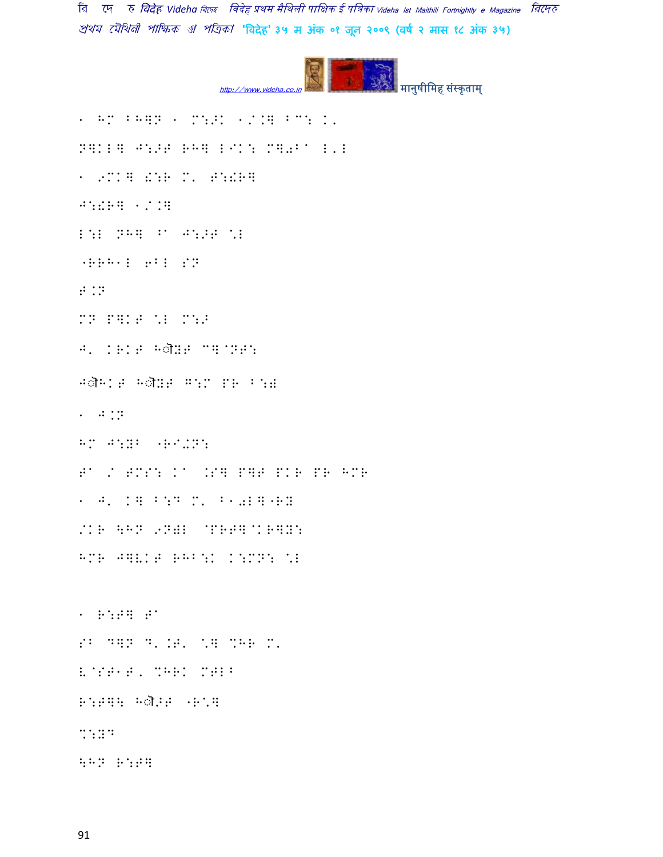

1 HM BH]N 1 M:>K 1/.] BC: K' NAMES AND READ REPORTS OF LIKE  $\cdot$  (2018)  $\pm$  MeV T: REMARK J: ROMAN 19 LH: PHE POSSER NE "Reference of the state of the state of the state of the state of the state of the state of the state of the s<br>"The state of the state of the state of the state of the state of the state of the state of the state of the s T.N WH PHIS ME WHAT J' KRAT HO THE CARD CARD **H**OHER HOT FR BOH 1 J.H. HM J:YB "RIH: TA / TA / TMS: PARTIEL PROPERTY PARTIEL AND MODEL 1 J' K] B:D M' B10L]"RY /KR \HN 9N)L @PRT]@KR]Y: HMR J]VKT RHB:K K:MN: \*L 1 R:TH T SB D'ET D'ALLES SHATH MA EMSPHI, MARK MALB  $R:THH$   $\to$   $\mathcal{O}(H)$   $\to$   $\to$   $\mathcal{O}(H)$ %:YD \HN R:T]

91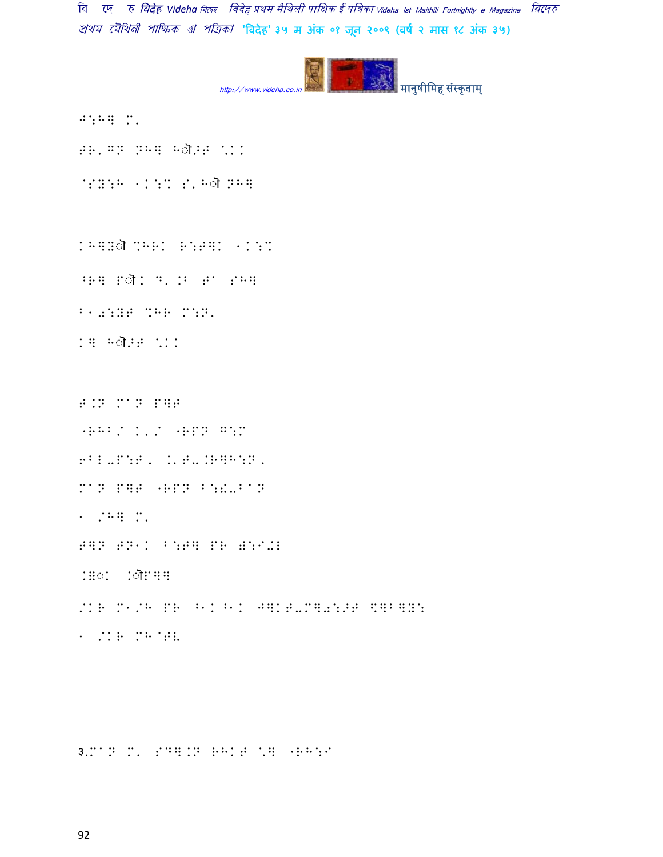

 $H:HH$   $H$ .

TR'GN NH HOLE TO

OSTER 18:50 STEP

KHERM THRK REFER RITK ^R] P◌ॊ. D'.B Ta SH] B10:YT %HR M:N  $k = \frac{1}{2} \sum_{i=1}^{n} \frac{1}{2} \sum_{i=1}^{n} \frac{1}{2} \sum_{i=1}^{n} \frac{1}{2} \sum_{i=1}^{n} \frac{1}{2} \sum_{i=1}^{n} \frac{1}{2} \sum_{i=1}^{n} \frac{1}{2} \sum_{i=1}^{n} \frac{1}{2} \sum_{i=1}^{n} \frac{1}{2} \sum_{i=1}^{n} \frac{1}{2} \sum_{i=1}^{n} \frac{1}{2} \sum_{i=1}^{n} \frac{1}{2} \sum_{i=1}^{n} \frac{1}{2} \sum_{i=1}$ 

F.W MAN PIP  $R$  and  $R$  is the second graph  $R$ 6BLING-C.LELHERGE. MAN PHONE REPORTS 1 /H] M' THIS PIRE PROPERTY  $\therefore$   $\exists$  .  $\exists$  .  $\exists$  .  $\exists$  .  $\exists$  .  $\exists$  .  $\exists$  .  $\exists$  .  $\exists$  .  $\exists$  .  $\exists$  .  $\exists$  .  $\exists$  .  $\exists$  .  $\exists$  .  $\exists$  .  $\exists$  .  $\exists$  .  $\exists$  .  $\exists$  .  $\exists$  .  $\exists$  .  $\exists$  .  $\exists$  .  $\exists$  .  $\exists$  .  $\exists$  .  $\exists$  .  $\exists$  .  $\exists$  .  $\exists$  /KR M1/H PR ^1K^1K J]KT-M]0:>T \$]B]Y: 1 /KR MH@TV

 $3.017 \times 0.11$  and  $19 \times 0.11$  and  $19 \times 0.11$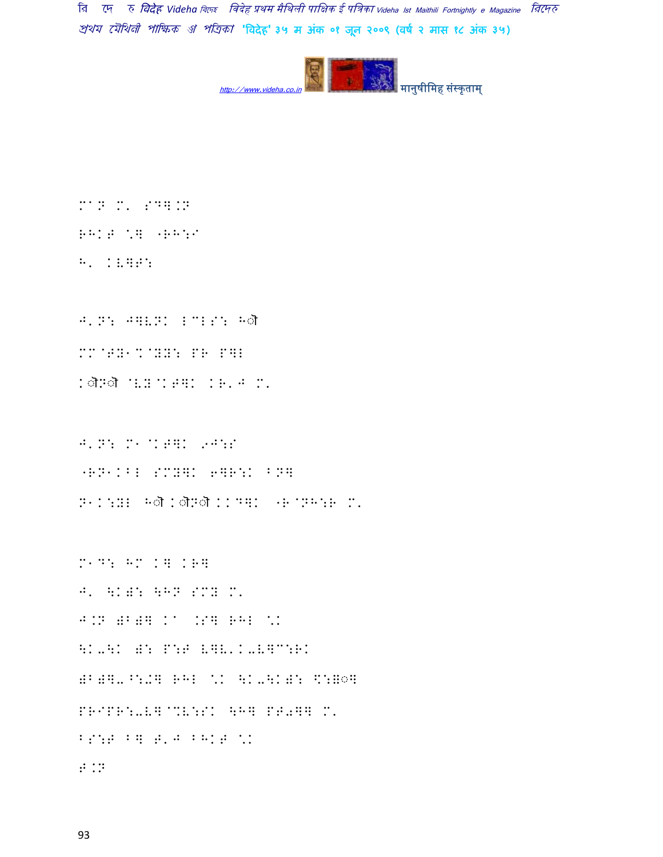

MaN M' SD].N

RHIT \* RHIT

H' TEAM

J'N: HEATH LOLARS

MM@TY1%@YY: PR P]L

KONSTRUCT OF THE RESEARCH

J'N: M1@KT]K 9J:S "RNN1KBL SMYRK 698 N1K:YL H◌ॊ K◌ॊN◌ॊ KKD]K "R@NH:R M'

M1D: HM K] KR]  $\#$  ,  $\#$  smy  $\#$  smy  $\#$  smy  $\#$  . J.N )B)] Ka .S] RHL \*K  $\kappa$  ): P:P:P:RK (PERTIFIC:REPORT B) BHL \*KLH \$#\$ (1) RILRI \$: #108 PRIPRIME VINCE (SAN PRAND V. BS:T BHKT BHKT \* BHKT  $H: \mathbb{R}^n$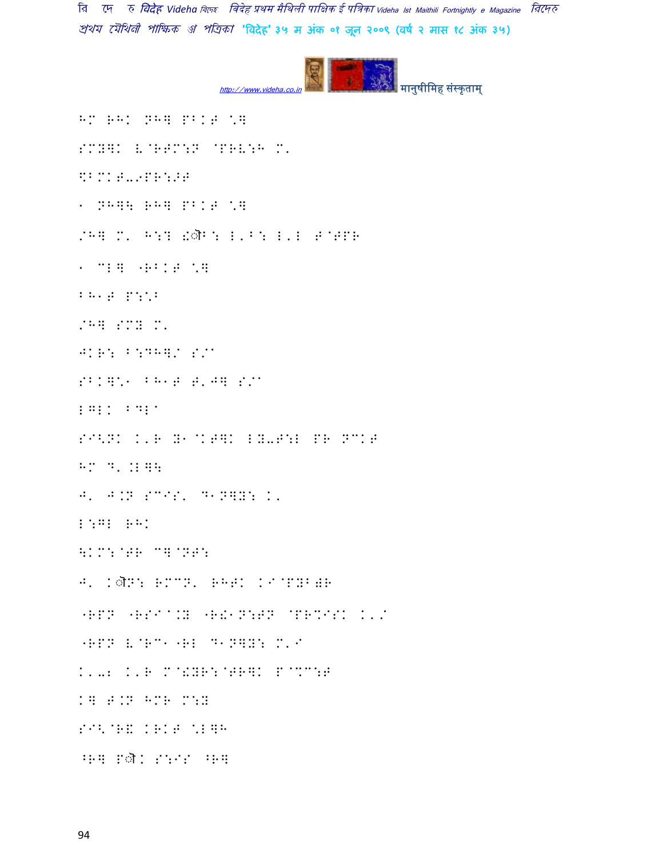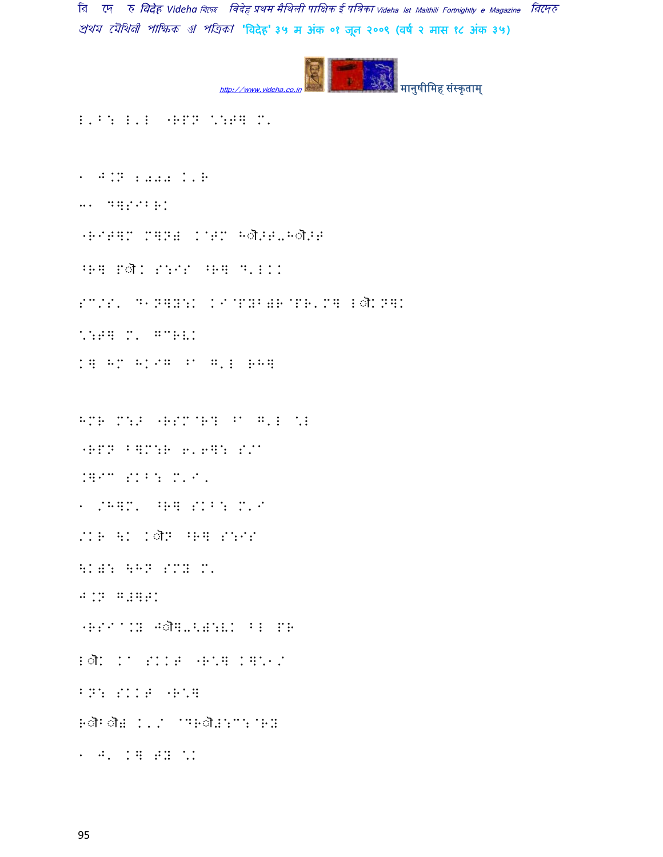

L'B: L'L "RPN \*:T] M'

1 J.N 2000 K'R 31 DECEMBER "RITHE MAN HO HO HO HE **BE POI PROT BE BILL** SCORE SCAREERS OF STREET HEARTH AND READY \*:T] M' GCRVK KAR HEIGH HART CHAIGHT HMR M:> "RSM@R? ^a G'L \*L "RPN B]M:R 6'6]: S/a 1987 E198 T.C. 1 /H]M' ^R] SKB: M'I /KR \K K◌ॊN ^R] S:IS

 $\text{RIN} \oplus \text{SIN} \oplus \text{RIN} \oplus \text{NIN}$ 

BN: SKKT "R\*

1 J' KI KI K

J.N G###

 $R$  $\partial B$   $\partial B$   $\Omega$  (  $\Omega$  )  $\Omega$  ,  $\Omega$  and  $\Omega$  . Or  $\Omega$ 

"REPORT HORIGANILI PRO

 $\mathbb{R}$  of  $\mathbb{R}$  and  $\mathbb{R}$  and  $\mathbb{R}$  are  $\mathbb{R}$  and  $\mathbb{R}$  are  $\mathbb{R}$  and  $\mathbb{R}$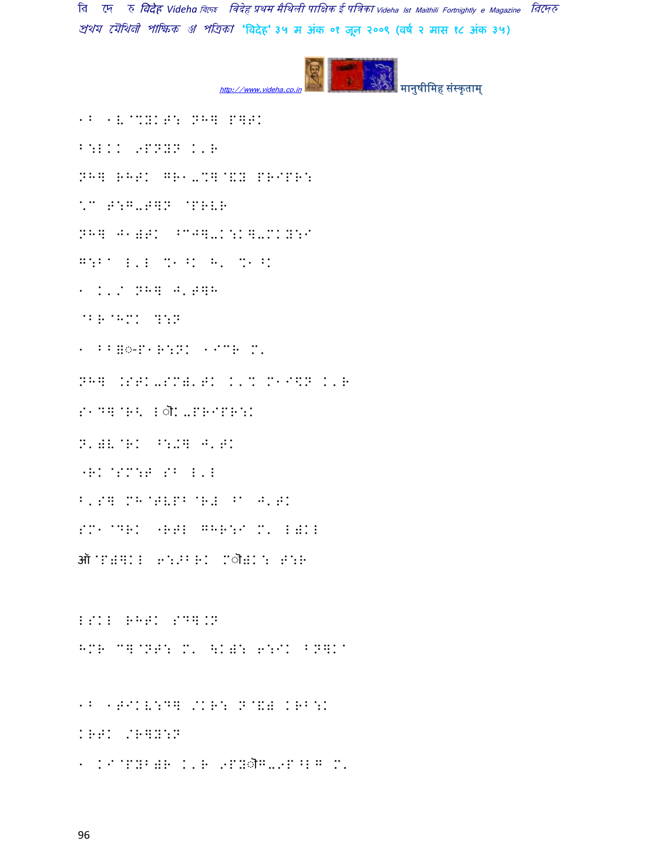

1B 1V@%YKT: NH] P]TK B:LKK 9PNYN KYR NH] RHTK GR1-%]@&Y PRIPR:  $^{\prime}$ T:G-T:G-T:G-T:G-T:G-T: NHE HANNEL (MANUSISMEDIA) BH LITH WALK 1 K'/ NH] J'T]H BROW: THE 1 BB=P1P1R: 1778 T. NH] .STK-SM)'TK K'% M1I\$N K'R SHOW: EQUAPPRESE N')V CONSERVERS OF STREET "RK@SM:T SB L'L B'S MHOTO MEDICINE AND MEDICINE SM1@DRK "RTL GHR:I M' L)KL ऑOPERN BOOK MORE MAN LSKL RHEK SDRIK HMR C]@NT: M' \K): 6:IK BN]Ka 1B 1TIKV:D] /KR: N@&) KRB:K

1 KIMPY R KER AN DIE GROON GEGEWE GE

KRRTK /RUSSER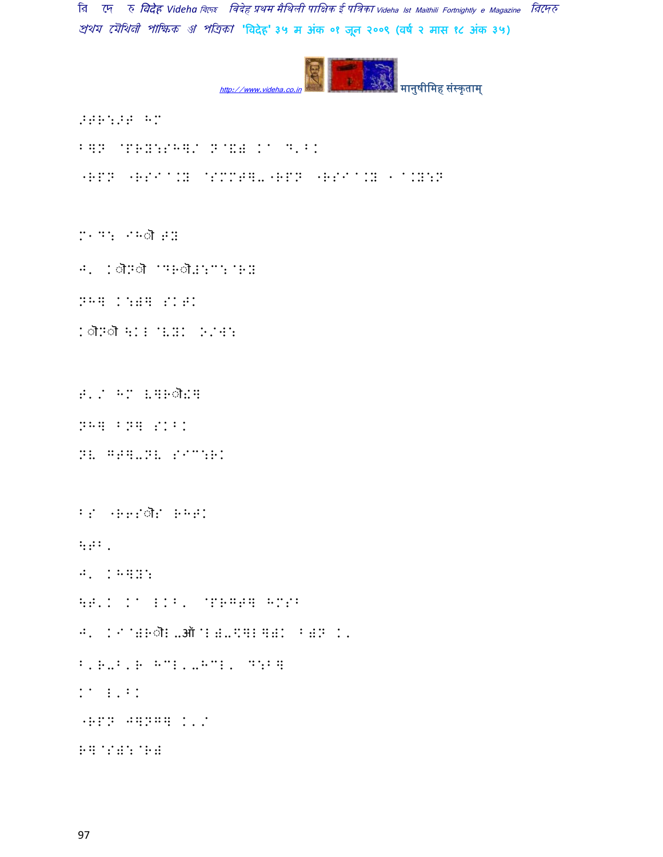

>TR:>T HM

BH MERYSHI BANA D'ALL

"RPN "RSIM" MONTHE "RPN "RSIM" Y 1008

M1D: IH◌ॊ TY

 $\theta_{\rm sc}$  (drong considerably

NH] K:)] SKTK

 $K \cap \mathbb{R}$  and  $K \cap \mathbb{R}$  . The vector of  $\mathbb{R}$ 

H. J'HT LARGER

NH] BN] SKBK

NV GT (1991) (1992) (1992) (1992) (1992) (1992) (1992) (1992) (1992) (1992) (1992) (1992) (1992) (1992) (1992)

BS Sherbar Rest

 $\overline{\mathbb{R}}\mathbb{P}^1$ 

 $J$  (  $\sim$   $1.4444$ )

 $\texttt{H}\texttt{F}$  (2001)  $\texttt{H}\texttt{F}$  (2001)  $\texttt{H}\texttt{F}$  and  $\texttt{H}\texttt{F}$  and  $\texttt{H}\texttt{F}$ 

 $\mathcal{F}_1$  (Fig. ) (Fig. ). An eq. ( Fig. ), and  $\mathcal{F}_2$  and  $\mathcal{F}_3$  and  $\mathcal{F}_4$  and  $\mathcal{F}_5$ 

B'READ B'R HOLLANDER (1998)

 $\mathbb{R}^n \times \mathbb{R}^n$ 

"RPN HIPPIN JAN

R]@S):@R)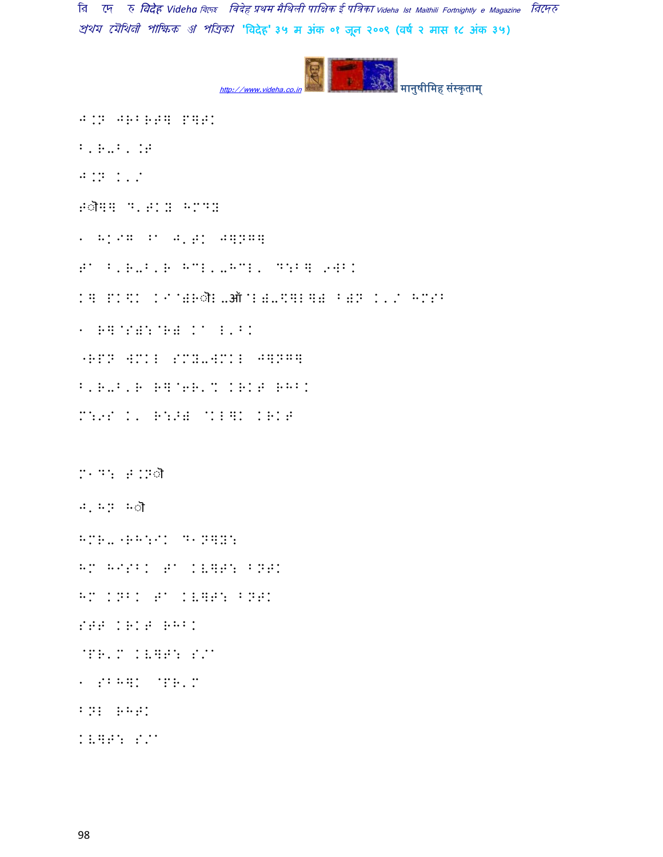

J.N JRBREAK PHIL

B'R-B'.T

 $J: \mathbb{R}^n \to \mathbb{R}^n$ 

T◌ॊ]] D'TKY HMDY

1 HKIG 11 HKIG 2001

B'R-BLEAR HT.LET. THE SHIP

K] PK\$K KI@)R◌ॊL-ऑ@L)-\$]L]) B)N K'/ HMSB

1 R]@S):@R) Ka L'BK

WHICH SMYSS WARD SHIPPS

B'R-B'R-B'R-B'R RHBKK

M:9S K' ROMAN MIRICANIE

M1D: T.N◌ॊ

High Hotel

HTR-98141 DREEL

HT HAPPI WE CENER FORT

HT CHANGE TA KANADIAN

STE KRKT RHBK

MR'M KONSTANTIST

1 SBH]K @PR'M

BNL RHTK

TERRY SON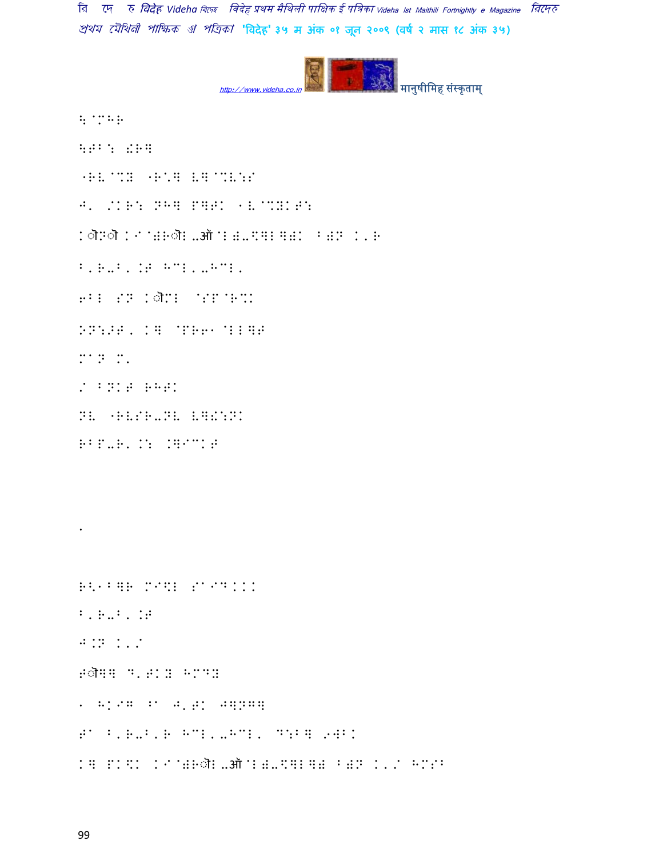

 $\mathfrak{h}$  and  $\mathfrak{h}$ 

 $\texttt{R}\texttt{P}$ :  $\texttt{R}\texttt{R}$ 

"RRV" "RV" "R#" "R\*

J', WIES PHE PEED (ENTERP)

 $R: \mathbb{R}^n \to \mathbb{R}^n$  . The contribution of the  $\mathbb{R}^n$  and  $\mathbb{R}^n$  are the  $\mathbb{R}^n$  contribution of  $\mathbb{R}^n$ 

B'LELIE HCL'ING

6BL SN K◌ॊML @SP@R%K

ON: THE MANUSCRIP

 $M$   $M$   $M$ 

/ BNKT RHTK

NV "RVSR-NV V]!:NK

RBP-R'.: .]ICKT

 $\ddot{\phantom{1}}$ 

 $R_{\rm H}$  is the mixed set of the mixed set of the mixed set of the mixed set of the mixed set of the mixed set of the mixed set of the mixed set of the mixed set of the mixed set of the mixed set of the mixed set of the m

B'R-B'.T

 $J:U:U:U$ 

T◌ॊ]] D'TKY HMDY

1 HKIG O J, BY JHPHE

Ta B'R-B'R HCL'-HCL' D:B] 9WBK

K ROCK KIM KI KI KI BOL ANG KILANG BILANG BILANG BILANG BILANG BILANG BILANG BILANG BILANG BILANG BILANG BILAN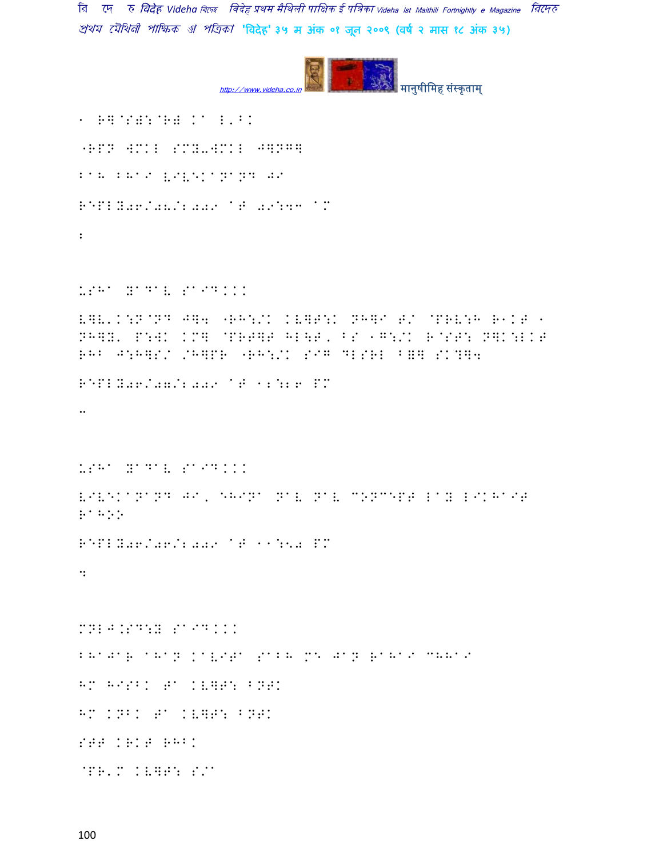V]V'K:N@ND J]4 "RH:/K KV]T:K NH]I T/ @PRV:H R1KT 1 NHER PYED CON MERHE BEAR FROM HYRO BORE PHONE CR RHB J:HAC/ /HATR (RH:SX) SYM DLSRL BOARD SKYRH ROPER REPLACEMENT OF STRIKE PU  $\ddotsc$ USHa YaDavishi YaDavishi YaDavishi YaDavishi YaDavishi YaDavishi YaDavishi YaDavishi YaDavishi YaDavishi YaDav EVENIND DI PAND JI, EHENAND DI ENDAND DI SANTO EN CONCEPT LAY LIKE RaHOO REPLYNG AT 11:50 PM PLY  $\cdot$ :

BHang nang presiden yang ang prana maana

1 R]@S):@R):@R):@R) "RPN WMKL SMY-WMKL JPNP BaH BHAI VEKAND JI JI RREPLY ON A 2009 and Department of D  $\ddot{\cdot}$ 

USHa YaDaV SaID...

 $\begin{array}{l} \begin{array}{l} \textbf{1} & \textbf{1} & \textbf{1} & \textbf{1} & \textbf{1} & \textbf{1} & \textbf{1} & \textbf{1} & \textbf{1} & \textbf{1} & \textbf{1} & \textbf{1} & \textbf{1} & \textbf{1} & \textbf{1} & \textbf{1} & \textbf{1} & \textbf{1} & \textbf{1} & \textbf{1} & \textbf{1} & \textbf{1} & \textbf{1} & \textbf{1} & \textbf{1} & \textbf{1} & \textbf{1} & \textbf{1} & \textbf{1} & \textbf$ 

HT HAPPI AN INSERTATION

HM KNBK Ta KV]T: BNTK

STERN KRAKT

WHEN KY CONSIGN STATES



िव दिन दि<mark>विदेह Videha</mark> बिल्ह विदेह प्रथम मैथिली पाक्षिक ई पत्रिका Videha Ist Maithili Fortnightly e Magazine विदिन्ह õथम मैिथली पािक्षक ई पिñका **'**िवदेह**'** ३५ म अंक ०१ जून २००९ (वष र् २ मास १८ अंक ३५)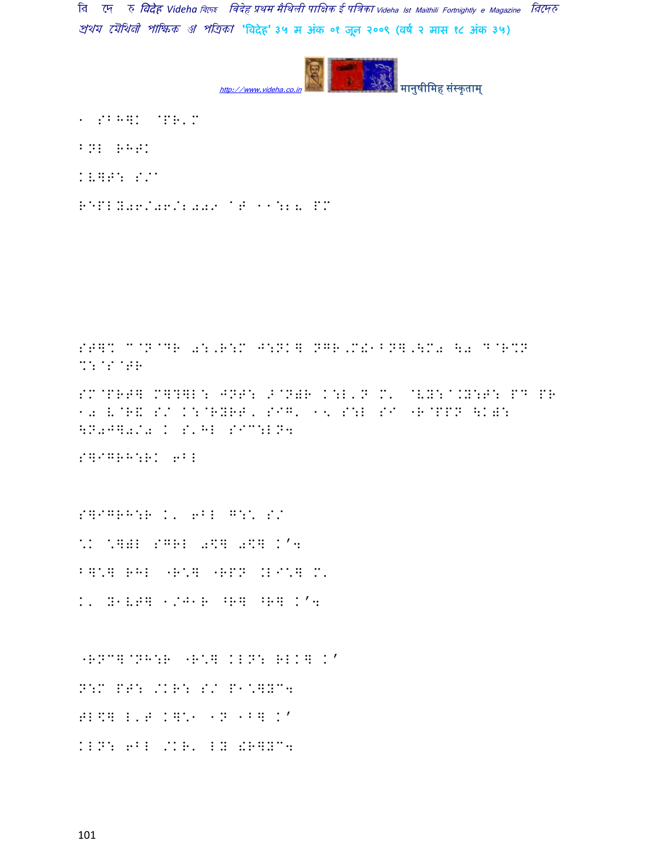

1 SBH]K @PR'M

BNL RHTK

TEARS SON

RPPE Barolards and CoP 11:28 PM

STARD CONDITIONS CONDITIONS AND CONDITIONS ON THE CONDITIONS OF DECISION OR NOTED AND ALL OR NEWSLAG. %:@S@TR SM@PRT] M]?]L: JNT: >@N)R K:L'N M' @VY:@.Y:T: PD PR

10 V@R& S/ K:@RYRT, SIG' 15 S:L SI "R@PPN \K): AFLANDLI SIM SICHE

SHOW:RE 6BL

SHERBHED: SHI GHI SA  $W$   $W$   $\rightarrow$   $W$   $\rightarrow$   $W$   $\rightarrow$   $W$   $\rightarrow$   $W$   $\rightarrow$   $W$   $\rightarrow$   $W$   $\rightarrow$   $W$   $\rightarrow$   $W$   $\rightarrow$   $W$   $\rightarrow$   $W$   $\rightarrow$   $W$   $\rightarrow$   $W$   $\rightarrow$   $W$   $\rightarrow$   $W$   $\rightarrow$   $W$   $\rightarrow$   $W$   $\rightarrow$   $W$   $\rightarrow$   $W$   $\rightarrow$   $W$   $\rightarrow$   $W$   $\rightarrow$   $W$   $\rightarrow$   $W$   $\rightarrow$   $W$   $\rightarrow$  BER RHL "RIN "REN .LI" ME . K' WARE KIND FRY THE IVE

"RNC]@NH:R "R\*] KLN: RLK] K' N:M PT: /KR: S/ P1\*]YC4 TL\$] L'T K]\*1 1N 1B] K' KLAN: 6BL /KRY LY LY ERRITH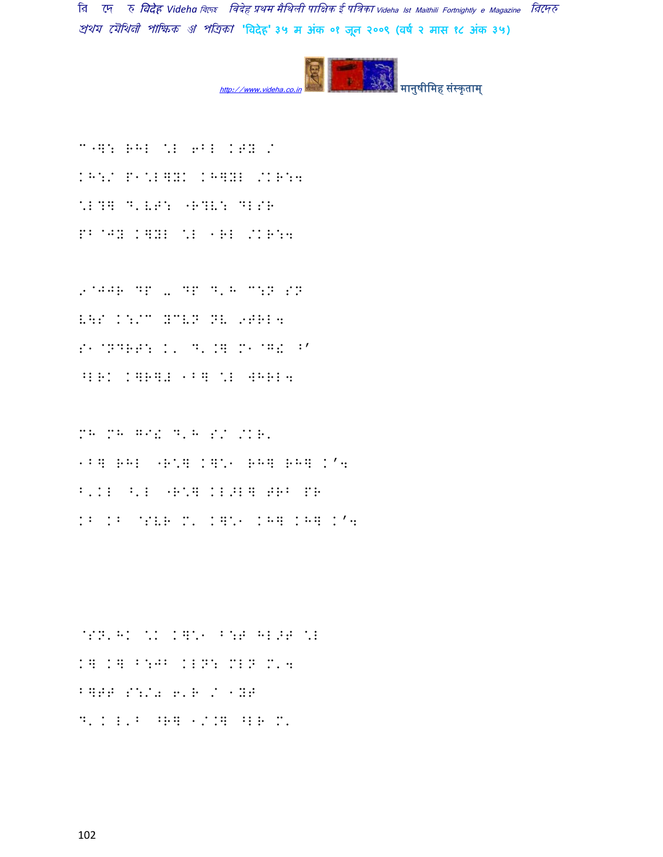

C"]: RHL \*L 6BL KTY / KH:/ P114981 (P988 /KP:4 \*L?] D'VT: "R?V: DLSR PROVERSED AND VEHICLE THE

9@JJR DP - DP D'H C:N SN KA: CAZT NTER PE 29B14 S1@NDRT: K' D'.] M1@G! ^'  $\mathcal{L}$  . The contribution of  $\mathcal{L}$  is the contribution of  $\mathcal{L}$ 

MH MH GI! D'H S/ /KR' 1B] RHL "R\*] K]\*1 RH] RH] K'4 B'L TRANSPORTED THAT THE REPORT KB KB KAB KABADI KHI KA

@SN'HK \*K K]\*1 B:T HL>T \*L KALAM KALAM MERINTAH FARR STEED BIR 2003 D'. L'ESP ANN L'AN HE N.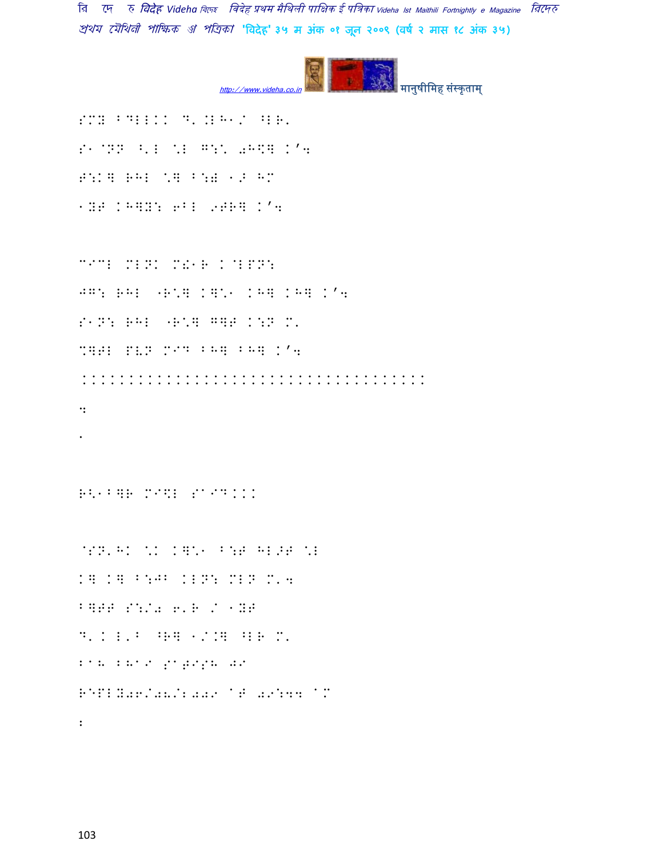

SMY BDLL CONSTRUCTS S1@NN ^'L \*L G:\* 0H\$] K'4 T:K] RHL \*] B:) 1> HM 1YT KH]Y: 6BL 9TR] K'4

TATE CIER CIGARET MET JG: RHL "READ" KHIL KHIL KYA STRING THE STRING CONTROL THE FLUID BH BH BH (/4 .....................................  $\ddot{\cdot}$  $\ddot{\phantom{1}}$ 

 $R_{\rm{H}}$  is a set of the same of the same of the same of the same of the same of the same of the same of the same of the same of the same of the same of the same of the same of the same of the same of the same of the sam

@SN'HK \*K K]\*1 B:T HL>T \*L KALIM KALIM MERINTI BIRT S:/0 6'R / 1YT D'. L'ESP PRESSONA DE L'ESP BaH BHai Satish Jawa REPLYNCHALL REPLACEMENT

 $\ddot{\cdot}$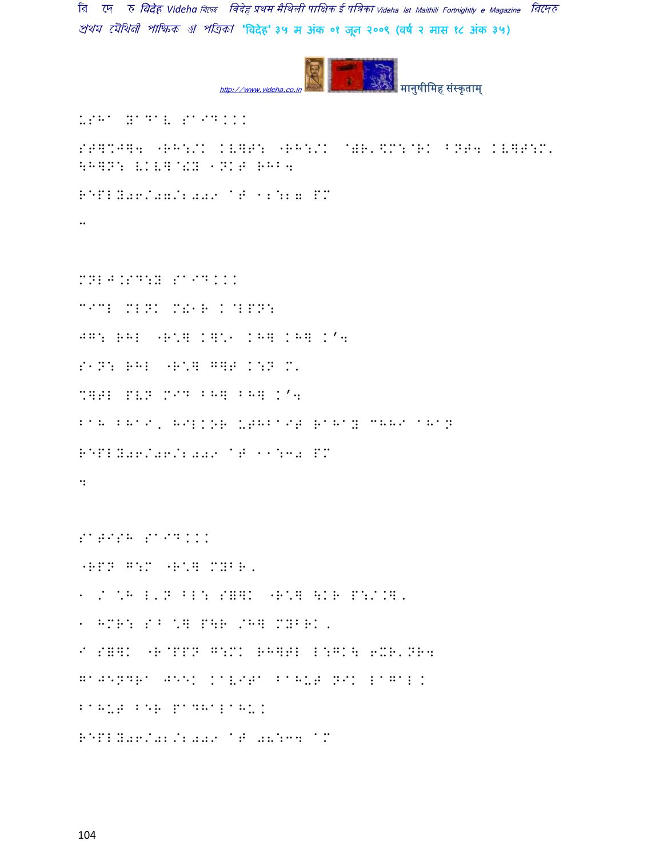

USHa YaDaV SaID... ST]%J]4 "RH:/K KV]T: "RH:/K @)R'\$M:@RK BNT4 KV]T:M' \H]N: VKV]@!Y 1NKT RHB4 RPPLYNG AT 12:27 PM 12:27 PM 12:27

MNLJ.SD:Y SaID... TOTE MENS WAR ENDERE JG: RHL "R\*] K]\*1 KH] KH] K'4 STRIP RHL "RTHL" RHL "RTHL" THE FLE TAN FAH FAH IVE BaH BHAI, HILKOR UTHBAIT RAHAY CHI AHAN CHI AHAN REPLYNCHANGER AT 11:30 PM

SaTISH SaID... "RPN G:M "RPN G:M "RPN G:M "RPN G:M "RPN G:M "RPN G:M "RPN G:M "RPN G:M "RPN G:M "RPN G:M "RPN G:M "RPN G:M "R 1 / \*H L'N BL: S=]K "R\*] \KR P:/.], 1 HMR: S^ \*] P\R /H] MYBRK, I S=]K "R@PPN G:MK RH]TL L:GK\ 6XR'NR4 Gaiente Santo Staven (1961) Bahut André BaHUT BER PaDHaLaHU. REPLY 08:34 at 08:34 and 08:34 and 08:34 and 08:34 and 08:34 and 08:34 and 08:34

 $\ddot{\phantom{0}}$ 

 $\dddot{\bullet}$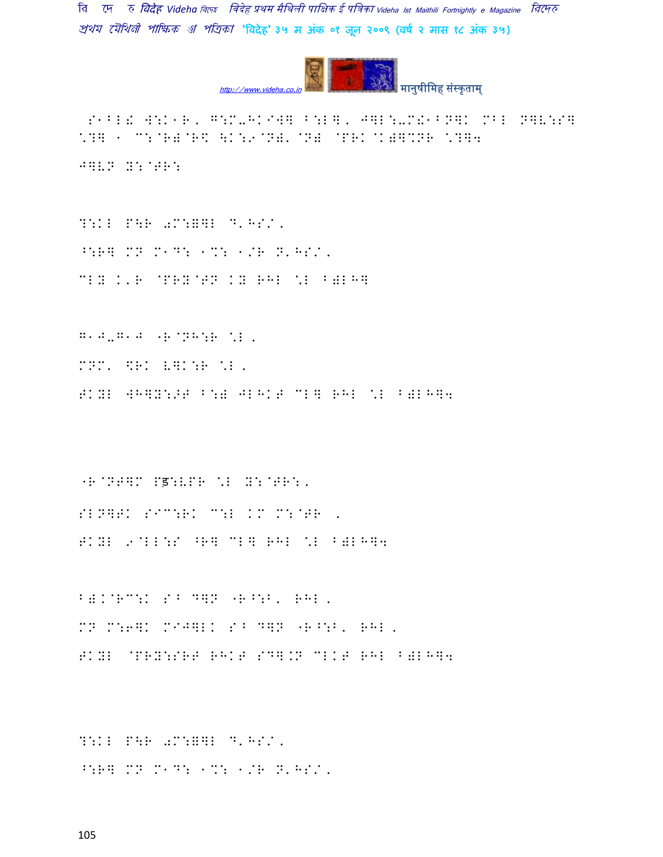

STORE WERE STOND AND RELEASED AND SALE OF A MALE OF LIGHT AND MALE OF LIGHT AND MALE OF LIGHT AND MALE OF LIGH \*?] 1 C:@R)@R\$ \K:9@N)'@N) @PRK@K)]%NR \*?]4 J)VN Y: TR: THE TREE

?:KL P\R 0M:=]L D'HS/, ^:R] MN M1D: 1%: 1/R N'HS/, TED CLY THE WE CONFIDENT CONTINUES.

B.G.B.G.GRIENE I.

 $M_{\rm H}$  , and  $M_{\rm H}$  , and  $M_{\rm H}$  , and  $M_{\rm H}$  , and  $M_{\rm H}$  , and  $M_{\rm H}$  , and  $M_{\rm H}$ 

FOR BHILLE THE BIC THE BHL TE FRIER

 $T$  Robert Pstare to Britans. SLAMAT SPORE ON BISCO CRIME . THE STILL THE TER HALL TE FREARY

B).@RC:K S^ D]N "R^:B' RHL, MN MONEY MONEY SO DISPOSED A REAL TKYL @PRY:SRT RHKT SD].N CLKT RHL B)LH]4

TALE PAR WINEBE J.H.C. ^:R] MN M1D: 1%: 1/R N'HS/,

105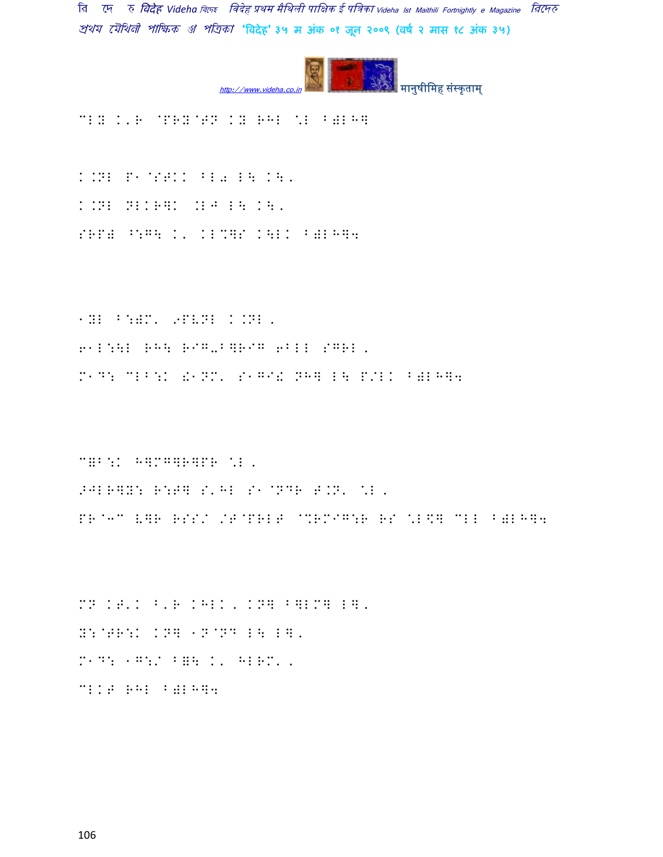

TES CLA TEACHER CS AND CE RHEAD

K.NR PHOTO PEACH CH. K.NL NLKR . HARRY

SRPH (SRP)  $\mathcal{L}$  (SRPH) (SRP) (SRPH)

 $9$ H: 9/142, 2011, 2012, 2012, 2012, 2012, 2012, 2012, 2012, 2012, 2012, 2012, 2013, 2014, 2014, 2014, 2014, 20 611061: BRANCHOOD 6BLL, SARRY MAND CONSIDERS THE REPORT OF STREET AND THE STREET STATED OF SERIES STREET AND INTERFERIES

CHILL HUNDERHILL CO. >JLR]Y: R:T] S'HL S1@NDR T.N' \*L, PR@3C VERSION CONSTRUCT PROVIDED TO A REAG.

MN KT'K B'R KHLK, KN] B]LM] L], Y:@TR:K KN] 1N@ND L\ L], M1D: 1G:/ B=\ K' HLRM', CLOSE RHL BOOK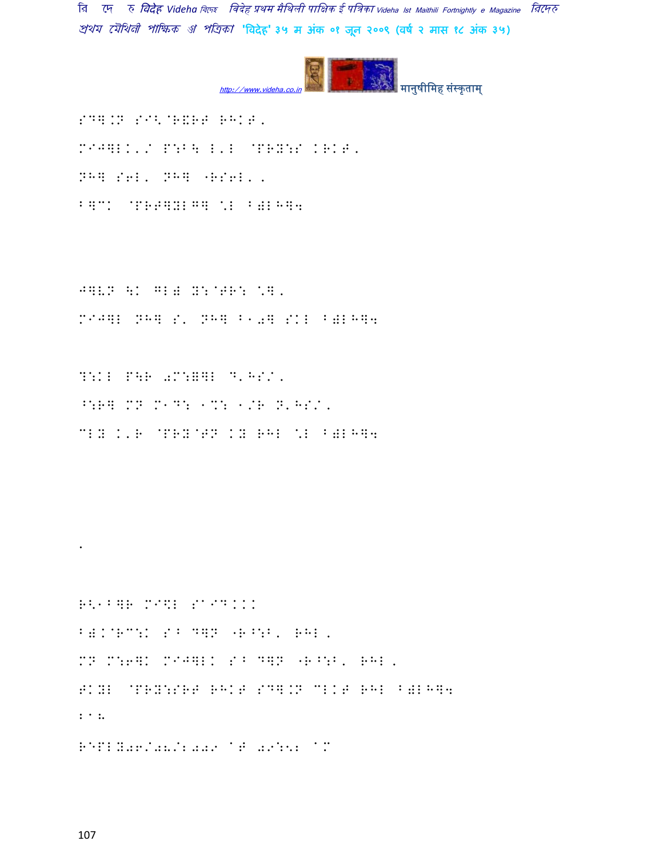

SOURCE SOURCE REPORTS MARRILLY PREN ELE MERREN IRIB. NH] S6L' NH] "RS6L', BUT CHEES AND A BOOK

JUNEAU WERTHER SER MARH NHE SY NHË PALË SI PABIRË.

THE STEEL DARK, ^:R] MN M1D: 1%: 1/R N'HS/, TIM CLY THE GRY CM BAIL CO RHIPHE

R MI\$L Said... B).@RC:K S^ D]N "R^:B' RHL, MN MARK MYSHED RECHARGE SERVICE BELL TKYL @PRY:SRT RHKT SD].N CLKT RHL B)LH]4  $\mathbf{B} \cdot \mathbf{B}$ REPLY 08:52 and 09:52 aT 09:52 aT 09:52 aT 09:52 aT 09:52 aT 09:52 aT 09:52 aT 09:52 aT 09:52 aT 09:52 aT 09:5

 $\bullet$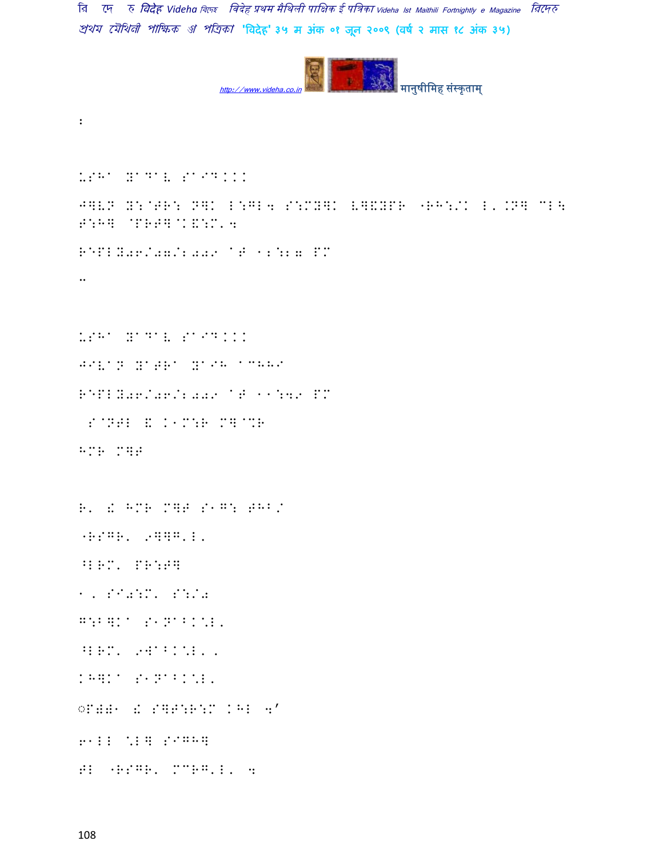

USHa YaDaV SaID... JAHLP GG VARG (PH) EGANG EGUNHO LANGHE "APGIL" E. NPH "PEG T:H] @PRT]@K&:M'4 RPPE Barolandi aast 1950 in 12:27  $\ddot{\phantom{0}}$ USHa YaDaV SaID... JAN YATRA YANG YANG YANG YANG MASA YANG MASA YANG MASA YANG MASA YANG MASA YANG MASA YANG MASA YANG MASA YANG REPLY 06/2009 at 11:49 PM at 11:49 PM SOME ROOMS WAS SECURE HMR MAR R. E WIR MAR REAR GARD "REGREEN STREET BEEL PRESEN 1, SI0:M' S:/0 SHEET SHEETIL ^LRM' 9WaBK\*L', KHIKA SHIKA SHIKA **OTHER E SHERRIFIC CHI H'** 6111 SIGH STORE HL "BETH, TTERIL" 4

 $\ddot{\cdot}$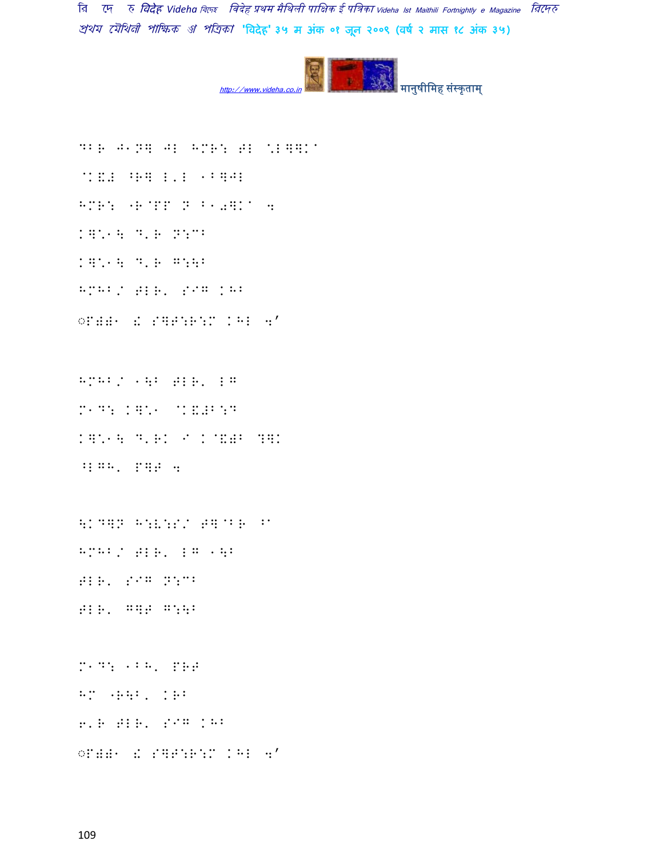

DBR J1N] JL HMR: TL \*L]]Ka  $M$  and  $M$  is a contribution of  $R$ HMR:  $\oplus$  TPP  $\oplus$  P104911  $\oplus$ K]\*1\ D'R N:CB **THING GODS** HTHIS HER SIGN THE **OTHER E SHERRIFIC CHI H'** 

HTHIS IN THE TRAIN M1D: K]\*1 @K&#B:D KA: D'RK I KORA I KA  $H^{\mu}H^{\mu}$  , PHF 4

 $\frac{1}{2}$  ,  $\frac{1}{2}$  ,  $\frac{1}{2}$  ,  $\frac{1}{2}$  ,  $\frac{1}{2}$  ,  $\frac{1}{2}$  ,  $\frac{1}{2}$  ,  $\frac{1}{2}$  ,  $\frac{1}{2}$  ,  $\frac{1}{2}$  ,  $\frac{1}{2}$  ,  $\frac{1}{2}$  ,  $\frac{1}{2}$ HTHIS HER, IN CHI FILE SIGN NUMBER TLR' G]T G:\B

 $M_1$  ,  $M_2$  ,  $M_3$  ,  $M_4$  ,  $M_5$  ,  $M_6$ HM "RHA", 198 6.6'BH. SIG KH **OTHER E SHERRIFIC CHI H'**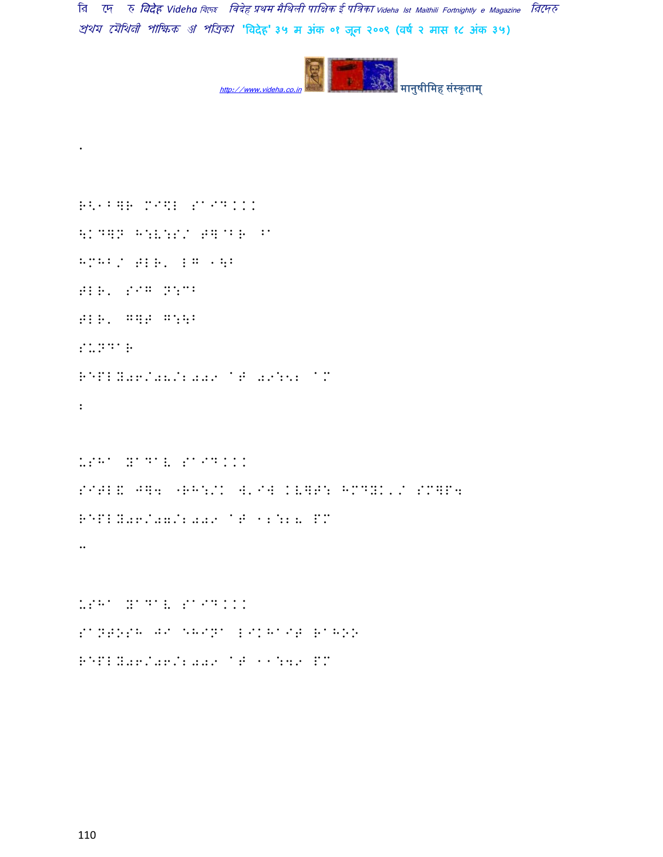

```
RR MISL SAID.
\KD]N H:V:S/ T]@BR ^a 
HTHIS HER THOUGH
HE. SIG NEW
STE. WHE WINT
SUNDaR 
RPPE Barolandi aast 19:52 astronom
\mathbf{C}USHa YaDaV SaID... 
SITL& J]4 "RH:/K W'IW KV]T: HMDYK'/ SM]P4 
RPPE Barolandi aast 1950 in 12:228 PM
\ddot{\phantom{0}}USHa YaDaV SaID... 
STORECH AT SATEL ETHINA ETHIO
REPLY 06/2009 at 11:49 PM at 11:49 PM
```
 $\bullet$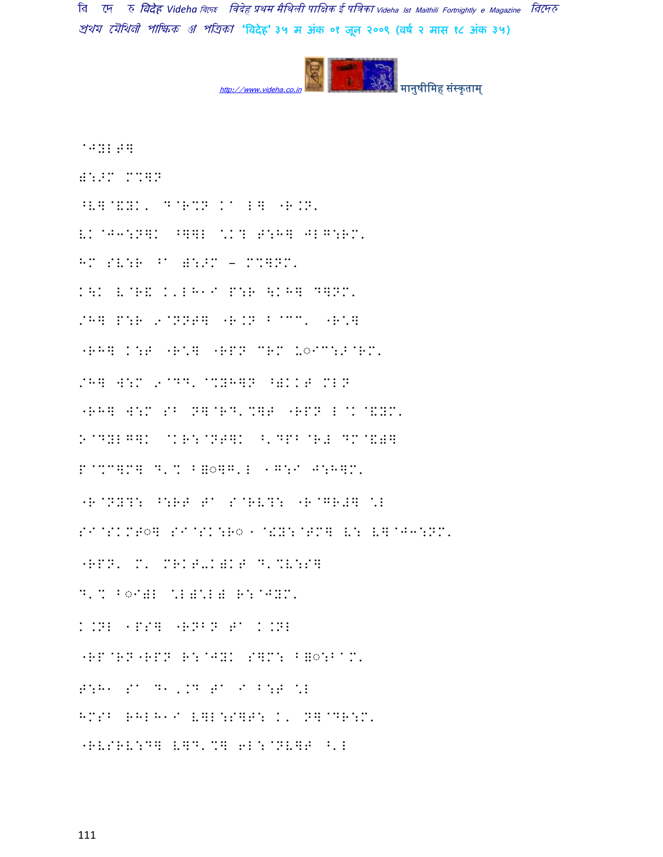

 $743144$ ):>M M%]N  $\begin{array}{l} \bf{41.4}\cdot \bf{1.7}\cdot \bf{1.7}\cdot \bf{1.8}\cdot \bf{1.7}\cdot \bf{1.8}\cdot \bf{1.9}\cdot \bf{1.9}\cdot \bf{1.9}\cdot \bf{1.9}\cdot \bf{1.9}\cdot \bf{1.9}\cdot \bf{1.9}\cdot \bf{1.9}\cdot \bf{1.9}\cdot \bf{1.9}\cdot \bf{1.9}\cdot \bf{1.9}\cdot \bf{1.9}\cdot \bf{1.9}\cdot \bf{1.9}\cdot \bf{1.9}\cdot \bf{1.9}\cdot \bf{1.9}\cdot \bf{1.9}\cdot \bf{1.9}\cdot \bf{1$  $\mathbb{R}^2$  ,  $\mathbb{R}^2$  ,  $\mathbb{R}^2$  ,  $\mathbb{R}^2$  ,  $\mathbb{R}^2$  ,  $\mathbb{R}^2$  ,  $\mathbb{R}^2$  ,  $\mathbb{R}^2$  ,  $\mathbb{R}^2$  ,  $\mathbb{R}^2$  ,  $\mathbb{R}^2$  ,  $\mathbb{R}^2$  ,  $\mathbb{R}^2$ HM SV:R ^a ):>M – M%]NM' K\K V@R& K'LH1I P:R \KH] D]NM' /H] P:R 9@NNT] "R.N B@CC' "R\*] "RHE COR "ROB" "RPN CROWIC'S" /H] W:M 9@DD'@%YH]N ^)KKT MLN "RH] W:M SB N]@RD'%]T "RPN L@K@&YM' O@DYLG]K @KR:@NT]K ^'DPB@R# DM@&)] P COMMED BOND OF BOURSE (A HIM (AIRBUT)  $R$  . The South Property of South  $R$ SIMTO SIMPLE SIMPLE SIMPLE SIMPLE SIMPLE SIMPLE SIMPLE SIMPLE SIMPLE SIMPLE SIMPLE SIMPLE SIMPLE SIMPLE SIMPLE "RPN' M' MRKT-K)KT D'%V:S] B. T Form: Channel Birl, Birl K.N. 1999 - K.N. 1999 - K.N. 1999 "RPN"RPN R: MARN SHIN SHORTING T:H1 Sa D1,.D Ta I B:T \*L HMSB RHLH1I V]L:S]T: K' N]@DR:M' "RVSRV:D] V]D'%] 6L:@NV]T ^'L

111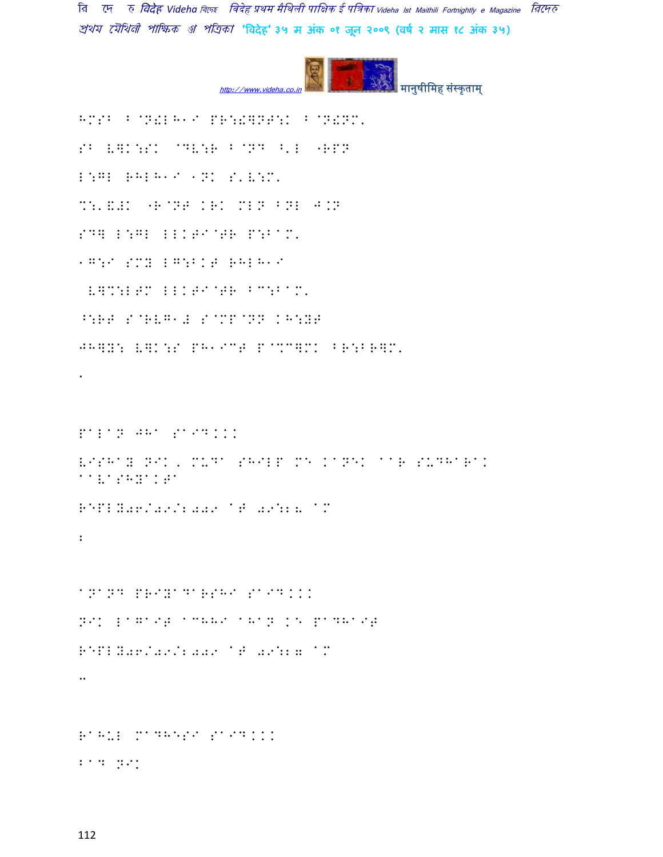

HMSB BOOKSB BOOKSB BOOKSB SB K:SK @DV:R B@ND & ND & RPN LIBE RHIHI 1NK SY SILET %:'&#K "R@NT KRK MLN BNL J.N STR LARE BILGETHE PHITT. 1952 PHILIP RHLHI V]%:LTM LLKTI@TR BC:BaM' ^:RT S@RVG1# S@MP@NN KH:YT JHER ERIG PHICH POTTER PRESERT.  $\ddot{\phantom{0}}$ Palan Palan Said. BAYAN NIRANG MENER ME KANEK AAR SUDHARAK SUDHARAK SUDHARAK SUDHARAK SUDHARAK SUDHARAK SUDHARAK SUDHARAK SUDHARAK SU aanaan aan aan aan RPPLY06/2009 at 09:28 and 09:28  $\ddot{\cdot}$ aNaND PRIYaDaRSHI SaID... NIK Langsang na malay na kata RPPE Barolards aar ook arts a oo  $\ddotsc$ RaHUL MaDHESI SaID... ad ni ni part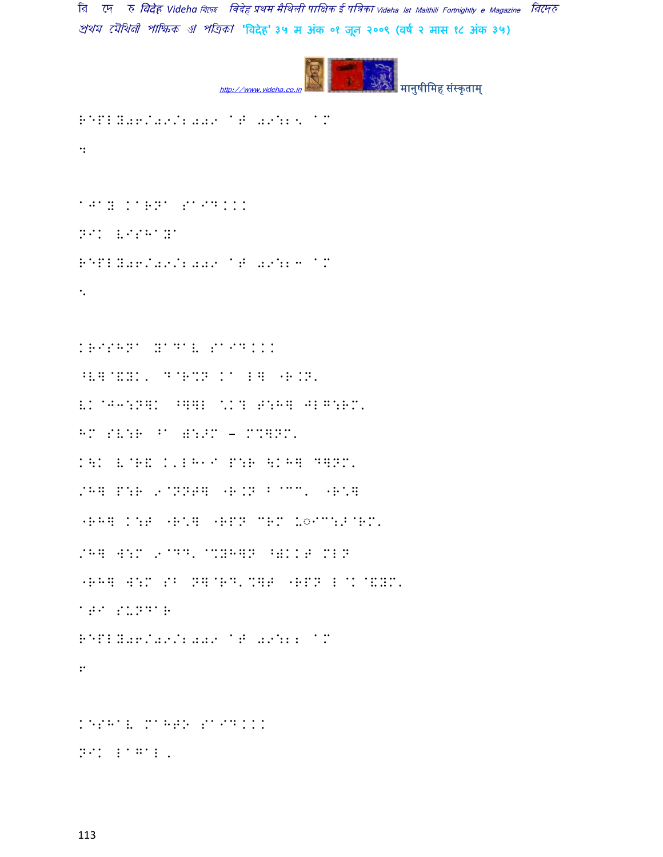$\mathcal{R}$  , and a set of the same samples of the samples of the samples of the samples of the samples of the samples of the samples of the samples of the samples of the samples of the samples of the samples of the samples NIK LaGaL,

REPLY 09:23 and 09:23 and 09:23  $\ddotsc$ KRISHNA YADAVI ^V]@&YK' D@R%N Ka L] "R.N' VK@J3:N]K ^]]L \*K? T:H] JLG:RM' HM SW:R  $\mathcal{H}$  and  $\mathcal{H}$  = MMHM. KAR KAR KALENG KAN ARAH TARI /H] P:R 9@NNT] "R.N B@CC' "R\*] "RHE COR "ROTER TRISTS" LOCTOR ORD /H] W:M 9@DD'@%YH]N ^)KKT MLN  $R$  RH W:M SB ND SB ND SB ND SB ND SB ND SB ND SB ND SB ND SB ND SB ND SB ND SB ND SB ND SB ND SB ND SB ND SB ND SB ND SB ND SB ND SB ND SB ND SB ND SB ND SB ND SB ND SB ND SB ND SB ND SB ND SB ND SB ND SB ND SB ND SB ND S aTI SUNDARIA REPRESENTATION AT 09:22 aM  $\ddot{\cdot}$ 

 $\dddot{\bullet}$ 

RPPE Bardard: aar oo Foartes, oo T

aJaY KaRNa SaID...

NIK VISHaYa



िव दिन दि<mark>विदेह Videha</mark> बिल्ह विदेह प्रथम मैथिली पाक्षिक ई पत्रिका Videha Ist Maithili Fortnightly e Magazine विदिन्ह õथम मैिथली पािक्षक ई पिñका **'**िवदेह**'** ३५ म अंक ०१ जून २००९ (वष र् २ मास १८ अंक ३५)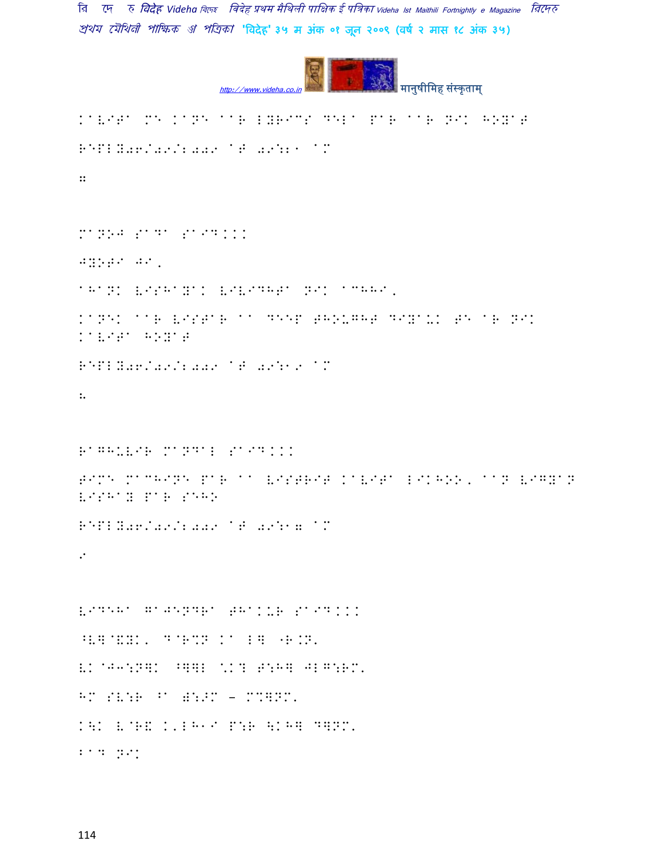

```
Kalendar Kane Me Kane aar nie dela Par Serie
ROPE Bardardiaar (18) artis (10
\mathbf{::}MaNOJ SaDa SaID... 
JYOTI JI,
aHaNK VISHaYaK VIVIDHTa NIK aCHHI, 
KANEK AAR VISTAR AAN VISTAR DIYAT DIYATA DIYATA DIYATA DIYATA DIYATA DIYATA DIYATA DIYATA DIYATA DIYATA DIYATA
KaVITa HOYaT 
REPLY 09:19 and 09:19 and 09:19 and 09:19 and 09:19 and 09:19 and 09:19 and 09:19 and 09:19 and 09:19 and 09:1
\ddot{\phantom{a}}Radio Raghuvir Mandal Said...
BATA TIMEARA PIR aa VISTRITE KAVIT KAVEN KAVITA LAHENT
VISHaY PaR SEHO 
REPLYNCHAN TRANSPORT
\ddot{\cdot}VIDEHa GaJENDRa THaKUR SaID... 
ARGENT DOWN N KA LA LA LA
KOMANDER (HUNG:RICH:RAD)
H , and H is the state of H , H , H , H , H , H , H , H , H , H , H , H , H , H , H , H , H , H , H , H , H , H , H , H , H , H , H , H , H , H , H , H ,
KAR KAR KALENG KAN HI PERS
Bad Nikarata
```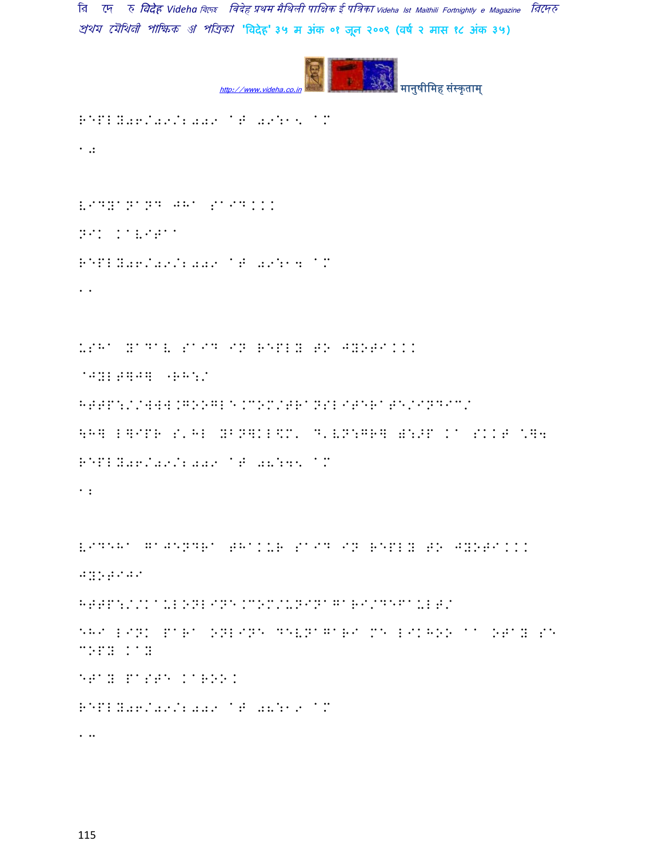$\cdot$  .: VIDYaNaND JHa SaID... NIK KaVITaa REPLY DEPARTMENT OF CONTRACT CO  $\ddot{\phantom{1}}$ USHA YADAV SAID IN SAID IN SAID IN SAID IN SAID IN SAID IN SAID IN SAID IN SAID IN SAID IN SAID IN SAID IN SAI **MAY BEEN SHOWER** HTTP://WWW.GOOGLE.COM/TRaNSLITERaTE/INDIC/ \H] L]IPR S'HL YBN]KL\$M' D'VN:GR] ):>P Ka SKKT \*]4 REPLYNCH AT 08:45 and 08:45 and 08:45 and 08:45 aM  $12.2$ VIDEHa GaJENDRa THaKUR SaID IN REPLY TO JYOTI... **JYOTIL** HTTP://KaULONLINE.COM/UNINaGaRI/DEFaULT/ EHI LINK PaRa ONLINE DEVNaGaRI ME LIKHOO aa OTaY SE TEER COR ETaY PaSTE KaROO. REPLYNG AT 18:19 and 19:19  $\ddots$ 



िव दिन दि<mark>विदेह Videha</mark> <sub>विफर</sub> विदेह प्रथम मैथिली पाक्षिक ई पत्रिका Videha Ist Maithili Fortnightly e Magazine *वि*दिन्द õथम मैिथली पािक्षक ई पिñका **'**िवदेह**'** ३५ म अंक ०१ जून २००९ (वष र् २ मास १८ अंक ३५)

RPPE Bardard: aar oo Foarten oo T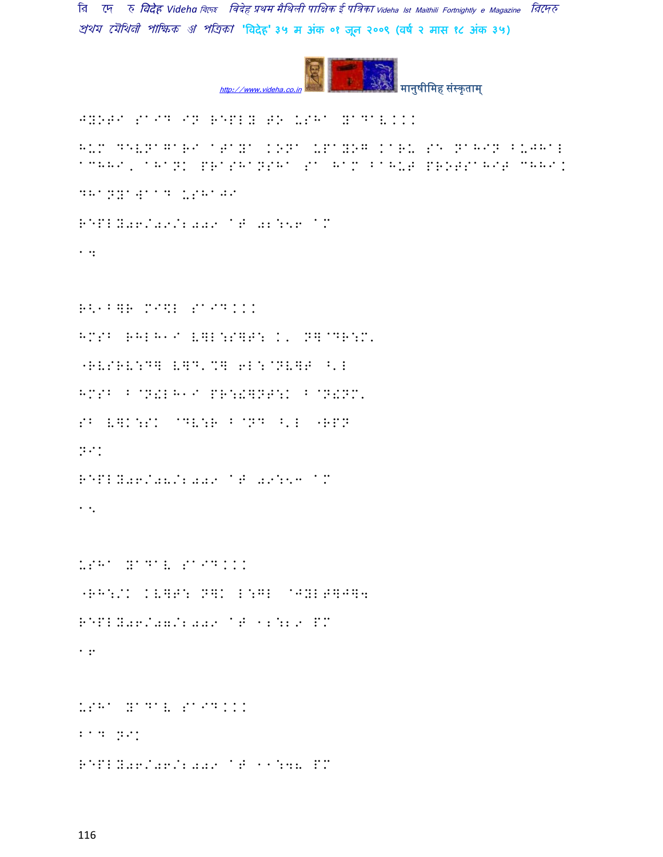116

USHa YaDaV SaID... Bad Nikara REPRESENTATION OF PRINTING PO

## USHA YADAV SAID. "RHS/K KONGRES DAN 1948 (1931-2494) REPLY06/07/2009 aT 12:29 PM  $\cdot$   $\cdot$

 $15.5$ 

RPPE Baroland: aast of 09:53 automobil

NIK

SB KEINER MAND ON BOARD

HMSB B@N!LH1I PR:!]NT:K B@N!NM'

"RVSRV:D] V]D'%] 6L:@NV]T ^'L

HMSB RHLHIN I SHEMI VI SHIMI VILI

RR MISL SAID.

 $144$ 

RREPLACE and CR artist CT

DHaNYaWaaD USHaJI

HUM DEVNAGARI ATAK KONA UPAYOG KARU SE NAHIN BUJHaLI SE NAHIN BUJHaLI SE NAHIN BUJHaLI SE NAHIN BUJHaLI SE NAH aCHHI, aHaNK PRaSHaNSHa Sa HaM BaHUT PROTSaHIT CHHI.

JYOTI SAID IN REPLY TO USHA YADAVE.



िव दिन दि<mark>विदेह Videha</mark> <sub>विफर</sub> विदेह प्रथम मैथिली पाक्षिक ई पत्रिका Videha Ist Maithili Fortnightly e Magazine *वि*दिन्द õथम मैिथली पािक्षक ई पिñका **'**िवदेह**'** ३५ म अंक ०१ जून २००९ (वष र् २ मास १८ अंक ३५)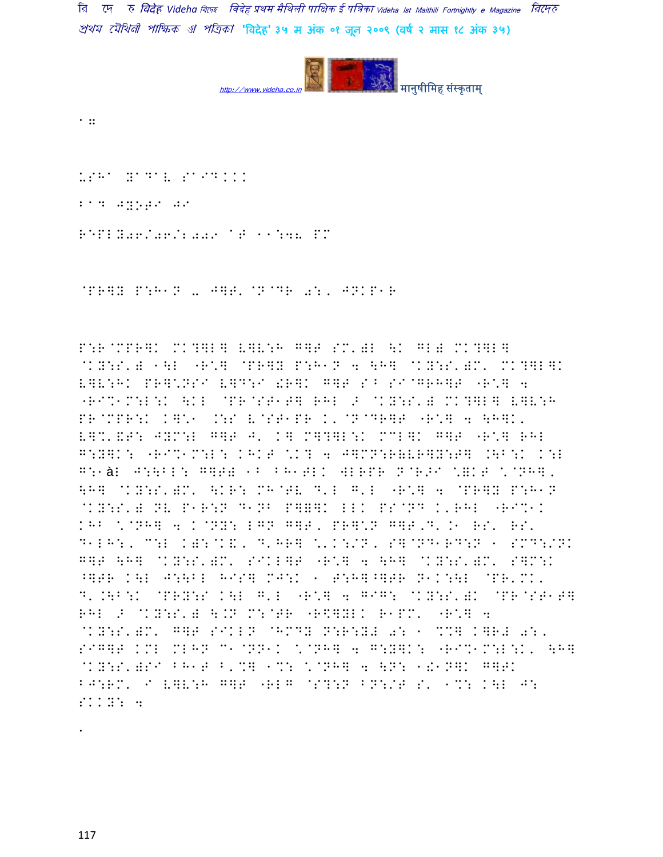

 $\cdot$   $\cdot$ 

USHA YADAVI SAID...

BaD Jyour ar

RREPLACE STORY OF STRAIN FO

@PR]Y P:H1N - J]T'@N@DR 0:, JNKP1R

P:R MPRIN MARRIER REGIS MER POLITICAL AN MER MANUFOR MORE AN ART PER PERSON A ARE MORE BY MANUAL  $\frac{1}{2}$  $R$  RIGHT RIST RIGHT RELEASED AND RELEASED RELEASED AT THE RELEASED RELEASED MANUFACTURE RELEASED RELEASED RELEASED PR@MPR:K K]\*1 .:S V@ST1PR K'@N@DR]T "R\*] 4 \H]K' 197.821 GB78 MAR 4. 19 TH9831 MTB1 MAR 409 DH G:Y]K: "RI%1M:L: KHKT \*K? 4 J]MN:R(VR]Y:T] .\B:K K:L B: à: dien : Gaed (France Standard General) 19 September 19 September 19 September 19 September 19 September 1  $\#$   $\#$   $\pi$   $\in$   $\mathbb{R}$   $\mathbb{R}$   $\mathbb{R}$   $\mathbb{R}$   $\mathbb{R}$   $\mathbb{R}$   $\mathbb{R}$   $\mathbb{R}$   $\mathbb{R}$   $\mathbb{R}$   $\mathbb{R}$   $\mathbb{R}$   $\mathbb{R}$   $\mathbb{R}$   $\mathbb{R}$   $\mathbb{R}$   $\mathbb{R}$   $\mathbb{R}$   $\mathbb{R}$   $\mathbb{R}$   $\mathbb{R}$   $\mathbb{R}$   $\math$ @KY:S') NV P1R:N D1NB P]=]K LLK PS@ND K'RHL "RI%1K KHB \*@NY: NH] 4 K@NY: LONG BI FOR GIRL BI FOR GIRL AND RELEASED FOR STRIKING CONTINUES. D1LH:, C:L K):@K&, D'HR] \*'K:/N, S]@ND1RD:N 1 SMD:/NK GREAGAR (MOSSE) BIN (RYNERE) (BNR) A SARR (MOSSE) BIN RRING  $\left\{ \frac{1}{1+\beta} \right\}$  ,  $\left\{ \frac{1}{1+\beta} \right\}$  ,  $\left\{ \frac{1}{1+\beta} \right\}$  ,  $\left\{ \frac{1}{1+\beta} \right\}$  ,  $\left\{ \frac{1}{1+\beta} \right\}$  ,  $\left\{ \frac{1}{1+\beta} \right\}$  ,  $\left\{ \frac{1}{1+\beta} \right\}$  ,  $\left\{ \frac{1}{1+\beta} \right\}$  ,  $\left\{ \frac{1}{1+\beta} \right\}$  ,  $\left\{ \frac{1}{1+\beta} \right\}$  , D'.\B:K @PRY:S K\L G'L "R\*] 4 GIG: @KY:S')K @PR@ST1T] RHL 2 @KY:S'ALA RIP TROBE (R###1) R+ITL (R\$1# 4 @KY:S')M' G]T SIKLN @HMDY N:R:Y# 0: 1 %%] K]R# 0:, SIGHER CONSON MESS TO MEN CONSONER 4 GENERAL REPORT WHEN CONSEN  $\mathcal{L}(\mathcal{X})$  is the state of  $\mathcal{L}(\mathcal{X})$  is the state of  $\mathcal{L}(\mathcal{X})$  and  $\mathcal{L}(\mathcal{X})$ BJ:RM: K BUNG MUR GRIM SYNN PRZE K. GYN CAL J: SKKY: 4

 $\ddot{\phantom{0}}$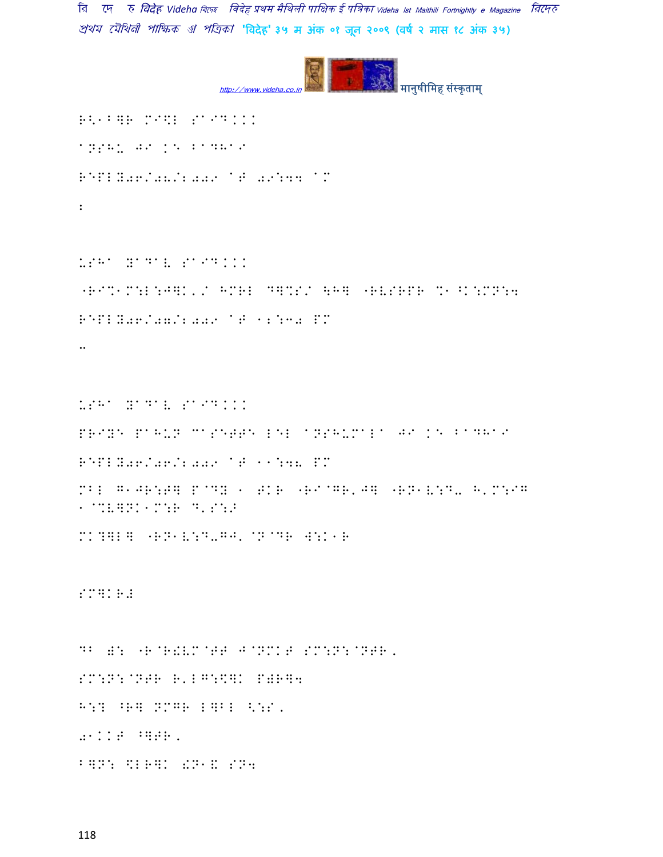

R R MI SAID, SAID. anshu dha badha badha a badhair a badhair a badhair a badhair a badhair a badhair a badhair a badhair a badhai RREPLY ON A 09:44 and 09:44 aM 09:44 aM 09:44 aM 09:44 aM 09:44 aM 09:44 aM 09:44 aM 09:44 aM 09:44 aM 09:44 a 2

USHa YaDaV SaID... "RI%1M:L:J]K'/ HMRL D]%S/ \H] "RVSRPR %1^K:MN:4 RPPE Baroland: aas old or hear PD  $\ddotsc$ 

USHa YaDaV SaID... PRIYE PaHUN CaSETTE LEL aNSHUMaLa JI KE BaDHaI RPPLYNG AT 11:48 PM 11:48 PM MBL GHADRISH BORG "RIGH" (BADRISH "RIGHT") "RIGHT" 1@%V]NK1M:R D'S:> MK?]L] "RN1V:D-GJ'@N@DR W:K1R

SMARK BOOK

DB ): "R@R!VM@TT J@NMKT SM:N:@NTR, SM:N:@NTR R'LG:\$]K P)R]4 H: RH COMB LEFT CONT. botts Sharp, BRO SN4 SN4 SN4 SN4 SN4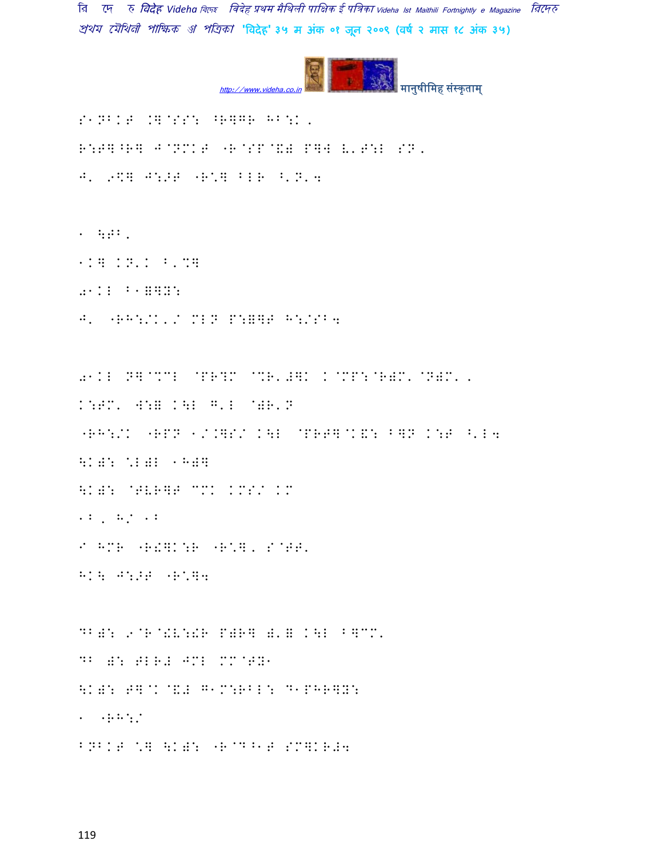

S1NBKT .]@SS: ^R]GR HB:K, RYPRIME ANDROID ARGUMENT PRESERVED FOR JF, 254 JEAN SEARCH BLACK

 $\cdot$   $\pm$   $\pm$   $\cdot$  .

1K] KN'K B'%]

01KL B1=]Y:

J' "RH:/K'/ MIN P://BH:/SB4

01KL N]@%CL @PR?M @%R'#]K K@MP:@R)M'@N)M', K:TM' W:TM' W:TM' W:TM' W:TM' "RH:/K "RPN 1/.]S/ K\L @PRT]@K&: B]N K:T ^'L4 \K): \*L)L 1H)] \K): @TVR]T CMK KMS/ KM  $1$ , H/  $1$ I HMR "R!]K:R "R\*], S@TT'  $H_1H_2H_3H_4H_5H_6H_7H_8$ 

DB): 9@R@!V:!R P)R] )'= K\L B]CM' DB ): TLR# JML MM@TY1 \K): T]@K@&# G1M:RBL: D1PHR]Y:  $1 - \frac{1}{2}$   $\frac{1}{2} + \frac{1}{2} + \frac{1}{2}$ BNBCH SHER \*BNBKBCH \*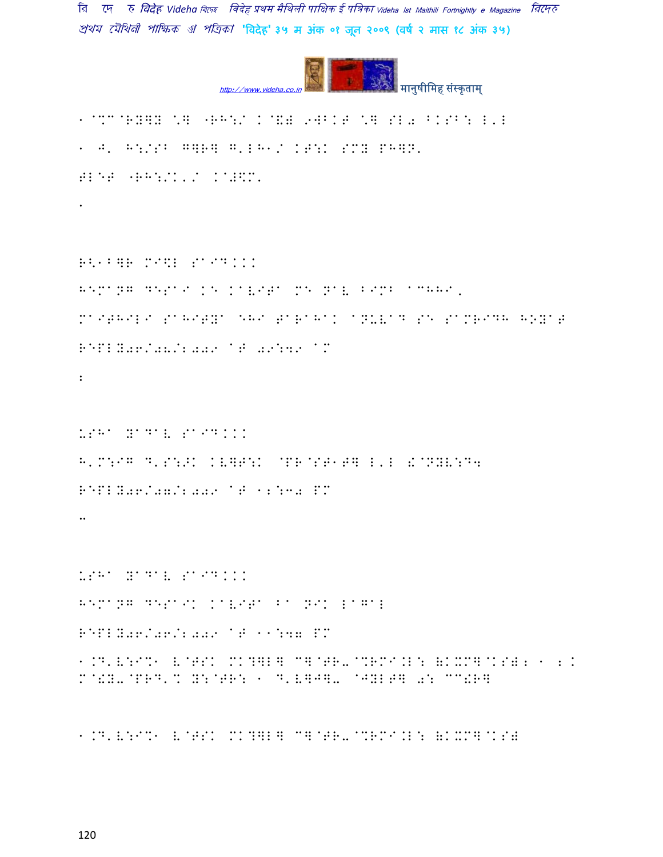

1@%C@RY]Y \*] "RH:/ K@&) 9WBKT \*] SL0 BKSB: L'L 1 J' H:/SB G]R] G'LH1/ KT:K SMY PH]N' TLET "RH:/K'/ .@#\$M'  $\ddot{\phantom{0}}$ R MISLIM STATE CONTRACT HEMaNG DESaI KE KaVITa ME NaV BIMB aCHHI, MaITHILI SaHITYa EHI TaRaHaK aNUVaD SE SaMRIDH HOYaT REPLYNG AT 09:49 AM 2009 2 USHA YADAV SAID. H. THE PURSE CONDITION OF PROPERTY OF A CONDITION REPLY 08:30 PM 2009 aT 12:30 PM 2009 aT 12:30 PM 2009 aT 12:30 PM 2009 aT 12:30 PM 2009 aT 12:30 PM 30:30 PM 2  $\ddotsc$ USHa YaDaV SaID... HEMANG DESAIK KANG DESAIK KANG DESAIK KAWITA BADA BARA BARA DI BARA BA NIK LAGAL DA NIK LAGAL DA NIK LAGAL DA REPLYNG AT 11:47 PM 2009 AT 11:47 PM 2009 AT 11:47 PM 2009 AT 11:47 PM 2009 AT 11:47 PM 2009 AT 12:47

1.D'V:I%1 V@TSK MK?]L] C]@TR-@%RMI.L: (KXM]@KS); 1 2.

M@!Y-@PRD'% Y:@TR: 1 D'V]J]- @JYLT] 0: CC!R]

1.D'V:I%1 V@TSK MK?]L] C]@TR-@%RMI.L: (KXM]@KS)

120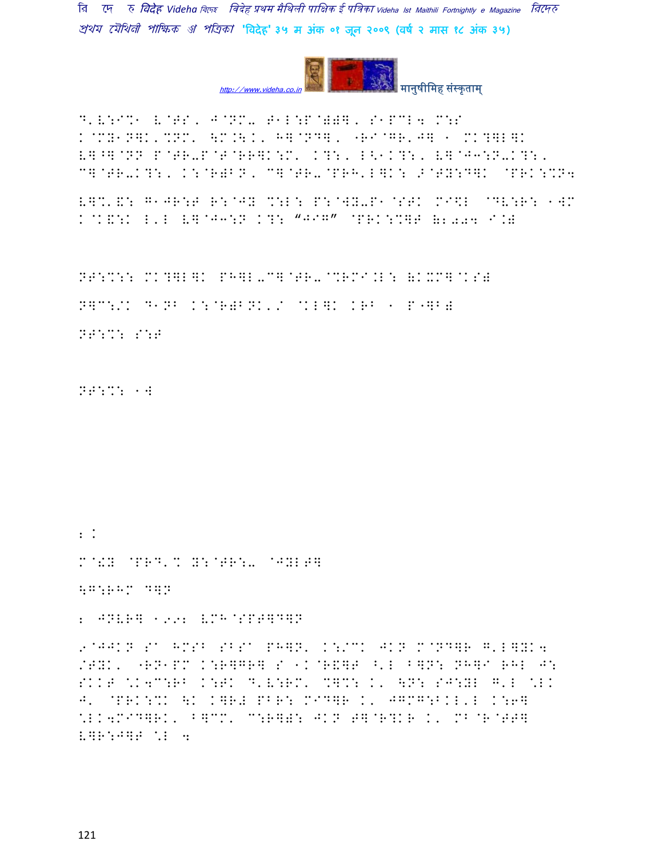

D'V:I%1 V@TS, J@NM- T1L:P@))], S1PCL4 M:S KOMINIKA KOMINI KAMA KAMBA NA MARA NA MARA NA MARA NA MARA NA MARA NA MARA NA MARA NA MARA NA MARA NA MARA NA M V]^]@NN P@TR-P@T@RR]K:M' K?:, L<1K?:, V]@J3:N-K?:, C]@TR-K?:, K:@R)BN, C]@TR-@PRH'L]K: >@TY:D]K @PRK:%N4

 $\langle$  B) B) and the GP  $\langle$  GP  $\rangle$  with  $\langle$  and  $\langle$  and  $\rangle$  are the probability of  $\langle$  and  $\rangle$ K@K&:K LIL US ARANG KONG WARD WAS SERVICED AN AND ROOM

NAT: MARIO PHELTE GRL MENT IS AN OUR MORE NAMBER OF THE ROOM OF REAL PROPERTY. NT:%: S:T

NT:%: 1W

 $\mathbf{1}$ 

MO NO PROTECT AND THE PRODUCT AND A PROPERTY

 $\Xi$ :  $\Xi$ 

2 JNVR] 1992 VMH@SPT]D]N

9@JJKN Sa HMSB SBSa PH]N' K:/CK JKN M@ND]R G'L]YK4 /TYK' "RN1PM K:R]GR] S 1K@R&]T ^'L B]N: NH]I RHL J: SKKT \* KONSTRUKT \* KONSTRUKT \* KONSTRUKT \* KONSTRUKT \* KONSTRUKT \* KONSTRUKT \* KONSTRUKT \* KONSTRUKT \* JA, MPRINTI AI INBREDIRA MUNICIPALI JAPOPINIE, PINA \*LK4MID]RK' B]CM' C:R]): JKN T]@R?KR K' MB@R@TT]  $\ddot{\phantom{a}}$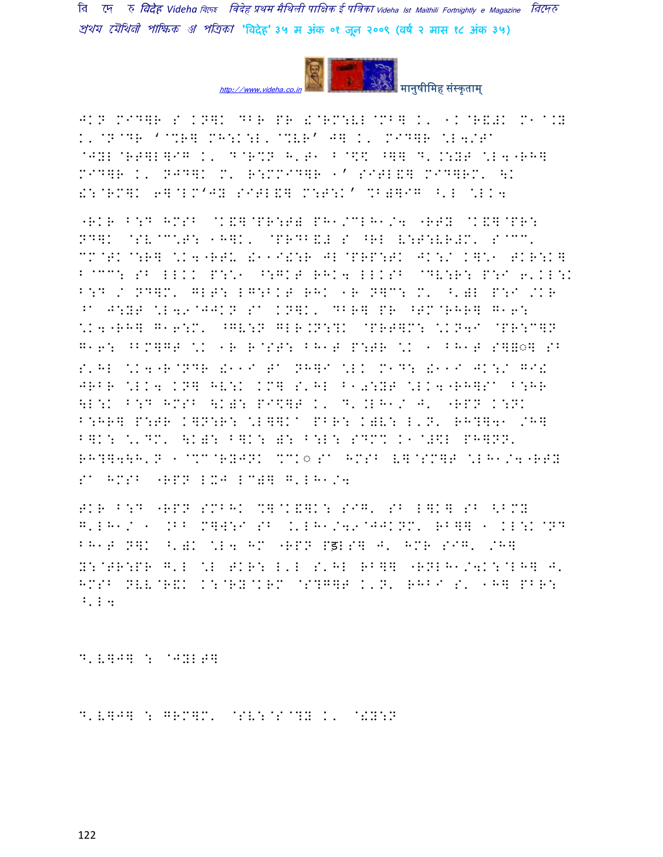

JKN MID]R S KN]K DBR PR !@RM:VL@MB] K' 1K@R&#K M1@.Y K, 'D' 'PR' 'M' TAR 'D' PAGI GEL 'TILEY' 'PR' ILL' DY PRE 'NEWLIP' @JYL@RT]L]IG K' D@R%N H'T1 B@\$\$ ^]] D'.:YT \*L4"RH] MANHETI PANHI MI RAMMANH 17 SAREBH MANHEMI AI EN TETHIS (FHOM IN STATLED TO HIS ACTUALITY OF SITUATION

"RKR B:D HMSB @K&]@PR:T) PH1/CLH1/4 "RTY @K&]@PR: NDA: 1980 MARS (1980), 1990 B.H. V:T:VR#ME S & COCO SACCO S SACCO CM: RESULTAN PROVINCING IN A RESULT IN THE RESULT IN A RESULT IN THE RESULT IN THE RESULT IN THE RESULT IN THE B@CC: SB LLKK P:\*1 ^:GKT RHK4 LLKSB @DV:R: P:I 6'KL:K B:D / ND]M' GLT: LG:BKT RHK 1R N]C: M' ^')L P:I /KR ^a J:YT \*L49@JJKN Sa KN]K' DBR] PR ^TM@RHR] G16: \*K4"RH] G16:M' ^GV:N GLR.N:?K @PRT]M: \*KN4I @PR:C]N G. B. G. C. ST. B. B. ST. B. ST. B. ST. B. C. ST. BH. ST. ST. BET STA: STARPTOR INTERNATION IN THE TANK WILL AND ALL MIND JRBR \*LK4 KN] HV:K KM] S'HL B10:YT \*LK4"RH]Sa B:HR  $\texttt{H} \colon \mathbb{R} \to \mathbb{R}$  by the set of the set of  $\mathbb{R}$  ,  $\mathbb{R}$  is the contribution of  $\mathbb{R}$  . B:NA-BA: P:NABR: 1982-1981 / NEBRE: K) P:N PAN (1981-1982) / L'A PORTAGE (1984-1994) BOK: N. P. ): BIG: BOK: B:L: B:L: BP. PHINN KNO. BHD. RH?]4\H'N 1@%C@RYJNK %CK◌Sa HMSB V]@SM]T \*LH1/4"RTY Sa HMSB "RPN LXJ LC)] G'LH1/4

TKR B:D "RPN SMBHK %]@K&]K: SIG' SB L]K] SB <BMY B.EARTH OR CONNECT PROCESSING AND CONDENSELY RESOURCE BH1T NE ROOM IS NOT THE REAL RESEARCH AND SIGNAL SIGNAL SIGNAL SIGNAL SIGNAL SIGNAL SIGNAL SIGNAL SIGNAL SIGNAL Y:@TR:PR G'L \*L TKR: L'L S'HL RB]] "RNLH1/4K:@LH] J' HMSB NVV@R&K K:@RY@KRM @S?G]T K'N' RHBI S' 1H] PBR:  $\mathcal{F}_k$  is an

D'V]J] : @JYLT]

D'AJAH : GRAMAM MARY : GRAMAM I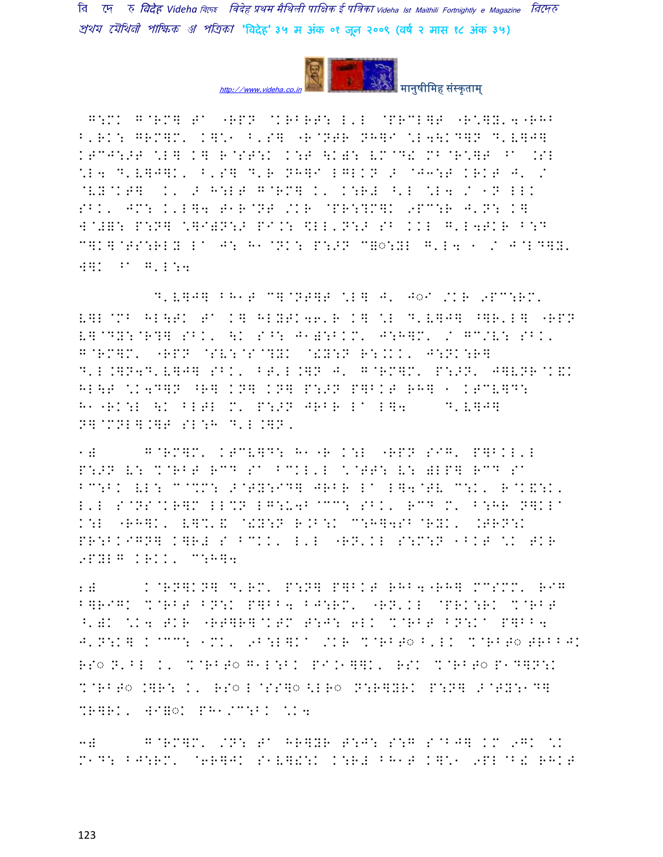

 G:MK G@RM] Ta "RPN @KRBRT: L'L @PRCL]T "R\*]Y'4"RHB B'RK: GRMAN MAN HI KI GRMAN D'AR NHA NI HI TAR NI LAGA KTCJ:>T \*L] K] R@ST:K K:T \K): VM@D! MB@R\*]T ^a .SL \*L4 D'V]J]K' B'S] D'R NH]I LGLKN > @J3:T KRKT J' / MUNICAR (I. A GALA FUNDRII, IANA AL MEN Z (P. 111 SBK: JM: K'LI4 THE WELKER ON PRESSURE (FOR ALSO IA WOMEN PNDA CAPADNI PRIN RELIDNI PROTO DI SAINE PND CALA SESSENTE LA JAS AL SALS PSIA CHROSHI ALIA 1 / JOANNAHE.  $\frac{1}{2}$   $\frac{1}{2}$   $\frac{1}{2}$   $\frac{1}{2}$   $\frac{1}{2}$   $\frac{1}{2}$   $\frac{1}{2}$   $\frac{1}{2}$   $\frac{1}{2}$   $\frac{1}{2}$   $\frac{1}{2}$   $\frac{1}{2}$ 

 D'V]J] BH1T C]@NT]T \*L] J' J◌I /KR 9PC:RM'  $\langle L$ AB (1114) HEADER (2011) 12: HE DONAIN BY NATURE (13) (14)  $\langle L$  by NATURE (14)  $\langle L$  Donain By V]@DY:@R?] SBK' \K S^: J1):BKM' J:H]M' / GC/V: SBK' G@RM]M' "RPN @SV:@S@?YK @!Y:N R:.KK' J:NK:R] D'L.]N4D'V]J] SBK' BT'L.]N J' G@RM]M' P:>N' J]VNR@K&K HEAD NIGHT FOR CIPE IPE PAPP PHOTO A PHR ( ) IPH PIPE H1"RK:L \K BLTL M' P:>N JRBR La L]4 D'V]J] N]@MNL].]T SL:H D'L.]N,

1) G@RM]M' KTCV]D: H1"R K:L "RPN SIG' P]BKL'L P:>N V: %@RBT RCD Sa BCKL'L \*@TT: V: )LP] RCD Sa BC:BK VL: C@%M: >@TY:ID] JRBR La L]4@TV C:K' R@K&:K' L'L SANS MORT LLAN LANGER MAN SELL SPAN DL SANG MALLY K:L "RHEL" & BILB (ABIR BILD) THAN 'BIL' (ABIR) PR:BKIGN] K]R# S BCKK' L'L "RN'KL S:M:N 1BKT \*K TKR 9PYLG KRKK' C:H]4

2) K@RN]KN] D'RM' P:N] P]BKT RHB4"RH] MCSMM' RIG B]RIGK %@RBT BN:K P]BB4 BJ:RM' "RN'KL @PRK:RK %@RBT ^')K \*K4 TKR "RT]R]@KTM T:J: 6LK %@RBT BN:Ka P]BB4 JEN:KEM (MOCC: 1MK) STORE OF THE 20 FOR 10 MARTING ARE FAI RSO BLATE (1) % WORFSPO BETINEN I RACH BBILL: BSC % WORFSPO BEARBING % MRPTC CRBTC ARBOR IN THE ROOT REPORT OF THE RESERVE TO THE RESERVE THE STATE OF THE TYPE OF THE TYPE OF THE T %R]RK' WI=◌K PH1/C:BK \*K4

3) G@RM]M' /N: Ta HR]YR T:J: S:G S@BJ] KM 9GK \*K M1D: BJ:RM' @6R], BJ:RM' @6R]JK S1V;RM' @6R]JK S1V; BJ:RM' BH1T KI:RM' BH1T KI:RM' BH1T BH1T BH1T BH1T BH1T BH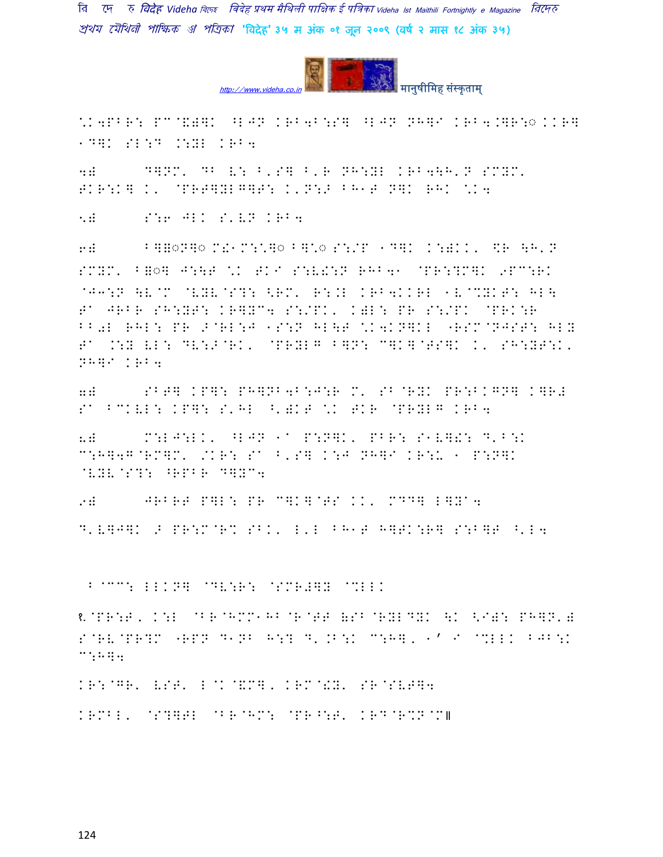

 $\mathcal{L}$  . The probability of  $\mathcal{L}$  is the set of  $\mathcal{L}$  in the set of  $\mathcal{L}$  . The set of  $\mathcal{L}$ 1D]K SL:D .:YL KRB4

4) D]NM' DB V: B'S] B'R NH:YL KRB4\H'N SMYM' TKR:K] K' @PRT]YLG]T: K'N:> BH1T N]K RHK \*K4

5) S:6 JLK S'VN KRB4

 $\mathbf{H}$ B) B]= FRONTA DESCRIPCION (BILO 2012) BIT 10011 1DEN AR DESCRIPCION  $S$ MYMY B= B=  $S$  and  $S$  is the set of the set of the set of the set of the set of the set of the set of the set of the set of the set of the set of the set of the set of the set of the set of the set of the set of the se @J3:N \V@M @VYV@S?: <RM' R:.L KRB4KKRL 1V@%YKT: HL\ Ta JRBR SH:YT: KR]YC4 S:/PK' K)L: PR S:/PK @PRK:R BB0L: PRESS TO 2001 RHL: PR PRESS HOL: JOURNAL "RESS RESS HOL Ta .: Y Linux de la característica de la característica de la característica de la característica de la caract<br>Anno 1990, esta de la característica de la característica de la característica de la característica de la cara NHH (PRA)

7) SBT] KP]: PH]NB4B:J:R M' SB@RYK PR:BKGN] K]R# SA BCKVL: KPINSK KRAKVL: KONGRESSE KRAKVE

88) M:LJ:LAN:L, HARAN PNRH: PFR: SNIHER: S.P. C:H]4G@RM]M' /KR: Sa B'S] K:J NH]I KR:U 1 P:N]K WE WAS SERVED TO THE DIRECT

9) JRBRT P]L: PR C]K]@TS KK' MDD] L]Ya4

D'V]J]K > PR:M@R% SBK' L'L BH1T H]TK:R] S:B]T ^'L4

B@CC: LLKN] @DV:R: LLKN] @DV:R: LLKN] @DV:R: LLKN] @DV:R: LLKN] @DV:R: LLKN] @DV:R: LLKN] @DV:R: LLKN] @DV:R:

१. WER:T, K:L & BROWLER (BORGET (SB) (SBC (SP) (SBC (SP#P. 2): PHINT (SB) (SBMP) (SBC (SB) (SBC (SBC (SBC (SBC) SMRE. SEBRET "PRED DI PARE DI LEGET DI REPE L'A KOMMUNE E L'APPET.  $\cdots$ 

KR:@GR' VST' L@K@&M}, KRM@!

KRAMBLE @S?PROVIDED @BRAM: @BRAM: @PROVIDED @PROVIDED @PROVIDED @PROVIDED @PROVIDED @PROVIDED @PROVIDED @PROVID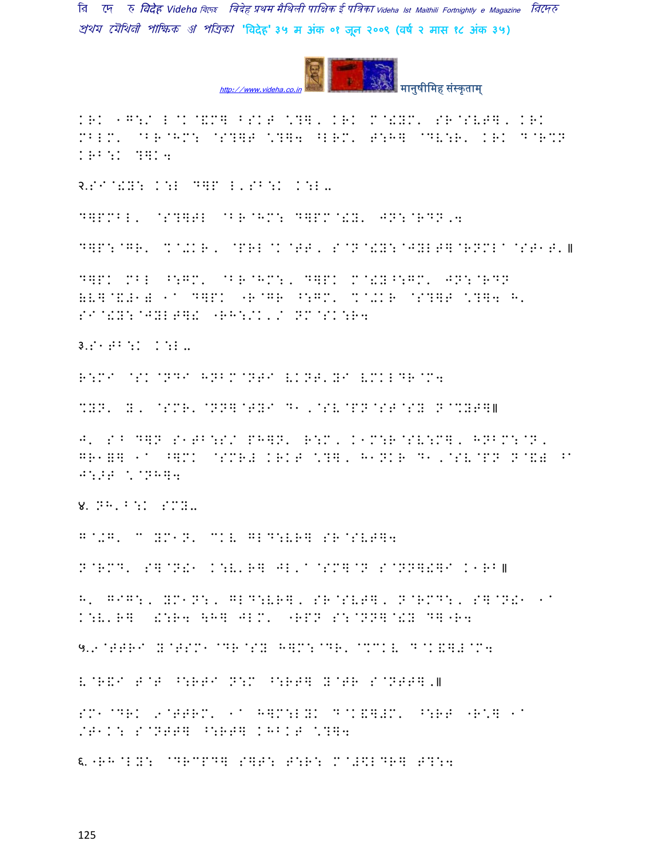

KRK 1G:// LOGINE FRAME ARE STRAIN STRAIN STRAIN STRAINS DREDVI MERTADE MORTER NITHE REDVIEWER MARKED OF HIS PRIDE **KRB:K ??K** 

२.FX: MEN DIRECTOR PRODUCTS AND THE LI

D]PMBL' @S?]TL @BR@HM: D]PM@!Y' JN:@RDN,4

DRESS TREVELOCING WAS CREATED FOR A CONSTANT OF THE RRING THAT A ROUND OF THE RANGE.

DARI MBL AND MENTI MARI MINISTER MANIFOL (V]@&#1) 1a D]PK "R@GR ^:GM' %@+KR @S?]T \*?]4 H' SI@ Y:@JYLT\_PH://AH:/KYLT\_PH://AH:/

 $3.51 \div 51.51 \div 1.51.51$ 

R:MI MI MI MI ADAMI MANTI KANT'YI VANT'YI VANT'YI VANT'YI VANT'YI VANT'YI VANT'YI VANT'YI VANT'YI VANT'YI VANT

WY Y, WINTER, YOU ON YOU AT A STANDARD TO A STATE OF THE STATE OF THE STATE OF THE STATE OF THE STATE OF THE S

J' S^ D]N S1TB:S/ PH]N' R:M, K1M:R@SV:M], HNBM:@N, GR1=] 1a ^]MK @SMR# KRKT \*?], H1NKR D1,@SV@PN N@&) ^a J:

४. NH'B:K SMY-

GANGHO C YOU CAVE GEOGRAPHY AND SALAWAY

N@RMD' S]@N!1 K:V'R] JL'a@SM]@N S@NN]!]I K1RB॥

H. GRARY, GD-PEL REPHER, SR MERR , PORTH, SR MOS VE K:V'R] !:R4 \H] JLM' "RPN S:@NN]@!Y D]"R4

५.9@TTRI Y@TSM1@DR@SY H]M:@DR'@%CKV D@K&]#@M4

V@R&I T@T ^:RTI N:M ^:RT] Y@TR S@NTT],॥

SM10DRK 9 MEERS 11 HENE BY TO BEAM. THE 1455 FY /T1K: S@NTT] ^:RT] KHBKT \*?]4

६."RH@LY: @DRCPD] S]T: T:R: M@#\$LDR] T?:4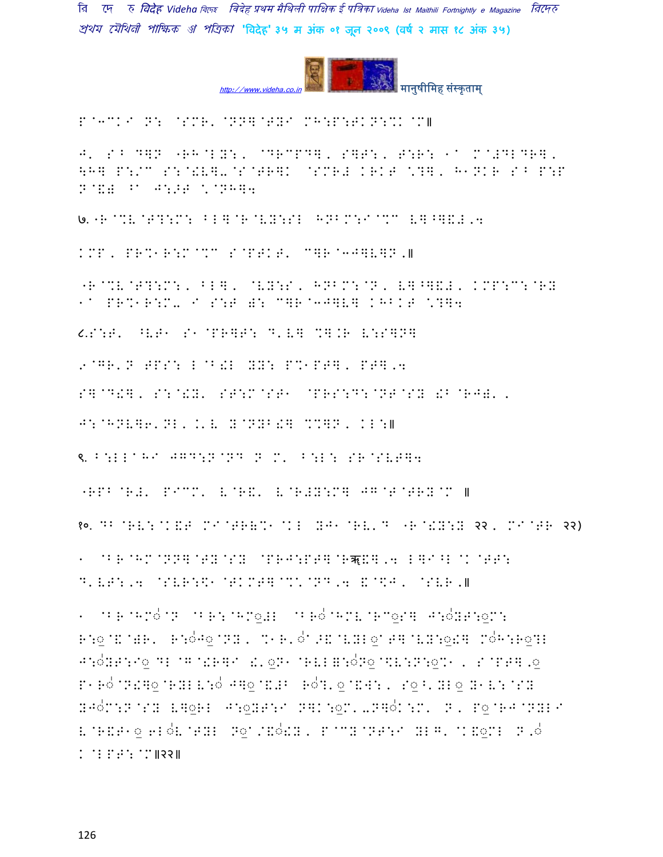

P@3CKI N: @SMR'@NN]@TYI MH:P:TKN:%K@M॥

J' S^ D]N "RH@LY:, @DRCPD], S]T:, T:R: 1a M@#DLDR], \H] P:/C S:@!V]-@S@TR]K @SMR# KRKT \*?], H1NKR S^ P:P N@&) ^a J:>T \*@NH]4

७."R@%V@T?:M: BL]@R@VY:SL HNBM:I@%C V]^]&#,4

KMP, PR%1RSMOW CORPOR, MARINAMENTAL

"R@%V@T?:M:, BL], @VY:S, HNBM:@N, V]^]&#, KMP:C:@RY 1a PR%1R:M- I S:T (C) CARD THE SHAHEME COMPLETED THAT

ሪ.FG#. HEART: POTEHER P. LA VAID ENGARA

9@GR'N TPS: L@B!L YY: P%1PT], PT],4

SEPERT STEEL SATISFY THATES THE STEEL STEEL

J:@HNV]6'NL'.'V Y@NYB!] %%]N, KL:॥

९. B:LLAHI JAWAY YANG NAMA NAMA SEBERA

 $R$ PIC TEACH INTO A TEACH AND REPORT FOR THE VEHAL UP.

१०. DB@RV:@K&T MI@TR(%1@KL YJ1@RV'D "R@!Y:Y २२, MI@TR २२)

1 @BR@HM@NN]@TY@SY @PRJ:PT]@Rॠ&],4 L]I^L@K@TT: D. LANSA MALENER NATHAR TROOP OF A SVR AND STEELING

+ @MRC™PON @BR: NORO HROW PROPERTY PROBATORY H:Solimate, H:SoHolizat, THE, on Azimus on ARTLatsolat MoH:SEoff ()  $\sim$  100 Henric Company of the Resource of the United States of the United States of the United States of the United States of the United States of the United States of the United States of the United States of the United F+ Boʻlik:Hoʻlk:HoʻlkHoʻli.Hoʻl: oʻlik: Vilogo (B) B V: YCH ( BHÓNGE GOB (BHQHI) HG2BHGH (PHIGQN, LPHÓIGN, (P), P⊙@PH (PBFK)) BOPERHO HIGEORE OP@CYEGABO FOUROPRYHO BIP, NOEQUE OPOG  $\mathbb{R}^n$   $\mathbb{R}^n$   $\mathbb{R}^n$   $\mathbb{R}^n$   $\mathbb{R}^n$   $\mathbb{R}^n$   $\mathbb{R}^n$   $\mathbb{R}^n$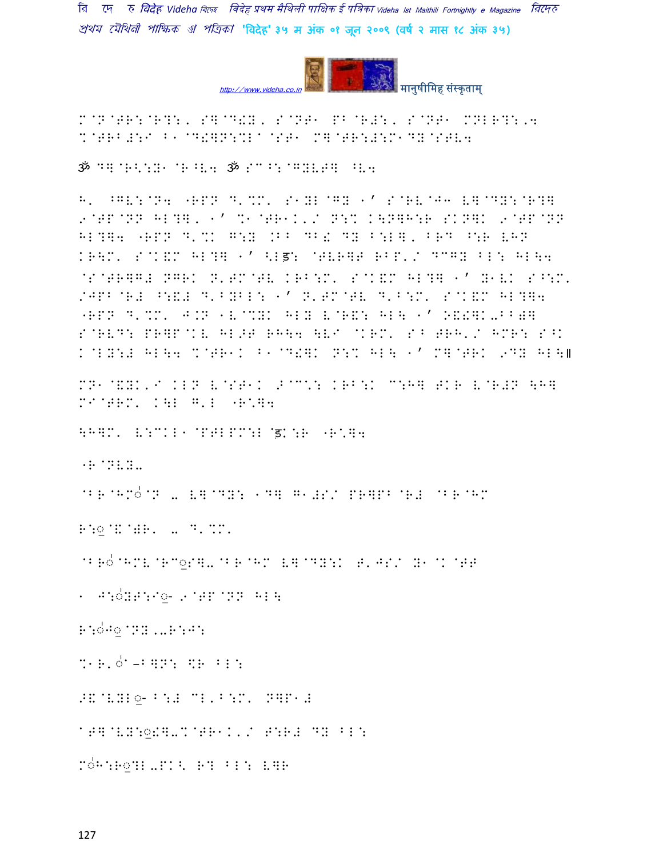

Management and the second control of the second control of the second control of the second control of the second %%@TRB#:I B1@D#:I B1@D#:I B1@D#:I B1@D#:I B1@D#:I B1@TR:#:M1D#:

 $3^{56}$   $1^{124}$   $1^{12}$   $1^{12}$   $1^{12}$   $1^{12}$   $1^{12}$   $1^{12}$   $1^{12}$   $1^{12}$   $1^{12}$   $1^{12}$   $1^{12}$   $1^{12}$   $1^{12}$   $1^{12}$   $1^{12}$   $1^{12}$   $1^{12}$   $1^{12}$   $1^{12}$   $1^{12}$   $1^{12}$   $1^{12}$   $1^{12}$   $1^{12}$   $1^{12}$   $1^{1$ 

H' ^GV:@N4 "RPN D'%M' S1YL@GY 1' S@RV@J3 V]@DY:@R?] 9@TP@NN HL?], 1' %1@TR1K'/ N:% K\N]H:R SKN]K 9@TP@NN HL?BH, (BPD) 7.71 (BGB) DY B:THE 73 FGEB. PB? (PB) EBD KRAM HOW SOME READS OF THE READS OF THE READS OF THE READS OF THE READS OF THE READS OF THE READS OF THE READS @S@TR]G# NGRK N'TM@TV KRB:M' S@K&M HL?] 1' Y1VK S^:M' /JPBP ^:BH: 1988 7: A:BPB & A:K (B): BD ^:BE (R):A & M (D):DD ^:BE BBA "RPN D'%M' J.N 1V@%YK HLY V@R&: HL\ 1' O&!]K-BB)] S@RUPS: PRAP@KVBSARA-BARA ABR\@KRM\2 PRAP#CRMY SOK K@LY: HUR: TAH BI BI MURIS BI HO HI AN THOHIC STIMATE

MN 1000 XX VOO BEER IN VAN VOOR IN HIT VOOR HET KARD AART MI@TRM' KAL GALLAND

 $\texttt{H}\texttt{H}\texttt{H}\texttt{W}$ : Extra Ptle For  $\texttt{H}\texttt{H}\texttt{W}$  and  $\texttt{H}\texttt{W}\texttt{H}\texttt{W}$ 

"RENT ROOM

@BR@HM◌ ॑@N - V]@DY: 1D] G1#S/ PR]PB@R# @BR@HM

R:og'E'dB, L 7.7.7.

MOBRO TEMPERIM PORCO DE MIGNO DE PEZO BE NOMBRO

+ H:0B#1+1@HV:HPOPD@HLA\

R:◌ ॑J◌॒@NY,-R:J:

%1R'◌ ॑a–B]N: \$R BL:

>&@VYL◌॒- B:# CL'B:M' N]P1#

**THE LINGSHOTSHIPS OF BLISHIPS** 

MÖHNE<u>Q</u>TE LEVAL BRITAN ER RART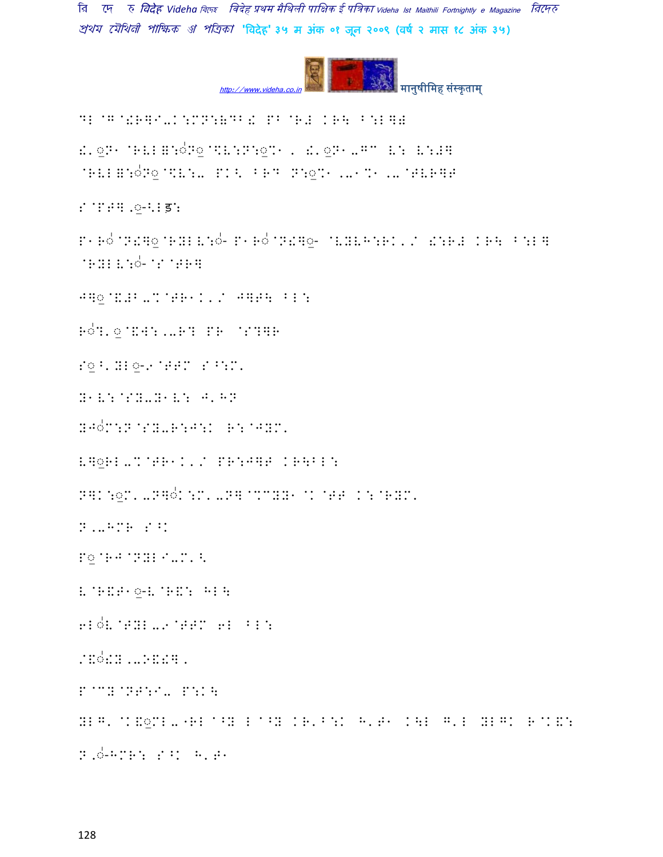

DE OP NIERPLIJNSSERER IS SPORE I EEN FOLGE  $\mathbb{R}, \mathbb{Q}^n$ ) (bestime) which we consider  $\mathbb{R}$  and  $\mathbb{Q}^n$  are  $\mathbb{R}^n$  . In the set of  $\mathbb{R}^n$ OREE BA0P@ VELAWY FIRST PROTO DATE ON CATALERE  $S$ PTP,  $S$ -H $S$ : PHPÓ NPLARO NEAL LOGÍ PHRÓ NACAROÍ NLALPOBLICIO LOGIE LOGIE (FOGLA). MRYLV: CHILL J]◌॒@&#B-%@TR1K'/ J]T\ BL: B¢T.@MERT.LPT FR MPTHR | SSO SUPER SOME STATE STATE STATE STATE STATE STATE STATE STATE STATE STATE STATE STATE STATE STATE STATE STATE STATE STATE STATE STATE STATE STATE STATE STATE STATE STATE STATE STATE STATE STATE STATE STATE STATE STATE STA H: BY: THE HOME OF STREET BA¢TGR(MBGAGG) BG(ABT.) LAQHILTIAR (17 PR:JAH) (PRII) PA: N@MYLPA@MYLWPACTTRB+CMORACTYPEMA N,-HMR S^K Poster This Wille EMBRED OR THE HURT eløbjeg: 1980-1990 el Blit .:E6:H,...::E6:H, POUR THEFT POINT WHAT ME MARKED AND RECORDED AT A LAST CARD AND MESSED AND RECORD N,◌ ॑-HMR: S^K H'T1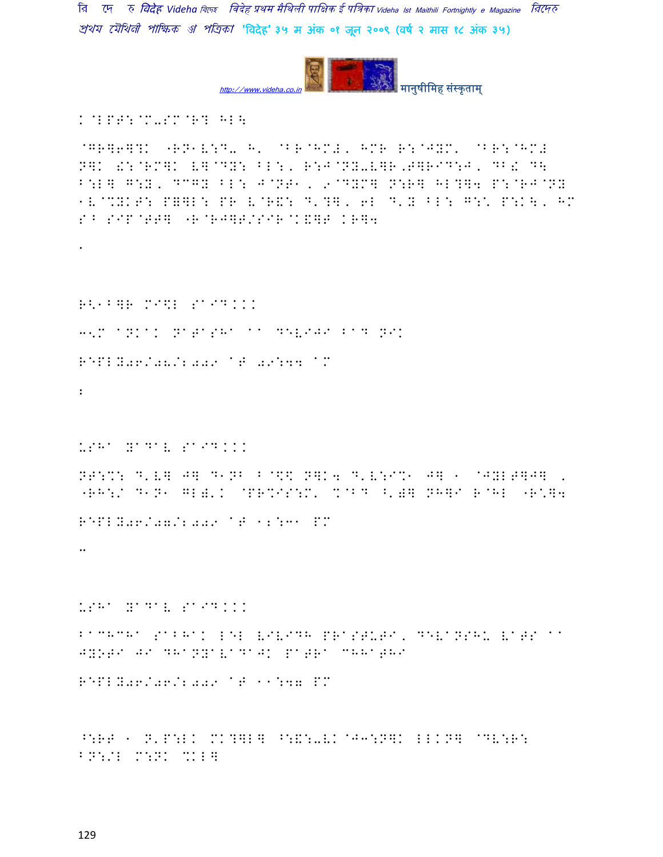

K@LPT: NO. 2005

@GR]6]?K "RN1V:D- H' @BR@HM#, HMR R:@JYM' @BR:@HM# NAL K ROMANIS IS NOT BE DRIVE A REPORT OF BUILDING AND DRIVING WHICH DISPOSE A REPORT OF BUILDING ON DISPOSE O B:N:H, P.G.B.: J. D.M.P.B.: F.E.N, P. (1986). I. D.M.P.B.R. D.G.H.P. H.R., B. B. D.R. H.P. D.B.  $\times$  b) that excellent in the contents of variable in the second problem in the  $r$  $S^{\prime}$  singlet  $\overline{S}$  . So the singlet  $\overline{S}$  and  $\overline{S}$  are  $\overline{S}$  . Singlet  $\overline{S}$ 

R MISLIM SAID.

35M aNKaK NaTaSHa aa DEVIJI BaD NIK

REPLY06/2009 aT 09:44 aT 09:44 aT 09:44 aT 09:44 aT 09:44 aT 09:44 aT 09:44 aT 09:44 aT 09:44 aT 09:44 aT 09:4

 $\ddot{\cdot}$ 

 $\ddot{\phantom{1}}$ 

USHa YaDaV SaID...

NT:%: D'V] J] D1NB B@\$\$ N]K4 D'V:I%1 J] 1 @JYLT]J] ,  $R$  . The product of  $R$  and  $R$  are defined by  $R$  . The  $R$  is the set  $R$  and  $R$  are  $R$  . The  $R$  -  $R$  is the  $R$  -  $R$  -  $R$  -  $R$  -  $R$  -  $R$  -  $R$  -  $R$  -  $R$  -  $R$  -  $R$  -  $R$  -  $R$  -  $R$  -  $R$  -  $R$  -  $R$  -  $R$ 

REPLYNCHER PLAN 1999

 $\ddot{\phantom{2}}$ 

USHA YADAVIDI YADAVIDI

BN://L M:NK %KL

BaCHCHa SaBHaK LEL VIVIDH PRaSTUTI, DEVaNSHU VaTS aa

JAYOTI JI DHANYAY ATAO PATRA CHI PATRA CHI DHAMYA

REPLY 06/2009 at 11:47 PM 2009 at 11:47 PM 2009 at 11:47 PM 2009 at 11:47 PM 2009 at 11:47 PM 2009 at 11:47 PM

^:RT 1 N'P:LK MK?]L] ^:&:-VK@J3:N]K LLKN] @DV:R: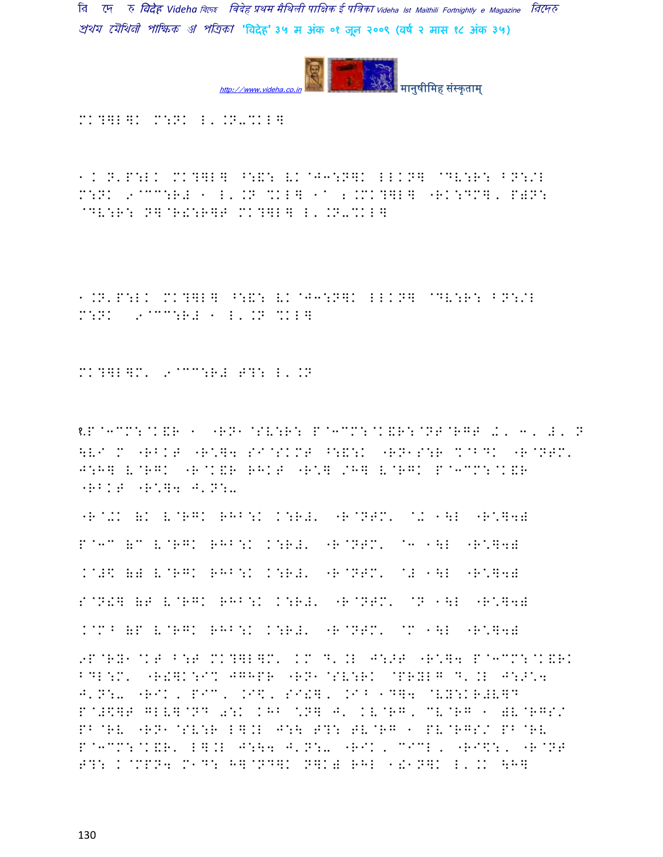

MIRK MIRK H. MANIER

1. N'P:LK MK?]L] ^:&: VK@J3:N]K LLKN] @DV:R: BN:/L M:NK 9@CC:R# 1 L'.N %KL] 1a 2.MK?]L] "RK:DM], P)N: @DV:R: N]@R!:R]T MK?]L] L'.N-%KL]

1. N'AN MARINA ANN AN DEALAIS AN DEALAIS AN DEALAIS AN DEALAIS AN DEALAIS AN DEALAIS AN DEALAIS AN DEALAIS AN<br>Iomraidhean an Dealais an Dealais an Dealais an Dealais ann an Dealais an Dealais an Dealais an Dealais an Dea MINI 9 MUNICIPAL PROPERTY AND NO SERVICE OF THE UP OF THE UP OF THE UP OF THE UP OF THE UP OF THE UP OF THE UP

MK?]L]M' 9@CC:R# T?: L'.N

१.P@3CM:@K&R 1 "RN1@SV:R: P@3CM:@K&R:@NT@RGT +, 3, #, N  $\Pi$  . The state  $\mathcal{R}$  since  $\mathcal{R}$  is the state of  $\mathcal{R}$  . The state  $\mathcal{R}$ J:H] V@RGK "R@K&R RHKT "R\*] /H] V@RGK P@3CM:@K&R "RBKT "R\*D#1 H. P.

"R@+K (K V@RGK RHB:K K:R#' "R@NTM' @+ 1\L "R\*]4) POWER RECENT RHAND CHAING RHOMAN CHOOR (PROMINE  $.0145$  (data respectively)  $.01441$  (see 1.0  $.01441$  and  $.01444$  $\mathcal{S}$  (T  $\mathcal{S}$  ) (T  $\mathcal{S}$  ) (T  $\mathcal{S}$  ) (T  $\mathcal{S}$  ) (T  $\mathcal{S}$  ) (T  $\mathcal{S}$  ) (T  $\mathcal{S}$  ) (T  $\mathcal{S}$  ) (T  $\mathcal{S}$  ) (T  $\mathcal{S}$  ) (T  $\mathcal{S}$  ) (T  $\mathcal{S}$  ) (T  $\mathcal{S}$  ) (T  $\mathcal{S}$  ) (T  $\mathcal{S}$  ) (T  $\mathcal{L}(\mathcal{V})$  (P  $\mathcal{L}(\mathcal{V})$  and  $\mathcal{V}(\mathcal{V})$  is the  $\mathcal{V}(\mathcal{V})$  and  $\mathcal{V}(\mathcal{V})$  and  $\mathcal{V}(\mathcal{V})$ 

9P@RY1@KT B:T MK?]L]M' KM D'.L J:>T "R\*]4 P@3CM:@K&RK BOL:M' "REALGED" "PRINT "REALGED" DIRECT "PRINT" "PRINT" J'N:- "RIK, PIC, .I\$, SI!], .I^ 1D]4 @VY:KR#V]D POINT FILENT AN IT CHANNEL ALO LEGEN TEGEN A BEGREEN PP: THE CORPORATION IS RECEIVED A PROPERTY PROPERTY PRODUCED THAT IS THE TRANSPORTED THAT POSSIBILI LA LA JERO ALIBE SECONDATI LO PARTICO AL CIRC FOR KAMPANG MANGHING ANG HITA NA ANG KATILITAN ANG HITA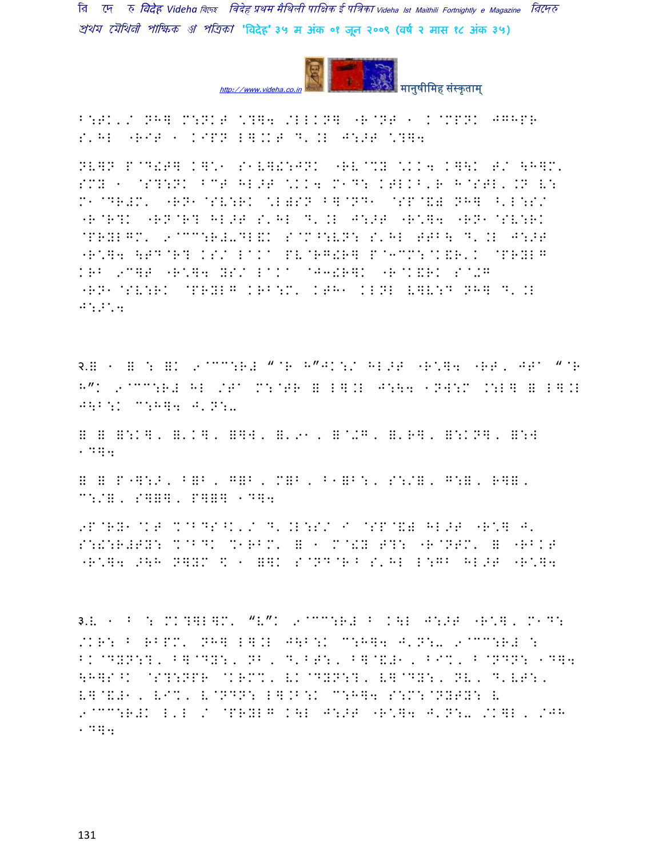

B:THI// NHE MYNIF (NHA 211139 (RANT) "RON 1 MMPN JGHPR S'HL "RIT 1 KIP" 1 HIL D'.L J: ALIE 1 HIL

NLAR BYRGAN (AV) (SLAGHAN (ALYON CO) (AN) AN BHR) SMY 1 MARSHI TEMPERENT I MARSHI HADY KELANG MARSHI DI KE MN TREBOL "PERSONABE" (1882) A BORN "SN DIR TEBORA" PERSONA "REPORT "RAP? HEP "REPORT" REPORT "REPORT "REPORT "REPORT "REPORT @PRYLGM' 9@CC:R#-DL&K S@M^:VN: S'HL TTB\ D'.L J:>T "R\*]4 \TD@R? KS/ LaKa PV@RG!R] P@3CM:@K&R'K @PRYLG KRB 9CHE PENHA WEL ESIS SAHARHI "RESIBEL ESIS "RN1@SV:RK @PRYLG KRB:M' KTH1 KLNL V]V:D NH] D'.L  $\{H_1, H_2, \ldots\}$ 

२.= 1 = : =K 9@CC:R# "@R H"JK:/ HL>T "R\*]4 "RT, JTa "@R H"C 3 COCHE HE ZAN TA ME B FAIR (4984) (TAN: CHA B FAIR **JA: C: C:H: J: J: J:** 

= = =:K], ='K], =]W, ='91, =@+G, ='R], =:KN], =:W  $1.994$ 

= = P"]:>, B=B, G=B, M=B, B1=B:, S:/=, G:=, R]=, C:// Product Partner (1991)

9P@RY1@KT %@BDS^K'/ D'.L:S/ I @SP@&) HL>T "R\*] J' S:!:R#TY: %@BDK %1RBM' = 1 M@!Y T?: "R@NTM' = "RBKT  $\sim$  1 = 1  $\sim$  0  $\pm$  0  $\pm$  0  $\pm$  1  $\pm$  0  $\pm$  0  $\pm$  1  $\pm$  1  $\pm$  1  $\pm$  1  $\pm$  1  $\pm$  1  $\pm$  1  $\pm$  1  $\pm$  1  $\pm$  1  $\pm$  1  $\pm$  1  $\pm$  1  $\pm$  1  $\pm$  1  $\pm$  1  $\pm$  1  $\pm$  1  $\pm$  1  $\pm$  1  $\pm$  1  $\pm$  1  $\pm$  1  $\pm$  1

3.E | P | B : ME : ME | ME | P | MITHER | P | CHE | HISPE | HISPE | MITHER /KR: B RBPM' NH] L].L J\B:K C:H]4 J'N:- 9@CC:R# : BK@DYN:?, B]@DY:, NB, D'BT:, B]@&#1, BI%, B@NDN: 1D]4 \H]S^K @S?:NPR @KRM%, VK@DYN:?, V]@DY:, NV, D'VT:, V]@&#1, VI%, V@NDN: L].B:K C:H]4 S:M:@NYTY: V 9 CCC:R#GE: BULE / ZO CEPHEE ROUTER (1982-1982) - PROBAT AL DISLO / ZOEE / VINAP  $1.994$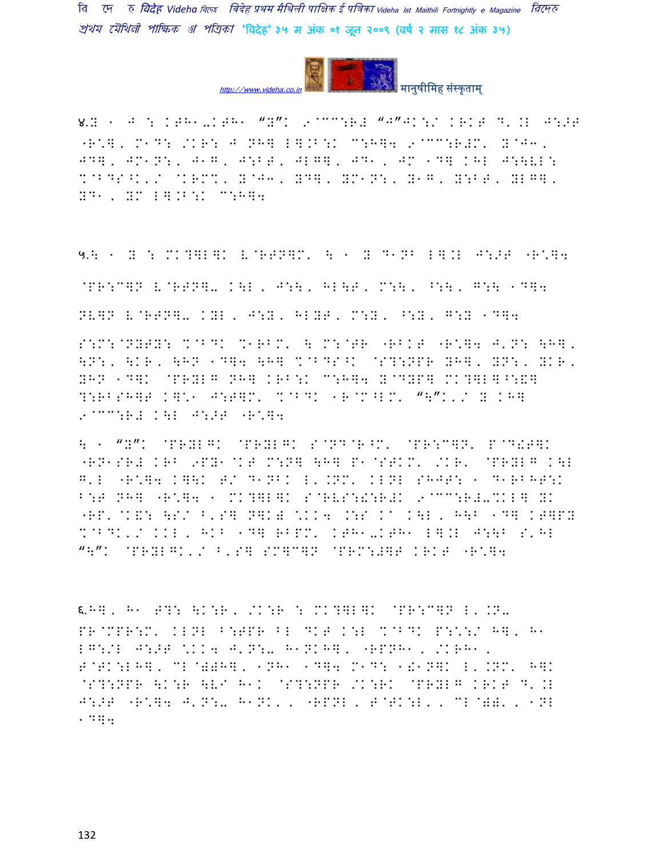

४.Y 1 J : KTH1-KTH1 "Y"K 9@CC:R# "J"JK:/ KRKT D'.L J:>T "RANG", M1D: 200 RECORD RESOURCES AND ACCOMMODATE COMPARENT CONTROL AND ARRANGEMENT OF THE U.S. COMPARENT CONTROL AND ARRANGEMENT OF THE U.S. COMPARENT CONTROL AND ARRANGEMENT OF THE U.S. COMPARENT CONTROL AND ARRANGEMENT JOURNEY, JOURNAL JOURNAL JOURNAL JOURNAL JOURNAL JOURNAL %@BDS^K'/ @KRM%, Y@J3, YD], YM1N:, Y1G, Y:BT, YLG], YD1, YM L].B:K C:H]4

५.<del>: (1 Y : MH)</del> I : PHPPH | 1 Y : MARTH | 1 Y : MARTH | 1 Y | 2 Y : MARTH | 1 Y | 2 Y : L J: @PR:C]N V@RTN]- K\L, J:\, HL\T, M:\, ^:\, G:\ 1D]4 NV]N V@RTN]- KYL, J:Y, HLYT, M:Y, ^:Y, G:Y 1D]4 S:NOTE: MORE 2018 (NOTE: TRANSPART) IN THE MERIC "REPORT "REQUIRE "REQUIRE "REPORT" . \N:, \KR, \HN 1D]4 \H] %@BDS^K @S?:NPR YH], YN:, YKR,

YHY 1941 (PRYLG PRYLG NHI COHAN YOUR MANAGEMENT ?:RBSH]T K]\*1 J:T]M' %@BDK 1R@M^LM' "\"K'/ Y KH] 9@CC:R# K\L J:R# K\L J:R#

\ 1 "Y"K @PRYLGK @PRYLGK S@ND@R^M' @PR:C]N' P@D!T]K "REPYTED (P) VIGHT M: TAPH ARE IN GORIT, JOE, JOHNER (A) A.B "PRIMA KAN AZ ARTI BIJIMI KLAD KAPA KUNGHAN B:T NH] "R\*]4 1 MK?]L]K S@RVS:!:R#K 9@CC:R#-%KL] YK "RP' "RP' B'S ("B'S ") \* RP' B'S ("B'S HOLD ") \* RP' B'S KA KONG ") \* RP' B'S (") \* RP' B'S (") # RP' B'S % MPK'/ WORLER IN STATE TO BE BEEN IN LITE BY A BILL HABBER IN STAB  $N\bar{h}$   $K$   $\bar{r}$  . The defined by  $\bar{r}$  so that the proportional exponent is the constant  $\bar{r}$ 

६.HE, H1 FER ANNE, /KNE N MATHER, /FENTRO EL COL PR@MPR:M' KLNL B:TPR BL DKT K:L %@BDK P:\*:/ H], H1 LG:PACH (1995) AND LONGING TO A STRING AND THE STATE OF THE STATE  $\mathcal{L}^{\mathcal{L}}$ T@TK:LH], CL@))H], 1NH1 1D]4 M1D: 1!1N]K L'.NM' H]K @S?:NPR \K:R \VI H1K @S?:NPR /K:RK @PRYLG KRKT D'.L J:>T "R\*]4 J'N:- H1NK', "RPNL, T@TK:L', CL@))', 1NL  $\cdot$  10  $\cdot$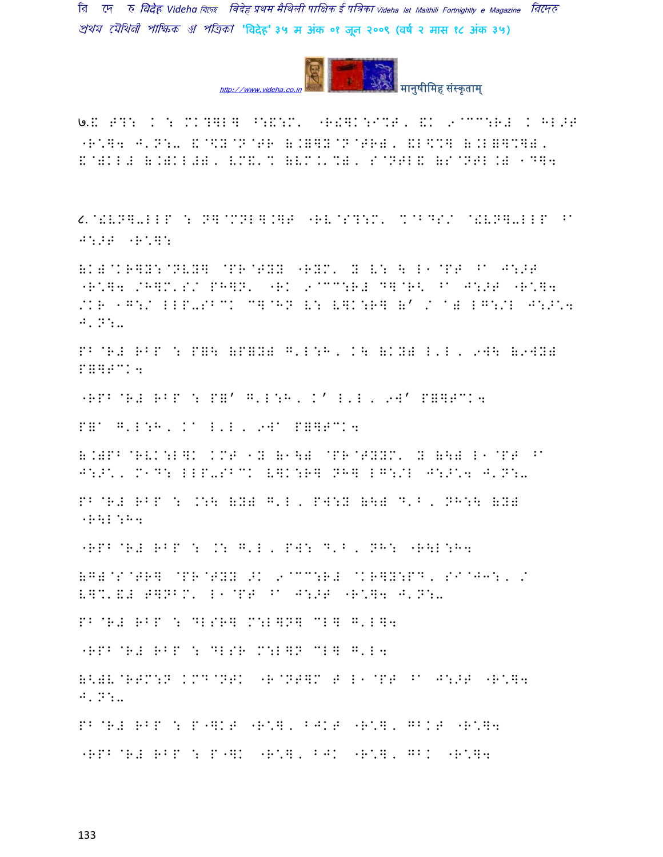

७.& T?: . : MK?]L] ^:&:M' "R!]K:I%T, &K 9@CC:R# . HL>T "R\*]4 J'N:- &@\$Y@N@TR (.=]Y@N@TR), &L\$%] (.L=]%]), &@)KL# (.)KL#), VM&'% (VM.'%), S@NTL& (S@NTL.) 1D]4

८.@!VN]-LLP : N]@MNL].]T "RV@S?:M' %@BDS/ @!VN]-LLP ^a  $J:Y \to Y \to Y \to Y \to Y$ 

 $\begin{array}{l} \begin{array}{l} \begin{array}{l} \begin{array}{l} \end{array} \end{array} \end{array}$ "R\*]4 /H]M'S/ PH]N' "RK 9@CC:R# D]@R< ^a J:>T "R\*]4 /KR 1G:/ LLP-SBCK C]@HN V: V]K:R] (' / a) LG:/L J:>\*4  $J:U:U$ 

PR TRACERT : P=YOH: GPBB: P.ESYN, CACADIB: E.E. 20HN (624BE) PHHPTI +

"RPB@R# RBP : P=' G'L:H, K' L'L, 9W' P=]TCK4

PED GLISH, KO LIL, 9WA PEHANDA

(B) CHERRY (THE REST 19 JOY CONTROL CONTROLLED AT THE THROUGH IN LICENSE OF A COMPANY FOR J:>\*, M1D: LLP-SBCK V]K:R] NH] LG:/L J:>\*4 J'N:-

PR TRUE RRIE : NO CONTRACTA ROLL PURS CHAN HAN TROPONY (PROBLEMENT)  $R\rightarrow\frac{1}{2}R\left(\frac{1}{2}+\frac{1}{2}+\frac{1}{2}+\frac{1}{2}\right)$ 

"RPB" TREE REPORTS TO REPORT TO A CONTROL PRESENT

(G)@S@TR] @PR@TYY >K 9@CC:R# @KR]Y:PD, SI@J3:, / 197. D.E. (POP) T. (1) THE PT (PAIR (PAIR (P. PT).

PROBLEMENT : DECISE THE SERVICE SERVICE

"REPORT : DRAFT : DRAFT : DRAFT : DRAFT : DRAFT : DRAFT : DRAFT : DRAFT : DRAFT : DRAFT : DRAFT : DRAFT : DRAFT

(<)V@RTM:N KMD@NTK "R@NT]M T L1@PT ^a J:>T "R\*]4  $\mathcal{F}_1$ :  $\mathcal{F}_2$ :  $\mathcal{F}_3$ 

PB@R# RBP : P"]KT "R\*], BJKT "R\*], GBKT "R\*]4

"RPB" (P.E. P.F.P. (P.F.P.), GBK "R.C. (P.F.), GBK "R\*1, GBK "R\*]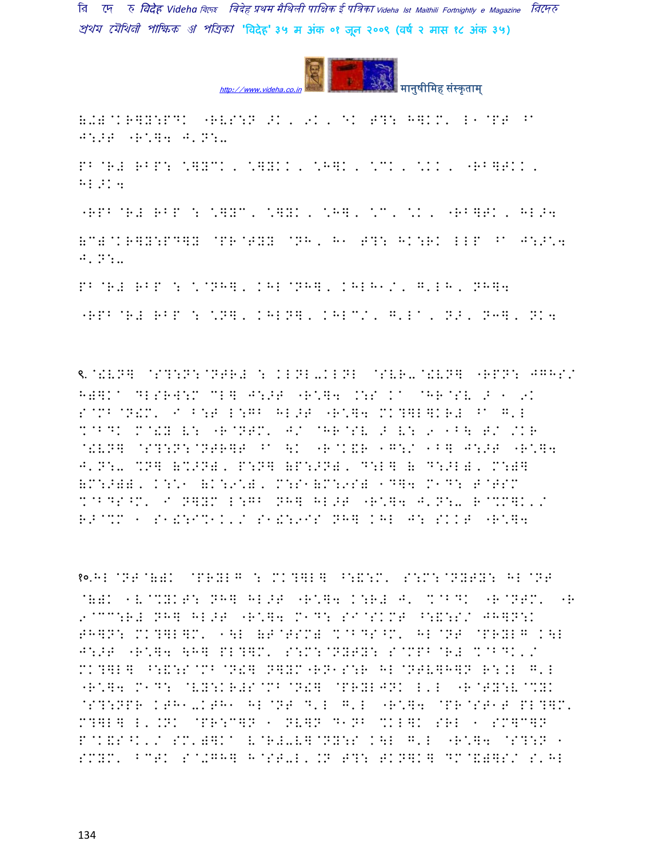

(+)@KR]Y:PDK "RVS:N >K, 9K, EK T?: H]KM' L1@PT ^a J:>T "R\*]4 J'N:-

PB@R# RBP: \*]YCK, \*]YKK, \*H]K, \*CK, \*KK, "RB]TKK,  $H$ :  $H$ 

"RPB@R# RBP : \*AWAR", \*AWAY, \*AWAY, \*C, \*C, \*RPW#1, \*HLA4

(C)@KR]Y:PD]Y @PR@TYY @NH, H1 T?: HK:RK LLP ^a J:>\*4  $J:U:U$ 

PB@R# RBP : \*@NH], KHL@NH], KHLH1/, G'LH, NH]4

"RPB@R# RBP : \*N], KHLN], KHLC/, G'La, N>, N3], NK4

९.@!VN] @S?:N:@NTR# : KLNL-KLNL @SVR-@!VN] "RPN: JGHS/ H)]Ka DLSRW:M CL] J:>T "R\*]4 .:S Ka @HR@SV > 1 9K SAMBON MONEY I BESTALLED AND THE SOLID CONTROL OF THE RESIDENCE OF THE TELL AND THE TRANSPORTED AND THE SUBJECT %@BDK M@!Y V: "R@NTM' J/ @HR@SV > V: 9 1B\ T/ /KR @!VN] @S?:N:@NTR]T ^a \K "R@K&R 1G:/ 1B] J:>T "R\*]4 J'N:- %N] (%>N), P:N] (P:>N), D:L] ( D:>L), M:)] (M:>)), K:\*1 (K:9\*), M:S1(M:9S) 1D]4 M1D: T@TSM % MPS POLITIC PORTER EN HIS PART (PER L'ABS) HAN HAT "POLITIC "ROLL" (PER L'ASSOCIATION)" R>@%M 1 S1!:I%1K'/ S1!:9IS NH] KHL J: SKKT "R\*]4

१०.HL@NT@()K @PRYLG : MK?]L] ^:&:M' S:M:@NYTY: HL@NT @()K 1V@%YKT: NH] HL>T "R\*]4 K:R# J' %@BDK "R@NTM' "R 9@CC:R# NH] HL>T "R\*]4 M1D: SI@SKMT ^:&:S/ JH]N:K THEN: MITHIT, AND BEGRIE COUNCIL WE CHOP ONE HERE CAR J:>T "R\*]4 \H] PL?]M' S:M:@NYTY: S@MPB@R# %@BDK'/ MK?] BER RECOMBEN DE SOME DE SOME DE SOME DE SOME DE SOME DE SOME DE SOME DE SOME DE SOME DE SOME DE SOME DE S "R\*]4 M1D: @VY:KR#S@MB@N!] @PRYLJNK L'L "R@TY:V@%YK @S?:NPR KTH1-KTH1 HL@NT D'L G'L "R\*]4 @PR@ST1T PL?]M' M?]L] L'.NK @PR:C]N 1 NV]N D1NB %KL]K SRL 1 SM]C]N PON BY POLICY SYNCHEN VOID PALER NABY ON HE CARD PLAY SYNCH ON THAT SY SMYM' BCTK S@+GH] H@ST-L'.N T?: TKN]K] DM@&)]S/ S'HL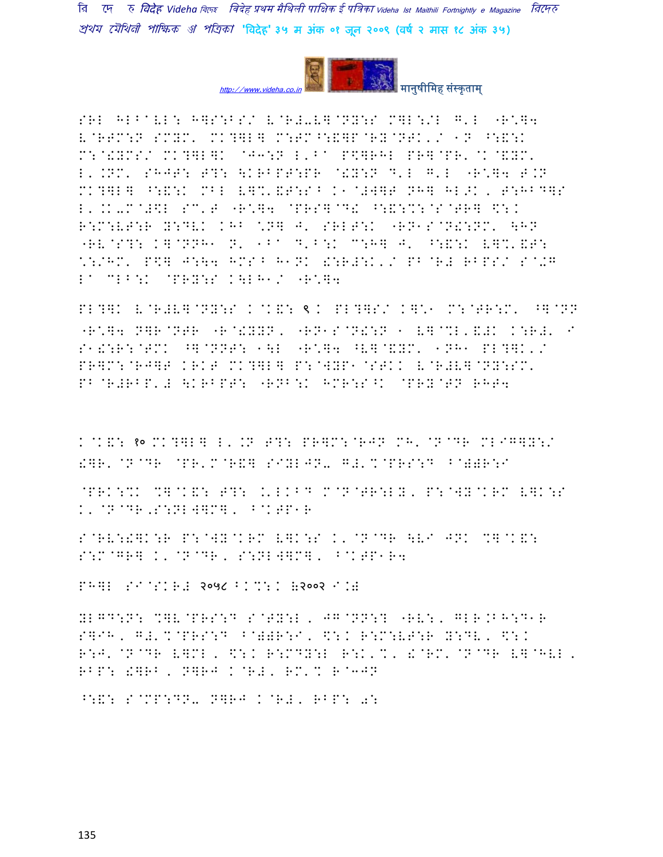

SRL HIVEIN HANDIS DENGALATING: TALNI H.L. GENA V@RTM:N SMYM' MK?]L] M:TM^:&]P@RY@NTK'/ 1N ^:&:K M:@!YMS/ MK?]L]K @J3:N L'Ba P\$]RHL PR]@PR'@K@&YM' L'.NM' SHJT: T?: \KRBPT:PR @!Y:N D'L G'L "R\*]4 T.N MACHER READS IN THE BUILDING OF SACHING WHO HEADS AND HUNDER L'.K-M@#\$L SC'T "R\*]4 @PRS]@D! ^:&:%:@S@TR] \$:. R:M:VI:R Y:PH: VI:R Y:PH:A: V:BI:R Y: Y:DVK KHB \*N | BH: "RV@S?: K]@NNH1 N' 1Ba D'B:K C:H] J' ^:&:K V]%'&T: \*:/\*\*:/\*\*:///HTML //HTML //HTML //HTML //HTML //HTML //HTML //HTML //HTML //HTML //HTML //HTML //HTML //HTML / La Claude (1983) (1984) (1984) (1984) (1984) (1984) (1984) (1984) (1984) (1984) (1984) (1984) (1984) (1984) (1

PL?]K V@R#V]@NY:S K@K&: ९ K PL?]S/ K]\*1 M:@TR:M' ^]@NN "R\*]4 N]R@NTR "R@!YYN, "RN1S@N!:N 1 V]@%L'&#K K:R#' I S1!:R:@TMK ^]@NNT: 1\L "R\*]4 ^V]@&YM' 1NH1 PL?]K'/ PR]M:@RJ]T KRKT MK?]L] P:@WYP1@STKK V@R#V]@NY:SM' PROBABLE AND HIM SHIP' ROOM IN THE REAL PROPERTY AND A REAL PROPERTY AND ALL AND REAL PROPERTY AND REAL PROPERTY.

KAMERY 19 MARSHIR LAN TRANSPORTATION MAN MANY MANY MANY MENGENY  $R$  . The proposition of the sign of the sign of the signal signal signal signal signal signal signal signal signal signal signal signal signal signal signal signal signal signal signal signal signal signal signal signal s

@PRK:%K %]@K&: T?: .'LKBD M@N@TR:LY, P:@WY@KRM V]K:S K'@N@DR,S:NLW]M], ^@KTP1R

SMRK: NARRO NARRO NI POSTAVA KORA NA MARO NA MARO NA MARO NA MARO NA MARO NA MARO NA MARO NA MARO NA MARO NA M S:MORRIS KONGRESS (STREET IN 1999)

 $P^1$ PH $P^2$ L Similar Band Band Rook and  $P^2$  and  $P^2$  and  $P^2$  are  $P^2$  and  $P^2$  . (1)  $P^2$ 

YLGD:N: %]V@PRS:D S@TY:L, JG@NN:? "RV:, GLR.BH:D1R SARTA , AG, CORESSA (POBBEST), RSI (PSCORERS), BSAR, VRSI R:J'@NOPR VERTE L'ASSOCRETE (PSOLOGIC & OPD. OPNOR ERN PEEL) RBP: 2008 RBP: 2008 RBP: 2008 RBP: 2008 RBP: 2008 RBP: 2008 RBP: 2008 RBP: 2008 RBP: 2008 RBP: 2008 RBP: 2008

^:&: S@MP:DN- N]RJ K@R#, RBP: 0: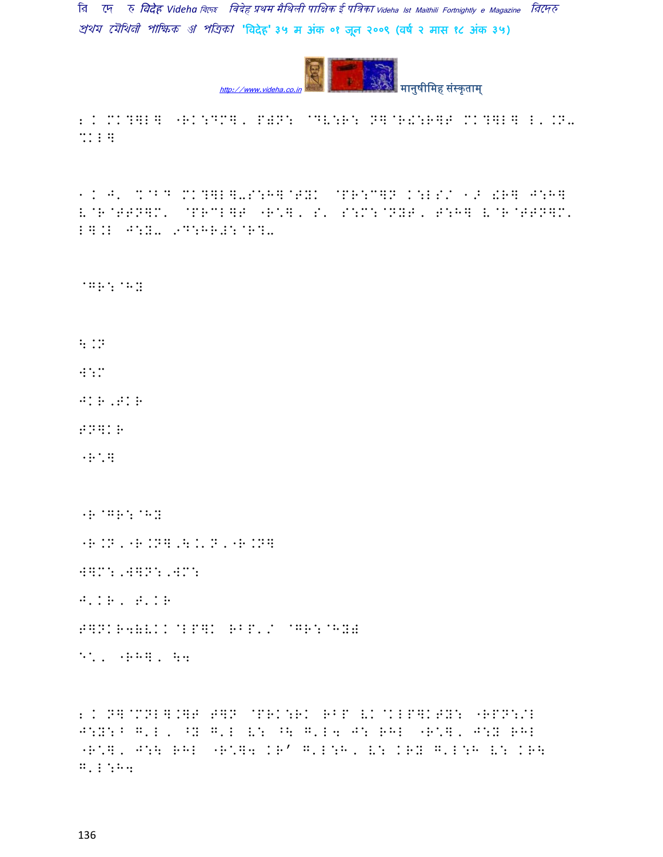

2. MK?]L] "RK:DM], P)N: @DV:R: N]@R!:R]T MK?]L] L'.N-  $T: H$ 

1. J' %@BD MK?]L]-S:H]@TYK @PR:C]N K:LS/ 1> !R] J:H] V@R@TTN]M' @PRCL]T "R\*], S' S:M:@NYT, T:H] V@R@TTN]M' L].L J:Y- 9D:HR#:@R?-

@GR:@HY

 $\ddot{\mathbf{h}}$  :  $\mathbf{N}$ 

W:M

JKR,TKR

**BOSH** 

 $\cdot$  P  $\cdot$  R  $\cdot$ 

 $R$  and  $R$  and  $R$ 

"R.N,"R.N],\.'N,"R.N]

W:,W;,W;,W;,W;,W;

J'KR, T'KR

T]NKR4(VKK@LP]K RBP'/ @GR:@HY)

 $E_{\rm{eff}}$   $\sim$   $\mu$   $\mu$ ,  $\mu$ 

2. N]@MNL].]T T]N @PRK:RK RBP VK@KLP]KTY: "RPN:/L J:Y:^ G'L, ^Y G'L V: ^\ G'L4 J: RHL "R\*], J:Y RHL "R\*], J:\ RHL "R\*]4 KR' G'L:H, V: KRY G'L:H V: KR\  $H_1$ : Hanger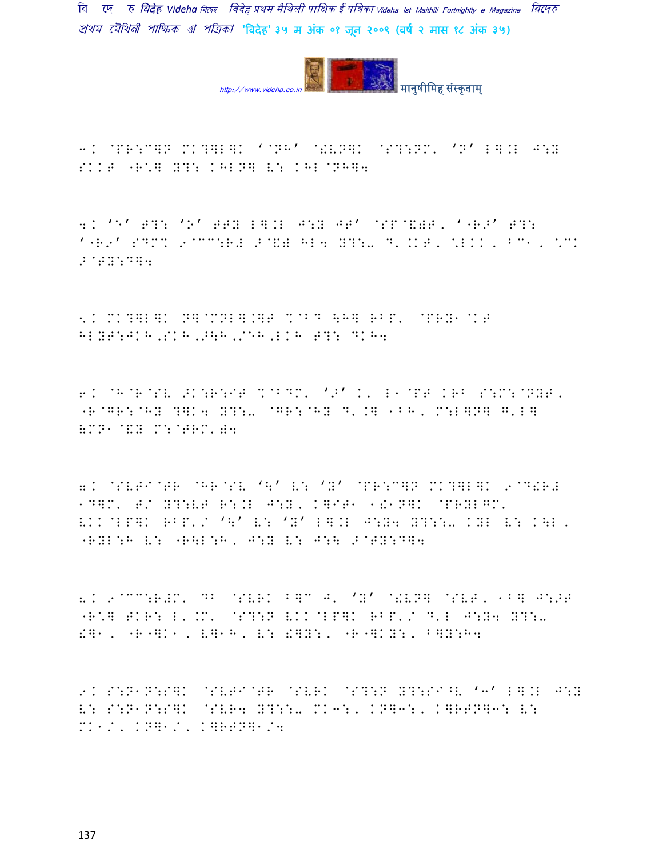

3. @PR:C]N MK?]L]K '@NH' @!VN]K @S?:NM' 'N' L].L J:Y SKKET "RAKT" Y: KHLANDER SKATTER VI

4. 'E' T?: 'O' TTY L].L J:Y JT' @SP@&)T, '"R>' T?: '"R9' SDM% 9@CC:R# >@&) HL4 Y?:- D'.KT, \*LKK, BC1, \*CK >@TY:D]4

5. MK?]L]K N]@MNL].]T %@BD \H] RBP' @PRY1@KT HISH:DKH, SHH, JOHN T?: DETENTING

6. @H@R@SV >K:R:IT %@BDM' '>' K' L1@PT KRB S:M:@NYT, "R@GR:@HY ?]K4 Y?:- @GR:@HY D'.] 1BH, M:L]N] G'L] (MN) MORE MANAGEMENT

7. @SVTI@TR @HR@SV '\' V: 'Y' @PR:C]N MK?]L]K 9@D!R# 10980, P. Grande Bald, Party Capel, P. J. (Party Capel) KOLPHI RRBO VHY KONTY FRI VINCHING IN LOUIS KONTY  $R$  . The results of the state of the state  $R$  is  $R$  is  $R$  if  $R$  is a state of the state  $R$ 

8. 8. 9@CC:R#M' DR @SVRC BIC:R#M' DR @SVRC DR @SVRC DR @SVRC #1999 "R\*] TKR: L'.M' @S?:N VKK@LP]K RBP'/ D'L J:Y4 Y?:- !]1, "R"]K1, V]1H, V: !]Y:, "R"]KY:, B]Y:H4

9. S:N1N:S]K @SVTI@TR @SVRK @S?:N Y?:SI^V '3' L].L J:Y V: S:N1N:S]K @SVR4 Y?::- MK3:, KN]3:, K]RTN]3: V: MK1/, KNI. KNI. KIRTHI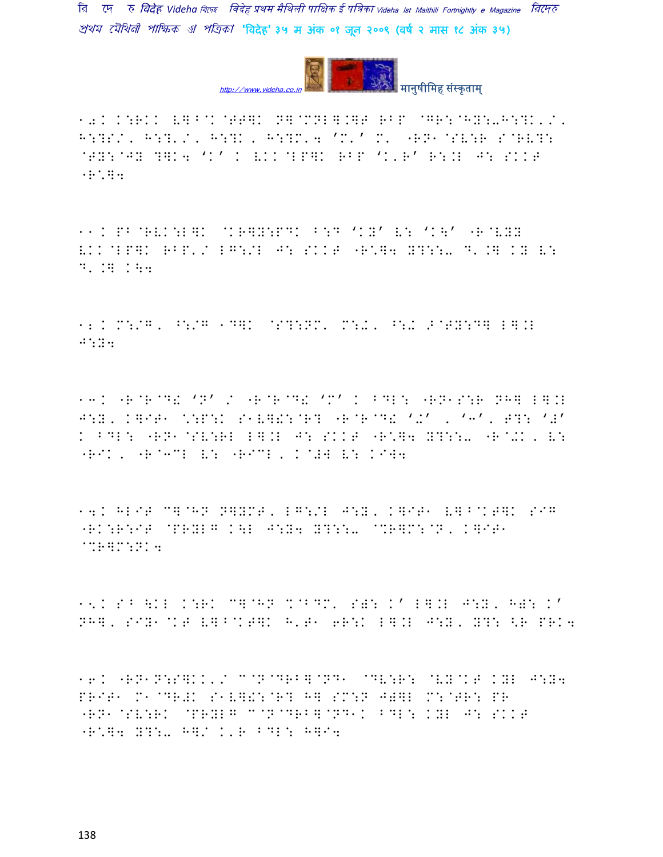

10. K:RKK V]^@K@TT]K N]@MNL].]T RBP @GR:@HY:-H:?K'/, H::S/, H:?S/, A::S/, H::S/, H::S/, H:: YO, Y: D, H:: H: Y: ME "B: Y: H: SO @TY:@JY ?]K4 'K' K VKK@LP]K RBP 'K'R' R:.L J: SKKT  $\cdot \vdots \cdot \vdots \cdot \cdot$ 

11. PB@RVK:L]K @KR]Y:PDK B:D 'KY' V: 'K\' "R@VYY VKK@LP]K RBP'/ LG:/L J: SKKT "R\*]4 Y?::- D'.] KY V: D. DE 184

12. M:/G, ^:/G 1D]K @S?:NM' M:+, ^:+ >@TY:D] L].L  $J:Y_1 \to Y_2$ 

13. "R@R@D! 'N' / "R@R@D! 'M' K BDL: "RN1S:R NH] L].L J:Y, K]IT1 \*:P:K S1V]!:@R? "R@R@D! '+' , '3', T?: '#' K BDL: "RONNER" RESERVED TO THE ROOM OF THE SAME TO THE SAME RESERVED TO THE RESERVED TO THE RESERVED TO THE R "RIK, "RESAME RIK" RIKME, I SAME RIK SKAR

14. HLIT CHAR SHILL LOCK CHAIL IS THE LESS OF LAST "RE: NENPRE COMPOSE ROOTEE (PROBLEM) BOANNALL COOPERD NOW LOOK HREE  $\mathcal{L}$ 

 $15.15 \times 10^{-10}$  RM  $\pm$  15. So  $\pm$  15. So  $\pm$  15. So  $\pm$  15. So  $\pm$  15. So  $\pm$  15. So  $\pm$  15. So  $\pm$ NH], SIY1@KT V]^@KT]K H'T1 6R:K L].L J:Y, Y?: <R PRK4

16. "RN1N:S]KK'/ C@N@DRB]@ND1 @DV:R: @VY@KT KYL J:Y4 PRITH THOMAS SHEER HIS HIS STAR MENT TO MEN PR "RN 1061B1" THERE TO THE ROTE I FAN IIN AN WICK "R\*"4 Y:- HI4" Y:- HI4" Y:- HI4" HI4"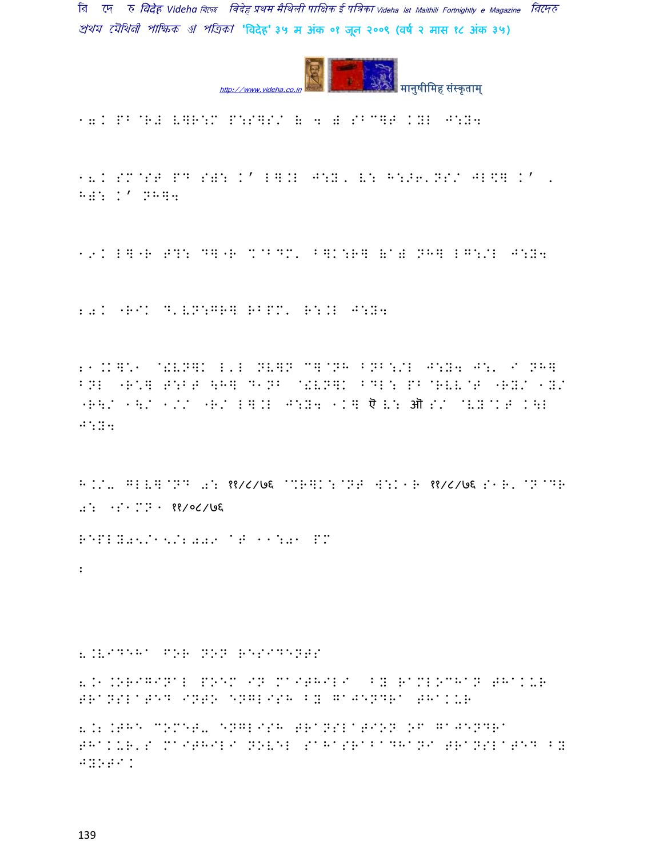

19. Paper Victory Post ( 4 ) Sandwick Concert Concert Concert Concert Concert Concert Concert Concert Concert

18. SM@ST PD S): K' L].L J:Y, V: H:>6'NS/ JL\$] K' , H<sub>ill</sub>: *M* NH<sub>4</sub>

 $19.2.1$  (FR):  $P$  PR): DRIP (a) NH]  $P$  (a)  $P$  . Define the contribution of  $P$  and  $P$ 

20. "PRICH:GRIMPH' R:TT. (RYI) PYDR

 $\pm$  K]  $\pm$  (21.1  $\pm$  20.1  $\pm$  1.1  $\pm$  20.1  $\pm$  20.1  $\pm$  1.1  $\pm$  1.1  $\pm$  1.1  $\pm$  1.1  $\pm$  1.1  $\pm$  1.1  $\pm$  1.1  $\pm$  1.1  $\pm$  1.1  $\pm$  1.1  $\pm$  1.1  $\pm$  1.1  $\pm$  1.1  $\pm$  1.1  $\pm$  1.1  $\pm$  1.1  $\pm$  1.1  $\pm$  1.1 BNDL "RFDR" BNL BLAR "PROFIL" NOORDRO I PROFIL BOLD DE SAEL NA "REDO" RID "R\/ 1\/ 1// "R/ L].L J:Y4 1K] ऎ V: ऒ S/ @VY@KT K\L  $4.5H<sub>2</sub>$ 

 $H:U_{\text{max}}$  ,  $H: E \oplus V \oplus V$  ,  $H: E \oplus V$  ,  $H: E \oplus V$  ,  $H: E \oplus V$  ,  $H: E \oplus V$  ,  $H: E \oplus V$  ,  $H: E \oplus V$  ,  $H: E \oplus V$  ,  $H: E \oplus V$  ,  $H: E \oplus V$  ,  $H: E \oplus V$  ,  $H: E \oplus V$  ,  $H: E \oplus V$  ,  $H: E \oplus V$  ,  $H: E \oplus V$  ,  $H: E \oplus V$  ,  $H: E \oplus V$  , 0: "S1MN" ११/०८/७६

REPLYNS AT 11:00 PM

 $\ddot{\cdot}$ 

8.VIDEHa FOR NON RESIDENTS

8.1.ORIGINaL POEM IN MaITHILI BY RaMLOCHaN THaKUR TRaNSLaTED INTO ENGLISH BY GaJENDRa THaKUR

8.2.THE COMET- ENGLISH TRaNSLaTION OF GaJENDRa THAN UNIVERSITY OF THE SAHARA DISTURBATION OF THE SAHASPE OF THE SAHADHANI TRANSLATED BY A SAHADHANI TRANSLATED **JAYS SERVICE**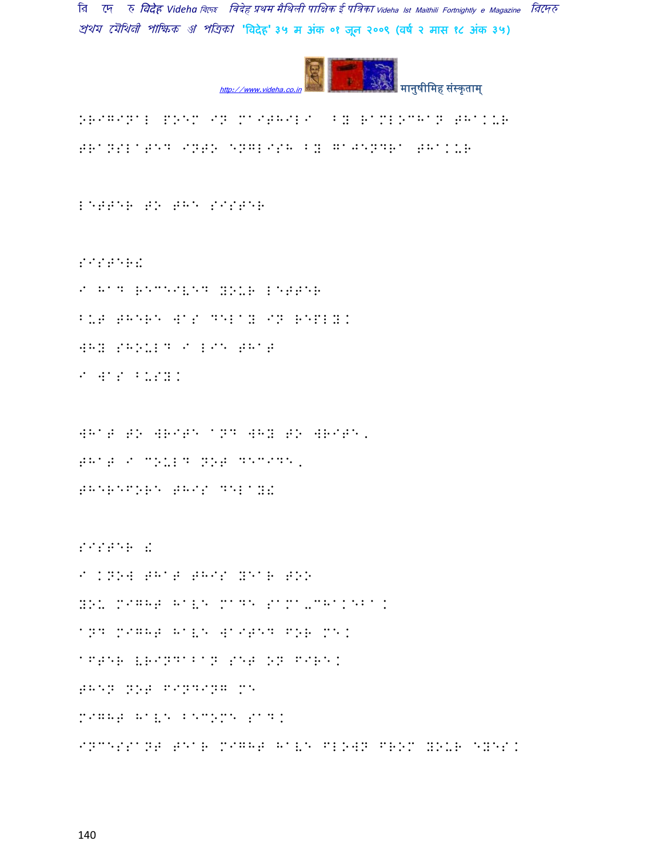SISTER ! I KNOW THaT THIS YEaR TOO HAL TARRE ROLL TO MADE SAMA-CHAKEBA aND MIGHT HaVE WaITED FOR ME. aFTER VRINDaBaN SET ON FIRE. THEN NOT FINDING ME PARAGE HALVES SADE. INCESSaNT TEaR MIGHT HaVE FLOWN FROM YOUR EYES.

WHAT TO WARRANT TO WAR TO WARRANT HAT I COULD NOT DEPARTMENT THEREFORE THIS DELaY!

SISTER! I HaD RECEIVED YOUR LETTER BUT THERE WAS DELAY IN REPLY. WHI SHOULD I LIFE SHOW I WaS BUSY.

LETTER TO THE SISTER

ORIGINAL POEM IN MAITHILI BY RAMLOCHAN THAKUR TRaNSLaTED INTO ENGLISH BY GaJENDRa THaKUR



िव दिन दि <mark>विदेह Videha</mark> <sub>विफर</sub> विदेह प्रथम मैथिली पाक्षिक ई पत्रिका Videha Ist Maithili Fortnightly e Magazine *वि*दिन्द õथम मैिथली पािक्षक ई पिñका **'**िवदेह**'** ३५ म अंक ०१ जून २००९ (वष र् २ मास १८ अंक ३५)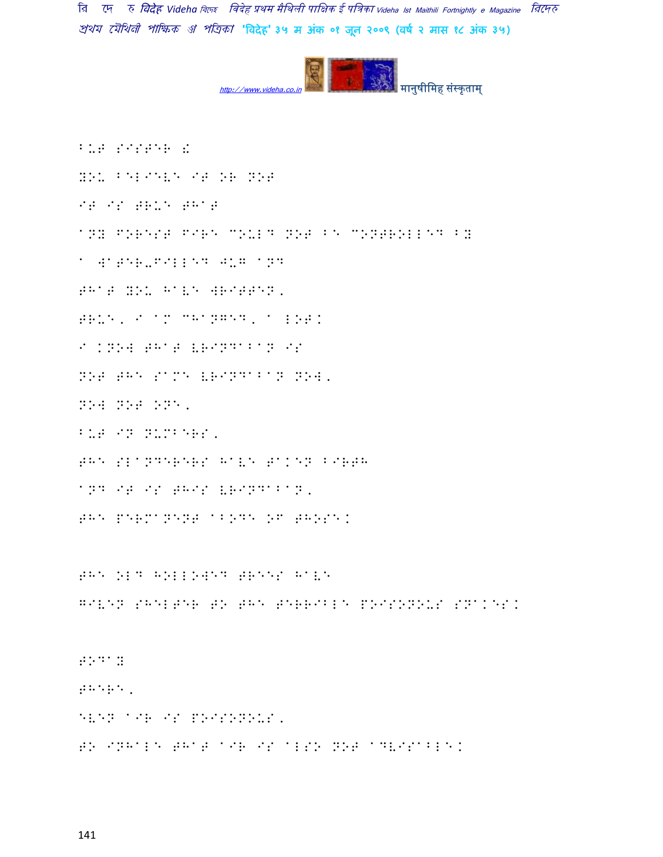THE OLD HOLLOWED TREES HaVE GIVEN SHELTER TO THE TERRIBLE POISONOUS SNaKES. TODaY THERE, EVEN AIR IS POISONOUS, ESPERANT AIR IS POISONOUS, ESPERANT AIR IS POISONOUS, ESPERANT AIR IS POISONOUS, ESPERANT A<br>En 1980, esperant això a l'article de l'article de l'article de l'article de l'article de l'article de l'ar

TO INFORMATION OF THAT IS ALSO NOT ALSO NOT

BUT IN NUMBERS, THE SLaNDERERS HaVE TaKEN BIRTH aND IS THIS IS THAN IS THIS IS TO A REAL PART OF THE UPPER IN THIS IS TO A REAL PART OF THE UPPER IN THIS IS T THE PERMaNENT aBODE OF THOSE.

TRUE, I aM CHaNGED, a LOT. I KNOW THaT VRINDaBaN IS

NOT SAME VALUE OF SAME VALUE

NOW NOT ONE,

a WaTER-FILLED JUG aND

THAT YOU HAVE WANTED TO A TANGER OF THE WARD OF THE WARD OF THE WARD OF THE WARD OF THE WARD OF THE WARD OF THE

HOU BELIEVE IT OR NOT

BUT SISTER !

IS TRUE THAT IS T

aNY FOREST FIRE COULD NOT BE CONTROLLED BY

http://www.videha.co.in **महिला है जिल्ला के बार की सामान के बार स** 

िव दिन दि <mark>विदेह Videha</mark> <sub>विफर</sub> विदेह प्रथम मैथिली पाक्षिक ई पत्रिका Videha Ist Maithili Fortnightly e Magazine *वि*दिन्द

õथम मैिथली पािक्षक ई पिñका **'**िवदेह**'** ३५ म अंक ०१ जून २००९ (वष र् २ मास १८ अंक ३५)

141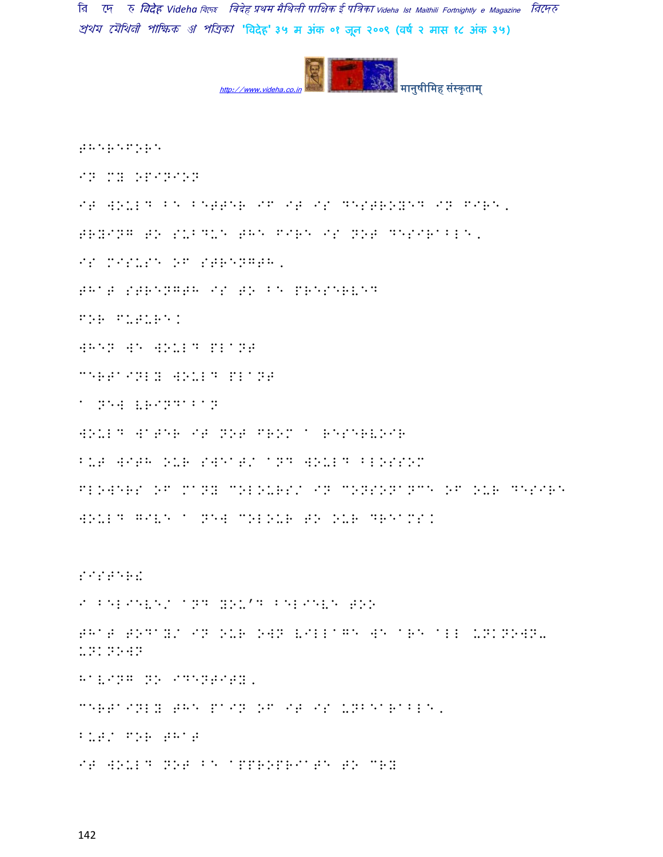THEREFORE IN MY OPINION IT WOULD BE BETTER IF IT IS DESTROYED IN FIRE, TRYING TO SUBDUE THE FIRE IS NOT DESIRaBLE, IS MISUSE OF STRENGTH, THaT STRENGTH IS TO BE PRESERVED FOR FURNIST WHEN WE WOULD PLANT **CERTAIN WOULD PLANT** a NEW VRINDaBaN WOULD WATER IT NOT FROM A RESERVOIR BUT WITH OUR SWEAT/ AND WOULD BE SEEDS FLOWERS OF MaNY COLOURS/ IN CONSONaNCE OF OUR DESIRE WOULD GIVE a NEW COLOUR TO OUR DREaMS. SISTER! I BELIEVE/ AND YOU DO BELIEVE TOO BELIEVE THAT TO AN IN OUR OWN IN THAT ALL UNKNOWNED WE ARE ALL UNKNOWNED WE all UNITS ARE ALL UNKNOWN-UNKNOWN HaVING NO IDENTITY, CERTaINLY THE PaIN OF IT IS UNBEaRaBLE, BUT/ FOR THaT IN WOULD NOT BE A PROPERTIES OF THE

http://www.videha.co.in **भारतीय है जिल्ला के बात की सामान करने हैं।**<br>http://www.videha.co.in

िव दिन दि विदेह Videha <sub>विष्ट</sub> विदेह प्रथम मैथिली पाक्षिक ई पत्रिका <sub>Videha</sub> Ist Maithili Fortnightly e Magazine *विद*फ्ट õथम मैिथली पािक्षक ई पिñका **'**िवदेह**'** ३५ म अंक ०१ जून २००९ (वष र् २ मास १८ अंक ३५)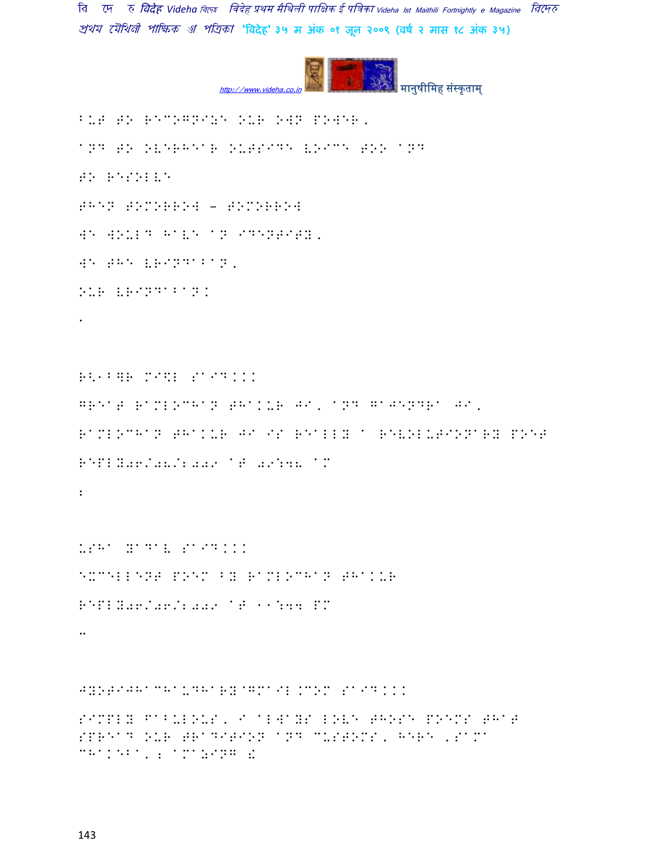RaMLOCHaN THaKUR JI IS REaLLY a REVOLUTIONaRY POET RREPLANCE AND THE AMERICAN  $\ddot{\cdot}$ USHA YADAVIDI EXCELLENT POEM BY RaMLOCHaN THaKUR REPLYNG AT 11:44 PM AT 11:44 PM  $\ddotsc$ JAYOTI JANA TARAHARYA SAID. SAID. SAID. SAID. SAID. SAID. SAID. SAID. SAID. SAID. SAID. SAID. SAID. SAID. SAID. SIMPLY FABULOUS, I ALWAYS LONG THOSE POINT THAT SPREaD OUR TRaDITION aND CUSTOMS, HERE 'SaMa THOISE I, I STORESH E

THEN TOMORROW – TOMORROW WE WOULD HaVE aN IDENTITY, WE THE RESIDENCE OUR VRINDABAN.  $\ddot{\phantom{1}}$ RR MI\$ TANK SAIDER GREAT RAMES DE SANTONE (AND AND GAIENS PRESS) (AND

http://www.videha.co.in 2008 | मानुषीमिह संस्कृताम् BUT TO RECOGNIZE OUR OWN POWER,

aND TO OVERHEaR OUTSIDE VOICE TOO aND

TO RESOLVE

िव दिन दि <mark>विदेह Videha</mark> <sub>विफर</sub> विदेह प्रथम मैथिली पाक्षिक ई पत्रिका Videha Ist Maithili Fortnightly e Magazine *वि*दिन्द õथम मैिथली पािक्षक ई पिñका **'**िवदेह**'** ३५ म अंक ०१ जून २००९ (वष र् २ मास १८ अंक ३५)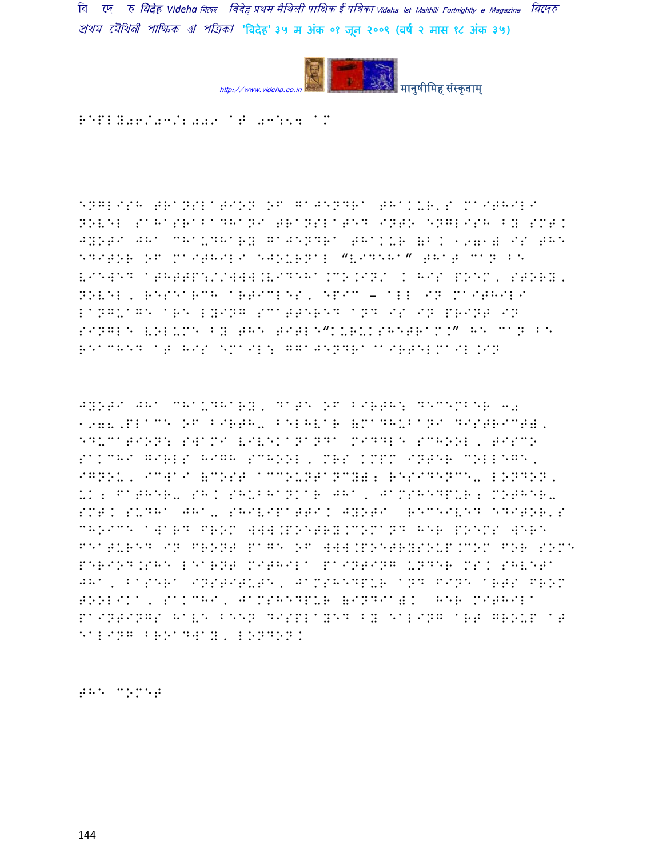THE COMET

## EaLING BROaDWaY, LONDON.

JYOTI JHa CHaUDHaRY, DaTE OF BIRTH: DECEMBER 30 1978,PLaCE OF BIRTH- BELHVaR (MaDHUBaNI DISTRICT), EDUCaTION: SWaMI VIVEKaNaNDa MIDDLE SCHOOL, TISCO SAKCHI GIRLS HIGH SCHOOL, MRS KOMPO INTER COLLEGE, IGNOU, ICWaI (COST aCCOUNTaNCY); RESIDENCE- LONDON, UK; FaTHER- SH. SHUBHaNKaR JHa, JaMSHEDPUR; MOTHER-SMT. SUDHA JULIAN SUDHA JULIAN SUDHA JA SUDHA JA SUDHA JULIAN SUDHA JULIAN SUDHA JULIAN SUDHA JULIAN SUDHA JUL<br>SUDHA JULIAN SUDHA JULIAN SUDHA JULIAN SUDHA JULIAN SUDHA JULIAN SUDHA JULIAN SUDHA JULIAN SUDHA JULIAN SUDHA CHOICE aWaRD FROM WWW.POETRY.COMaND HER POEMS WERE FEaTURED IN FRONT PaGE OF WWW.POETRYSOUP.COM FOR SOME PERIOD.SHE LEaRNT MITHILa PaINTING UNDER MS. SHVETa JHa, BaSERa INSTITUTE, JaMSHEDPUR aND FINE aRTS FROM TOOLIKa, SaKCHI, JaMSHEDPUR (INDIa). HER MITHILa PaINTINGS HaVE BEEN DISPLaYED BY EaLING aRT GROUP aT

ENGLISH TRaNSLaTION OF GaJENDRa THaKUR'S MaITHILI NOVEL SAHASPER SAHADHANI TRANSLATED INTO ENGLISH BY SMT. JOOTI JA CHAUDHARY GAJENDRA THAKUR (B. 1971) IS THACUR (B. 1971) EDITOR OF MAITHILIS ELONG THAT THAT THAT THAT A SALE OF SALE VIEWED aTHTTP://WWW.VIDEHa.CO.IN/ . HIS POEM, STORY, NOVEL, RESEaRCH aRTICLES, EPIC – aLL IN MaITHILI LaNGUaGE aRE LYING SCaTTERED aND IS IN PRINT IN SINGLE VOLUME BY THE TITLE"KURUKSHETRaM." HE CaN BE REaCHED aT HIS EMaIL: GGaJENDRa@aIRTELMaIL.IN

REPLY 03:54 at 03:54 and 03:54 am



िव दिन दि<mark>विदेह Videha</mark> विक्त्र विदेह प्रथम मैथिली पाक्षिक ई पत्रिका Videha Ist Maithili Fortnightly e Magazine *विC*FE õथम मैिथली पािक्षक ई पिñका **'**िवदेह**'** ३५ म अंक ०१ जून २००९ (वष र् २ मास १८ अंक ३५)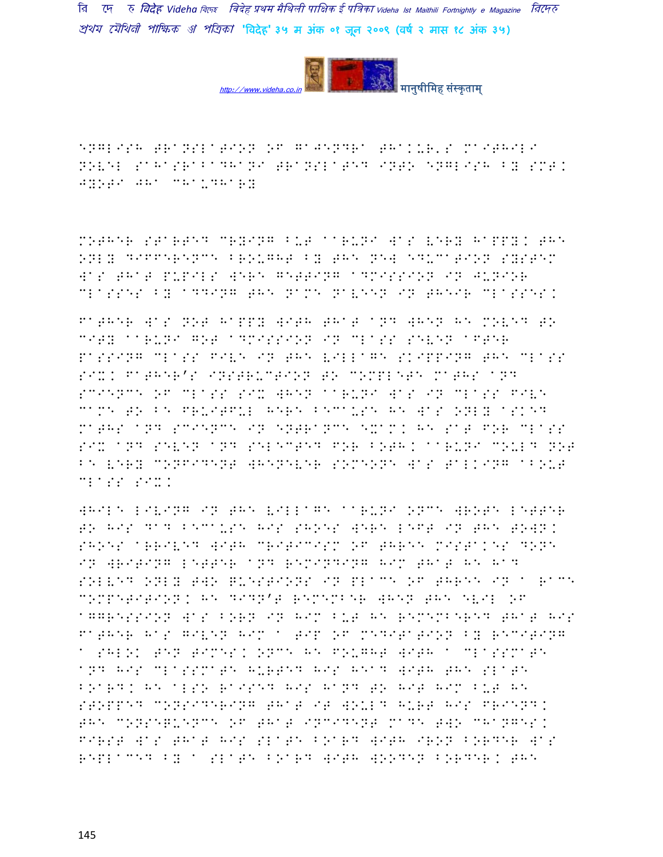WHICH IN THE VIRTUAL LIVING IN THE VIOLENCE ASSOCIATES ARRAIGNMENT ON THE VILLAGE ASSOCIATES AT  $\alpha$ TO HIS DaD BECaUSE HIS SHOES WERE LEFT IN THE TOWN. SHOES aRRIVED WITH CRITICISM OF THREE MISTaKES DONE IN WRITING LETTER aND REMINDING HIM THaT HE HaD SOLVED ONLY TWO QUESTIONS IN PLaCE OF THREE IN a RaCE COMPETITION. HE DIDN'T REMEMBER WHEN THE EVIL OF aGGRESSION WaS BORN IN HIM BUT HE REMEMBERED THaT HIS Father Has Given him a Tip of Medical By Reciting By a SHLOK TEN TIMES. ONCE HE FOUGHT WITH a CLaSSMaTE aND HIS CLaSSMaTE HURTED HIS HEaD WITH THE SLaTE BOaRD. HE aLSO RaISED HIS HaND TO HIT HIM BUT HE STOPPED CONSIDERING THAT IT WOULD HURT HIS FRIEND. IT WOULD HURT HIS FRIEND. THE CONSEQUENCE OF THaT INCIDENT MaDE TWO CHaNGES. FIRST WAS THAT HIS SLATE BOARD WITH IRON BOARD WITH REPLaCED BY a SLaTE BOaRD WITH WOODEN BORDER. THE

**CLASS SIX.** 

FaTHER WaS NOT HaPPY WITH THaT aND WHEN HE MOVED TO TY ABUSING ADMINISTRATIVE IN CLASS SEVEN AFTER SEVEN AFTER PaSSING CLaSS FIVE IN THE VILLaGE SKIPPING THE CLaSS SIX. FaTHER'S INSTRUCTION TO COMPLETE MaTHS aND SCIENCE OF CLASS SIX WHEN A RUNI WAS IN CLASS FIXED. CAME TO BE FRUITFUL HERE BECAUSE HE WAS ONLY ASSESSED AND Maths and Science in Entrance in Entrance In Entrance In Entrance SIX aND SEVEN aND SELECTED FOR BOTH. aaRUNI COULD NOT BE ENER CONFIDENT WHENEVERS SOMEONE WAS TALKING ASSOCIATED ABOUT A SERIES

MOTHER STaRTED CRYING BUT aaRUNI WaS VERY HaPPY. THE ONLY DIFFERENCE BROUGHT BY THE NEW EDUCaTION SYSTEM WAS THAT PUPILS WERE GETTING ADMINISTRATION IN JUNIOR IN JUNIOR IN JUNIOR IN JUNIOR IN JUNIOR IN JUNIOR IN JUN CLASSES BY ADDING THE NAME OF THE NAME OF STANDARD CLASSES.

ENGLISH TRaNSLaTION OF GaJENDRa THaKUR'S MaITHILI NOVEL SAHASPES SAHADHANI TRANSLATED INTO ENGLISH BY SMERI TRANSLATED INTO ENGLISH BY SM JYOTI JA CHAUDHARY



ৱি দে <sup>হ</sup> *বিदेह Videha ৰিদ্*হ *विदेह प्रथम मैथिली पाक्षिक ई पत्रिका Videha Ist Maithili Fortnightly e Magazine बिদে* õथम मैिथली पािक्षक ई पिñका **'**िवदेह**'** ३५ म अंक ०१ जून २००९ (वष र् २ मास १८ अंक ३५)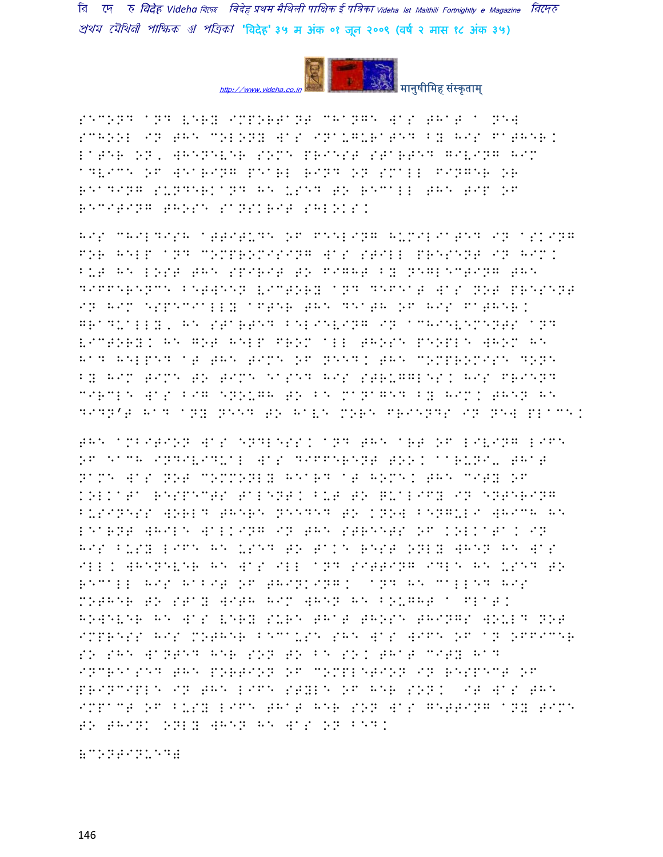(CONTINUED)

TO THINK ONLY WHEN HE WaS ON BED.

THE aMBITION WaS ENDLESS. aND THE aRT OF LIVING LIFE OF EaCH INDIVIDUaL WaS DIFFERENT TOO. aaRUNI- THaT NaME WAS NOT COMMONLY HEARD AT THE COMMONLY HEARD AT THE CITY OF THE CITY OF THE CITY OF THE CITY OF THE CITY O<br>The city of the city of the city of the city of the city of the city of the city of the city of the city of th KOLKATA RESPECTS TALENT IN ENTERING IN ENTERING IN ENTERING IN ENTERING IN ENTERING IN ENTERING IN ENTERING IN BUSINESS WORLD THERE NEEDED TO KNOW BENGULI WHICH HE LEaRNT WHILE WaLKING IN THE STREETS OF KOLKaTa. IN HIS BUSY LIFE HE USED TO TAKE REST ONLY WHEN HE WAS ALL ILL. WHENEVER HE WaS ILL aND SITTING IDLE HE USED TO RECaLL HIS HaBIT OF THINKING. aND HE CaLLED HIS MOTHER TO STaY WITH HIM WHEN HE BOUGHT a FLaT. HOWEVER HE WAS INFORMATION SURFACE THAT THINGS WOULD NOT THINGS WOULD NOT THINGS WOULD NOT THINGS WOULD NOT TH IMPRESS HIS MOTHER BECaUSE SHE WaS WIFE OF aN OFFICER SO SHE WaNTED HER SON TO BE SO. THaT CITY HaD INCREaSED THE PORTION OF COMPLETION IN RESPECT OF PRINCIPLE IN THE LIFE STYLE OF HER SON. IT WaS THE IMPaCT OF BUSY LIFE THaT HER SON WaS GETTING aNY TIME

HIS CHILDISH aTTITUDE OF FEELING HUMILIaTED IN aSKING FOR HELP aND COMPROMISING WaS STILL PRESENT IN HIM. BUT HE LOST THE SPIRIT TO FIGHT BY NEWSTAPPING THE DIFFERENCE BETWEEN VICTORY aND DEFEaT WaS NOT PRESENT IN HIM ESPECIaLLY aFTER THE DEaTH OF HIS FaTHER. GRaDUaLLY, HE STaRTED BELIEVING IN aCHIEVEMENTS aND VICTORY. HE GOT HELP FROM aLL THOSE PEOPLE WHOM HE HaD HELPED aT THE TIME OF NEED. THE COMPROMISE DONE BY HIM TIME TO TIME EaSED HIS STRUGGLES. HIS FRIEND CIRCLE WaS BIG ENOUGH TO BE MaNaGED BY HIM. THEN HE DIDN'T HaD aNY NEED TO HaVE MORE FRIENDS IN NEW PLaCE.

SECOND aND VERY IMPORTaNT CHaNGE WaS THaT a NEW SCHOOL IN THE COLONY WaS INaUGURaTED BY HIS FaTHER. LaTER ON, WHENEVER SOME PRIEST STaRTED GIVING HIM aDVICE OF WEaRING PEaRL RIND ON SMaLL FINGER OR REaDING SUNDERKaND HE USED TO RECaLL THE TIP OF RECITING THOSE SaNSKRIT SHLOKS.



िव दिन दि विदेह Videha <sub>विष्ट</sub> विदेह प्रथम मैथिली पाक्षिक ई पत्रिका <sub>Videha</sub> Ist Maithili Fortnightly e Magazine *वि*दिन्ह õथम मैिथली पािक्षक ई पिñका **'**िवदेह**'** ३५ म अंक ०१ जून २००९ (वष र् २ मास १८ अंक ३५)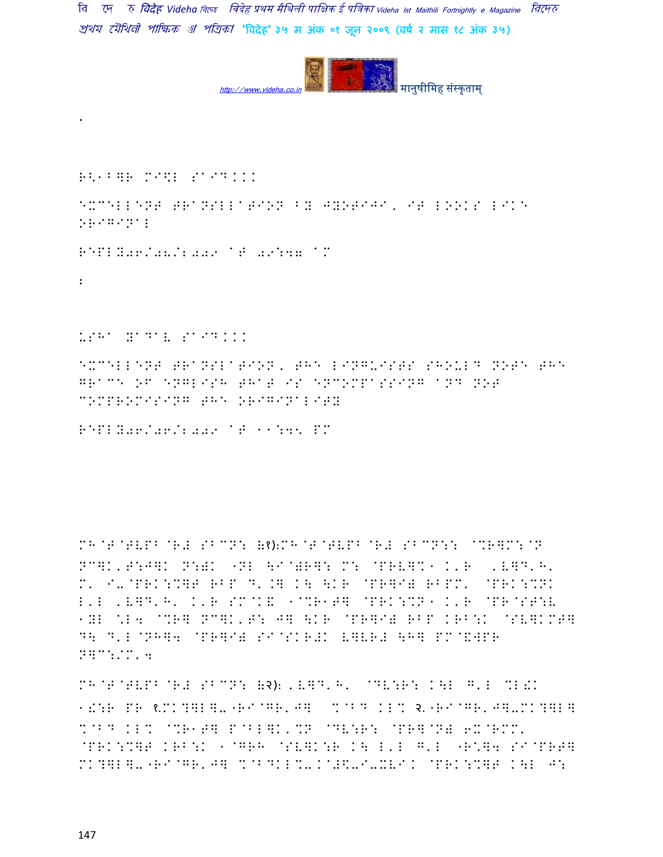िव दिन है <mark>विदेह Videha</mark> <sub>विफर</sub> विदेह प्रथम मैथिली पाक्षिक ई पत्रिका Videha Ist Maithili Fortnightly e Magazine *बि*फ्हि õथम मैिथली पािक्षक ई पिñका **'**िवदेह**'** ३५ म अंक ०१ जून २००९ (वष र् २ मास १८ अंक ३५)



RR MISL SAID.

EXCELLENT TRANSLED BY JYOTII, IT LOOKS LIKE IT LOOKS LIKE IT LOOKS LIKE IT LOOKS LIKE IT LOOKS LIKE IT LOOKS L ORIGINaL

RREPLACEMENT OF APROXIMATION

 $\ddot{\cdot}$ 

 $\ddot{\phantom{0}}$ 

USHa YaDaV SaID...

EXCELLENT TRaNSLaTION, THE LINGUISTS SHOULD NOTE THE GRACE OF ENGLISH THAT IS ENGLISH THAT IS ENCOMPASSING AND NOT COMPROMISING THE ORIGINaLITY

RPPLYNG AT 11:45 PM 11:45 PM

MHOTE TO TEST SECTION OF THE SPECIAL SECTION OF THE SACTO THAT A SACTO THE SACTO THAT A SACTO THE SACTO THAT A NCHE SERVER NORD AND HACHBER TO COORDING THE SERVER SERVER. M' I-@PRK:%]T RBP D'.] K\ \KR @PR]I) RBPM' @PRK:%NK L'L 'V]D'H' K'R SM@K& "@%R1T] @PRK:%N" K'R @PR@ST:V  $1/3$   $1/3$   $1/3$   $1/4$   $1/4$   $1/4$   $1/4$   $1/4$   $1/4$   $1/4$   $1/4$   $1/4$   $1/4$   $1/4$   $1/4$   $1/4$   $1/4$   $1/4$   $1/4$   $1/4$   $1/4$   $1/4$   $1/4$   $1/4$   $1/4$   $1/4$   $1/4$   $1/4$   $1/4$   $1/4$   $1/4$   $1/4$   $1/4$   $1/4$   $1/4$   $1/4$   $1/4$  DR D'ERH, TRHEN VAN KREIN BREEK HET PORTER N]C:/M'4

MH TA TABLES THIS YS TITL BR): (1997, H. COTENHY COHECH, B. COEK)  $\sim$  RTH  $\sim$  RTI THE RIME (PR) (PR) (PT) (PT) (R) (R) (PT) (PH) (PH) THE R %@BD KL% @%R1T] P@BL]K'%N @DV:R: @PR]@N) 6X@RMM' @PRK:%]T KRB:K 1@GRH @SV]K:R K\ L'L G'L "R\*]4 SI@PRT] MK?]L]-"RI@GR'J] %@BDKL%-.@#\$-I-XVI. @PRK:%]T K\L J: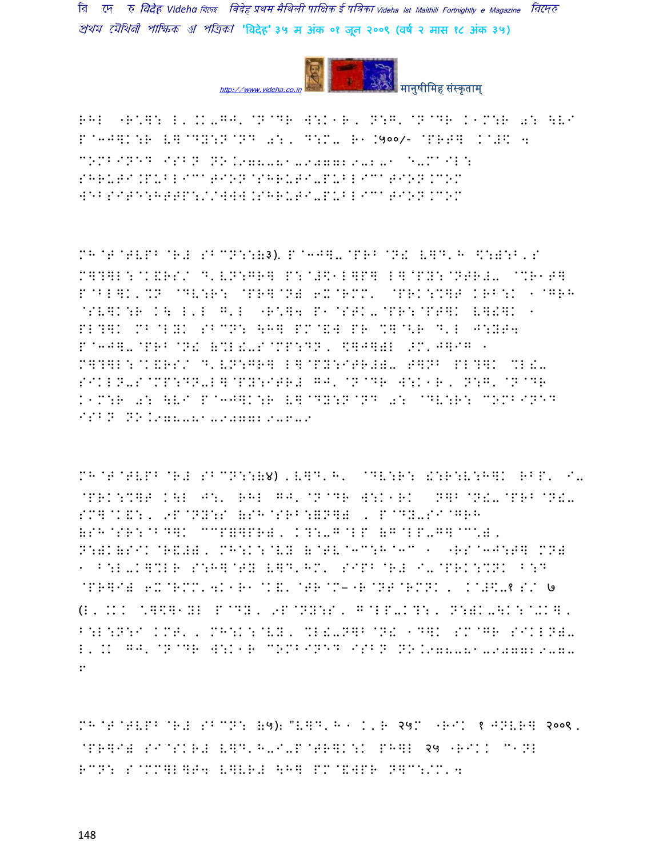

RHL "R\*]: L'.K-GJ'@N@DR W:K1R, N:G'@N@DR K1M:R 0: \VI P@3J]K:R V]@DY:N@ND 0:, D:M- R1.५००/- @PRT] .@#\$ 4 COMBINED ISBN NO.978-81-907729-2-1 E-MaIL: SHRUTI.PUBLICaTION@SHRUTI-PUBLICaTION.COM WEBSITE:HTTP://www.shruti-publication.com/distribution/distribution/distribution/

MH TO TO BER SPECIFIED ON THE SACTORY OF A SECTION AND TO A SACTORY AND SERVED ON THE SACTORY OF A SECTION OF  $\mathbb{R}^2$ MAGARI SINI BERGA DALEGAREKA PIRTARA EARA DEA MOGSTORER EUS ANGERAA P@BL]K'%N @DV:R: @PR]@N) 6X@RMM' @PRK:%]T KRB:K 1@GRH @SV]K:R K\ L'L G'L "R\*]4 P1@STK-@PR:@PT]K V]!]K 1 PL?]K MB@LYK SBCN: \H] PM@&W PR %]@<R D'L J:YT4 POSSED THE THE BILE COUNTY CONFERRED COLSERVE ST MARIAN MUREZO DI LEDERE I PORTEGIALE. I PRIPO I TROVINA. SIKLN-S@MP:DN-L]@PY:ITR# GJ'@N@DR W:K1R, N:G'@N@DR K1M:R 0: \VI P@3J]K:R V]@DY:N@ND 0: @DV:R: COMBINED ISBN NO.978-81-907729-81-91-91-01-91-01-91-01-91-01-91-01-91-01-91-01-91-01-91-01-91-01-91-01-91-01-91-01-91-0

MH TA TABER THE SPOTTERS (1991-) 'VINDER STEERING BORY IF TO YO @PRK:%]T K\L J:' RHL GJ'@N@DR W:K1RK N]B@N!-@PRB@N!- SM]@K&:, 9P@NY:S (SH@SRB:=N]) , P@DY-SI@GRH  $\rm H\,S$ e cape source that  $\sim$   $\sim$   $\rm H\,B$  (Fig. ),  $\sim$   $\rm H\,S$  ,  $\sim$   $\rm H\,S$  (Fig. ),  $\sim$ N:)K(SIK@R&#), MH:K:@VY (@TV@3C:H@3C 1 "RS@3J:T] MN) 1 B:L-K]%LR S:H]@TY V]D'HM' SIPB@R# I-@PRK:%NK B:D @PR]I) 6X@RMM'4K1R1@K&'@TR@M–"R@NT@RMNK, .@#\$-१ S/ ७  $(1, 111, 19199)$  H  $(1, 1919)$  P  $(201)$  S  $(301)$  C  $(4, 101)$  M  $(5, 101)$ B:L:N:I KMT', MH:K:@VY, %L!-N]B@N! 1D]K SM@GR SIKLN)- L'.K GJ'@N@DR W:K1R COMBINED ISBN NO.978-81-907729-7-  $\ddot{\cdot}$ 

MH TO TO TO THE SECTION OF THE SPECIES OF THE SACTOR CONTINUES. THE SPECIES OF THE RECORD TO THE RIGHT OF THE RIGHT OF THE RECORD OF THE RIGHT OF THE RIGHT OF THE RIGHT OF THE RIGHT OF THE RIGHT OF THE RIGHT OF THE RIGHT O @PR]I) SI@SKR# V]D'H-I-P@TR]K:K PH]L २५ "RIKK C1NL RCN: S@MM]L]T4 VR# NEW PORT OF THE SAME OF THE SAME OF THE SAME OF THE SAME OF THE SAME OF THE SAME OF THE SAM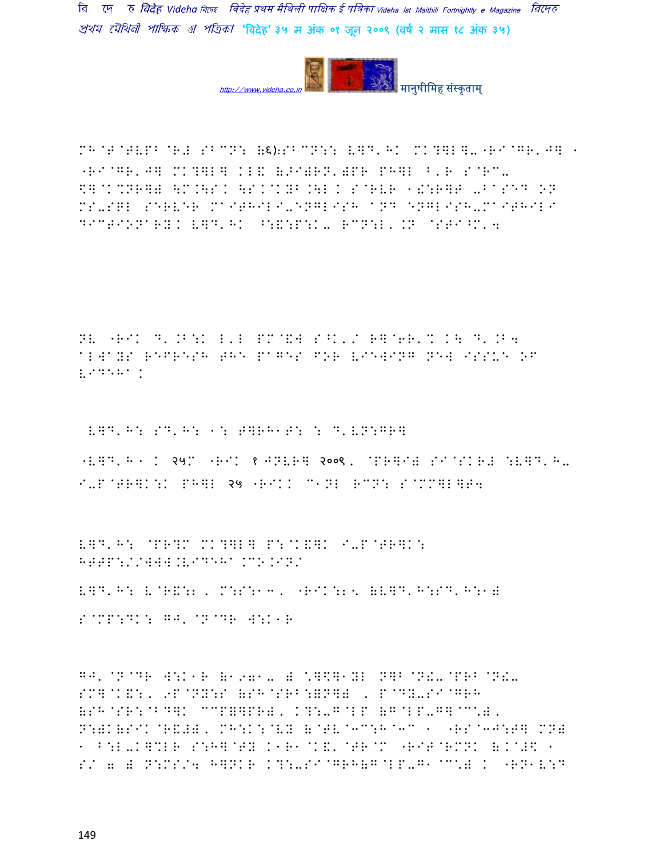

MH@T@T&BPP@T&B@R# SPCN: (60):SPCNYPAG@R##RU#C@R##C#CP##C##@H "RIGC'HIG, ARO DI RIBER (1980) BIZABER, BIRG'BHR POLIS (POPUL) \$]@K%NR]) \M.\S. \S.@KYB.\L. S@RVR 1!:R]T -BaSED ON MS-SQL SERVER MaITHILI-ENGLISH aND ENGLISH-MaITHILI DICTIONARY. VIDEO ARY . IN A CONSTITUTE ON A STIPLE . IS A CONSTITUTION OF A STIPLE . A

NV "RIK D'ALLER" (1990) "RIK D'ALLER" (1990) "RIK D'ALLER" (1990) "RIK D'ALLER" (1990) "RIK D'ALLER" (1990) "R aLWaYS REFRESH THE PaGES FOR VIEWING NEW ISSUE OF VIDEHa.

V]D'H: SD'H: 1: T]RH1T: : D'VN:GR]

"V]D'H" K २५M "RIK १ JNVR] २००९, @PR]I) SI@SKR# :V]D'H-I-PATRIK: PHE 29 (BIL) TO HIL RON: SOMETHER

V]D'H: @PR?M MK?]L] P:@K&]K I-P@TR]K: HTTP://WWW.VIDEHa.CO.IN/

V]D'H: V@R&:2, M:S:13, "RIK:25 (V]D'H:SD'H:1)

S@MP:DK: GJ'@N@DR W:K1R

GRAN OR ORE CAREN ECONOMIC WITH CHRISTIAN CREATORERS OR DRIVING SM]@K&:, 9P@NY:S (SH@SRB:=N]) , P@DY-SI@GRH BEFORE COPE CONFERENCE CORDENER GENERATIONS. N:)K(SIK@R&#), MH:K:@VY (@TV@3C:H@3C 1 "RS@3J:T] MN) 1 B:L-K]%LR S:H]@TY K1R1@K&'@TR@M "RIT@RMNK (.@#\$ 1 S/ 2 ) N:MS/4 (PHO) POSTAGE COMPANY REPORT TO THE COMPANY CONTROL CONTROL CONTROL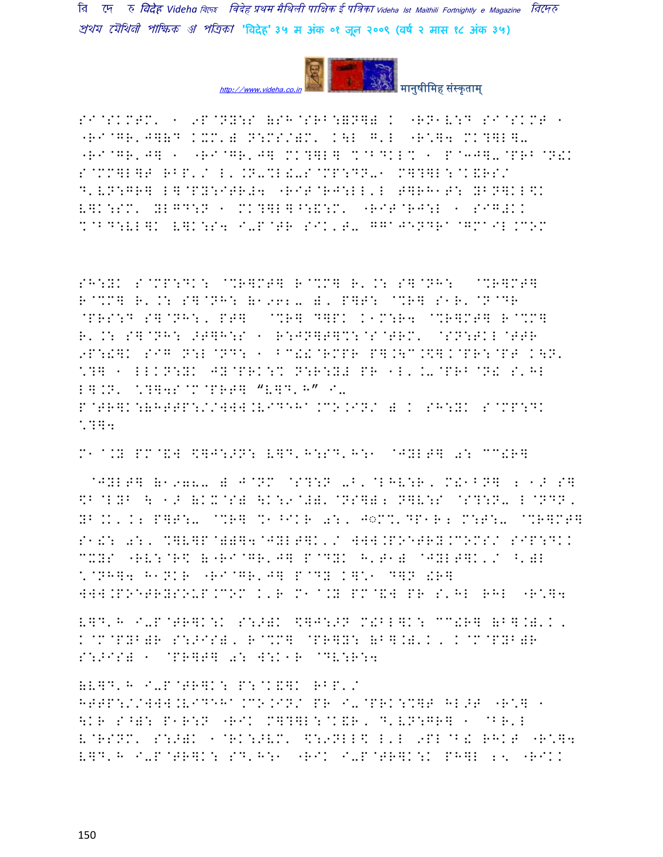

SIMTHI 1 9PM IN 1 9PM IN 19PM IN THE SAMPLE IN THE SAME IN THE SAME IN THE SAME IN THE SAME IN THE SAME IN THE "RIMC'HIM, AREA R'I COOL A' GRIOGLAD. "I GAE" RI E "PALE" ANCHA "O'L GRE RI.  $R$  (RIGGREY )  $R$  and the substitution in the substitution of  $R$  and  $R$  and  $R$  and  $R$ SM MORE RECIBED, L'ANNI L'ORIGINALE MORE PROVINCE DE L'ANNO D'ACTENIA D'ORDER L' D'V. E. POSPER L'ESPECTEMENT LA L'ARITE POSTE L'ESPERSIA POR L'ESPECTE CONTROLE ROMANIEN EN COMMUNE DE COMMUNE V]K:SM' YLGD:N 1 MK?]L]^:&:M' "RIT@RJ:L 1 SIG#KK %@BD:VL]K V]K:S4 I-P@TR SIK'T- GGaJENDRa@GMaIL.COM

SH:YK S@MP:DK: @%R]MT] R@%M] R'.: S]@NH: @%R]MT] R@%M] R'.: S]@NH: (1962- ), P]T: @%R] S1R'@N@DR @PRS:D S]@NH:, PT] @%R] D]PK K1M:R4 @%R]MT] R@%M] R'.: S]@NH: >T]H:S 1 R:JN]T]%:@S@TRM' @SN:TKL@TTR 9P:!]K SIG N:L@ND: 1 BC!!@RMPR P].\C.\$].@PR:@PT K\N' \*?] 1 LLKN:YK JY@PRK:% N:R:Y# PR 1L'.-@PRB@N! S'HL L].N' \*?]4S@M@PRT] "V]D'H" I-P@TR]K:(HTTP://WWW.VIDEHa.CO.IN/ ) K SH:YK S@MP:DK  $^{\prime}$ .  $^{\prime}$  :  $^{\prime}$  :  $^{\prime}$ 

MANING \$PARA \$PROFILES \$PARA \$PARA \$PARA \$PARA \$PARA \$PARA \$PARA \$PARA \$PARA \$PARA \$PARA \$PARA \$PARA \$PARA \$PARA \$PARA \$PARA \$PARA \$PARA \$PARA \$PARA \$PARA \$PARA \$PARA \$PARA \$PARA \$PARA \$PARA \$PARA \$PARA \$PARA \$PARA \$PARA \$

 @JYLT] (1978- ) J@NM @S?:N -B'@LHV:R, M!1BN] ; 1> S] \$B@LYB \ 1> (KX@S) \K:9@#)'@NS]); N]V:S @S?:N- L@NDN, YB.K'.; P]T:- @%R] %1^IKR 0:, J◌M%'DP1R; M:T:- @%R]MT] STRIKT (USI), "DALAET TEEARY TROE BAD, LOV HER OOD TEER OND OVER 2019 TO DV COSE "PARTE TARY "BOART PART PORT "POST" AL BOART "PASSARE" LOCAL BELIEVE \*@NH]4 H1NKR "RI@GR'J] P@DY K]\*1 D]N !R] WAARDPOETRYSOUP.COM KY MID POTRA PR SYHL RHL "RFIAH"

V]D'H I-P@TR]K:K S:>)K \$]J:>N M!BL]K: CC!R] (B].)'K, K@M@PYB)R S:>IS), R@%M] @PR]Y: (B].)'K, K@M@PYB)R S:>IS) 1 @PR]T] 0: W:K1R @DV:R:4

(V]D'H I-P@TR]K: P:@K&]K RBP'/ HATTP://WARRIOR/TORICO.IN/ PR I-A.CO.IN/ PRICES ARE ARCHIVE  $K$  so the solution of  $R$  is proposition of  $R$  . Denote the solution of  $R$  is proposition of  $R$  and  $B$ V@RSNM' S:>)K 1@RK:>VM' \$:9NLL\$ L'L 9PL@B! RHKT "R\*]4 V]D'H I-P@TR]K: SD'H:1 "RIK I-P@TR]K:K PH]L 25 "RIKK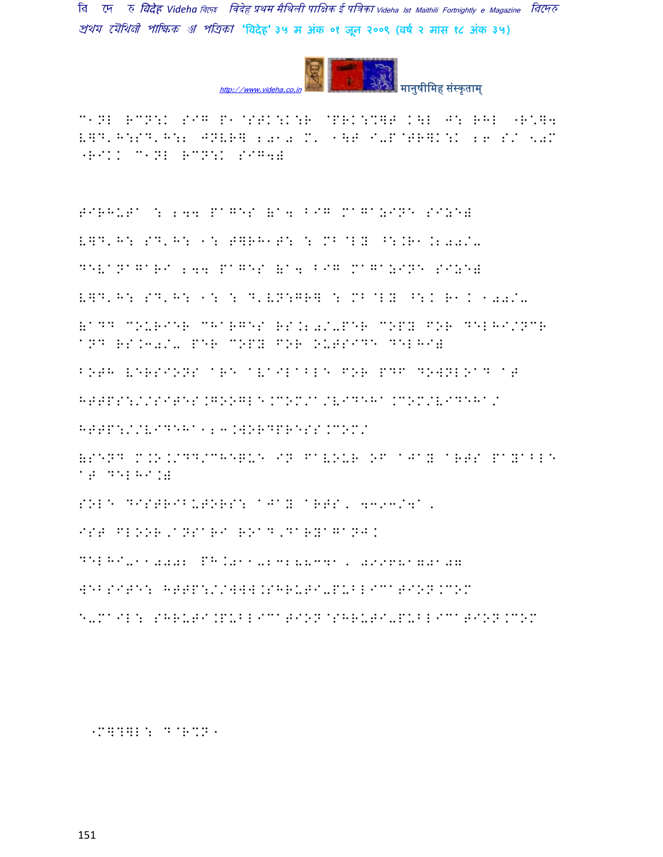ৱি দে <sup>হ</sup> विदेह Videha <sub>বিদেহ</sub> विदेह प्रथम मैथिली पाक्षिक ई पत्रिका <sub>Videha</sub> Ist Maithili Fortnightly e Magazine विদেठ õथम मैिथली पािक्षक ई पिñका **'**िवदेह**'** ३५ म अंक ०१ जून २००९ (वष र् २ मास १८ अंक ३५)



THIS RUINS FOR THIS RIGHT TO RIGHT AN AN APPROXIMATION BAR, POSR, PORT ADEERT EGHT TV, THAR MUSICARE OF EVITY KGD "RIKK C1NL RCN:K SIG4)

TIRHUTa : 244 PaGES (a4 BIG MaGaZINE SIZE) V]D'H: SD'H: 1: T]RH1T: : MB@LY ^:.R1.200/- DEVaNaGaRI 244 PaGES (a4 BIG MaGaZINE SIZE) BUT, PE ET, PE PE E T, EPERBUE T TRIBUE IN I BRITIS PART (aDD COURIER CHaRGES RS.20/-PER COPY FOR DELHI/NCR aND RS.30/- PER COPY FOR OUTSIDE DELHI) BOTH VERSIONS aRE aVaILaBLE FOR PDF DOWNLOaD aT HTTPS://SITES.GOOGLE.COM/a/VIDEHa.COM/VIDEHa/ HTTP://VIDEHa123.WORDPRESS.COM/ (SEND MAN) (SEND MAN) (SEND MAN) (SEND MAN) (SEND MAN) (SEND MAN) (SEND MAN) (SEND MAN) (SEND MAN) (SEND MAN) aT DELHI.) SOLE DISTRIBUTORS: AJAY ARTS, 4393/4303 IST FLOOR,aNSaRI ROaD,DaRYaGaNJ. DELHI-110002 PH.011-23288341, 09968170107 WEBSITE: HTTp://www.shruti-publication.com/distribution/distribution/distribution/distribution/distribution/di<br>WWW.SHRUTI-PUBLICATION.COM/distribution/distribution/distribution/distribution/distribution/distribution/distr E-MaIL: SHRUTI.PUBLICaTION@SHRUTI-PUBLICaTION.COM

"M]?]L: D@R%N"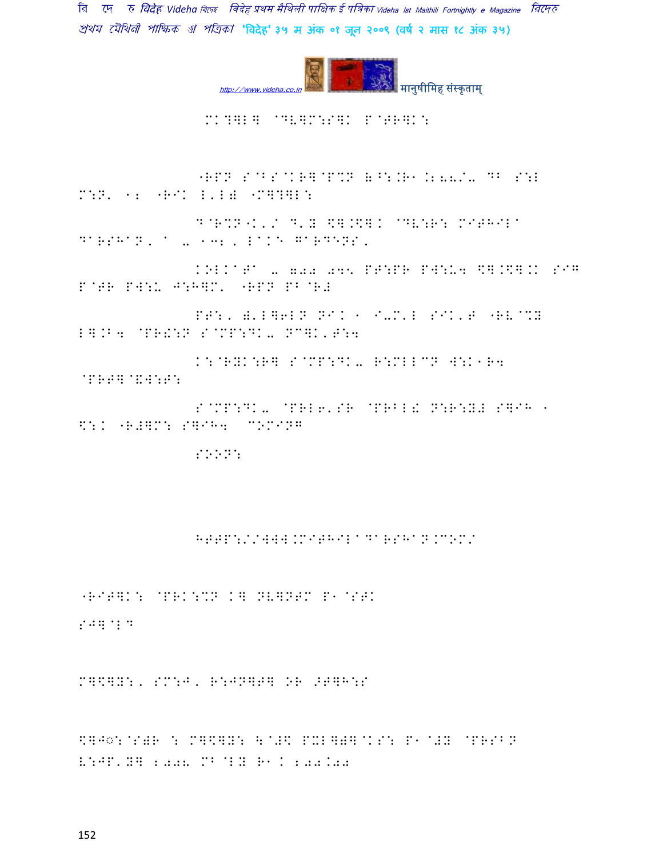

## MK?]L] @DV]M:S]K P@TR]K:

"RPN S@BS@KR#P#P\$N (P\$) RPN (P\$) SOF M:N' 12 "RIK L'L) "M]?]L:

DORMAN K'Y BILBER MEDIG MARKET DaRSHAN, a - 132, ESIX, BARDENS,

KOLKATA - 700 PT:PR PH:L4 \$#15#1.K SI P@TR PW:U J:H]M' "RPN PB@R#

POST )'L'ANNO POST (POST )'L'ANNO POST (POST )'L'ANNO POST (POST )'L'ANNO POST (POST )'L'ANNO POST (POST )'L'A L].B4 @PR!:N S@MP:DK- NC]K'T:4

 K:@RYK:R] S@MP:DK- R:MLLCN W:K1R4  $\overline{\phantom{a}}$  .  $\overline{\phantom{a}}$  .  $\overline{\phantom{a}}$  .  $\overline{\phantom{a}}$  .  $\overline{\phantom{a}}$  .  $\overline{\phantom{a}}$  .  $\overline{\phantom{a}}$  .  $\overline{\phantom{a}}$  .  $\overline{\phantom{a}}$  .  $\overline{\phantom{a}}$  .  $\overline{\phantom{a}}$  .  $\overline{\phantom{a}}$  .  $\overline{\phantom{a}}$  .  $\overline{\phantom{a}}$  .  $\overline{\phantom{a}}$  .  $\overline{\phantom{a}}$ 

 S@MP:DK- @PRL6'SR @PRBL! N:R:Y# S]IH 1 **\$:. "R#B:** SHPP" COMING

## SOON:

## HTTP://WWW.MITHILaDaRSHaN.COM/

"RITH" RITHS NO. 2008 2010 2020

Spirage State

THURS, STEE, REPUBBE OR JANNER

\$POSSER : MPRED ESD FIREBOIKE PRSD CRESS V:JP'Y] 2008 MB@LY R1. 200.00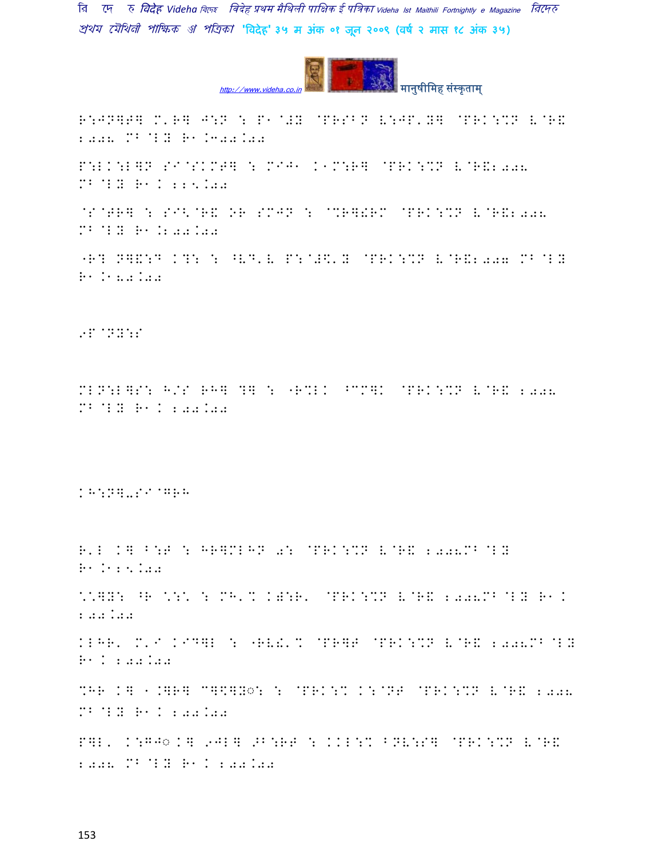

R:JN]T] M'R] J:N : P1@#Y @PRSBN V:JP'Y] @PRK:%N V@R& 2008 MB@LY R1.300.00

P:LK:L]N SI@SKMT] : MIJ1 K1M:R] @PRK:%N V@R&2008 MBC R1. 225.000 PM

@S@TR] : SI<@R& OR SMJN : @%R]!RM @PRK:%N V@R&2008 MB@LY R1.200.00

"R? N]&:D K?: : ^VD'V P:@#\$'Y @PRK:%N V@R&2007 MB@LY R1.180.00

9P@NY:S

MLN:L]S: H/S RH] ?] : "R%LK ^CM]K @PRK:%N V@R& 2008  $M$  rate is a construction of the construction of the construction of the construction of the construction of the construction of the construction of the construction of the construction of the construction of the construc

KH:NE:N-SI

R.E CA P:R : HRAMLHO 2: PRECENT E CH ESSANT ME R1.125.00 \*\*]Y: ^R \*:\* : MH'% K):R' @PRK:%N V@R& 2008MB@LY R1.  $\mathbf{1}$  .  $\mathbf{2}$  .  $\mathbf{2}$  .  $\mathbf{2}$  .  $\mathbf{2}$ KLHR' M'I KID]L : "RV!'% @PR]T @PRK:%N V@R& 2008MB@LY R1. 200.00  $W$  is the construction of the control of  $W$  and  $W$  is the control  $W$  of  $\mathbb{R}^n$  with  $W$  $M$  R<sub>1</sub>. 200.000 R<sub>1</sub>. 200.000 R<sub>1</sub> PHIL' CAPPOIN DANNY STAND A CINATION FOR SHOW IN SHE 2008 MB 2008 MB 2008 MB 2008 MB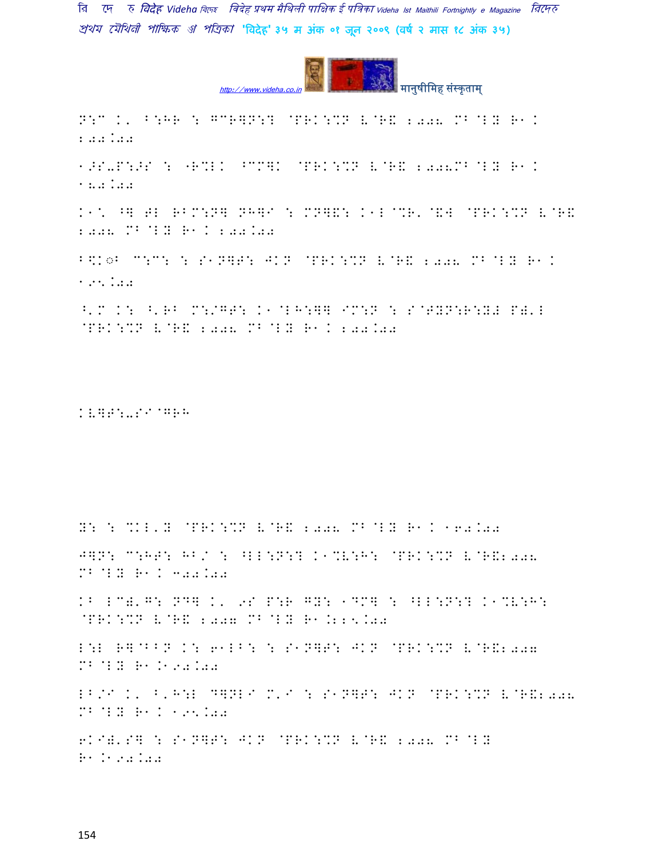

N:C K' B:HR : GCREEN : HR : GCR E BE : AAA OF NE HR : 200.00

1>S-P:>S : "R%LK ^CM]K @PRK:%N V@R& 2008MB@LY R1.  $190.00000$ 

K1\* CHR RBM:NDRBM:NI CHROM:NI SHE SHE SHE SHE RI SHE 2008 MB@LY R1. 200.00

B\$KO\$: THISK: SHERB: SIN CONSTRUCT BE CONSTRUCTED AND ARREST 195.00

^'M K: ^'RB M:/GT: K1@LH:]] IM:N : S@TYN:R:Y# P)'L WERE THE RANGE OF THE PRINCIPLE OF

 $\ldots$ 

Y: : XXL'Y @PRANT END FAAR TRIB Britterian J]N: C:HT: HB/ : ^LL:N:? K1%V:H: @PRK:%N V@R&2008 WHORE ROOM WAS LEA

KB LC ) CONDITIONS IN THE RIS PRINTS IN THE SERVICE SERVICE. WHICH RIGH : AAR UP NE BY R: KIAA

L:L RESPECTIVE FILE STREET FOR THE STREET ESTIMATE **MEDIA REPORTS** 

B'H:L' A' B'H:L D'HENE A' I' SA NHENE AN D'ANN I SIN BAILLEACH  $M$  right resolutions of the contracts

6KI)'S] : S1N]T: JKN @PRK:%N V@R& 2008 MB@LY R1.190.00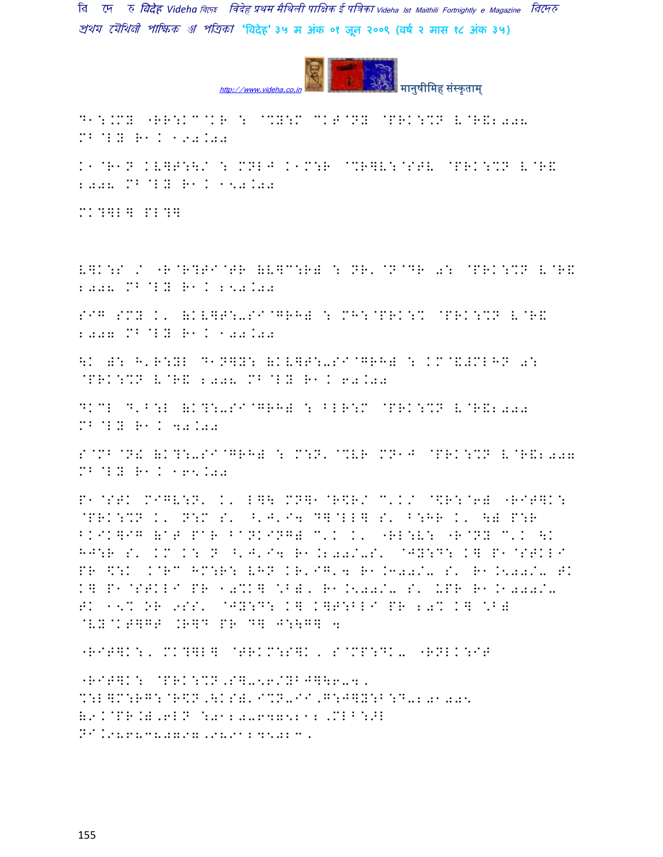

DR:NY TO REPORT TO RECOVERED TO RETRAIN TO RECOVER AN INFRARANCE MBC R1. 190.000 PM R1. 190.000 PM R1. 190.000 PM R1. 190.000 PM R1. 190.000 PM R1. 190.000 PM R1. 190.000 PM R

K1@R1N KV]T:\/ : MNLJ K1M:R @%R]V:@STV @PRK:%N V@R& 2008 MB@LY R1. 150.00

 $T$ . THE R  $T$  PL?

V]K:S / "R@R?TI@TR (V]C:R) : NR'@N@DR 0: @PRK:%N V@R& 2008 MB@LY R1. 250.00

SIG SMY K' (KV]T:-SI@GRH) : MH:@PRK:% @PRK:%N V@R& 2007 MB@LY R1. 100.00

 $K$  ): Home (August) : The Dance of the Machine of the Machine of the Machine of the Machine of the Machine of @PRK:%N V@R& 2008 MB@LY R1. 60.00

DKCL DECKLE DECKLER DRAGE IN DER RICHTEN IN DER KORKE GRAGE **MB** R1. 40.000 PM R1. 40.000 PM R1. 40.000 PM R1. 40.000 PM R1. 40.000 PM R1. 40.000 PM R1. 40.000 PM R1. 40.000 PM R1. 40.000 PM R1. 40.000 PM R1. 40.000 PM R1. 40.000 PM R1. 40.000 PM R1. 40.000 PM R1. 40.000 PM R1. 40.

S@MB@N! (K?:-SI@GRH) : M:N'@%VR MN1J @PRK:%N V@R&2007 **MB** R1. 165.000

P1@STK MIGV:N' K' L]\ MN]1@R\$R/ C'K/ @\$R:@6) "RIT]K: @PRK:%N K' N:M S' ^'J'I4 D]@LL] S' B:HR K' \) P:R BKIKI BANKING) C'HANKING) C'HANKING) C'HANKING) C'HANKING ( HJ:R S' KM K: N ^'J'I4 R1.200/-S' @JY:D: K] P1@STKLI PR \$3: CORT BUSHS ERR CRIMBIN RECHANNEL PL RECHANNEL BI K] P1@STKLI PR 10%K] \*B), R1.500/- S' UPR R1.1000/- TK 15% OR 9SS' @JY:D: K] K]T:BLI PR 20% K] \*B)  $\overline{\phantom{a}}$ 

"RITHERING", MCC 1983-81, MARIO DATAIL (1980) DE MONTE "RNLK: "PAPE 1984"

"RIT"K: @PRK: \$PRK: \$PRK: \$PRK: \$PRK: \$PRK: \$PRK: \$PRK: \$PRK: \$PRK: \$PRK: \$PRK: \$PRK: \$PRK: \$PRK: \$PRK: \$PRK: \$PRK: \$PRK: \$PRK: \$PRK: \$PRK: \$PRK: \$PRK: \$PRK: \$PRK: \$PRK: \$PRK: \$PRK: \$PRK: \$PRK: \$PRK: \$PRK: \$PRK: \$PRK: \$PRK W:B:B:M:PROP.E.F.F.FOR.FF.B:B:B:P:D-2010 (9. O.P. 19. O.P. 19. O.P. 19. O.P. 19. O.P. 19. O.P. 19. O.P. 19. O.P. 19. O.P. 19. O.P. 19. O.P. 1 NI.986888880797, 1989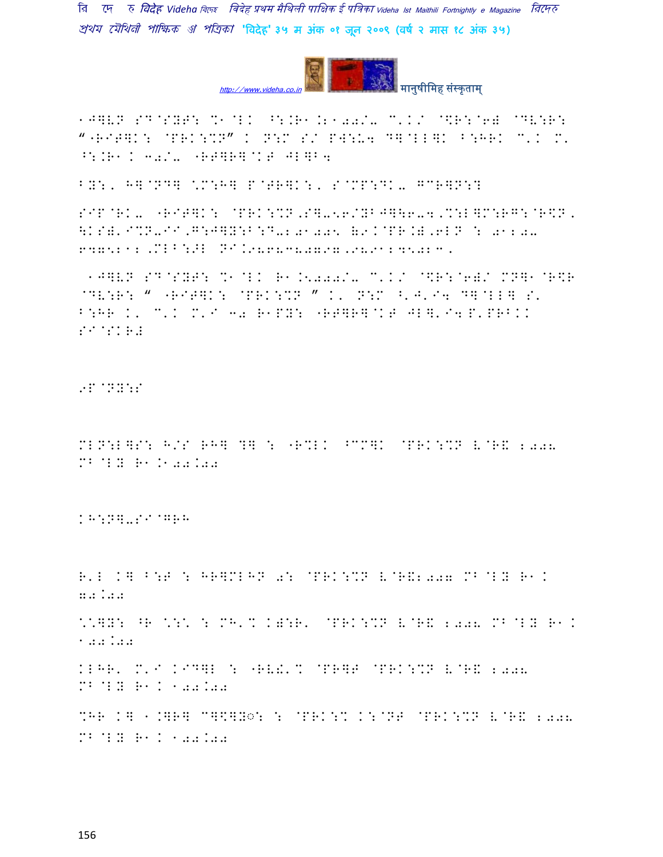

1J]VN SD@SYT: %1@LK ^:.R1.2100/- C'K/ @\$R:@6) @DV:R: ""RIT]K: @PRK:%N" K N:M S/ PW:U4 D]@LL]K B:HRK C'K M'  $T:R:R\rightarrow R$ . And  $R:R$  and  $R:R$  in  $R$ 

BY:, HIMPS YOUR PORTH; SAMPLINE, SOMETIME

 $S$  . The rite of the rite of the single problem in the rite of the rite of the rite of the rite of the rite of the rite of the rite of the rite of the rite of the rite of the rite of the rite of the rite of the rite of th  $\tilde{\mathcal{H}}$  ,  $\tilde{\mathcal{H}}$  ,  $\tilde{\mathcal{H}}$  ,  $\tilde{\mathcal{H}}$  ,  $\tilde{\mathcal{H}}$  ,  $\tilde{\mathcal{H}}$  ,  $\tilde{\mathcal{H}}$  ,  $\tilde{\mathcal{H}}$  ,  $\tilde{\mathcal{H}}$  ,  $\tilde{\mathcal{H}}$  ,  $\tilde{\mathcal{H}}$  ,  $\tilde{\mathcal{H}}$  ,  $\tilde{\mathcal{H}}$  ,  $\tilde{\mathcal{H}}$  ,  $\tilde{\mathcal{H}}$  ,  $\tilde{\mathcal{H}}$ 6475212,MLB:>L NI.9868380797,9891245023,

 1J]VN SD@SYT: %1@LK R1.5000/- C'K/ @\$R:@6)/ MN]1@R\$R @DV:R: " "RIT]K: @PRK:%N " K' N:M ^'J'I4 D]@LL] S' B:HR K. M. KY C. K'H. RHIN 30 RHING KATH AN DI ING K SI@SKR#

9P@NY:S

MLPH:RS: H/S RHR 38 (FMI) : "MVRK (MRKS:XPR) & NRK: Eugen  $M$  rate is a construction of the construction of the construction of the construction of the construction of the construction of the construction of the construction of the construction of the construction of the construc

 $t:0$ 

R.E CA PSE S PRATEPI AI STRINGT ESPIRAAR TPSEIDENC  $\mathbf{r}$ .  $\mathbf{r}$ .  $\mathbf{r}$ .  $\mathbf{r}$ .  $\mathbf{r}$ \*\*]Y: ^R \*:\* : MH'% K):R' @PRK:%N V@R& 2008 MB@LY R1. 100.00 KLHR, MY KYHE : "REALT THAR' THINT AND LIFE LAA MBC R1. 100.000 PM R1. 100.000 THR CONSTOLER TOURDED IS THE RIGHT CONTROLLING CONTROLLER  $M$  right resolutions of the contract of the contract of the contract of the contract of the contract of the contract of the contract of the contract of the contract of the contract of the contract of the contract of the c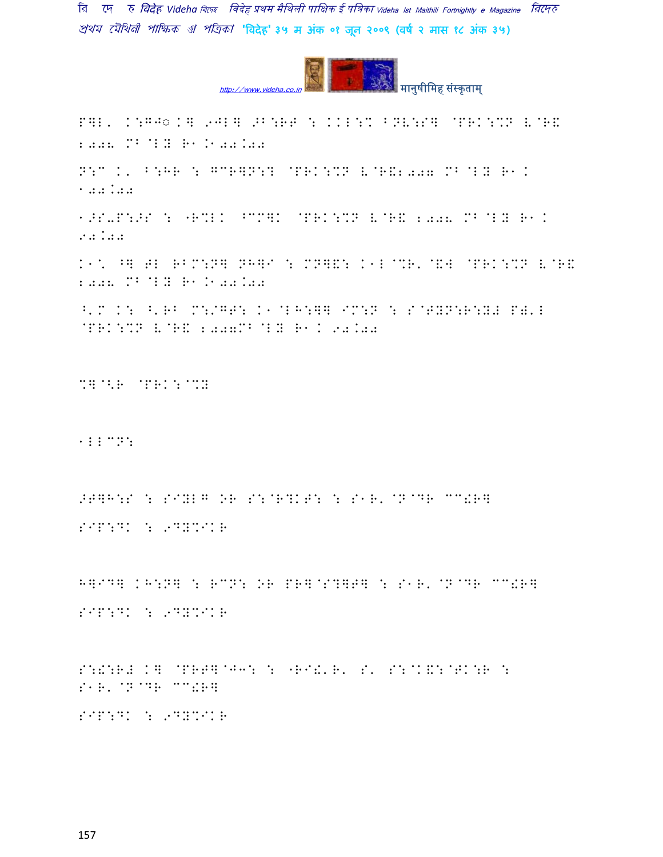

PHIL' CARRO DR GREAT SPARE AND I CIEAT SPARE SPRINGT AND BORD 2008 MB@LY R1.100.00

N:C K' B:HR : GCR]N:? @PRK:%N V@R&2007 MB@LY R1. 100.00

1>S-P:>S : "R%LK ^CM]K @PRK:%N V@R& 2008 MB@LY R1. 90.00

K1\* \* K1 = TL RBM:NI : MN = TL RBM:NI : MN = TL RBM:NI : MN = TL RBM:NI = TL RBM:NI = TL RBM:NI = TL RBM:NI = 2008 MB@LY R1.100.00

^'M K: ^'RB M:/GT: K1@LH:]] IM:N : S@TYN:R:Y# P)'L @PRK:%N V@R& 2007MB@LY R1. 90.00

%]@<R @PRK:@%Y

 $1.11$ 

>T]H:S : SIYLG OR S:@R?KT: : S1R'@N@DR CC!R] SIP:DK : 9DX : 9DX : 9DX : 9DX : 9DX : 9DX : 9DX : 9DX : 9DX : 9DX : 9DX : 9DX : 9DX : 9DX : 9DX : 9DX : 9DX :<br>- 9DX : 9DX : 9DX : 9DX : 9DX : 9DX : 9DX : 9DX : 9DX : 9DX : 9DX : 9DX : 9DX : 9DX : 9DX : 9DX : 9DX : 9DX :

H]ID] KH:N] : RCN: OR PR]@S?]T] : S1R'@N@DR CC!R] SIP:DK : 9DY : 9DY : 9DY : 9DY : 9DY : 9DY : 9DY : 9DY : 9DY : 9DY : 9DY : 9DY : 9DY : 9DY : 9DY : 9DY : 9DY :

S:!:R# K] @PRT]@J3: : "RI!'R' S' S:@K&:@TK:R : S1R' CONTROL CONTROL SIP:DK : 9DX : 9DX : 9DX : 9DX : 9DX : 9DX : 9DX : 9DX : 9DX : 9DX : 9DX : 9DX : 9DX : 9DX : 9DX : 9DX : 9DX :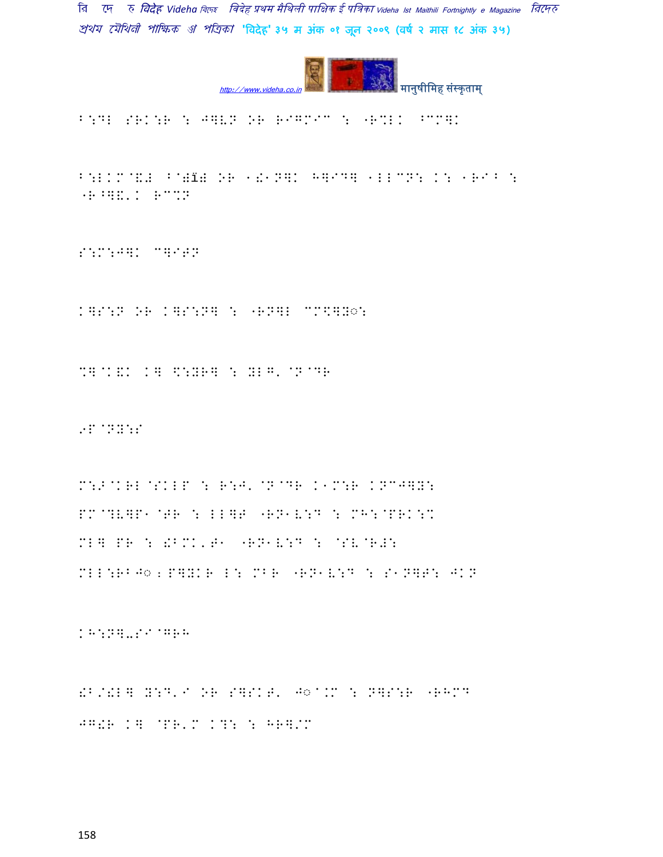

B:DR SRK:R : JRK: DR RYPORT : "RSK: "POR

B:LICKMOB : LAND IN THE 1999 OR 11 OR 18 11 OR 18 "R^]&'K RC%N

SS:THE CHAPE

KARS IS: N OR KING IS: "ROREST

%]@K&K K] \$:YR] : YLG'@N@DR

9P@NY:S

MY: MORE TO CHEVE : ROWSELL : ROWSELL : ROWSELL PM CORRECTED THE SECRET IN THE SPRING MR : PR : : : ENTITY: PROPERTY : STEPHEN MLL:RBJS : PHRIB IN MAR "RNING" N POPHEN SIN

KH:N]-SI@GRH

!B/!L] Y:D'I OR S]SKT' J◌@.M : N]S:R "RHMD JG!R K] @PR'M K?: : HR]/M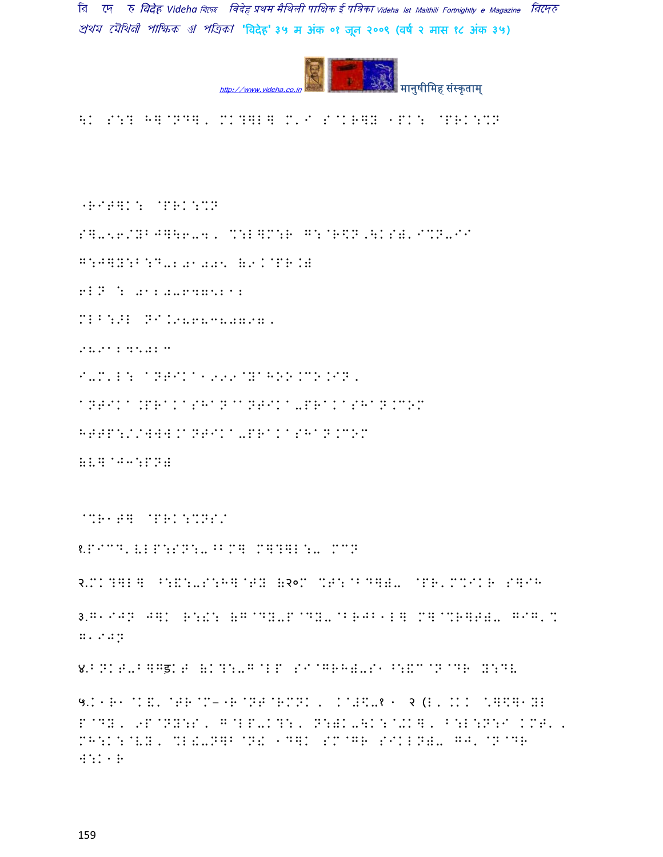

\K S:? H]@ND], MK?]L] M'I S@KR]Y 1PK: @PRK:%N

"REPORT OF THE STOP  $\sim$  56/H  $\sim$  56/H  $\sim$  56/H  $\sim$  56/H  $\sim$  56/H  $\sim$  56/H  $\sim$  56/H  $\sim$  56/H  $\sim$  56/H  $\sim$  56/H  $\sim$  56/H  $\sim$  56/H  $\sim$ S:JOURNALISM CONTROLLER 6EN : 0120-64752121212 MLB: LA NI.98683807, 2002. 2003. 2003. 2003. 2003. 2004. 2005. 2007. 2007. 2007. 2007. 2007. 2007. 2007. 2007. 9891245023 I-M'L: aNTIKa1999@YaHOO.CO.IN, antika pada tahun 1992 yang bermula pada 2002. Pada 2003 yang bermula pada 2003 yang bermula pada 2003. Pada 2<br>Pada 2003 yang bermula pada 2003 yang bermula pada 2003 yang bermula pada 2003 yang bermula pada 2003 yang ber HTTP://WWW.aNTIKa-PRaKaSHaN.COM  $H$  : How is provided as  $H$ 

@%R1T] @PRK:%NS/

**8.PHONES PRODUCED AND ARRESTS AND ADDRESS** 

२.MM RRP (PERSON) PHROMAIN- DESCRIPTION OF BUILDING SPACE

३.G1IJN J]K R:!: (G@DY-P@DY-@BRJB1L] M]@%R]T)- GIG'% Halian di pro

४.BNKT-B]Gड़KT (K?:-G@LP SI@GRH)-S1^:&C@N@DR Y:DV

 $9.1 + i \cdot 10$  in the theory is the set  $\mathbb{R}^2$  . The  $18.1$   $\mathbb{R}^2$  (i.k.  $111$   $\mathbb{R}^2$   $\mathbb{R}^2$   $\mathbb{R}^2$  : P@DY, 9P@NY:S, G@LP-K?:, N:)K-\K:@+K], B:L:N:I KMT', MH:K:B:B: MH:K:B: VX, - HE: HI 1D SAIKER, B4, VP 196 W:K1R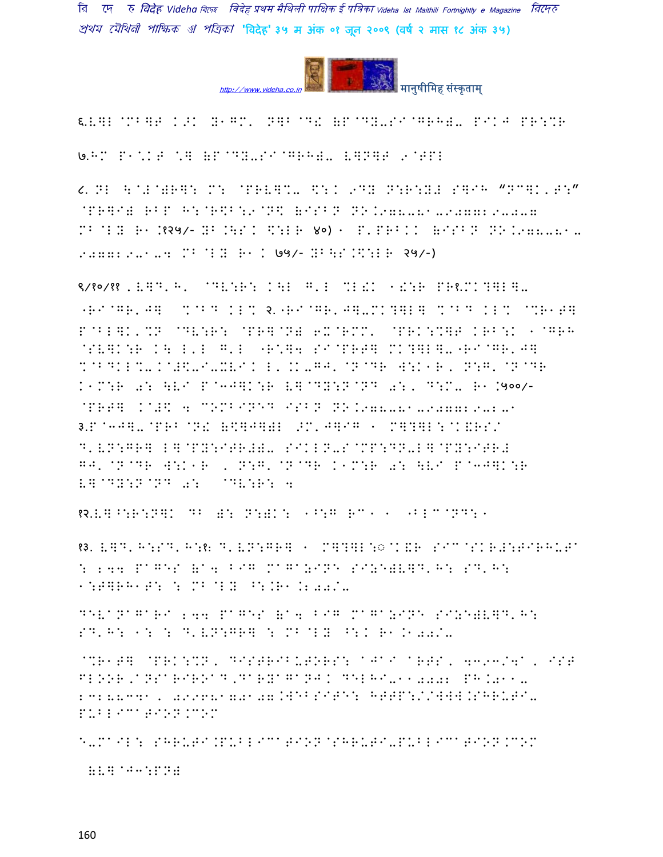

६.V]L@MB]T K>K Y1GM' N]B@D! (P@DY-SI@GRH)- PIKJ PR:%R

७. HM PHOTO PHOTO BE THE STATE OF THE REPORT OF THE STATE OF THE STATE OF THE STATE OF THE STATE OF THE STATE O

 $\mathcal{L}$ , Personal Media Rimson States (Proposed States Section States States States Section States States States States States States States States States States States States States States States States States States St @PR]I) RBP H:@R\$B:9@N\$ (ISBN NO.978-81-907729-0-7 MB CHORY RESOLUTED REPORTED THE SOLUTH OF REPORT OF THE STATE (ISBN NO.978-81-81-81-81-81-81-81-81-81-81-81-81  $997-1997-1997-1997-1997-1997$ 

९/१०/११ : EBP, P. (1991-1911) 19: P. P. P. C. GEL (F. C. G'ER) PR९.MICHE B..  $R$  (RIC CREAR FINITY CONSTRUCT WAS ARRESTED FOR DRIVING AND RESERVE TO THE CONSTRUCTION OF RECEIVED A SUBSET OF  $R$ P@BL]K'%N @DV:R: @PR]@N) 6X@RMM' @PRK:%]T KRB:K 1@GRH @SV]K:R K\ L'L G'L "R\*]4 SI@PRT] MK?]L]-"RI@GR'J] % MPKL E NOONG ALCOON OF ENIGHAL IN MARKET AND A DRAWING MARK K1M:R 0: 2: ABA (ESTARRISTE) BROTHER DYN 1: D:N-STAND 0: P+ (1900/-@PRT] .@#\$ 4 COMBINED ISBN NO.978-81-907729-2-1 ३.P@3J]-@PRB@N! (\$]J])L >M'J]IG 1 M]?]L:@K&RS/ D'VN:GR] L]@PY:ITR#)- SIKLN-S@MP:DN-L]@PY:ITR# GA, MP ME AND KET, DREVING ME DATE WITH WITH REAL POWER NE V]@DY:N@ND 0: @DV:R: 4

१२.E.B:P:NENDER ): 'PROGRESS (PINEDIA: 'PROGRESS (PINEDIA: 'PROGRESS )

 $\mathcal{R}$ 3. ERP. HG:P. HG: P. EPGRHE 2 MDPRING NOMES (FOR STEEDSHEME) : 244 PaGES (a4 BIG MaGaZINE SIZE)V]D'H: SD'H: 1:T]RH1T: : MB@LY ^:.R1.200/-

DEVaNaGaRI 244 PaGES (a4 BIG MaGaZINE SIZE)V]D'H:  $S$ D'H: 1: 1: 1: D'AIREAN : D'ORIGINALE : MARIA

@%R1T] @PRK:%N, DISTRIBUTORS: aJaI aRTS, 4393/4a, IST FLOOR,aNSaRIROaD,DaRYaGaNJ. DELHI-110002 PH.011- 23388341, 09968181, 09968170107. HTTP://WWW.SHRUTI-PUBLICATION COMPUTER INTERNATIONAL

E-MaIL: SHRUTI.PUBLICaTION@SHRUTI-PUBLICaTION.COM

 $\Xi$ :  $\Xi$   $\Xi$   $\Xi$   $\Xi$   $\Xi$   $\Xi$   $\Xi$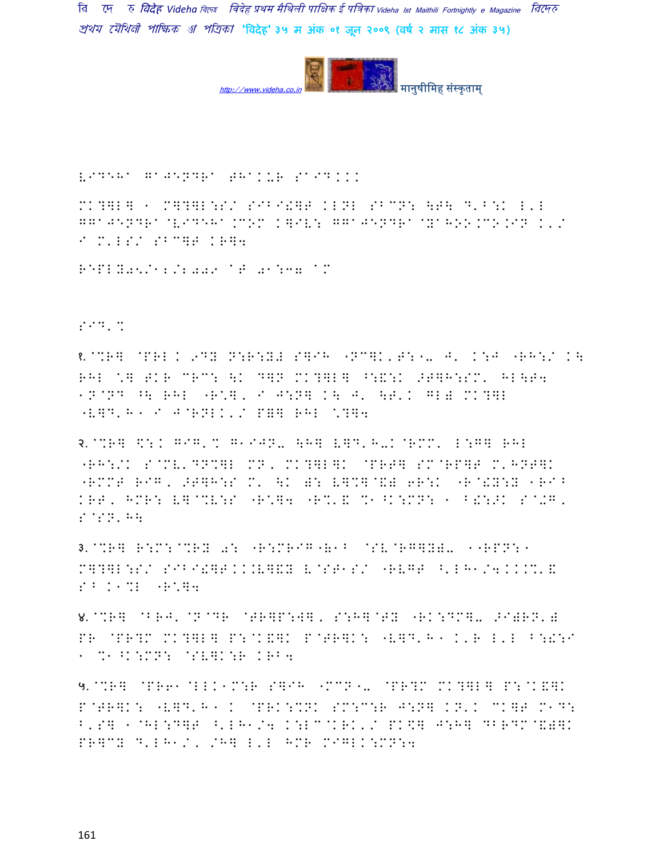

VIDEHa GaJENDRa THaKUR SaID...

MARRIE 1 MARRIE 1 MARRIE 1 MEI 1 MARRIE 1 MARRIE 1 MARRIE 1 MARRIE 1 MARRIE 1 MAR GGAJENDRA VIDEHA.COM KIDEHA.COM KANG KALI VIDEHA KOM KAJENDRA I M'LS/ SBC]T KR]4

REPLYNS AT 2009 AT 2009 AT 2009

 $\mathbb{R}^2$  SID:  $\mathbb{R}^2$ 

१.@%R] @PRL. 9DY N:R:Y# S]IH "NC]K'T:"- J' K:J "RH:/ K\ RHL \*19 TKR CRC: NHL \*19 TKR CRCHER \*1000 AND \*1000 AND \*1000 1N@ND ^\ RHL "R\*], I J:N] K\ J' \T'K GL) MK?]L "I B'H I JON A HERL Y PHE BY I HALL Y HER

२. "B: B:: Gig", T G112 HE E99 E99, F.I. BCT, BS9 BHB "RH:/K S@MV'DN%]L MN, MK?]L]K @PRT] SM@RP]T M'HNT]K "ROOF BYA, JAARGE O. A: GG 1808-06 ARGE PRO SEGUID FRYE KRAT, HOR: LATOLIE RATA RACIO DE L'ATOLIE E REGIO D'OR. SMSS SHOW

३.@%R] R:M:@%RY 0: "R:MRIG"(1B @SV@RG]Y)- ""RPN:" MAGAR SEVI (EXPORTER DI DEARRI (ELIGEN EVI) (AREAR) (P. EAK VA DI DIV. R S\* K1%L "R\* K1%L"

४.@%R] @BRJ'@N@DR @TR]P:W], S:H]@TY "RK:DM]- >I)RN') PR @PR?M MK?]L] P:@K&]K P@TR]K: "V]D'H" K'R L'L B:!:I 1 %1^K:MN: @SV]K:R KRB4

५.@%R] @PR61@LLK1M:R S]IH "MCN"- @PR?M MK?]L] P:@K&]K P. TRIKED GOORLEVEL AND COMPATING THE CONSTRUCTION OF THE CONTROL OF THE CONTROL OF THE CONTROL OF THE CONTROL B'S'E 'S' 10 NORD DE SERVE I EN VESTIG PAR 'PRODUCED' (ELEC PR]CY D'LH1/, /H] L'L HMR MIGLK:MN:4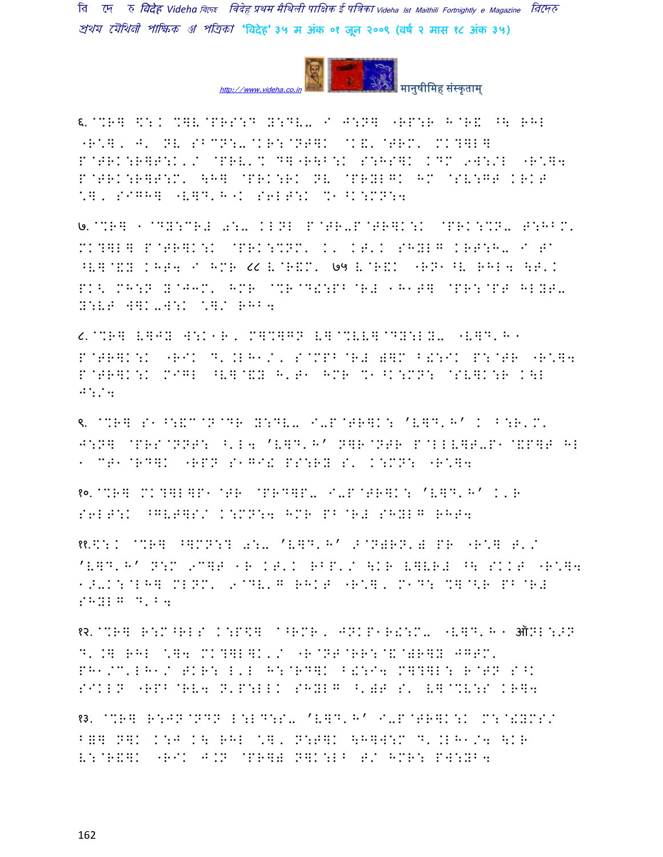

६.@%R] \$:. %]V@PRS:D Y:DV- I J:N] "RP:R H@R& ^\ RHL  $R$  . The state of the set of the state of the state  $R$  and  $R$  and  $R$ P@TRK:R]T:K'/ @PRV'% D]"R\B:K S:HS]K KDM 9W:/L "R\*]4 P@TRK:R]T:M' \H] @PRK:RK NV @PRYLGK HM @SV:GT KRKT \*], SIGH] "V]D'H"K S6LT:K %1^K:MN:4

७.@%R] 1@DY:CR# 0:- KLNL P@TR-P@TR]K:K @PRK:%N- T:HBM' MKREBER (POTREBISK) (OPENSION) KOM KOLONIA KRTEBER (PERSEN KOLONIA  $V^*$  Find in the contribution of  $V^*$  or  $V^*$  . The matrix  $V^*$  or  $V^*$  is the sum of  $V^*$   $V^*$  or  $V^*$  . The sum of  $V^*$ PK: MH:N Y@J4HM, PMR @MR@R### 1H1T-PH## 1MP:PP:PP# 1H1T Y:VT W]K-W:K \*]/ RHB4

८.@%R] V]JY W:K1R, M]%]GN V]@%VV]@DY:LY- "V]D'H" P@TR]K:K "RIK D'.LH1/, S@MPB@R# )]M B!:IK P:@TR "R\*]4 P@TR]K:K MIGL ^V]@&Y H'T1 HMR %1^K:MN: @SV]K:R K\L  $\mathcal{H}^1(\mathbb{Z}/q)$ 

९. @%R] S1^:&C@N@DR Y:DV- I-P@TR]K: 'V]D'H' K B:R'M' J:N] @PRS@NNT: ^'L4 'V]D'H' N]R@NTR P@LLV]T-P1@&P]T HL 1 CT1@RD]K "RPN S1GI! PS:RY S' K:MN: "R\*]4

१०. MIRR ON THE RESORT OF PROPERTY SYNCROPORTY IS AN OUTLINE OF THE RESORT OF THE RESORT OF THE RESORT OF THE S6LT:K & S6LT:K & SHYLG RHT4 HMR PB@R# SHYLG RHT4 HMR PB@R# SHYLG RHT4 HMR PB@R# SHYLG RHT4 HMR PB@R# SHYLG RH

११.\$:. @%R] ^]MN:? 0:- 'V]D'H' >@N)RN') PR "R\*] T'/ 'V]D'H' N:M 9C]T 1R KT'K RBP'/ \KR V]VR# ^\ SKKT "R\*]4 1>-K:@LH] MLNM' 9@DV'G RHKT "R\*], M1D: %]@<R PB@R# SHILB B. P.

१२. MWR RING REPORT OF RING AND RELEASED AND THE MAIN MANUFACTURE. D'.] RHL \*]4 MK?]L]K'/ "R@NT@RR:@&@)R]Y JGTM' PH 2018 RHI MARIEN BILE AN TRABAL A SINGLE DAN BILE A TRACK SOM SIKLED "RPB" REAL DISTRICT "PHONE ROLLER STORES TO DESCRIPTION

१३. @ 11.R:R:LD:R:JH DRIVER PORTER RIGHT IN THE PORTER RIGHT IN THE TRIGGERY OF TRIGGERY OF TRIGGERY OF TRIGGE  $B\boxplus B\rightarrow B$  is the state of  $B$  . The definition of  $B$  and  $B$  and  $B$  is the definition of  $B$ V:@R&]K "RIK J.N @PR]) N]K:LB T/ HMR: PW:YB4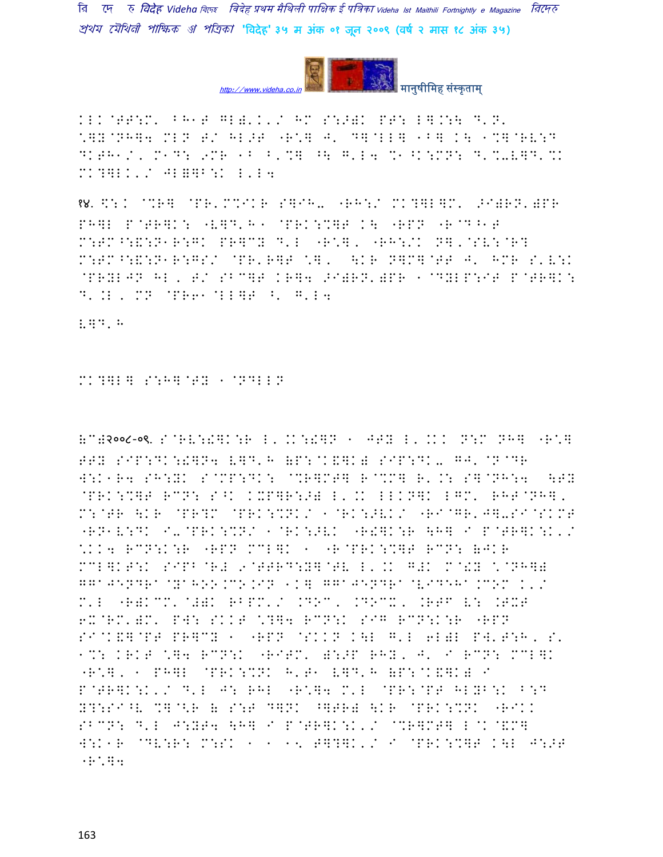

KLK@TT:MATT:MY BELIVING SYSTEM FRY ENGINE MUST \*]Y@NH]4 MLN T/ HL>T "R\*] J' D]@LL] 1B] K\ 1%]@RV:D DKTH1/, M1D: 9MR 1B B'%] ^\ G'L4 %1^K:MN: D'%-V]D'%K MARY 2001 12: 10 AM 2002 12: 10 AM 2004 12: 10 AM 2004 12: 10 AM 2004 12: 10 AM 2004 12: 10 AM 2004 12: 10 AM

१४. \$:. @%R] @PR'M%IKR S]IH- "RH:/ MK?]L]M' >I)RN')PR PHIL PORRIN MORE ROOM PROVINCING AND RELEASED M:THO: THE THIS PERSON OF THE THIS CONTROL IN THE RELEASE THAT  $\mathcal{R}$ MY: MONTH TO MAKE THE STRAIN TO THE REPORT OF A STRAIN STATE. @PRYLJN HL, T/ SBC]T KR]4 >I)RN')PR 1@DYLP:IT P@TR]K: D'.L, MN @PR61@LL]T ^' G'L4

 $\Sigma$ HT, W

MARK REPORT OF THE REPORT OF THE REPORT OF THE REPORT OF THE REPORT OF THE REPORT OF THE REPORT OF THE REPORT OF THE REPORT OF THE REPORT OF THE REPORT OF THE REPORT OF THE REPORT OF THE REPORT OF THE REPORT OF THE REPORT

(C)२००८-०९. S@RV:!]K:R L'.K:!]N 1 JTY L'.KK N:M NH] "R\*] THO SIP:DK: SIP:DK: BEL (P:@K&]KOR (P:@K@PR) SIP:DK- G W:K1R4 SH:YA SOMARI RIS MIRENCA DA NI RI REGIONE DA SAN MARI @PRK:%]T RCN: S^K KXP]R:>) L'.K LLKN]K LGM' RHT@NH], M:@TR \KR @PR?M @PRK:%NK/ 1@RK:>VK/ "RI@GR'J]-SI@SKMT "RN1V:DK I-@PRK:%N/ 1@RK:>VK "R!]K:R \H] I P@TR]K:K'/ \*KK4 RCN:K:R "RPN MCL]K 1 "R@PRK:%]T RCN: (JKR MCL]KT:K SIPB@R# 9@TTRD:Y]@TV L'.K G#K M@!Y \*@NH]) GGaJENDRa@YaHOO.CO.IN 1K] GGaJENDRa@VIDEHa.COM K'/ M'L "R)K R, "R)K R, "R)K R, "R)K R, "R)K R, "R)K R, "R)K R, "R)K R, "R)K R, "R)K R, "R)K R, "R)K R, "R)K R, "R 6X@RM')M' PW: SKKT \*?]4 RCN:K SIG RCN:K:R "RPN SI PROPINSI PROPINSI PROPINSI DAN KANA MARAHATAN KANG PARANG PARANG PARANG PARANG PARANG PARANG PARANG PARANG  $1$  . The control of the state of the problems of the control  $\mathbb{R}^n$  is the control of the control  $\mathbb{R}^n$ "R\*], 1 PH]L @PRK:%NK H'T1 V]D'H (P:@K&]K) I P@TR]K:K'/ D'L J: RHL "R\*]4 M'L @PR:@PT HLYB:K B:D BY:SINCE THOSE E STEURISM PHEE AND STENDING (BIT) SBCN: D'L J:YT4 \H] I P@TR]K:K'/ @%R]MT] L@K@&M] W:K1R @DV:R: M:SK 1 1 15 T]?]K'/ I @PRK:%]T K\L J:>T  $\cdot \vdots \cdot \vdots \cdot \cdot$